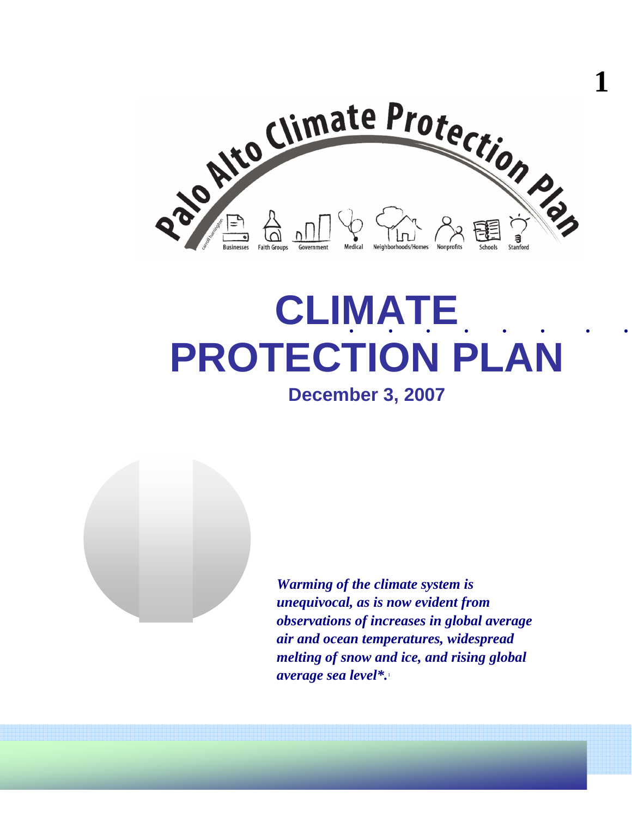

**1** 

# . . . . . . . . . **CLIMATE PROTECTION PLAN**

**December 3, 2007** 



*Warming of the climate system is unequivocal, as is now evident from observations of increases in global average air and ocean temperatures, widespread melting of snow and ice, and rising global average sea level\*.*<sup>1</sup>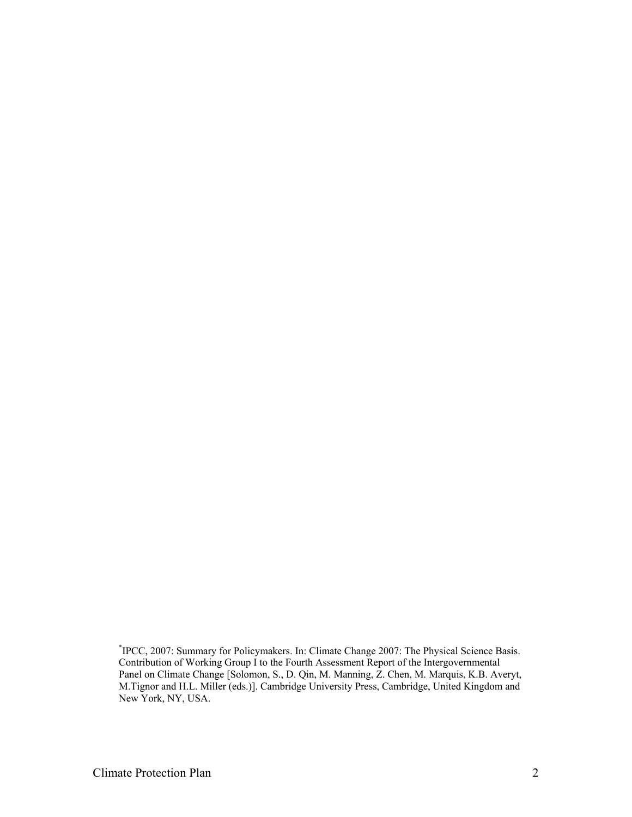<sup>\*</sup> IPCC, 2007: Summary for Policymakers. In: Climate Change 2007: The Physical Science Basis. Contribution of Working Group I to the Fourth Assessment Report of the Intergovernmental Panel on Climate Change [Solomon, S., D. Qin, M. Manning, Z. Chen, M. Marquis, K.B. Averyt, M.Tignor and H.L. Miller (eds.)]. Cambridge University Press, Cambridge, United Kingdom and New York, NY, USA.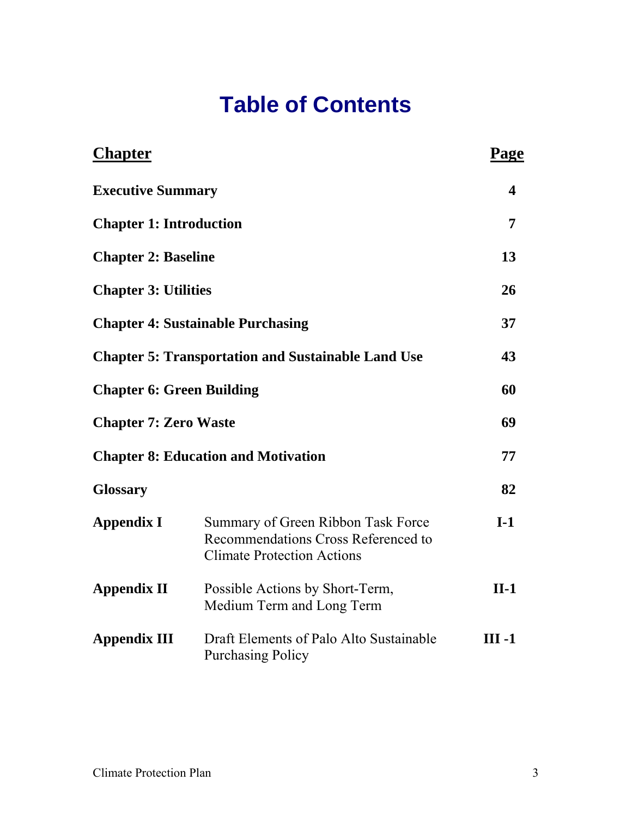# **Table of Contents**

| <b>Chapter</b>                                            |                                                                                                                | Page     |
|-----------------------------------------------------------|----------------------------------------------------------------------------------------------------------------|----------|
| <b>Executive Summary</b>                                  |                                                                                                                | 4        |
| <b>Chapter 1: Introduction</b>                            |                                                                                                                | 7        |
| <b>Chapter 2: Baseline</b>                                |                                                                                                                | 13       |
| <b>Chapter 3: Utilities</b>                               |                                                                                                                | 26       |
|                                                           | <b>Chapter 4: Sustainable Purchasing</b>                                                                       | 37       |
| <b>Chapter 5: Transportation and Sustainable Land Use</b> | 43                                                                                                             |          |
| <b>Chapter 6: Green Building</b>                          | 60                                                                                                             |          |
| <b>Chapter 7: Zero Waste</b>                              | 69                                                                                                             |          |
|                                                           | <b>Chapter 8: Education and Motivation</b>                                                                     | 77       |
| <b>Glossary</b>                                           |                                                                                                                | 82       |
| <b>Appendix I</b>                                         | Summary of Green Ribbon Task Force<br>Recommendations Cross Referenced to<br><b>Climate Protection Actions</b> | $I-1$    |
| <b>Appendix II</b>                                        | Possible Actions by Short-Term,<br>Medium Term and Long Term                                                   | $II-1$   |
| <b>Appendix III</b>                                       | Draft Elements of Palo Alto Sustainable<br><b>Purchasing Policy</b>                                            | $III -1$ |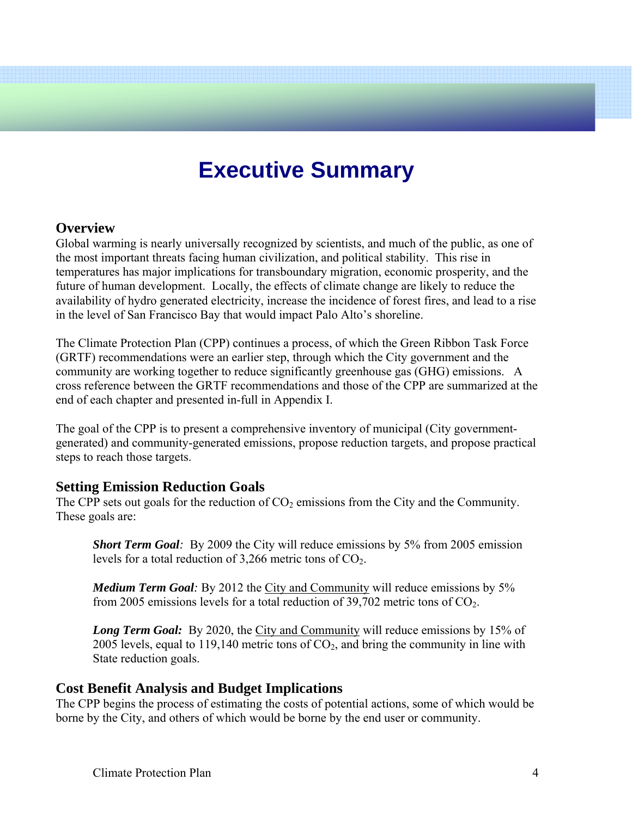# **Executive Summary**

## **Overview**

Global warming is nearly universally recognized by scientists, and much of the public, as one of the most important threats facing human civilization, and political stability. This rise in temperatures has major implications for transboundary migration, economic prosperity, and the future of human development. Locally, the effects of climate change are likely to reduce the availability of hydro generated electricity, increase the incidence of forest fires, and lead to a rise in the level of San Francisco Bay that would impact Palo Alto's shoreline.

The Climate Protection Plan (CPP) continues a process, of which the Green Ribbon Task Force (GRTF) recommendations were an earlier step, through which the City government and the community are working together to reduce significantly greenhouse gas (GHG) emissions. A cross reference between the GRTF recommendations and those of the CPP are summarized at the end of each chapter and presented in-full in Appendix I.

The goal of the CPP is to present a comprehensive inventory of municipal (City governmentgenerated) and community-generated emissions, propose reduction targets, and propose practical steps to reach those targets.

# **Setting Emission Reduction Goals**

The CPP sets out goals for the reduction of  $CO<sub>2</sub>$  emissions from the City and the Community. These goals are:

*Short Term Goal:* By 2009 the City will reduce emissions by 5% from 2005 emission levels for a total reduction of  $3,266$  metric tons of  $CO<sub>2</sub>$ .

*Medium Term Goal:* By 2012 the City and Community will reduce emissions by 5% from 2005 emissions levels for a total reduction of 39,702 metric tons of  $CO<sub>2</sub>$ .

*Long Term Goal:* By 2020, the City and Community will reduce emissions by 15% of 2005 levels, equal to 119,140 metric tons of  $CO<sub>2</sub>$ , and bring the community in line with State reduction goals.

# **Cost Benefit Analysis and Budget Implications**

The CPP begins the process of estimating the costs of potential actions, some of which would be borne by the City, and others of which would be borne by the end user or community.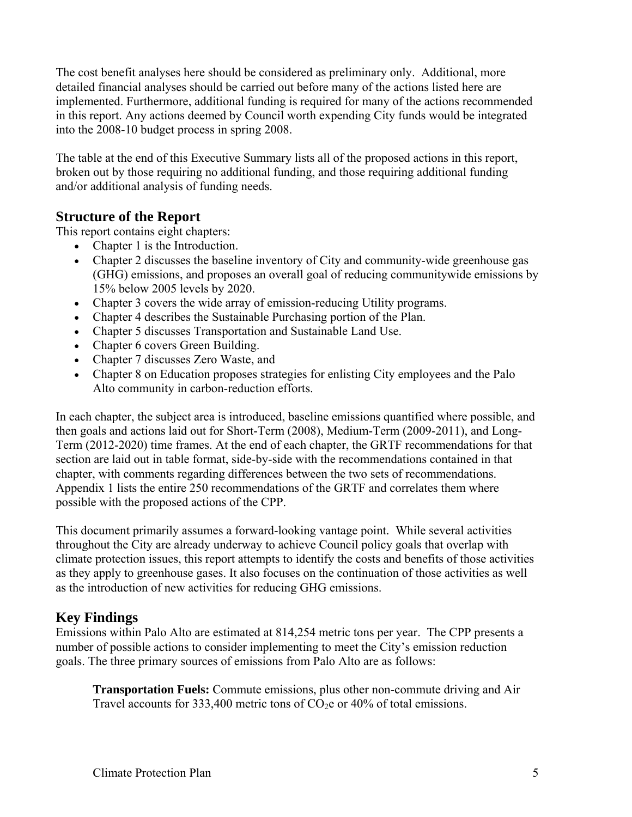The cost benefit analyses here should be considered as preliminary only. Additional, more detailed financial analyses should be carried out before many of the actions listed here are implemented. Furthermore, additional funding is required for many of the actions recommended in this report. Any actions deemed by Council worth expending City funds would be integrated into the 2008-10 budget process in spring 2008.

The table at the end of this Executive Summary lists all of the proposed actions in this report, broken out by those requiring no additional funding, and those requiring additional funding and/or additional analysis of funding needs.

# **Structure of the Report**

This report contains eight chapters:

- Chapter 1 is the Introduction.
- Chapter 2 discusses the baseline inventory of City and community-wide greenhouse gas (GHG) emissions, and proposes an overall goal of reducing communitywide emissions by 15% below 2005 levels by 2020.
- Chapter 3 covers the wide array of emission-reducing Utility programs.
- Chapter 4 describes the Sustainable Purchasing portion of the Plan.
- Chapter 5 discusses Transportation and Sustainable Land Use.
- Chapter 6 covers Green Building.
- Chapter 7 discusses Zero Waste, and
- Chapter 8 on Education proposes strategies for enlisting City employees and the Palo Alto community in carbon-reduction efforts.

In each chapter, the subject area is introduced, baseline emissions quantified where possible, and then goals and actions laid out for Short-Term (2008), Medium-Term (2009-2011), and Long-Term (2012-2020) time frames. At the end of each chapter, the GRTF recommendations for that section are laid out in table format, side-by-side with the recommendations contained in that chapter, with comments regarding differences between the two sets of recommendations. Appendix 1 lists the entire 250 recommendations of the GRTF and correlates them where possible with the proposed actions of the CPP.

This document primarily assumes a forward-looking vantage point. While several activities throughout the City are already underway to achieve Council policy goals that overlap with climate protection issues, this report attempts to identify the costs and benefits of those activities as they apply to greenhouse gases. It also focuses on the continuation of those activities as well as the introduction of new activities for reducing GHG emissions.

# **Key Findings**

Emissions within Palo Alto are estimated at 814,254 metric tons per year. The CPP presents a number of possible actions to consider implementing to meet the City's emission reduction goals. The three primary sources of emissions from Palo Alto are as follows:

**Transportation Fuels:** Commute emissions, plus other non-commute driving and Air Travel accounts for 333,400 metric tons of  $CO<sub>2</sub>e$  or 40% of total emissions.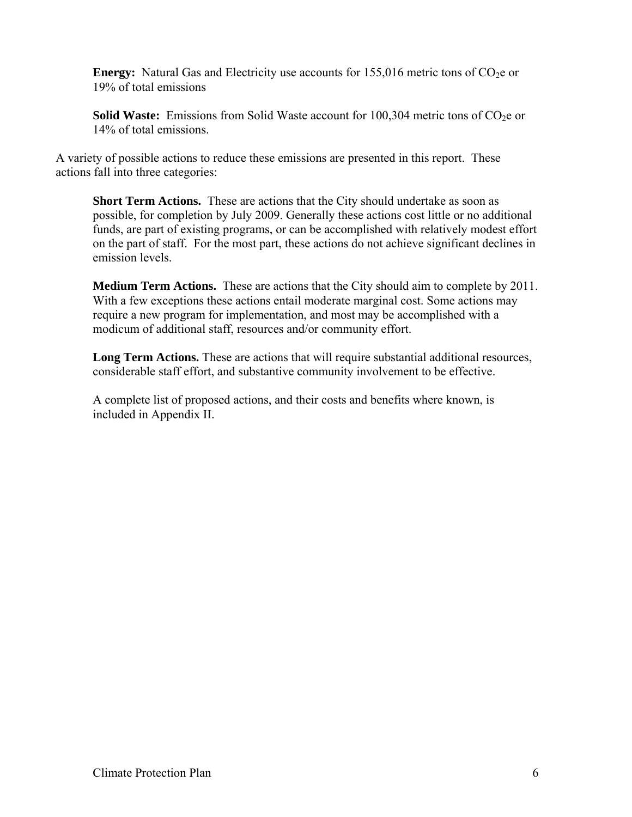**Energy:** Natural Gas and Electricity use accounts for  $155,016$  metric tons of  $CO<sub>2</sub>e$  or 19% of total emissions

**Solid Waste:** Emissions from Solid Waste account for 100,304 metric tons of CO<sub>2</sub>e or 14% of total emissions.

A variety of possible actions to reduce these emissions are presented in this report. These actions fall into three categories:

 **Short Term Actions.** These are actions that the City should undertake as soon as possible, for completion by July 2009. Generally these actions cost little or no additional funds, are part of existing programs, or can be accomplished with relatively modest effort on the part of staff. For the most part, these actions do not achieve significant declines in emission levels.

**Medium Term Actions.** These are actions that the City should aim to complete by 2011. With a few exceptions these actions entail moderate marginal cost. Some actions may require a new program for implementation, and most may be accomplished with a modicum of additional staff, resources and/or community effort.

**Long Term Actions.** These are actions that will require substantial additional resources, considerable staff effort, and substantive community involvement to be effective.

A complete list of proposed actions, and their costs and benefits where known, is included in Appendix II.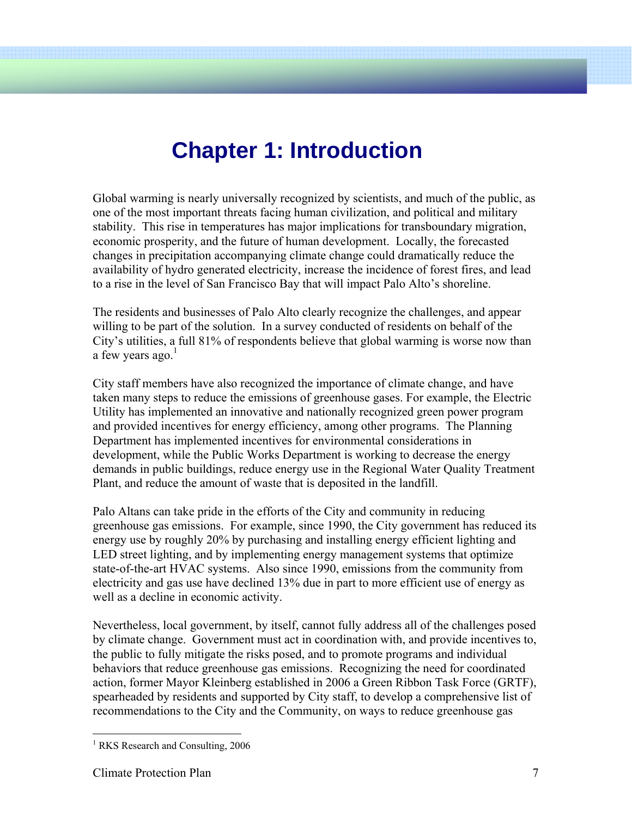# **Chapter 1: Introduction**

Global warming is nearly universally recognized by scientists, and much of the public, as one of the most important threats facing human civilization, and political and military stability. This rise in temperatures has major implications for transboundary migration, economic prosperity, and the future of human development. Locally, the forecasted changes in precipitation accompanying climate change could dramatically reduce the availability of hydro generated electricity, increase the incidence of forest fires, and lead to a rise in the level of San Francisco Bay that will impact Palo Alto's shoreline.

The residents and businesses of Palo Alto clearly recognize the challenges, and appear willing to be part of the solution. In a survey conducted of residents on behalf of the City's utilities, a full 81% of respondents believe that global warming is worse now than a few years ago. $<sup>1</sup>$ </sup>

City staff members have also recognized the importance of climate change, and have taken many steps to reduce the emissions of greenhouse gases. For example, the Electric Utility has implemented an innovative and nationally recognized green power program and provided incentives for energy efficiency, among other programs. The Planning Department has implemented incentives for environmental considerations in development, while the Public Works Department is working to decrease the energy demands in public buildings, reduce energy use in the Regional Water Quality Treatment Plant, and reduce the amount of waste that is deposited in the landfill.

Palo Altans can take pride in the efforts of the City and community in reducing greenhouse gas emissions. For example, since 1990, the City government has reduced its energy use by roughly 20% by purchasing and installing energy efficient lighting and LED street lighting, and by implementing energy management systems that optimize state-of-the-art HVAC systems. Also since 1990, emissions from the community from electricity and gas use have declined 13% due in part to more efficient use of energy as well as a decline in economic activity.

Nevertheless, local government, by itself, cannot fully address all of the challenges posed by climate change. Government must act in coordination with, and provide incentives to, the public to fully mitigate the risks posed, and to promote programs and individual behaviors that reduce greenhouse gas emissions. Recognizing the need for coordinated action, former Mayor Kleinberg established in 2006 a Green Ribbon Task Force (GRTF), spearheaded by residents and supported by City staff, to develop a comprehensive list of recommendations to the City and the Community, on ways to reduce greenhouse gas

<sup>&</sup>lt;sup>1</sup> RKS Research and Consulting, 2006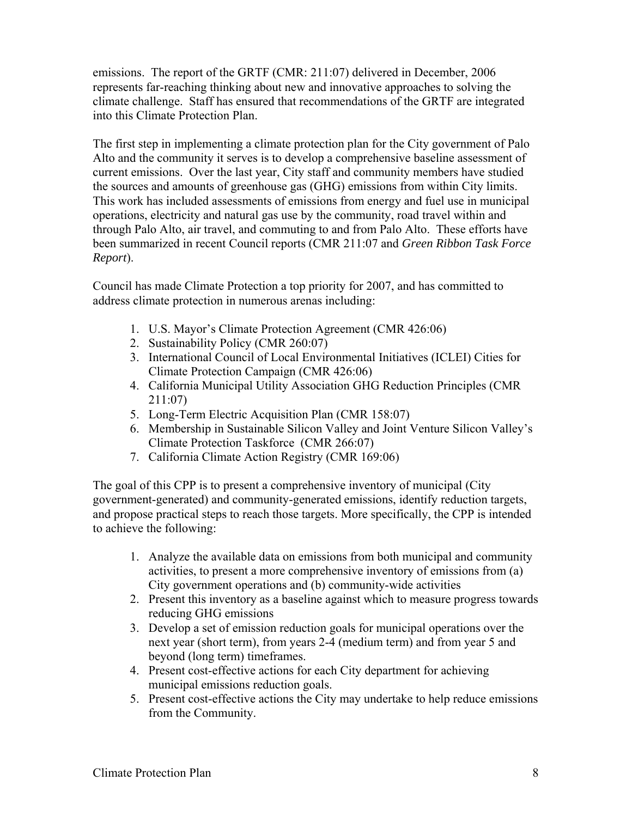emissions. The report of the GRTF (CMR: 211:07) delivered in December, 2006 represents far-reaching thinking about new and innovative approaches to solving the climate challenge. Staff has ensured that recommendations of the GRTF are integrated into this Climate Protection Plan.

The first step in implementing a climate protection plan for the City government of Palo Alto and the community it serves is to develop a comprehensive baseline assessment of current emissions. Over the last year, City staff and community members have studied the sources and amounts of greenhouse gas (GHG) emissions from within City limits. This work has included assessments of emissions from energy and fuel use in municipal operations, electricity and natural gas use by the community, road travel within and through Palo Alto, air travel, and commuting to and from Palo Alto. These efforts have been summarized in recent Council reports (CMR 211:07 and *Green Ribbon Task Force Report*).

Council has made Climate Protection a top priority for 2007, and has committed to address climate protection in numerous arenas including:

- 1. U.S. Mayor's Climate Protection Agreement (CMR 426:06)
- 2. Sustainability Policy (CMR 260:07)
- 3. International Council of Local Environmental Initiatives (ICLEI) Cities for Climate Protection Campaign (CMR 426:06)
- 4. California Municipal Utility Association GHG Reduction Principles (CMR 211:07)
- 5. Long-Term Electric Acquisition Plan (CMR 158:07)
- 6. Membership in Sustainable Silicon Valley and Joint Venture Silicon Valley's Climate Protection Taskforce (CMR 266:07)
- 7. California Climate Action Registry (CMR 169:06)

The goal of this CPP is to present a comprehensive inventory of municipal (City government-generated) and community-generated emissions, identify reduction targets, and propose practical steps to reach those targets. More specifically, the CPP is intended to achieve the following:

- 1. Analyze the available data on emissions from both municipal and community activities, to present a more comprehensive inventory of emissions from (a) City government operations and (b) community-wide activities
- 2. Present this inventory as a baseline against which to measure progress towards reducing GHG emissions
- 3. Develop a set of emission reduction goals for municipal operations over the next year (short term), from years 2-4 (medium term) and from year 5 and beyond (long term) timeframes.
- 4. Present cost-effective actions for each City department for achieving municipal emissions reduction goals.
- 5. Present cost-effective actions the City may undertake to help reduce emissions from the Community.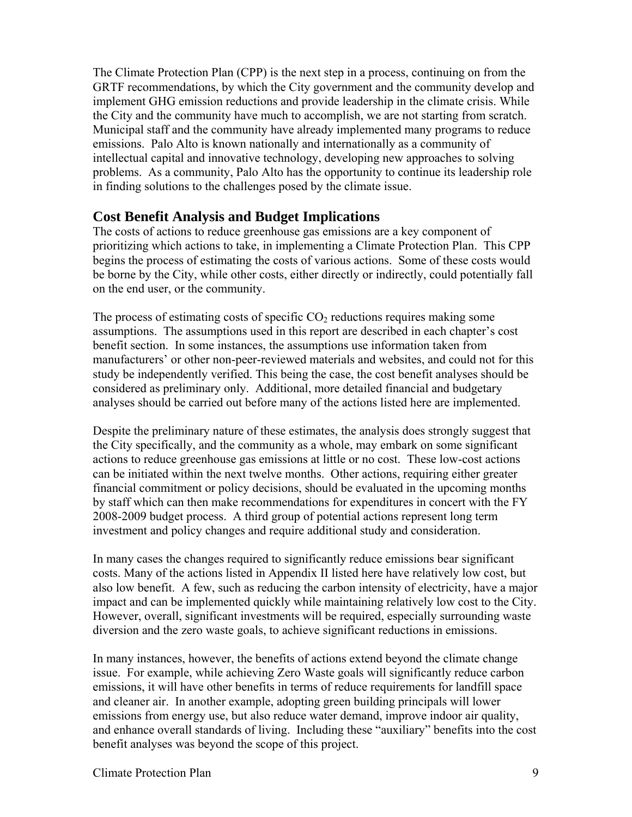The Climate Protection Plan (CPP) is the next step in a process, continuing on from the GRTF recommendations, by which the City government and the community develop and implement GHG emission reductions and provide leadership in the climate crisis. While the City and the community have much to accomplish, we are not starting from scratch. Municipal staff and the community have already implemented many programs to reduce emissions. Palo Alto is known nationally and internationally as a community of intellectual capital and innovative technology, developing new approaches to solving problems. As a community, Palo Alto has the opportunity to continue its leadership role in finding solutions to the challenges posed by the climate issue.

# **Cost Benefit Analysis and Budget Implications**

The costs of actions to reduce greenhouse gas emissions are a key component of prioritizing which actions to take, in implementing a Climate Protection Plan. This CPP begins the process of estimating the costs of various actions. Some of these costs would be borne by the City, while other costs, either directly or indirectly, could potentially fall on the end user, or the community.

The process of estimating costs of specific  $CO<sub>2</sub>$  reductions requires making some assumptions. The assumptions used in this report are described in each chapter's cost benefit section. In some instances, the assumptions use information taken from manufacturers' or other non-peer-reviewed materials and websites, and could not for this study be independently verified. This being the case, the cost benefit analyses should be considered as preliminary only. Additional, more detailed financial and budgetary analyses should be carried out before many of the actions listed here are implemented.

Despite the preliminary nature of these estimates, the analysis does strongly suggest that the City specifically, and the community as a whole, may embark on some significant actions to reduce greenhouse gas emissions at little or no cost. These low-cost actions can be initiated within the next twelve months. Other actions, requiring either greater financial commitment or policy decisions, should be evaluated in the upcoming months by staff which can then make recommendations for expenditures in concert with the FY 2008-2009 budget process. A third group of potential actions represent long term investment and policy changes and require additional study and consideration.

In many cases the changes required to significantly reduce emissions bear significant costs. Many of the actions listed in Appendix II listed here have relatively low cost, but also low benefit. A few, such as reducing the carbon intensity of electricity, have a major impact and can be implemented quickly while maintaining relatively low cost to the City. However, overall, significant investments will be required, especially surrounding waste diversion and the zero waste goals, to achieve significant reductions in emissions.

In many instances, however, the benefits of actions extend beyond the climate change issue. For example, while achieving Zero Waste goals will significantly reduce carbon emissions, it will have other benefits in terms of reduce requirements for landfill space and cleaner air. In another example, adopting green building principals will lower emissions from energy use, but also reduce water demand, improve indoor air quality, and enhance overall standards of living. Including these "auxiliary" benefits into the cost benefit analyses was beyond the scope of this project.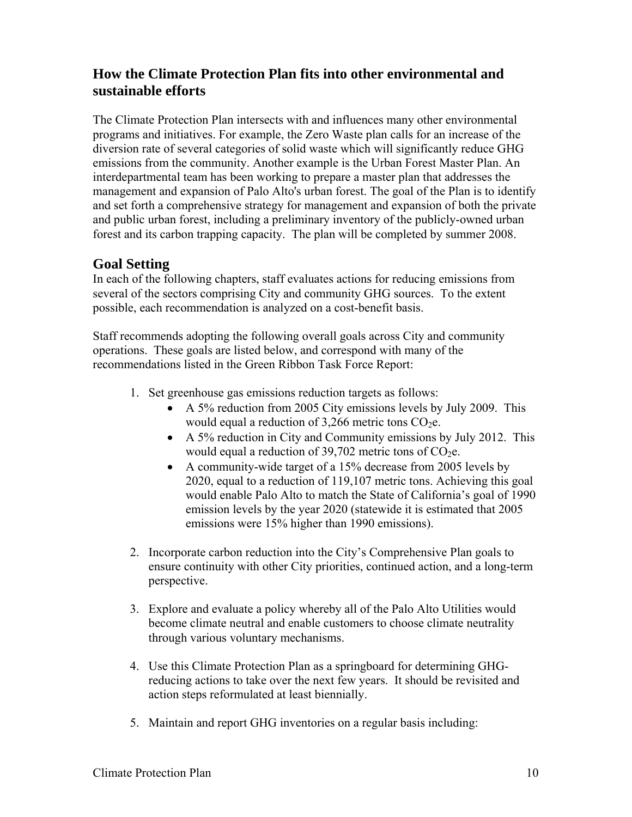# **How the Climate Protection Plan fits into other environmental and sustainable efforts**

The Climate Protection Plan intersects with and influences many other environmental programs and initiatives. For example, the Zero Waste plan calls for an increase of the diversion rate of several categories of solid waste which will significantly reduce GHG emissions from the community. Another example is the Urban Forest Master Plan. An interdepartmental team has been working to prepare a master plan that addresses the management and expansion of Palo Alto's urban forest. The goal of the Plan is to identify and set forth a comprehensive strategy for management and expansion of both the private and public urban forest, including a preliminary inventory of the publicly-owned urban forest and its carbon trapping capacity. The plan will be completed by summer 2008.

# **Goal Setting**

In each of the following chapters, staff evaluates actions for reducing emissions from several of the sectors comprising City and community GHG sources. To the extent possible, each recommendation is analyzed on a cost-benefit basis.

Staff recommends adopting the following overall goals across City and community operations. These goals are listed below, and correspond with many of the recommendations listed in the Green Ribbon Task Force Report:

- 1. Set greenhouse gas emissions reduction targets as follows:
	- A 5% reduction from 2005 City emissions levels by July 2009. This would equal a reduction of  $3,266$  metric tons CO<sub>2</sub>e.
	- A 5% reduction in City and Community emissions by July 2012. This would equal a reduction of 39,702 metric tons of  $CO<sub>2</sub>e$ .
	- A community-wide target of a 15% decrease from 2005 levels by 2020, equal to a reduction of 119,107 metric tons. Achieving this goal would enable Palo Alto to match the State of California's goal of 1990 emission levels by the year 2020 (statewide it is estimated that 2005 emissions were 15% higher than 1990 emissions).
- 2. Incorporate carbon reduction into the City's Comprehensive Plan goals to ensure continuity with other City priorities, continued action, and a long-term perspective.
- 3. Explore and evaluate a policy whereby all of the Palo Alto Utilities would become climate neutral and enable customers to choose climate neutrality through various voluntary mechanisms.
- 4. Use this Climate Protection Plan as a springboard for determining GHGreducing actions to take over the next few years. It should be revisited and action steps reformulated at least biennially.
- 5. Maintain and report GHG inventories on a regular basis including: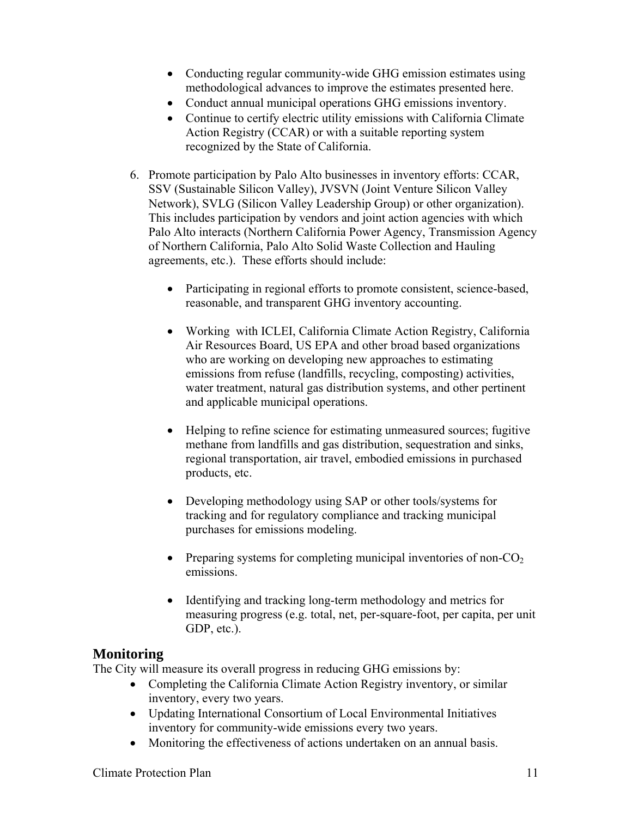- Conducting regular community-wide GHG emission estimates using methodological advances to improve the estimates presented here.
- Conduct annual municipal operations GHG emissions inventory.
- Continue to certify electric utility emissions with California Climate Action Registry (CCAR) or with a suitable reporting system recognized by the State of California.
- 6. Promote participation by Palo Alto businesses in inventory efforts: CCAR, SSV (Sustainable Silicon Valley), JVSVN (Joint Venture Silicon Valley Network), SVLG (Silicon Valley Leadership Group) or other organization). This includes participation by vendors and joint action agencies with which Palo Alto interacts (Northern California Power Agency, Transmission Agency of Northern California, Palo Alto Solid Waste Collection and Hauling agreements, etc.). These efforts should include:
	- Participating in regional efforts to promote consistent, science-based, reasonable, and transparent GHG inventory accounting.
	- Working with ICLEI, California Climate Action Registry, California Air Resources Board, US EPA and other broad based organizations who are working on developing new approaches to estimating emissions from refuse (landfills, recycling, composting) activities, water treatment, natural gas distribution systems, and other pertinent and applicable municipal operations.
	- Helping to refine science for estimating unmeasured sources; fugitive methane from landfills and gas distribution, sequestration and sinks, regional transportation, air travel, embodied emissions in purchased products, etc.
	- Developing methodology using SAP or other tools/systems for tracking and for regulatory compliance and tracking municipal purchases for emissions modeling.
	- Preparing systems for completing municipal inventories of non- $CO<sub>2</sub>$ emissions.
	- Identifying and tracking long-term methodology and metrics for measuring progress (e.g. total, net, per-square-foot, per capita, per unit GDP, etc.).

# **Monitoring**

The City will measure its overall progress in reducing GHG emissions by:

- Completing the California Climate Action Registry inventory, or similar inventory, every two years.
- Updating International Consortium of Local Environmental Initiatives inventory for community-wide emissions every two years.
- Monitoring the effectiveness of actions undertaken on an annual basis.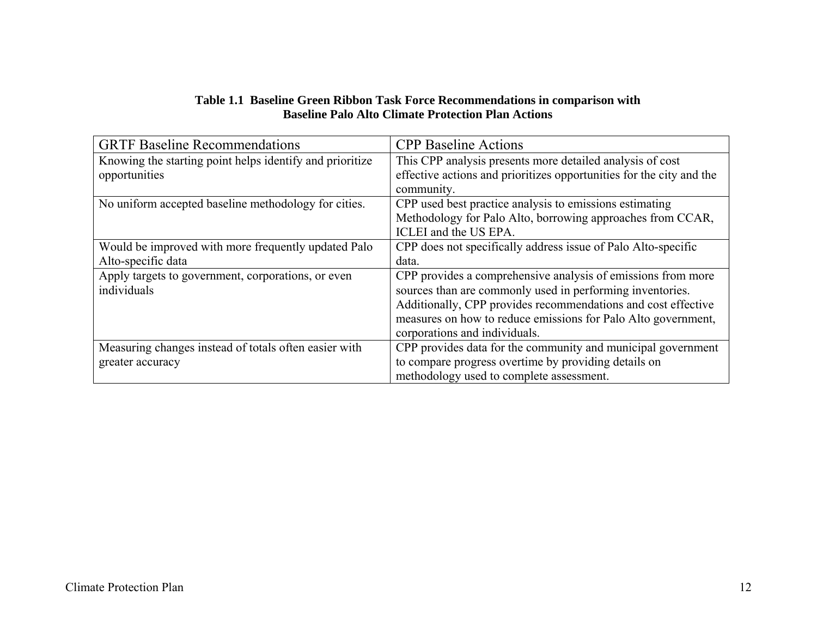#### **Table 1.1 Baseline Green Ribbon Task Force Recommendations in comparison with Baseline Palo Alto Climate Protection Plan Actions**

| <b>GRTF Baseline Recommendations</b>                     | <b>CPP</b> Baseline Actions                                          |
|----------------------------------------------------------|----------------------------------------------------------------------|
| Knowing the starting point helps identify and prioritize | This CPP analysis presents more detailed analysis of cost            |
| opportunities                                            | effective actions and prioritizes opportunities for the city and the |
|                                                          | community.                                                           |
| No uniform accepted baseline methodology for cities.     | CPP used best practice analysis to emissions estimating              |
|                                                          | Methodology for Palo Alto, borrowing approaches from CCAR,           |
|                                                          | ICLEI and the US EPA.                                                |
| Would be improved with more frequently updated Palo      | CPP does not specifically address issue of Palo Alto-specific        |
| Alto-specific data                                       | data.                                                                |
| Apply targets to government, corporations, or even       | CPP provides a comprehensive analysis of emissions from more         |
| individuals                                              | sources than are commonly used in performing inventories.            |
|                                                          | Additionally, CPP provides recommendations and cost effective        |
|                                                          | measures on how to reduce emissions for Palo Alto government,        |
|                                                          | corporations and individuals.                                        |
| Measuring changes instead of totals often easier with    | CPP provides data for the community and municipal government         |
| greater accuracy                                         | to compare progress overtime by providing details on                 |
|                                                          | methodology used to complete assessment.                             |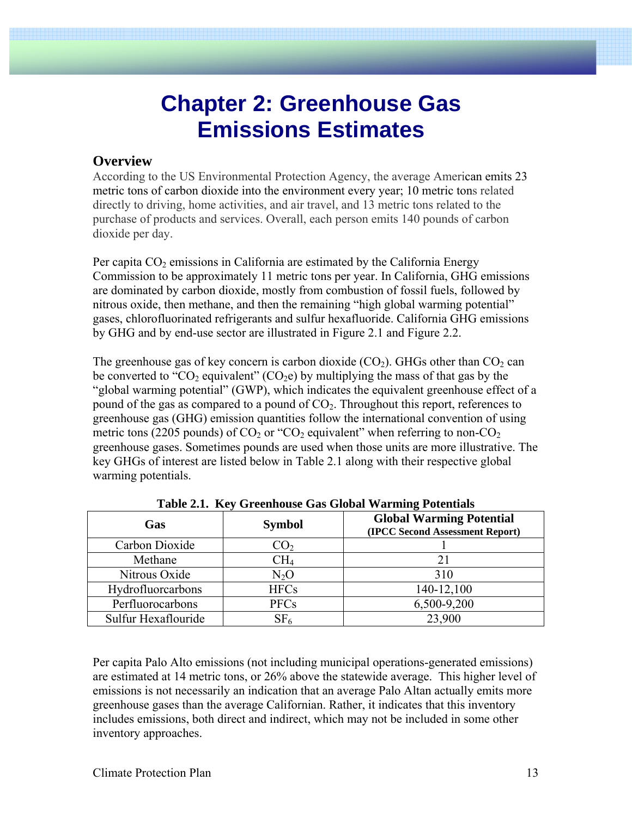# **Chapter 2: Greenhouse Gas Emissions Estimates**

## **Overview**

According to the US Environmental Protection Agency, the average American emits 23 metric tons of carbon dioxide into the environment every year; 10 metric tons related directly to driving, home activities, and air travel, and 13 metric tons related to the purchase of products and services. Overall, each person emits 140 pounds of carbon dioxide per day.

Per capita  $CO<sub>2</sub>$  emissions in California are estimated by the California Energy Commission to be approximately 11 metric tons per year. In California, GHG emissions are dominated by carbon dioxide, mostly from combustion of fossil fuels, followed by nitrous oxide, then methane, and then the remaining "high global warming potential" gases, chlorofluorinated refrigerants and sulfur hexafluoride. California GHG emissions by GHG and by end-use sector are illustrated in Figure 2.1 and Figure 2.2.

The greenhouse gas of key concern is carbon dioxide  $(CO<sub>2</sub>)$ . GHGs other than  $CO<sub>2</sub>$  can be converted to "CO<sub>2</sub> equivalent" (CO<sub>2</sub>e) by multiplying the mass of that gas by the "global warming potential" (GWP), which indicates the equivalent greenhouse effect of a pound of the gas as compared to a pound of  $CO<sub>2</sub>$ . Throughout this report, references to greenhouse gas (GHG) emission quantities follow the international convention of using metric tons (2205 pounds) of  $CO_2$  or " $CO_2$  equivalent" when referring to non- $CO_2$ greenhouse gases. Sometimes pounds are used when those units are more illustrative. The key GHGs of interest are listed below in Table 2.1 along with their respective global warming potentials.

| Tuble 211, Inc., Organizable Oub Orobar Warning I otentials |                 |                                                                    |  |  |  |
|-------------------------------------------------------------|-----------------|--------------------------------------------------------------------|--|--|--|
| Gas                                                         | <b>Symbol</b>   | <b>Global Warming Potential</b><br>(IPCC Second Assessment Report) |  |  |  |
| Carbon Dioxide                                              | CO <sub>2</sub> |                                                                    |  |  |  |
| Methane                                                     | CH4             | 21                                                                 |  |  |  |
| Nitrous Oxide                                               | $N_2O$          | 310                                                                |  |  |  |
| Hydrofluorcarbons                                           | <b>HFCs</b>     | 140-12,100                                                         |  |  |  |
| Perfluorocarbons                                            | <b>PFCs</b>     | 6,500-9,200                                                        |  |  |  |
| Sulfur Hexaflouride                                         | $\mathrm{SF}_6$ | 23,900                                                             |  |  |  |

**Table 2.1. Key Greenhouse Gas Global Warming Potentials** 

Per capita Palo Alto emissions (not including municipal operations-generated emissions) are estimated at 14 metric tons, or 26% above the statewide average. This higher level of emissions is not necessarily an indication that an average Palo Altan actually emits more greenhouse gases than the average Californian. Rather, it indicates that this inventory includes emissions, both direct and indirect, which may not be included in some other inventory approaches.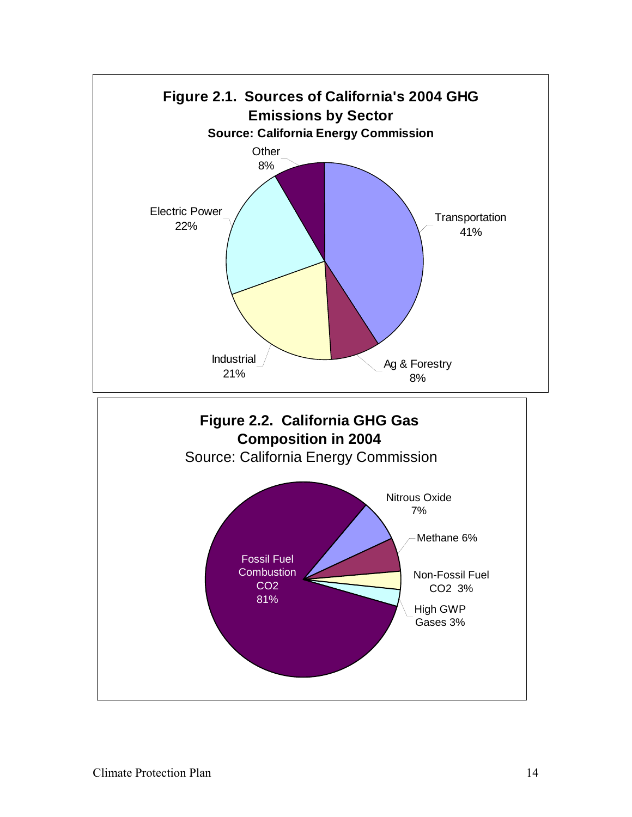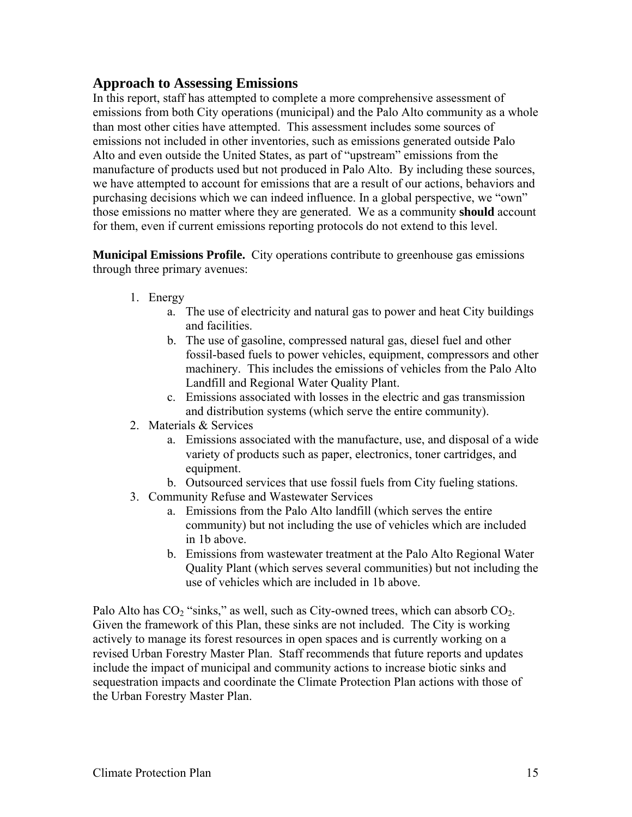# **Approach to Assessing Emissions**

In this report, staff has attempted to complete a more comprehensive assessment of emissions from both City operations (municipal) and the Palo Alto community as a whole than most other cities have attempted. This assessment includes some sources of emissions not included in other inventories, such as emissions generated outside Palo Alto and even outside the United States, as part of "upstream" emissions from the manufacture of products used but not produced in Palo Alto. By including these sources, we have attempted to account for emissions that are a result of our actions, behaviors and purchasing decisions which we can indeed influence. In a global perspective, we "own" those emissions no matter where they are generated. We as a community **should** account for them, even if current emissions reporting protocols do not extend to this level.

**Municipal Emissions Profile.** City operations contribute to greenhouse gas emissions through three primary avenues:

- 1. Energy
	- a. The use of electricity and natural gas to power and heat City buildings and facilities.
	- b. The use of gasoline, compressed natural gas, diesel fuel and other fossil-based fuels to power vehicles, equipment, compressors and other machinery. This includes the emissions of vehicles from the Palo Alto Landfill and Regional Water Quality Plant.
	- c. Emissions associated with losses in the electric and gas transmission and distribution systems (which serve the entire community).
- 2. Materials & Services
	- a. Emissions associated with the manufacture, use, and disposal of a wide variety of products such as paper, electronics, toner cartridges, and equipment.
	- b. Outsourced services that use fossil fuels from City fueling stations.
- 3. Community Refuse and Wastewater Services
	- a. Emissions from the Palo Alto landfill (which serves the entire community) but not including the use of vehicles which are included in 1b above.
	- b. Emissions from wastewater treatment at the Palo Alto Regional Water Quality Plant (which serves several communities) but not including the use of vehicles which are included in 1b above.

Palo Alto has  $CO_2$  "sinks," as well, such as City-owned trees, which can absorb  $CO_2$ . Given the framework of this Plan, these sinks are not included. The City is working actively to manage its forest resources in open spaces and is currently working on a revised Urban Forestry Master Plan. Staff recommends that future reports and updates include the impact of municipal and community actions to increase biotic sinks and sequestration impacts and coordinate the Climate Protection Plan actions with those of the Urban Forestry Master Plan.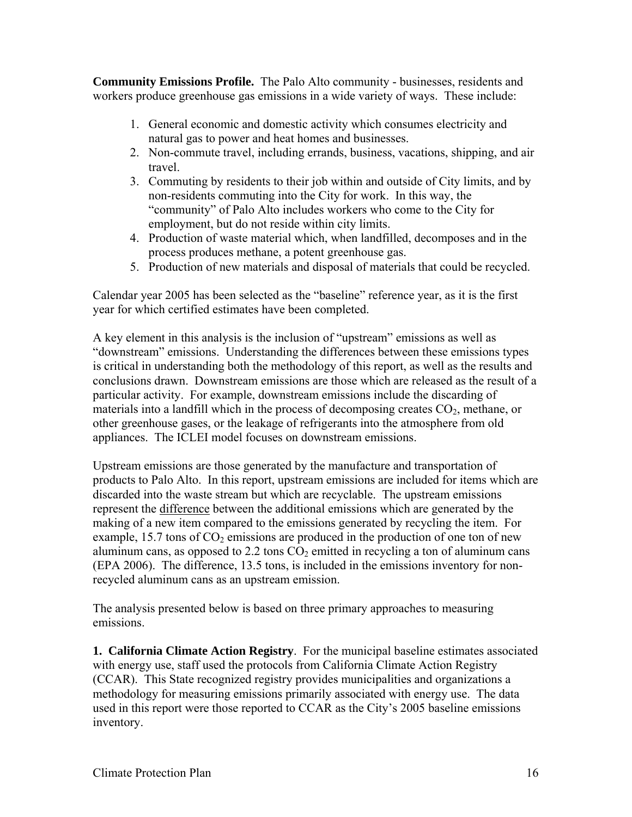**Community Emissions Profile.** The Palo Alto community - businesses, residents and workers produce greenhouse gas emissions in a wide variety of ways. These include:

- 1. General economic and domestic activity which consumes electricity and natural gas to power and heat homes and businesses.
- 2. Non-commute travel, including errands, business, vacations, shipping, and air travel.
- 3. Commuting by residents to their job within and outside of City limits, and by non-residents commuting into the City for work. In this way, the "community" of Palo Alto includes workers who come to the City for employment, but do not reside within city limits.
- 4. Production of waste material which, when landfilled, decomposes and in the process produces methane, a potent greenhouse gas.
- 5. Production of new materials and disposal of materials that could be recycled.

Calendar year 2005 has been selected as the "baseline" reference year, as it is the first year for which certified estimates have been completed.

A key element in this analysis is the inclusion of "upstream" emissions as well as "downstream" emissions. Understanding the differences between these emissions types is critical in understanding both the methodology of this report, as well as the results and conclusions drawn. Downstream emissions are those which are released as the result of a particular activity. For example, downstream emissions include the discarding of materials into a landfill which in the process of decomposing creates  $CO<sub>2</sub>$ , methane, or other greenhouse gases, or the leakage of refrigerants into the atmosphere from old appliances. The ICLEI model focuses on downstream emissions.

Upstream emissions are those generated by the manufacture and transportation of products to Palo Alto. In this report, upstream emissions are included for items which are discarded into the waste stream but which are recyclable. The upstream emissions represent the difference between the additional emissions which are generated by the making of a new item compared to the emissions generated by recycling the item. For example,  $15.7$  tons of  $CO<sub>2</sub>$  emissions are produced in the production of one ton of new aluminum cans, as opposed to 2.2 tons  $CO<sub>2</sub>$  emitted in recycling a ton of aluminum cans (EPA 2006). The difference, 13.5 tons, is included in the emissions inventory for nonrecycled aluminum cans as an upstream emission.

The analysis presented below is based on three primary approaches to measuring emissions.

**1. California Climate Action Registry**. For the municipal baseline estimates associated with energy use, staff used the protocols from California Climate Action Registry (CCAR). This State recognized registry provides municipalities and organizations a methodology for measuring emissions primarily associated with energy use. The data used in this report were those reported to CCAR as the City's 2005 baseline emissions inventory.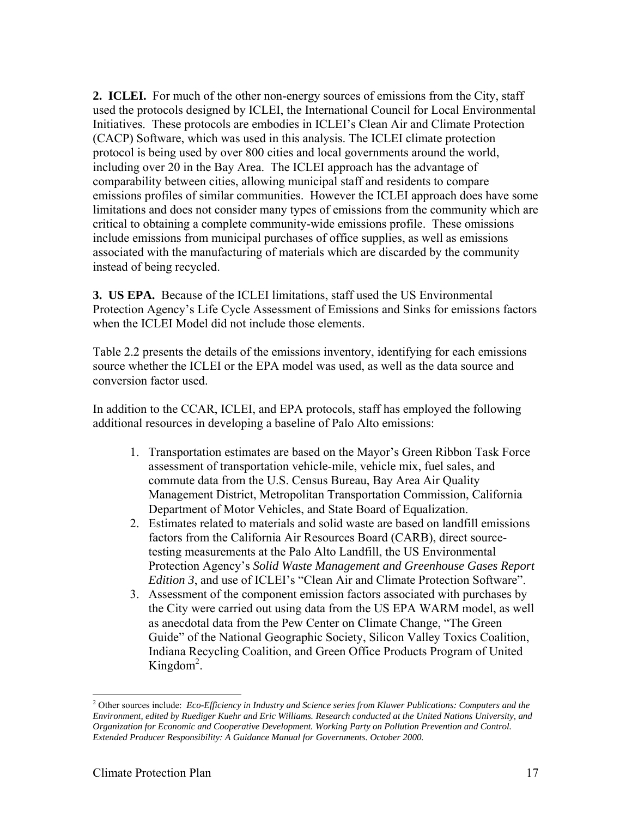**2. ICLEI.** For much of the other non-energy sources of emissions from the City, staff used the protocols designed by ICLEI, the International Council for Local Environmental Initiatives. These protocols are embodies in ICLEI's Clean Air and Climate Protection (CACP) Software, which was used in this analysis. The ICLEI climate protection protocol is being used by over 800 cities and local governments around the world, including over 20 in the Bay Area. The ICLEI approach has the advantage of comparability between cities, allowing municipal staff and residents to compare emissions profiles of similar communities. However the ICLEI approach does have some limitations and does not consider many types of emissions from the community which are critical to obtaining a complete community-wide emissions profile. These omissions include emissions from municipal purchases of office supplies, as well as emissions associated with the manufacturing of materials which are discarded by the community instead of being recycled.

**3. US EPA.** Because of the ICLEI limitations, staff used the US Environmental Protection Agency's Life Cycle Assessment of Emissions and Sinks for emissions factors when the ICLEI Model did not include those elements.

Table 2.2 presents the details of the emissions inventory, identifying for each emissions source whether the ICLEI or the EPA model was used, as well as the data source and conversion factor used.

In addition to the CCAR, ICLEI, and EPA protocols, staff has employed the following additional resources in developing a baseline of Palo Alto emissions:

- 1. Transportation estimates are based on the Mayor's Green Ribbon Task Force assessment of transportation vehicle-mile, vehicle mix, fuel sales, and commute data from the U.S. Census Bureau, Bay Area Air Quality Management District, Metropolitan Transportation Commission, California Department of Motor Vehicles, and State Board of Equalization.
- 2. Estimates related to materials and solid waste are based on landfill emissions factors from the California Air Resources Board (CARB), direct sourcetesting measurements at the Palo Alto Landfill, the US Environmental Protection Agency's *Solid Waste Management and Greenhouse Gases Report Edition 3*, and use of ICLEI's "Clean Air and Climate Protection Software".
- 3. Assessment of the component emission factors associated with purchases by the City were carried out using data from the US EPA WARM model, as well as anecdotal data from the Pew Center on Climate Change, "The Green Guide" of the National Geographic Society, Silicon Valley Toxics Coalition, Indiana Recycling Coalition, and Green Office Products Program of United Kingdom<sup>2</sup>.

 $\overline{a}$ 

<sup>2</sup> Other sources include: *Eco-Efficiency in Industry and Science series from Kluwer Publications: Computers and the Environment, edited by Ruediger Kuehr and Eric Williams. Research conducted at the United Nations University, and Organization for Economic and Cooperative Development. Working Party on Pollution Prevention and Control. Extended Producer Responsibility: A Guidance Manual for Governments. October 2000.*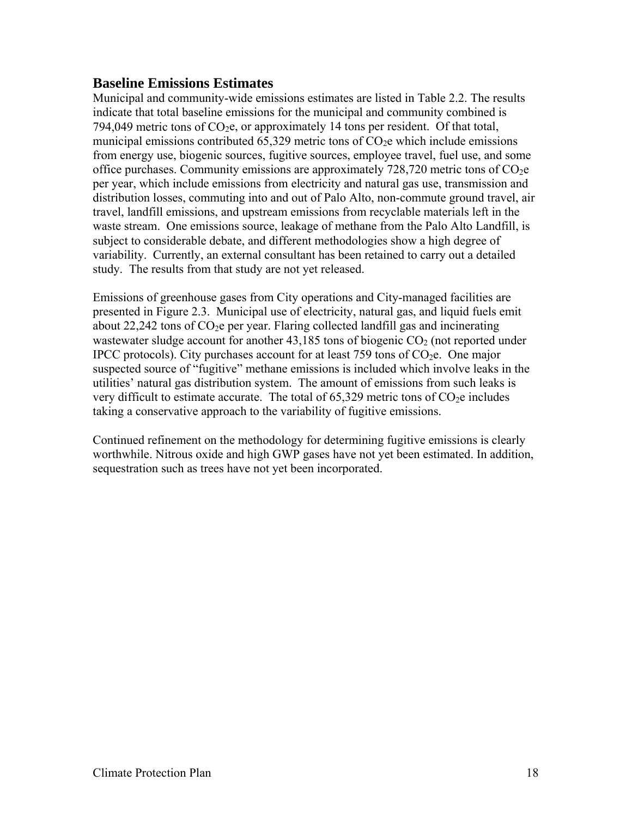# **Baseline Emissions Estimates**

Municipal and community-wide emissions estimates are listed in Table 2.2. The results indicate that total baseline emissions for the municipal and community combined is 794,049 metric tons of  $CO<sub>2</sub>e$ , or approximately 14 tons per resident. Of that total, municipal emissions contributed  $65,329$  metric tons of  $CO<sub>2</sub>e$  which include emissions from energy use, biogenic sources, fugitive sources, employee travel, fuel use, and some office purchases. Community emissions are approximately 728,720 metric tons of  $CO<sub>2</sub>e$ per year, which include emissions from electricity and natural gas use, transmission and distribution losses, commuting into and out of Palo Alto, non-commute ground travel, air travel, landfill emissions, and upstream emissions from recyclable materials left in the waste stream. One emissions source, leakage of methane from the Palo Alto Landfill, is subject to considerable debate, and different methodologies show a high degree of variability. Currently, an external consultant has been retained to carry out a detailed study. The results from that study are not yet released.

Emissions of greenhouse gases from City operations and City-managed facilities are presented in Figure 2.3. Municipal use of electricity, natural gas, and liquid fuels emit about 22,242 tons of  $CO<sub>2</sub>e$  per year. Flaring collected landfill gas and incinerating wastewater sludge account for another  $43,185$  tons of biogenic  $CO<sub>2</sub>$  (not reported under IPCC protocols). City purchases account for at least 759 tons of  $CO<sub>2</sub>e$ . One major suspected source of "fugitive" methane emissions is included which involve leaks in the utilities' natural gas distribution system. The amount of emissions from such leaks is very difficult to estimate accurate. The total of  $65,329$  metric tons of  $CO<sub>2</sub>e$  includes taking a conservative approach to the variability of fugitive emissions.

Continued refinement on the methodology for determining fugitive emissions is clearly worthwhile. Nitrous oxide and high GWP gases have not yet been estimated. In addition, sequestration such as trees have not yet been incorporated.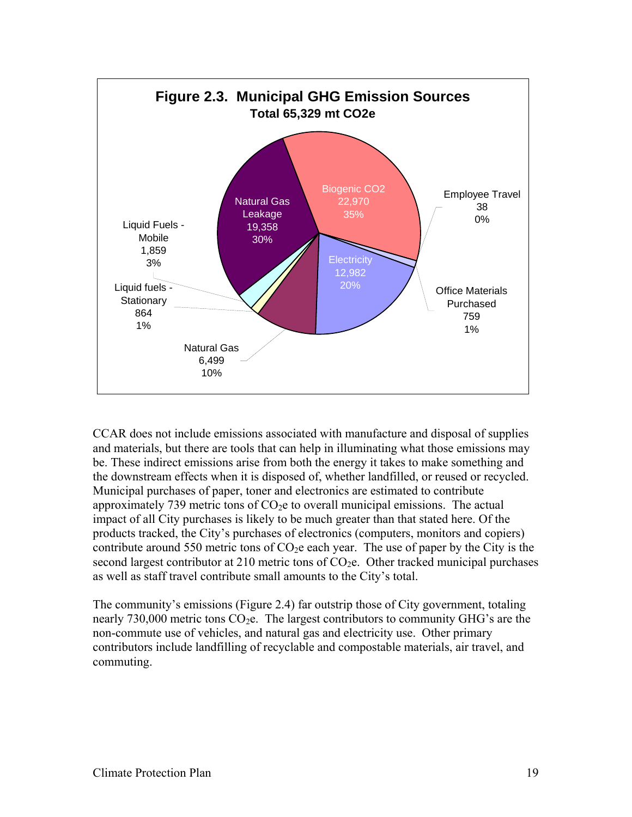

CCAR does not include emissions associated with manufacture and disposal of supplies and materials, but there are tools that can help in illuminating what those emissions may be. These indirect emissions arise from both the energy it takes to make something and the downstream effects when it is disposed of, whether landfilled, or reused or recycled. Municipal purchases of paper, toner and electronics are estimated to contribute approximately 739 metric tons of  $CO<sub>2</sub>e$  to overall municipal emissions. The actual impact of all City purchases is likely to be much greater than that stated here. Of the products tracked, the City's purchases of electronics (computers, monitors and copiers) contribute around 550 metric tons of  $CO<sub>2</sub>e$  each year. The use of paper by the City is the second largest contributor at 210 metric tons of  $CO<sub>2</sub>e$ . Other tracked municipal purchases as well as staff travel contribute small amounts to the City's total.

The community's emissions (Figure 2.4) far outstrip those of City government, totaling nearly  $730,000$  metric tons  $CO<sub>2</sub>e$ . The largest contributors to community GHG's are the non-commute use of vehicles, and natural gas and electricity use. Other primary contributors include landfilling of recyclable and compostable materials, air travel, and commuting.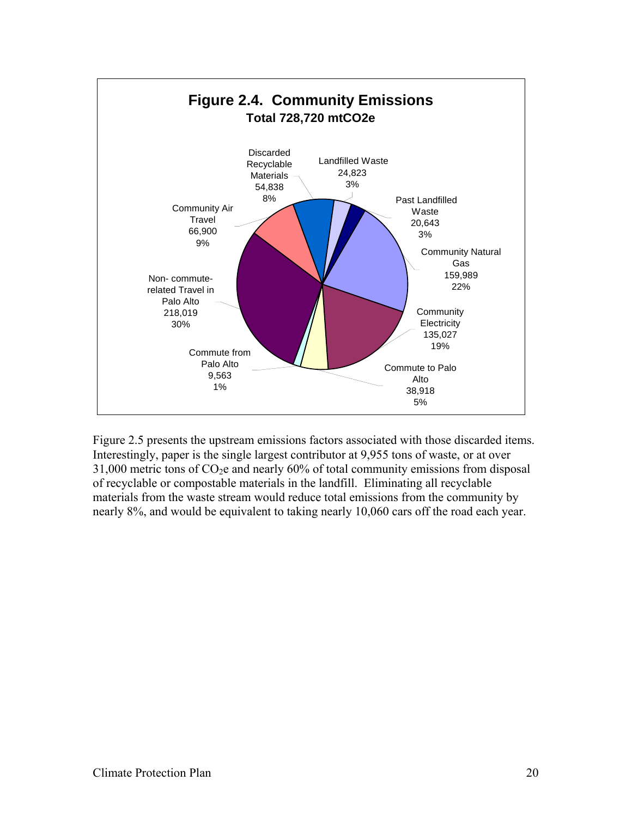

Figure 2.5 presents the upstream emissions factors associated with those discarded items. Interestingly, paper is the single largest contributor at 9,955 tons of waste, or at over  $31,000$  metric tons of  $CO<sub>2</sub>e$  and nearly 60% of total community emissions from disposal of recyclable or compostable materials in the landfill. Eliminating all recyclable materials from the waste stream would reduce total emissions from the community by nearly 8%, and would be equivalent to taking nearly 10,060 cars off the road each year.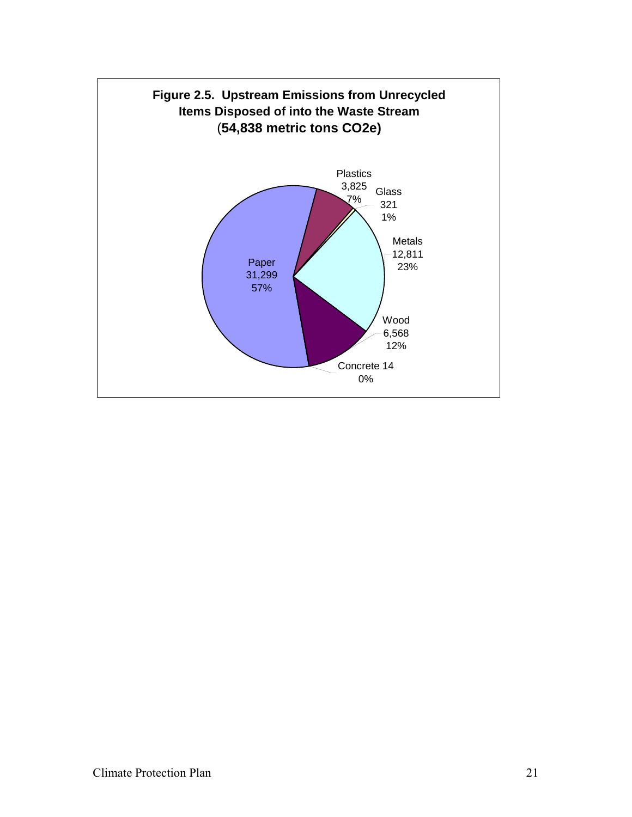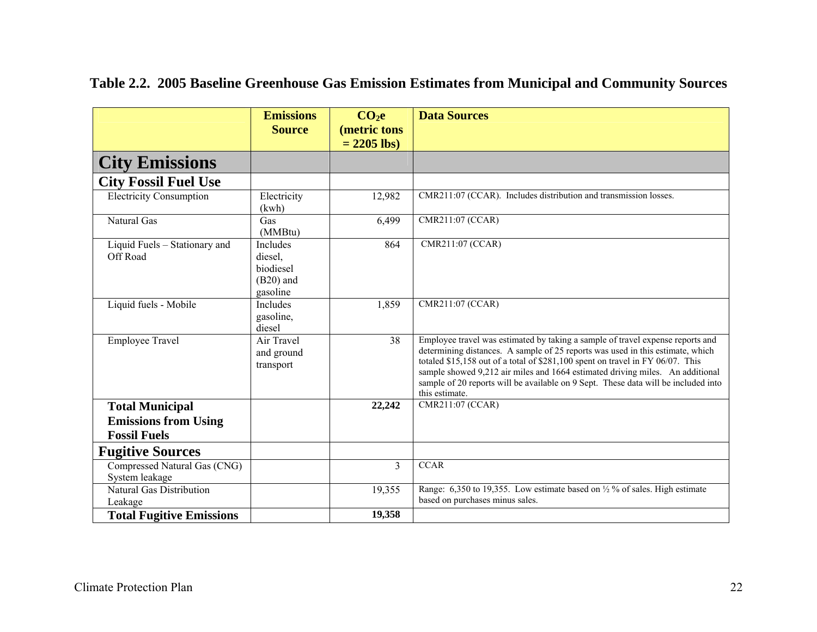|                                                       | <b>Emissions</b><br><b>Source</b>                           | CO <sub>2</sub> e<br>(metric tons | <b>Data Sources</b>                                                                                                                                                                                                                                                                                                                                                                                                                         |
|-------------------------------------------------------|-------------------------------------------------------------|-----------------------------------|---------------------------------------------------------------------------------------------------------------------------------------------------------------------------------------------------------------------------------------------------------------------------------------------------------------------------------------------------------------------------------------------------------------------------------------------|
|                                                       |                                                             | $= 2205$ lbs)                     |                                                                                                                                                                                                                                                                                                                                                                                                                                             |
| <b>City Emissions</b>                                 |                                                             |                                   |                                                                                                                                                                                                                                                                                                                                                                                                                                             |
| <b>City Fossil Fuel Use</b>                           |                                                             |                                   |                                                                                                                                                                                                                                                                                                                                                                                                                                             |
| <b>Electricity Consumption</b>                        | Electricity<br>(kwh)                                        | 12,982                            | CMR211:07 (CCAR). Includes distribution and transmission losses.                                                                                                                                                                                                                                                                                                                                                                            |
| <b>Natural Gas</b>                                    | Gas<br>(MMBtu)                                              | 6,499                             | CMR211:07 (CCAR)                                                                                                                                                                                                                                                                                                                                                                                                                            |
| Liquid Fuels - Stationary and<br>Off Road             | Includes<br>diesel,<br>biodiesel<br>$(B20)$ and<br>gasoline | 864                               | CMR211:07 (CCAR)                                                                                                                                                                                                                                                                                                                                                                                                                            |
| Liquid fuels - Mobile                                 | Includes<br>gasoline,<br>diesel                             | 1,859                             | CMR211:07 (CCAR)                                                                                                                                                                                                                                                                                                                                                                                                                            |
| <b>Employee Travel</b>                                | Air Travel<br>and ground<br>transport                       | 38                                | Employee travel was estimated by taking a sample of travel expense reports and<br>determining distances. A sample of 25 reports was used in this estimate, which<br>totaled \$15,158 out of a total of \$281,100 spent on travel in FY 06/07. This<br>sample showed 9,212 air miles and 1664 estimated driving miles. An additional<br>sample of 20 reports will be available on 9 Sept. These data will be included into<br>this estimate. |
| <b>Total Municipal</b><br><b>Emissions from Using</b> |                                                             | 22,242                            | CMR211:07 (CCAR)                                                                                                                                                                                                                                                                                                                                                                                                                            |
| <b>Fossil Fuels</b>                                   |                                                             |                                   |                                                                                                                                                                                                                                                                                                                                                                                                                                             |
| <b>Fugitive Sources</b>                               |                                                             |                                   |                                                                                                                                                                                                                                                                                                                                                                                                                                             |
| Compressed Natural Gas (CNG)<br>System leakage        |                                                             | $\overline{3}$                    | <b>CCAR</b>                                                                                                                                                                                                                                                                                                                                                                                                                                 |
| Natural Gas Distribution<br>Leakage                   |                                                             | 19,355                            | Range: 6,350 to 19,355. Low estimate based on $\frac{1}{2}$ % of sales. High estimate<br>based on purchases minus sales.                                                                                                                                                                                                                                                                                                                    |
| <b>Total Fugitive Emissions</b>                       |                                                             | 19,358                            |                                                                                                                                                                                                                                                                                                                                                                                                                                             |

# **Table 2.2. 2005 Baseline Greenhouse Gas Emission Estimates from Municipal and Community Sources**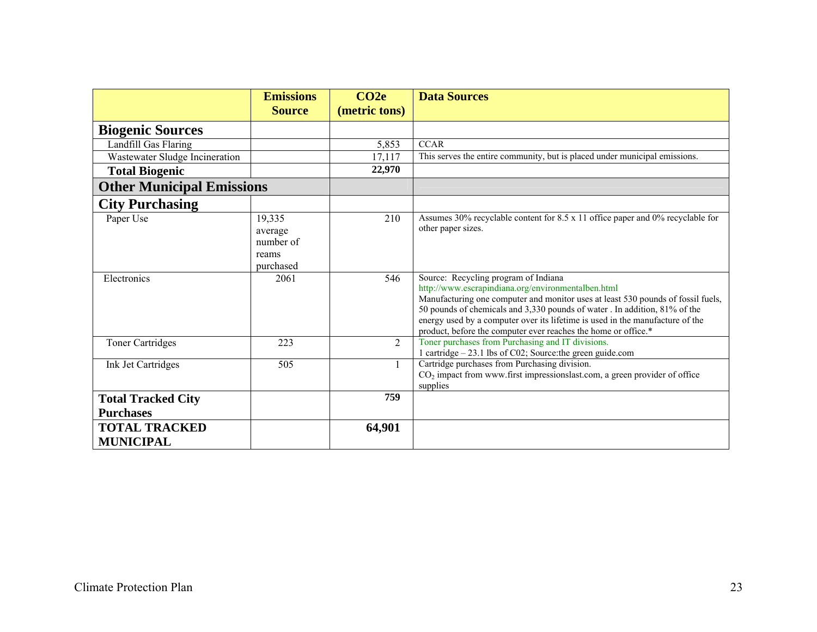|                                               | <b>Emissions</b>                                     | CO <sub>2e</sub> | <b>Data Sources</b>                                                                                                                                                                                                                                                                                                                                                                                            |
|-----------------------------------------------|------------------------------------------------------|------------------|----------------------------------------------------------------------------------------------------------------------------------------------------------------------------------------------------------------------------------------------------------------------------------------------------------------------------------------------------------------------------------------------------------------|
|                                               | <b>Source</b>                                        | (metric tons)    |                                                                                                                                                                                                                                                                                                                                                                                                                |
| <b>Biogenic Sources</b>                       |                                                      |                  |                                                                                                                                                                                                                                                                                                                                                                                                                |
| Landfill Gas Flaring                          |                                                      | 5,853            | <b>CCAR</b>                                                                                                                                                                                                                                                                                                                                                                                                    |
| Wastewater Sludge Incineration                |                                                      | 17,117           | This serves the entire community, but is placed under municipal emissions.                                                                                                                                                                                                                                                                                                                                     |
| <b>Total Biogenic</b>                         |                                                      | 22,970           |                                                                                                                                                                                                                                                                                                                                                                                                                |
| <b>Other Municipal Emissions</b>              |                                                      |                  |                                                                                                                                                                                                                                                                                                                                                                                                                |
| <b>City Purchasing</b>                        |                                                      |                  |                                                                                                                                                                                                                                                                                                                                                                                                                |
| Paper Use                                     | 19,335<br>average<br>number of<br>reams<br>purchased | 210              | Assumes 30% recyclable content for 8.5 x 11 office paper and 0% recyclable for<br>other paper sizes.                                                                                                                                                                                                                                                                                                           |
| Electronics                                   | 2061                                                 | 546              | Source: Recycling program of Indiana<br>http://www.escrapindiana.org/environmentalben.html<br>Manufacturing one computer and monitor uses at least 530 pounds of fossil fuels,<br>50 pounds of chemicals and 3,330 pounds of water. In addition, 81% of the<br>energy used by a computer over its lifetime is used in the manufacture of the<br>product, before the computer ever reaches the home or office.* |
| <b>Toner Cartridges</b>                       | 223                                                  | 2                | Toner purchases from Purchasing and IT divisions.<br>1 cartridge - 23.1 lbs of C02; Source: the green guide.com                                                                                                                                                                                                                                                                                                |
| Ink Jet Cartridges                            | 505                                                  |                  | Cartridge purchases from Purchasing division.<br>$CO2$ impact from www.first impressionslast.com, a green provider of office<br>supplies                                                                                                                                                                                                                                                                       |
| <b>Total Tracked City</b><br><b>Purchases</b> |                                                      | 759              |                                                                                                                                                                                                                                                                                                                                                                                                                |
| <b>TOTAL TRACKED</b><br><b>MUNICIPAL</b>      |                                                      | 64,901           |                                                                                                                                                                                                                                                                                                                                                                                                                |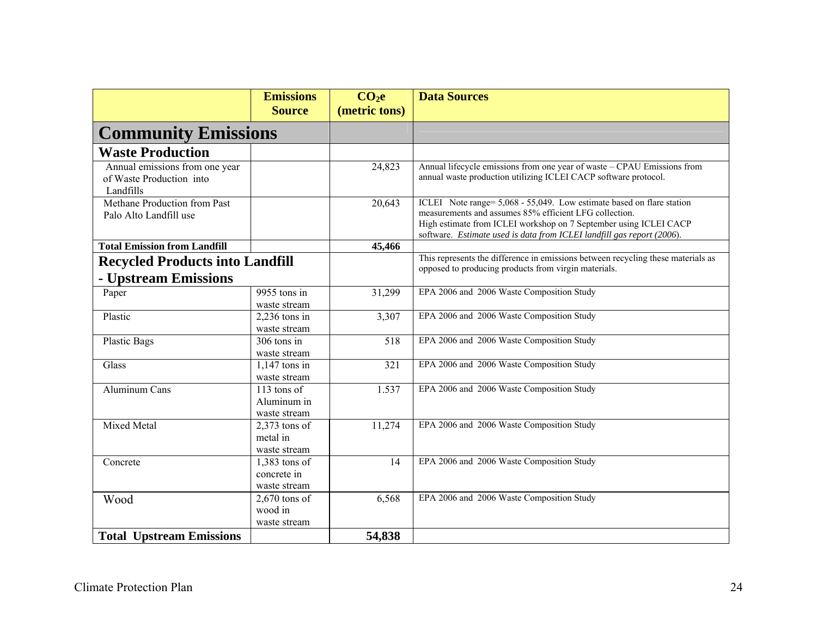|                                                                         | <b>Emissions</b><br><b>Source</b>            | CO <sub>2</sub> e<br>(metric tons) | <b>Data Sources</b>                                                                                                                                                                                                                                                            |
|-------------------------------------------------------------------------|----------------------------------------------|------------------------------------|--------------------------------------------------------------------------------------------------------------------------------------------------------------------------------------------------------------------------------------------------------------------------------|
|                                                                         | <b>Community Emissions</b>                   |                                    |                                                                                                                                                                                                                                                                                |
| <b>Waste Production</b>                                                 |                                              |                                    |                                                                                                                                                                                                                                                                                |
| Annual emissions from one year<br>of Waste Production into<br>Landfills |                                              | 24,823                             | Annual lifecycle emissions from one year of waste - CPAU Emissions from<br>annual waste production utilizing ICLEI CACP software protocol.                                                                                                                                     |
| Methane Production from Past<br>Palo Alto Landfill use                  |                                              | 20,643                             | ICLEI Note range= 5,068 - 55,049. Low estimate based on flare station<br>measurements and assumes 85% efficient LFG collection.<br>High estimate from ICLEI workshop on 7 September using ICLEI CACP<br>software. Estimate used is data from ICLEI landfill gas report (2006). |
| <b>Total Emission from Landfill</b>                                     |                                              | 45,466                             |                                                                                                                                                                                                                                                                                |
| <b>Recycled Products into Landfill</b><br>- Upstream Emissions          |                                              |                                    | This represents the difference in emissions between recycling these materials as<br>opposed to producing products from virgin materials.                                                                                                                                       |
| Paper                                                                   | 9955 tons in<br>waste stream                 | 31,299                             | EPA 2006 and 2006 Waste Composition Study                                                                                                                                                                                                                                      |
| Plastic                                                                 | $2,236$ tons in<br>waste stream              | 3,307                              | EPA 2006 and 2006 Waste Composition Study                                                                                                                                                                                                                                      |
| <b>Plastic Bags</b>                                                     | $306$ tons in<br>waste stream                | 518                                | EPA 2006 and 2006 Waste Composition Study                                                                                                                                                                                                                                      |
| Glass                                                                   | $1,147$ tons in<br>waste stream              | 321                                | EPA 2006 and 2006 Waste Composition Study                                                                                                                                                                                                                                      |
| Aluminum Cans                                                           | 113 tons of<br>Aluminum in<br>waste stream   | 1.537                              | EPA 2006 and 2006 Waste Composition Study                                                                                                                                                                                                                                      |
| Mixed Metal                                                             | $2,373$ tons of<br>metal in<br>waste stream  | 11,274                             | EPA 2006 and 2006 Waste Composition Study                                                                                                                                                                                                                                      |
| Concrete                                                                | 1,383 tons of<br>concrete in<br>waste stream | 14                                 | EPA 2006 and 2006 Waste Composition Study                                                                                                                                                                                                                                      |
| Wood                                                                    | $2,670$ tons of<br>wood in<br>waste stream   | 6,568                              | EPA 2006 and 2006 Waste Composition Study                                                                                                                                                                                                                                      |
| <b>Total Upstream Emissions</b>                                         |                                              | 54,838                             |                                                                                                                                                                                                                                                                                |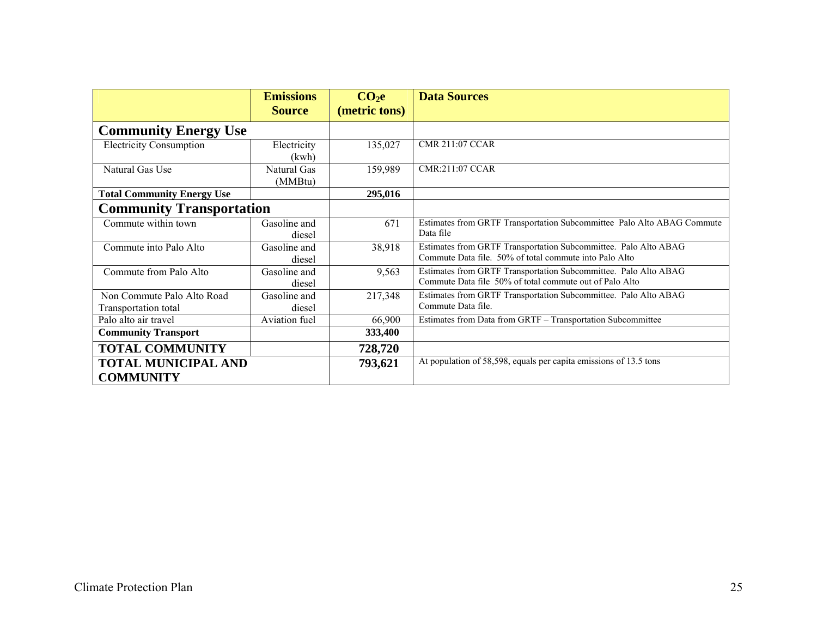|                                                    | <b>Emissions</b><br><b>Source</b> | CO <sub>2</sub> e<br>(metric tons) | <b>Data Sources</b>                                                                                                        |
|----------------------------------------------------|-----------------------------------|------------------------------------|----------------------------------------------------------------------------------------------------------------------------|
| <b>Community Energy Use</b>                        |                                   |                                    |                                                                                                                            |
| <b>Electricity Consumption</b>                     | Electricity<br>(kwh)              | 135,027                            | <b>CMR 211:07 CCAR</b>                                                                                                     |
| Natural Gas Use                                    | Natural Gas<br>(MMBtu)            | 159,989                            | <b>CMR:211:07 CCAR</b>                                                                                                     |
| <b>Total Community Energy Use</b>                  |                                   | 295,016                            |                                                                                                                            |
| <b>Community Transportation</b>                    |                                   |                                    |                                                                                                                            |
| Commute within town                                | Gasoline and<br>diesel            | 671                                | Estimates from GRTF Transportation Subcommittee Palo Alto ABAG Commute<br>Data file                                        |
| Commute into Palo Alto                             | Gasoline and<br>diesel            | 38,918                             | Estimates from GRTF Transportation Subcommittee. Palo Alto ABAG<br>Commute Data file. 50% of total commute into Palo Alto  |
| Commute from Palo Alto                             | Gasoline and<br>diesel            | 9,563                              | Estimates from GRTF Transportation Subcommittee. Palo Alto ABAG<br>Commute Data file 50% of total commute out of Palo Alto |
| Non Commute Palo Alto Road<br>Transportation total | Gasoline and<br>diesel            | 217,348                            | Estimates from GRTF Transportation Subcommittee. Palo Alto ABAG<br>Commute Data file.                                      |
| Palo alto air travel                               | Aviation fuel                     | 66,900                             | Estimates from Data from GRTF - Transportation Subcommittee                                                                |
| <b>Community Transport</b>                         |                                   | 333,400                            |                                                                                                                            |
| <b>TOTAL COMMUNITY</b>                             |                                   | 728,720                            |                                                                                                                            |
| <b>TOTAL MUNICIPAL AND</b><br><b>COMMUNITY</b>     |                                   | 793,621                            | At population of 58,598, equals per capita emissions of 13.5 tons                                                          |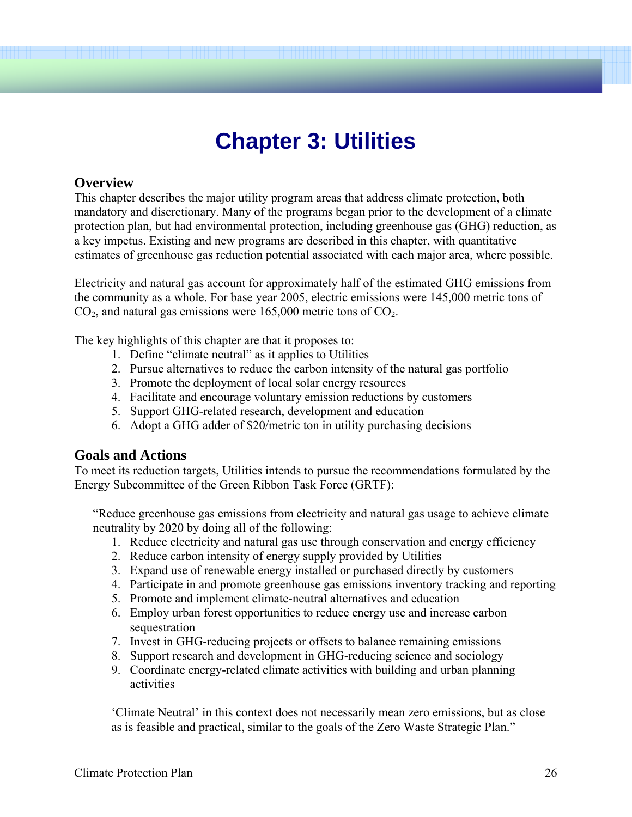# **Chapter 3: Utilities**

# **Overview**

This chapter describes the major utility program areas that address climate protection, both mandatory and discretionary. Many of the programs began prior to the development of a climate protection plan, but had environmental protection, including greenhouse gas (GHG) reduction, as a key impetus. Existing and new programs are described in this chapter, with quantitative estimates of greenhouse gas reduction potential associated with each major area, where possible.

Electricity and natural gas account for approximately half of the estimated GHG emissions from the community as a whole. For base year 2005, electric emissions were 145,000 metric tons of  $CO<sub>2</sub>$ , and natural gas emissions were 165,000 metric tons of  $CO<sub>2</sub>$ .

The key highlights of this chapter are that it proposes to:

- 1. Define "climate neutral" as it applies to Utilities
- 2. Pursue alternatives to reduce the carbon intensity of the natural gas portfolio
- 3. Promote the deployment of local solar energy resources
- 4. Facilitate and encourage voluntary emission reductions by customers
- 5. Support GHG-related research, development and education
- 6. Adopt a GHG adder of \$20/metric ton in utility purchasing decisions

# **Goals and Actions**

To meet its reduction targets, Utilities intends to pursue the recommendations formulated by the Energy Subcommittee of the Green Ribbon Task Force (GRTF):

"Reduce greenhouse gas emissions from electricity and natural gas usage to achieve climate neutrality by 2020 by doing all of the following:

- 1. Reduce electricity and natural gas use through conservation and energy efficiency
- 2. Reduce carbon intensity of energy supply provided by Utilities
- 3. Expand use of renewable energy installed or purchased directly by customers
- 4. Participate in and promote greenhouse gas emissions inventory tracking and reporting
- 5. Promote and implement climate-neutral alternatives and education
- 6. Employ urban forest opportunities to reduce energy use and increase carbon sequestration
- 7. Invest in GHG-reducing projects or offsets to balance remaining emissions
- 8. Support research and development in GHG-reducing science and sociology
- 9. Coordinate energy-related climate activities with building and urban planning activities

'Climate Neutral' in this context does not necessarily mean zero emissions, but as close as is feasible and practical, similar to the goals of the Zero Waste Strategic Plan."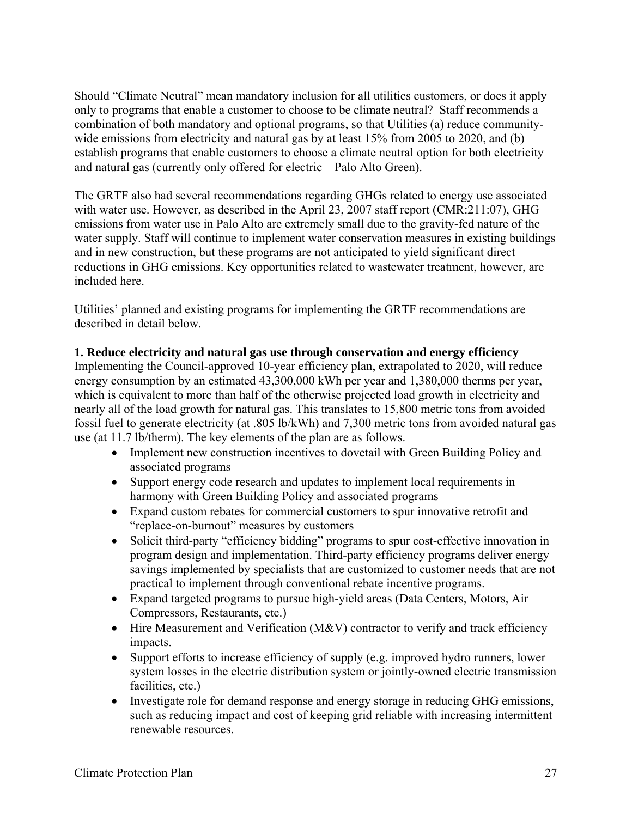Should "Climate Neutral" mean mandatory inclusion for all utilities customers, or does it apply only to programs that enable a customer to choose to be climate neutral? Staff recommends a combination of both mandatory and optional programs, so that Utilities (a) reduce communitywide emissions from electricity and natural gas by at least 15% from 2005 to 2020, and (b) establish programs that enable customers to choose a climate neutral option for both electricity and natural gas (currently only offered for electric – Palo Alto Green).

The GRTF also had several recommendations regarding GHGs related to energy use associated with water use. However, as described in the April 23, 2007 staff report (CMR:211:07), GHG emissions from water use in Palo Alto are extremely small due to the gravity-fed nature of the water supply. Staff will continue to implement water conservation measures in existing buildings and in new construction, but these programs are not anticipated to yield significant direct reductions in GHG emissions. Key opportunities related to wastewater treatment, however, are included here.

Utilities' planned and existing programs for implementing the GRTF recommendations are described in detail below.

#### **1. Reduce electricity and natural gas use through conservation and energy efficiency**

Implementing the Council-approved 10-year efficiency plan, extrapolated to 2020, will reduce energy consumption by an estimated 43,300,000 kWh per year and 1,380,000 therms per year, which is equivalent to more than half of the otherwise projected load growth in electricity and nearly all of the load growth for natural gas. This translates to 15,800 metric tons from avoided fossil fuel to generate electricity (at .805 lb/kWh) and 7,300 metric tons from avoided natural gas use (at 11.7 lb/therm). The key elements of the plan are as follows.

- Implement new construction incentives to dovetail with Green Building Policy and associated programs
- Support energy code research and updates to implement local requirements in harmony with Green Building Policy and associated programs
- Expand custom rebates for commercial customers to spur innovative retrofit and "replace-on-burnout" measures by customers
- Solicit third-party "efficiency bidding" programs to spur cost-effective innovation in program design and implementation. Third-party efficiency programs deliver energy savings implemented by specialists that are customized to customer needs that are not practical to implement through conventional rebate incentive programs.
- Expand targeted programs to pursue high-yield areas (Data Centers, Motors, Air Compressors, Restaurants, etc.)
- Hire Measurement and Verification (M&V) contractor to verify and track efficiency impacts.
- Support efforts to increase efficiency of supply (e.g. improved hydro runners, lower system losses in the electric distribution system or jointly-owned electric transmission facilities, etc.)
- Investigate role for demand response and energy storage in reducing GHG emissions, such as reducing impact and cost of keeping grid reliable with increasing intermittent renewable resources.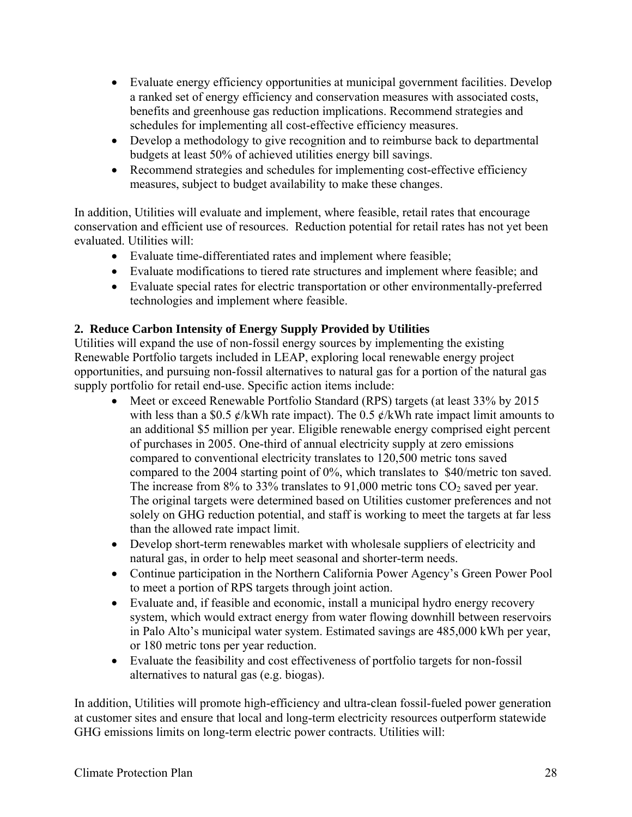- Evaluate energy efficiency opportunities at municipal government facilities. Develop a ranked set of energy efficiency and conservation measures with associated costs, benefits and greenhouse gas reduction implications. Recommend strategies and schedules for implementing all cost-effective efficiency measures.
- Develop a methodology to give recognition and to reimburse back to departmental budgets at least 50% of achieved utilities energy bill savings.
- Recommend strategies and schedules for implementing cost-effective efficiency measures, subject to budget availability to make these changes.

In addition, Utilities will evaluate and implement, where feasible, retail rates that encourage conservation and efficient use of resources. Reduction potential for retail rates has not yet been evaluated. Utilities will:

- Evaluate time-differentiated rates and implement where feasible;
- Evaluate modifications to tiered rate structures and implement where feasible; and
- Evaluate special rates for electric transportation or other environmentally-preferred technologies and implement where feasible.

## **2. Reduce Carbon Intensity of Energy Supply Provided by Utilities**

Utilities will expand the use of non-fossil energy sources by implementing the existing Renewable Portfolio targets included in LEAP, exploring local renewable energy project opportunities, and pursuing non-fossil alternatives to natural gas for a portion of the natural gas supply portfolio for retail end-use. Specific action items include:

- Meet or exceed Renewable Portfolio Standard (RPS) targets (at least 33% by 2015 with less than a \$0.5  $\ell$ /kWh rate impact). The 0.5  $\ell$ /kWh rate impact limit amounts to an additional \$5 million per year. Eligible renewable energy comprised eight percent of purchases in 2005. One-third of annual electricity supply at zero emissions compared to conventional electricity translates to 120,500 metric tons saved compared to the 2004 starting point of 0%, which translates to \$40/metric ton saved. The increase from  $8\%$  to 33% translates to 91,000 metric tons  $CO_2$  saved per year. The original targets were determined based on Utilities customer preferences and not solely on GHG reduction potential, and staff is working to meet the targets at far less than the allowed rate impact limit.
- Develop short-term renewables market with wholesale suppliers of electricity and natural gas, in order to help meet seasonal and shorter-term needs.
- Continue participation in the Northern California Power Agency's Green Power Pool to meet a portion of RPS targets through joint action.
- Evaluate and, if feasible and economic, install a municipal hydro energy recovery system, which would extract energy from water flowing downhill between reservoirs in Palo Alto's municipal water system. Estimated savings are 485,000 kWh per year, or 180 metric tons per year reduction.
- Evaluate the feasibility and cost effectiveness of portfolio targets for non-fossil alternatives to natural gas (e.g. biogas).

In addition, Utilities will promote high-efficiency and ultra-clean fossil-fueled power generation at customer sites and ensure that local and long-term electricity resources outperform statewide GHG emissions limits on long-term electric power contracts. Utilities will: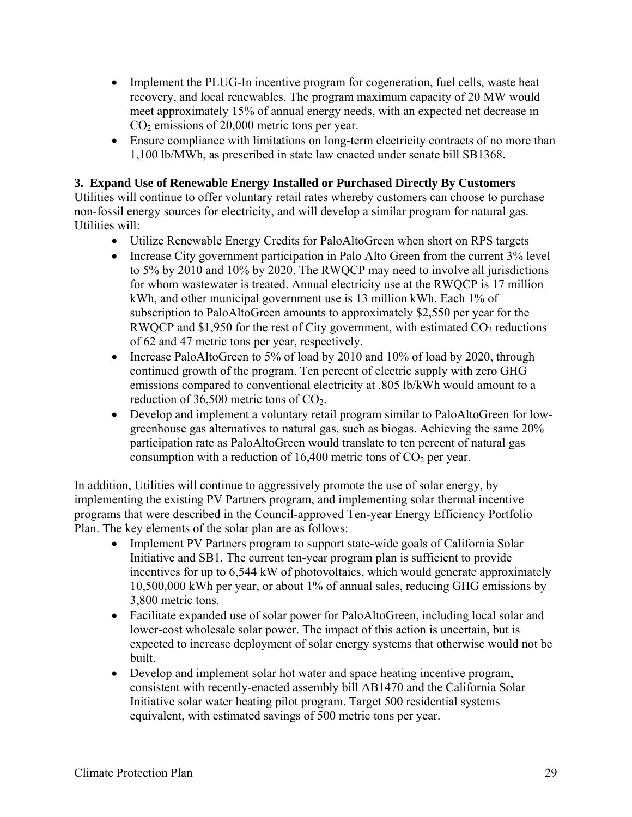- Implement the PLUG-In incentive program for cogeneration, fuel cells, waste heat recovery, and local renewables. The program maximum capacity of 20 MW would meet approximately 15% of annual energy needs, with an expected net decrease in  $CO<sub>2</sub>$  emissions of 20,000 metric tons per year.
- Ensure compliance with limitations on long-term electricity contracts of no more than 1,100 lb/MWh, as prescribed in state law enacted under senate bill SB1368.

## **3. Expand Use of Renewable Energy Installed or Purchased Directly By Customers**

Utilities will continue to offer voluntary retail rates whereby customers can choose to purchase non-fossil energy sources for electricity, and will develop a similar program for natural gas. Utilities will:

- Utilize Renewable Energy Credits for PaloAltoGreen when short on RPS targets
- Increase City government participation in Palo Alto Green from the current 3% level to 5% by 2010 and 10% by 2020. The RWQCP may need to involve all jurisdictions for whom wastewater is treated. Annual electricity use at the RWQCP is 17 million kWh, and other municipal government use is 13 million kWh. Each 1% of subscription to PaloAltoGreen amounts to approximately \$2,550 per year for the RWQCP and \$1,950 for the rest of City government, with estimated  $CO<sub>2</sub>$  reductions of 62 and 47 metric tons per year, respectively.
- Increase PaloAltoGreen to 5% of load by 2010 and 10% of load by 2020, through continued growth of the program. Ten percent of electric supply with zero GHG emissions compared to conventional electricity at .805 lb/kWh would amount to a reduction of  $36,500$  metric tons of  $CO<sub>2</sub>$ .
- Develop and implement a voluntary retail program similar to PaloAltoGreen for lowgreenhouse gas alternatives to natural gas, such as biogas. Achieving the same 20% participation rate as PaloAltoGreen would translate to ten percent of natural gas consumption with a reduction of  $16,400$  metric tons of  $CO<sub>2</sub>$  per year.

In addition, Utilities will continue to aggressively promote the use of solar energy, by implementing the existing PV Partners program, and implementing solar thermal incentive programs that were described in the Council-approved Ten-year Energy Efficiency Portfolio Plan. The key elements of the solar plan are as follows:

- Implement PV Partners program to support state-wide goals of California Solar Initiative and SB1. The current ten-year program plan is sufficient to provide incentives for up to 6,544 kW of photovoltaics, which would generate approximately 10,500,000 kWh per year, or about 1% of annual sales, reducing GHG emissions by 3,800 metric tons.
- Facilitate expanded use of solar power for PaloAltoGreen, including local solar and lower-cost wholesale solar power. The impact of this action is uncertain, but is expected to increase deployment of solar energy systems that otherwise would not be built.
- Develop and implement solar hot water and space heating incentive program, consistent with recently-enacted assembly bill AB1470 and the California Solar Initiative solar water heating pilot program. Target 500 residential systems equivalent, with estimated savings of 500 metric tons per year.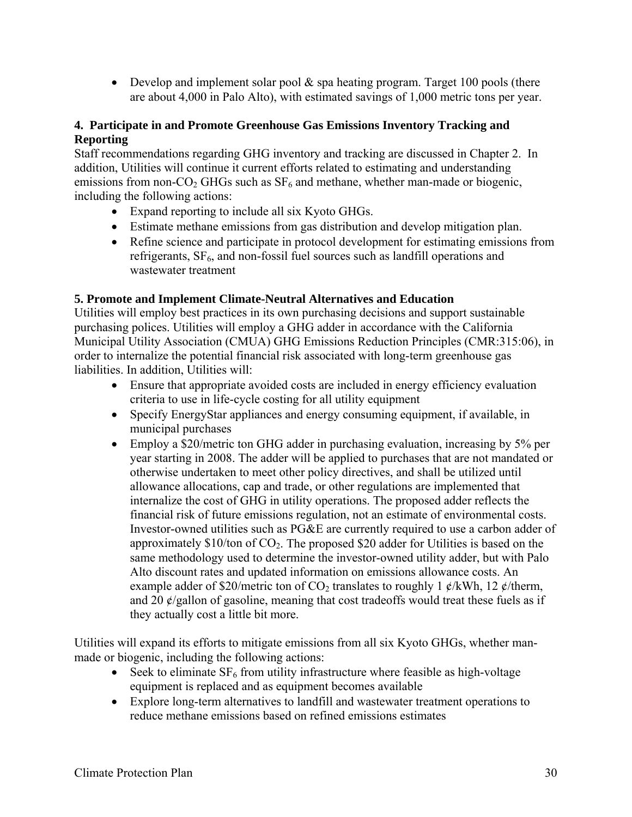• Develop and implement solar pool  $\&$  spa heating program. Target 100 pools (there are about 4,000 in Palo Alto), with estimated savings of 1,000 metric tons per year.

## **4. Participate in and Promote Greenhouse Gas Emissions Inventory Tracking and Reporting**

Staff recommendations regarding GHG inventory and tracking are discussed in Chapter 2. In addition, Utilities will continue it current efforts related to estimating and understanding emissions from non- $CO<sub>2</sub>$  GHGs such as  $SF<sub>6</sub>$  and methane, whether man-made or biogenic, including the following actions:

- Expand reporting to include all six Kyoto GHGs.
- Estimate methane emissions from gas distribution and develop mitigation plan.
- Refine science and participate in protocol development for estimating emissions from refrigerants,  $SF<sub>6</sub>$ , and non-fossil fuel sources such as landfill operations and wastewater treatment

## **5. Promote and Implement Climate-Neutral Alternatives and Education**

Utilities will employ best practices in its own purchasing decisions and support sustainable purchasing polices. Utilities will employ a GHG adder in accordance with the California Municipal Utility Association (CMUA) GHG Emissions Reduction Principles (CMR:315:06), in order to internalize the potential financial risk associated with long-term greenhouse gas liabilities. In addition, Utilities will:

- Ensure that appropriate avoided costs are included in energy efficiency evaluation criteria to use in life-cycle costing for all utility equipment
- Specify EnergyStar appliances and energy consuming equipment, if available, in municipal purchases
- Employ a \$20/metric ton GHG adder in purchasing evaluation, increasing by 5% per year starting in 2008. The adder will be applied to purchases that are not mandated or otherwise undertaken to meet other policy directives, and shall be utilized until allowance allocations, cap and trade, or other regulations are implemented that internalize the cost of GHG in utility operations. The proposed adder reflects the financial risk of future emissions regulation, not an estimate of environmental costs. Investor-owned utilities such as PG&E are currently required to use a carbon adder of approximately  $$10$ /ton of CO<sub>2</sub>. The proposed  $$20$  adder for Utilities is based on the same methodology used to determine the investor-owned utility adder, but with Palo Alto discount rates and updated information on emissions allowance costs. An example adder of \$20/metric ton of  $CO<sub>2</sub>$  translates to roughly 1  $\mathcal{C}/kWh$ , 12  $\mathcal{C}/therm$ , and 20  $\phi$ /gallon of gasoline, meaning that cost tradeoffs would treat these fuels as if they actually cost a little bit more.

Utilities will expand its efforts to mitigate emissions from all six Kyoto GHGs, whether manmade or biogenic, including the following actions:

- Seek to eliminate  $SF_6$  from utility infrastructure where feasible as high-voltage equipment is replaced and as equipment becomes available
- Explore long-term alternatives to landfill and wastewater treatment operations to reduce methane emissions based on refined emissions estimates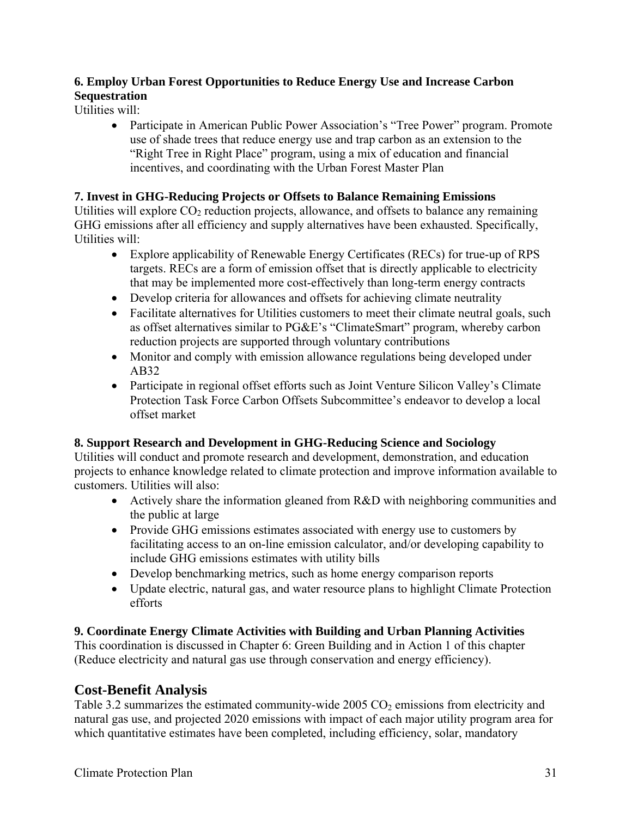# **6. Employ Urban Forest Opportunities to Reduce Energy Use and Increase Carbon Sequestration**

Utilities will:

• Participate in American Public Power Association's "Tree Power" program. Promote use of shade trees that reduce energy use and trap carbon as an extension to the "Right Tree in Right Place" program, using a mix of education and financial incentives, and coordinating with the Urban Forest Master Plan

# **7. Invest in GHG-Reducing Projects or Offsets to Balance Remaining Emissions**

Utilities will explore  $CO<sub>2</sub>$  reduction projects, allowance, and offsets to balance any remaining GHG emissions after all efficiency and supply alternatives have been exhausted. Specifically, Utilities will:

- Explore applicability of Renewable Energy Certificates (RECs) for true-up of RPS targets. RECs are a form of emission offset that is directly applicable to electricity that may be implemented more cost-effectively than long-term energy contracts
- Develop criteria for allowances and offsets for achieving climate neutrality
- Facilitate alternatives for Utilities customers to meet their climate neutral goals, such as offset alternatives similar to PG&E's "ClimateSmart" program, whereby carbon reduction projects are supported through voluntary contributions
- Monitor and comply with emission allowance regulations being developed under AB32
- Participate in regional offset efforts such as Joint Venture Silicon Valley's Climate Protection Task Force Carbon Offsets Subcommittee's endeavor to develop a local offset market

# **8. Support Research and Development in GHG-Reducing Science and Sociology**

Utilities will conduct and promote research and development, demonstration, and education projects to enhance knowledge related to climate protection and improve information available to customers. Utilities will also:

- Actively share the information gleaned from R&D with neighboring communities and the public at large
- Provide GHG emissions estimates associated with energy use to customers by facilitating access to an on-line emission calculator, and/or developing capability to include GHG emissions estimates with utility bills
- Develop benchmarking metrics, such as home energy comparison reports
- Update electric, natural gas, and water resource plans to highlight Climate Protection efforts

# **9. Coordinate Energy Climate Activities with Building and Urban Planning Activities**

This coordination is discussed in Chapter 6: Green Building and in Action 1 of this chapter (Reduce electricity and natural gas use through conservation and energy efficiency).

# **Cost-Benefit Analysis**

Table 3.2 summarizes the estimated community-wide 2005  $CO<sub>2</sub>$  emissions from electricity and natural gas use, and projected 2020 emissions with impact of each major utility program area for which quantitative estimates have been completed, including efficiency, solar, mandatory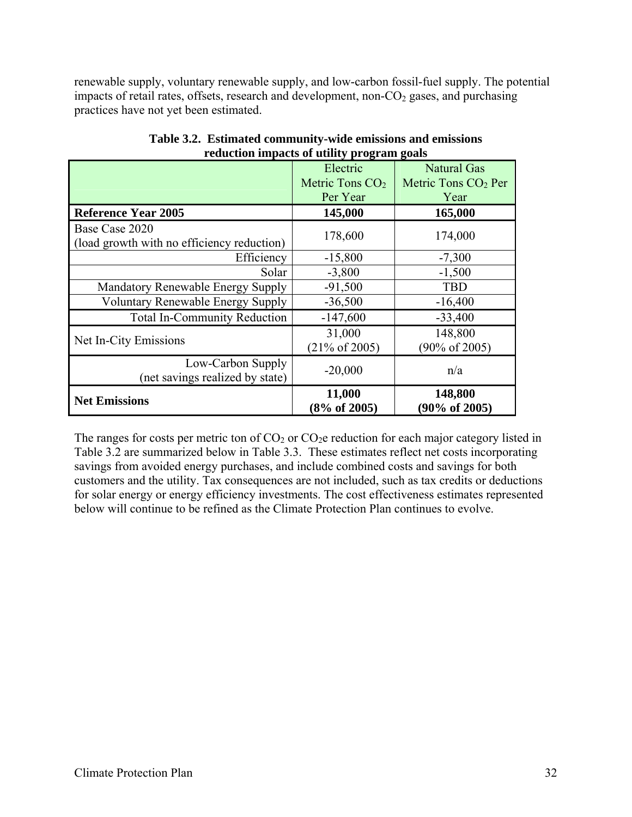renewable supply, voluntary renewable supply, and low-carbon fossil-fuel supply. The potential impacts of retail rates, offsets, research and development, non- $CO<sub>2</sub>$  gases, and purchasing practices have not yet been estimated.

|                                                              | Electric                            | Natural Gas                          |
|--------------------------------------------------------------|-------------------------------------|--------------------------------------|
|                                                              | Metric Tons $CO2$                   | Metric Tons $CO2$ Per                |
|                                                              | Per Year                            | Year                                 |
| <b>Reference Year 2005</b>                                   | 145,000                             | 165,000                              |
| Base Case 2020<br>(load growth with no efficiency reduction) | 178,600                             | 174,000                              |
| Efficiency                                                   | $-15,800$                           | $-7,300$                             |
| Solar                                                        | $-3,800$                            | $-1,500$                             |
| Mandatory Renewable Energy Supply                            | $-91,500$                           | <b>TBD</b>                           |
| <b>Voluntary Renewable Energy Supply</b>                     | $-36,500$                           | $-16,400$                            |
| <b>Total In-Community Reduction</b>                          | $-147,600$                          | $-33,400$                            |
| Net In-City Emissions                                        | 31,000<br>$(21\% \text{ of } 2005)$ | 148,800<br>$(90\% \text{ of } 2005)$ |
| Low-Carbon Supply<br>(net savings realized by state)         | $-20,000$                           | n/a                                  |
| <b>Net Emissions</b>                                         | 11,000<br>$(8\% \text{ of } 2005)$  | 148,800<br>$(90\% \text{ of } 2005)$ |

**Table 3.2. Estimated community-wide emissions and emissions reduction impacts of utility program goals** 

The ranges for costs per metric ton of  $CO<sub>2</sub>$  or  $CO<sub>2</sub>e$  reduction for each major category listed in Table 3.2 are summarized below in Table 3.3. These estimates reflect net costs incorporating savings from avoided energy purchases, and include combined costs and savings for both customers and the utility. Tax consequences are not included, such as tax credits or deductions for solar energy or energy efficiency investments. The cost effectiveness estimates represented below will continue to be refined as the Climate Protection Plan continues to evolve.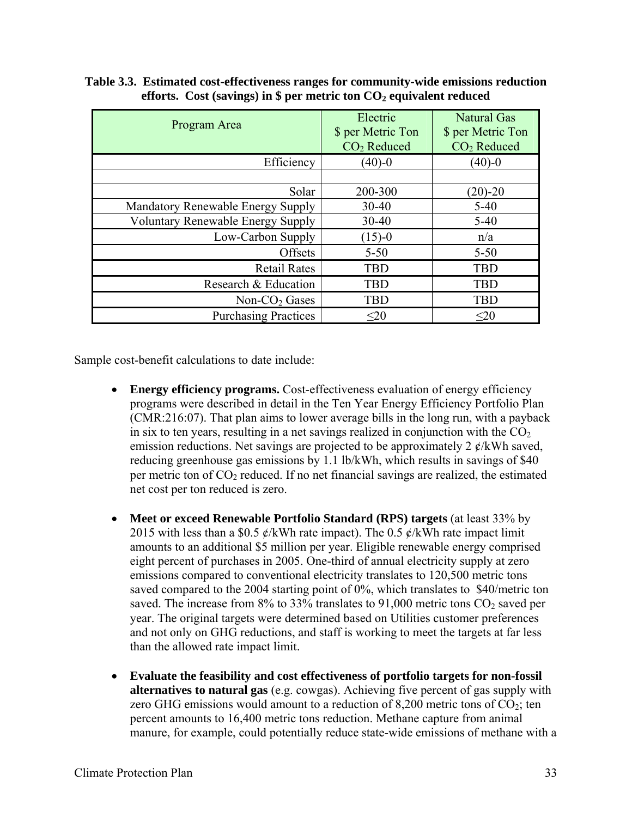| Program Area                             | Electric<br>\$ per Metric Ton<br>CO <sub>2</sub> Reduced | <b>Natural Gas</b><br>\$ per Metric Ton<br>CO <sub>2</sub> Reduced |  |
|------------------------------------------|----------------------------------------------------------|--------------------------------------------------------------------|--|
| Efficiency                               | $(40)-0$                                                 | $(40)-0$                                                           |  |
|                                          |                                                          |                                                                    |  |
| Solar                                    | 200-300                                                  | $(20)-20$                                                          |  |
| Mandatory Renewable Energy Supply        | $30 - 40$                                                | $5 - 40$                                                           |  |
| <b>Voluntary Renewable Energy Supply</b> | $30 - 40$                                                | $5-40$                                                             |  |
| Low-Carbon Supply                        | $(15)-0$                                                 | n/a                                                                |  |
| Offsets                                  | $5 - 50$                                                 | $5 - 50$                                                           |  |
| <b>Retail Rates</b>                      | <b>TBD</b>                                               | <b>TBD</b>                                                         |  |
| Research & Education                     | <b>TBD</b>                                               | <b>TBD</b>                                                         |  |
| Non- $CO2$ Gases                         | <b>TBD</b>                                               | <b>TBD</b>                                                         |  |
| <b>Purchasing Practices</b>              | $20$                                                     | $\leq 20$                                                          |  |

**Table 3.3. Estimated cost-effectiveness ranges for community-wide emissions reduction**  efforts. Cost (savings) in  $\frac{1}{2}$  per metric ton  $CO<sub>2</sub>$  equivalent reduced

Sample cost-benefit calculations to date include:

- **Energy efficiency programs.** Cost-effectiveness evaluation of energy efficiency programs were described in detail in the Ten Year Energy Efficiency Portfolio Plan (CMR:216:07). That plan aims to lower average bills in the long run, with a payback in six to ten years, resulting in a net savings realized in conjunction with the  $CO<sub>2</sub>$ emission reductions. Net savings are projected to be approximately 2  $\ell$ /kWh saved, reducing greenhouse gas emissions by 1.1 lb/kWh, which results in savings of \$40 per metric ton of  $CO<sub>2</sub>$  reduced. If no net financial savings are realized, the estimated net cost per ton reduced is zero.
- **Meet or exceed Renewable Portfolio Standard (RPS) targets** (at least 33% by 2015 with less than a \$0.5  $\mathcal{L}/kWh$  rate impact). The 0.5  $\mathcal{L}/kWh$  rate impact limit amounts to an additional \$5 million per year. Eligible renewable energy comprised eight percent of purchases in 2005. One-third of annual electricity supply at zero emissions compared to conventional electricity translates to 120,500 metric tons saved compared to the 2004 starting point of 0%, which translates to \$40/metric ton saved. The increase from  $8\%$  to 33% translates to 91,000 metric tons CO<sub>2</sub> saved per year. The original targets were determined based on Utilities customer preferences and not only on GHG reductions, and staff is working to meet the targets at far less than the allowed rate impact limit.
- **Evaluate the feasibility and cost effectiveness of portfolio targets for non-fossil alternatives to natural gas** (e.g. cowgas). Achieving five percent of gas supply with zero GHG emissions would amount to a reduction of 8,200 metric tons of  $CO<sub>2</sub>$ ; ten percent amounts to 16,400 metric tons reduction. Methane capture from animal manure, for example, could potentially reduce state-wide emissions of methane with a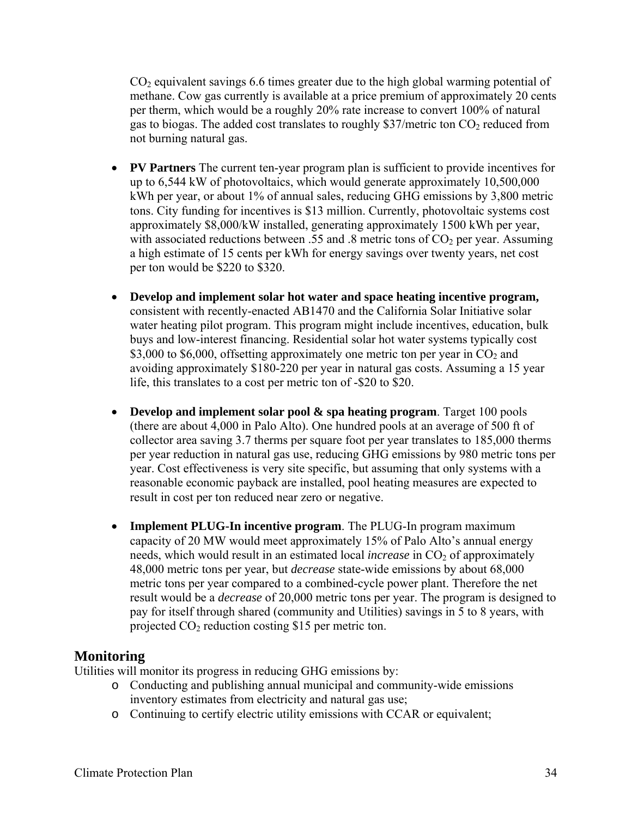$CO<sub>2</sub>$  equivalent savings 6.6 times greater due to the high global warming potential of methane. Cow gas currently is available at a price premium of approximately 20 cents per therm, which would be a roughly 20% rate increase to convert 100% of natural gas to biogas. The added cost translates to roughly \$37/metric ton  $CO<sub>2</sub>$  reduced from not burning natural gas.

- **PV Partners** The current ten-year program plan is sufficient to provide incentives for up to 6,544 kW of photovoltaics, which would generate approximately 10,500,000 kWh per year, or about 1% of annual sales, reducing GHG emissions by 3,800 metric tons. City funding for incentives is \$13 million. Currently, photovoltaic systems cost approximately \$8,000/kW installed, generating approximately 1500 kWh per year, with associated reductions between .55 and .8 metric tons of  $CO<sub>2</sub>$  per year. Assuming a high estimate of 15 cents per kWh for energy savings over twenty years, net cost per ton would be \$220 to \$320.
- **Develop and implement solar hot water and space heating incentive program,**  consistent with recently-enacted AB1470 and the California Solar Initiative solar water heating pilot program. This program might include incentives, education, bulk buys and low-interest financing. Residential solar hot water systems typically cost \$3,000 to \$6,000, offsetting approximately one metric ton per year in  $CO<sub>2</sub>$  and avoiding approximately \$180-220 per year in natural gas costs. Assuming a 15 year life, this translates to a cost per metric ton of -\$20 to \$20.
- **Develop and implement solar pool & spa heating program**. Target 100 pools (there are about 4,000 in Palo Alto). One hundred pools at an average of 500 ft of collector area saving 3.7 therms per square foot per year translates to 185,000 therms per year reduction in natural gas use, reducing GHG emissions by 980 metric tons per year. Cost effectiveness is very site specific, but assuming that only systems with a reasonable economic payback are installed, pool heating measures are expected to result in cost per ton reduced near zero or negative.
- **Implement PLUG-In incentive program**. The PLUG-In program maximum capacity of 20 MW would meet approximately 15% of Palo Alto's annual energy needs, which would result in an estimated local *increase* in CO<sub>2</sub> of approximately 48,000 metric tons per year, but *decrease* state-wide emissions by about 68,000 metric tons per year compared to a combined-cycle power plant. Therefore the net result would be a *decrease* of 20,000 metric tons per year. The program is designed to pay for itself through shared (community and Utilities) savings in 5 to 8 years, with projected  $CO<sub>2</sub>$  reduction costing \$15 per metric ton.

# **Monitoring**

Utilities will monitor its progress in reducing GHG emissions by:

- o Conducting and publishing annual municipal and community-wide emissions inventory estimates from electricity and natural gas use;
- o Continuing to certify electric utility emissions with CCAR or equivalent;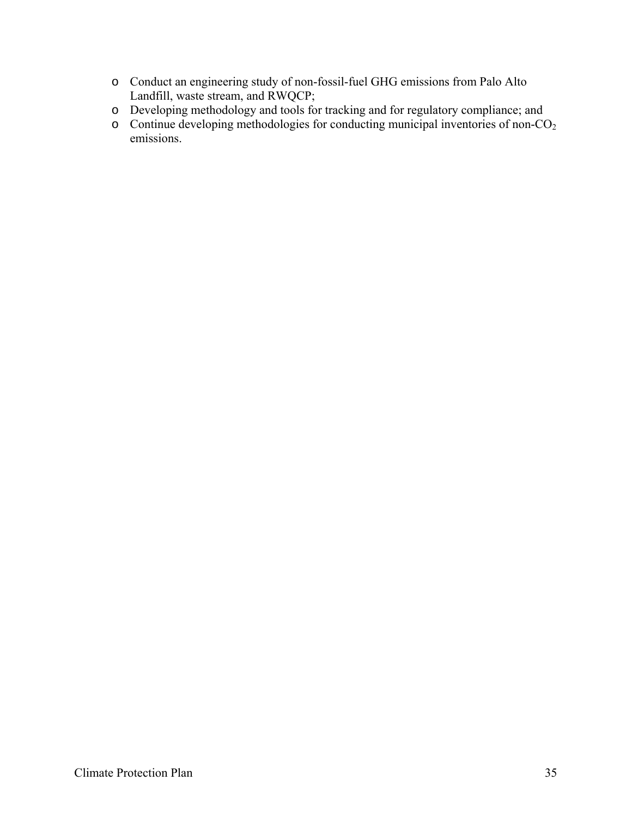- o Conduct an engineering study of non-fossil-fuel GHG emissions from Palo Alto Landfill, waste stream, and RWQCP;
- o Developing methodology and tools for tracking and for regulatory compliance; and
- $\circ$  Continue developing methodologies for conducting municipal inventories of non-CO<sub>2</sub> emissions.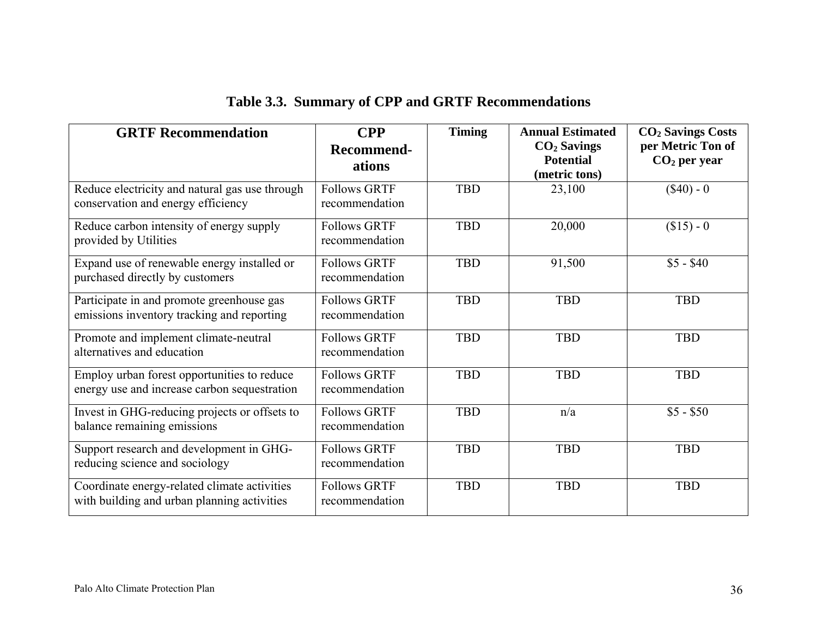| <b>GRTF Recommendation</b>                                                                  | <b>CPP</b><br><b>Recommend-</b><br>ations | <b>Timing</b> | <b>Annual Estimated</b><br>$CO2$ Savings<br><b>Potential</b><br>(metric tons) | <b>CO<sub>2</sub> Savings Costs</b><br>per Metric Ton of<br>$CO2$ per year |
|---------------------------------------------------------------------------------------------|-------------------------------------------|---------------|-------------------------------------------------------------------------------|----------------------------------------------------------------------------|
| Reduce electricity and natural gas use through<br>conservation and energy efficiency        | <b>Follows GRTF</b><br>recommendation     | <b>TBD</b>    | 23,100                                                                        | $(\$40) - 0$                                                               |
| Reduce carbon intensity of energy supply<br>provided by Utilities                           | <b>Follows GRTF</b><br>recommendation     | <b>TBD</b>    | 20,000                                                                        | $($15) - 0$                                                                |
| Expand use of renewable energy installed or<br>purchased directly by customers              | <b>Follows GRTF</b><br>recommendation     | <b>TBD</b>    | 91,500                                                                        | $$5 - $40$                                                                 |
| Participate in and promote greenhouse gas<br>emissions inventory tracking and reporting     | <b>Follows GRTF</b><br>recommendation     | <b>TBD</b>    | <b>TBD</b>                                                                    | <b>TBD</b>                                                                 |
| Promote and implement climate-neutral<br>alternatives and education                         | <b>Follows GRTF</b><br>recommendation     | <b>TBD</b>    | <b>TBD</b>                                                                    | <b>TBD</b>                                                                 |
| Employ urban forest opportunities to reduce<br>energy use and increase carbon sequestration | <b>Follows GRTF</b><br>recommendation     | <b>TBD</b>    | <b>TBD</b>                                                                    | <b>TBD</b>                                                                 |
| Invest in GHG-reducing projects or offsets to<br>balance remaining emissions                | <b>Follows GRTF</b><br>recommendation     | <b>TBD</b>    | n/a                                                                           | $$5 - $50$                                                                 |
| Support research and development in GHG-<br>reducing science and sociology                  | <b>Follows GRTF</b><br>recommendation     | <b>TBD</b>    | <b>TBD</b>                                                                    | <b>TBD</b>                                                                 |
| Coordinate energy-related climate activities<br>with building and urban planning activities | <b>Follows GRTF</b><br>recommendation     | <b>TBD</b>    | <b>TBD</b>                                                                    | <b>TBD</b>                                                                 |

# **Table 3.3. Summary of CPP and GRTF Recommendations**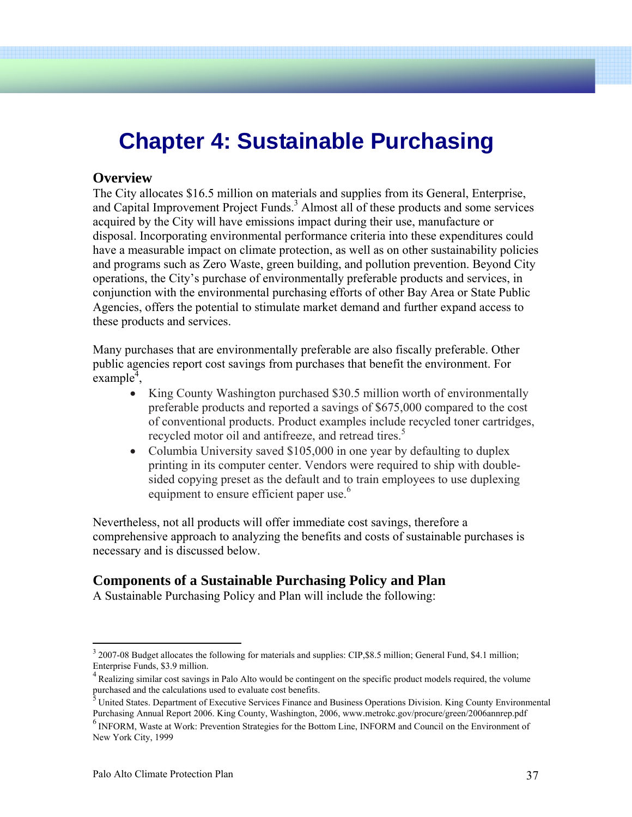# **Chapter 4: Sustainable Purchasing**

#### **Overview**

The City allocates \$16.5 million on materials and supplies from its General, Enterprise, and Capital Improvement Project Funds.<sup>3</sup> Almost all of these products and some services acquired by the City will have emissions impact during their use, manufacture or disposal. Incorporating environmental performance criteria into these expenditures could have a measurable impact on climate protection, as well as on other sustainability policies and programs such as Zero Waste, green building, and pollution prevention. Beyond City operations, the City's purchase of environmentally preferable products and services, in conjunction with the environmental purchasing efforts of other Bay Area or State Public Agencies, offers the potential to stimulate market demand and further expand access to these products and services.

Many purchases that are environmentally preferable are also fiscally preferable. Other public agencies report cost savings from purchases that benefit the environment. For  $\epsilon$ xample<sup> $\bar{4}$ </sup>,

- King County Washington purchased \$30.5 million worth of environmentally preferable products and reported a savings of \$675,000 compared to the cost of conventional products. Product examples include recycled toner cartridges, recycled motor oil and antifreeze, and retread tires.<sup>5</sup>
- Columbia University saved \$105,000 in one year by defaulting to duplex printing in its computer center. Vendors were required to ship with doublesided copying preset as the default and to train employees to use duplexing equipment to ensure efficient paper use.<sup>6</sup>

Nevertheless, not all products will offer immediate cost savings, therefore a comprehensive approach to analyzing the benefits and costs of sustainable purchases is necessary and is discussed below.

# **Components of a Sustainable Purchasing Policy and Plan**

A Sustainable Purchasing Policy and Plan will include the following:

 $\overline{a}$ 

<sup>&</sup>lt;sup>3</sup> 2007-08 Budget allocates the following for materials and supplies: CIP, \$8.5 million; General Fund, \$4.1 million; Enterprise Funds, \$3.9 million.

<sup>&</sup>lt;sup>4</sup> Realizing similar cost savings in Palo Alto would be contingent on the specific product models required, the volume purchased and the calculations used to evaluate cost benefits.

<sup>&</sup>lt;sup>5</sup> United States. Department of Executive Services Finance and Business Operations Division. King County Environmental Purchasing Annual Report 2006. King County, Washington, 2006, www.metrokc.gov/procure/green/2006annrep.pdf

<sup>6</sup> INFORM, Waste at Work: Prevention Strategies for the Bottom Line, INFORM and Council on the Environment of New York City, 1999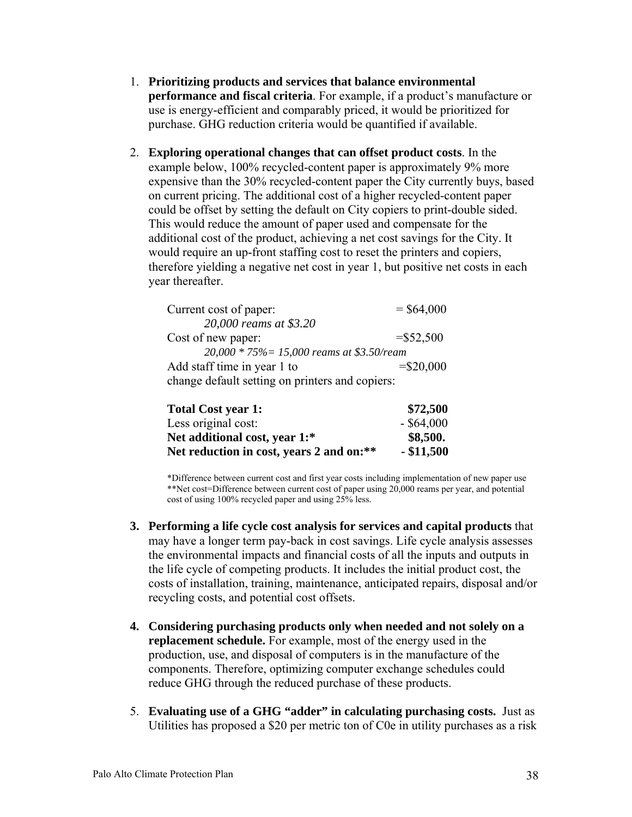- 1. **Prioritizing products and services that balance environmental performance and fiscal criteria**. For example, if a product's manufacture or use is energy-efficient and comparably priced, it would be prioritized for purchase. GHG reduction criteria would be quantified if available.
- 2. **Exploring operational changes that can offset product costs**. In the example below, 100% recycled-content paper is approximately 9% more expensive than the 30% recycled-content paper the City currently buys, based on current pricing. The additional cost of a higher recycled-content paper could be offset by setting the default on City copiers to print-double sided. This would reduce the amount of paper used and compensate for the additional cost of the product, achieving a net cost savings for the City. It would require an up-front staffing cost to reset the printers and copiers, therefore yielding a negative net cost in year 1, but positive net costs in each year thereafter.

| Current cost of paper:                          | $=$ \$64,000 |
|-------------------------------------------------|--------------|
| 20,000 reams at \$3.20                          |              |
| Cost of new paper:                              | $= $52,500$  |
| 20,000 * 75% = 15,000 reams at \$3.50/ream      |              |
| Add staff time in year 1 to                     | $= $20,000$  |
| change default setting on printers and copiers: |              |

| <b>Total Cost year 1:</b>                | \$72,500     |
|------------------------------------------|--------------|
| Less original cost:                      | $-$ \$64,000 |
| Net additional cost, year 1:*            | \$8,500.     |
| Net reduction in cost, years 2 and on:** | $-$ \$11,500 |

\*Difference between current cost and first year costs including implementation of new paper use \*\*Net cost=Difference between current cost of paper using 20,000 reams per year, and potential cost of using 100% recycled paper and using 25% less.

- **3. Performing a life cycle cost analysis for services and capital products** that may have a longer term pay-back in cost savings. Life cycle analysis assesses the environmental impacts and financial costs of all the inputs and outputs in the life cycle of competing products. It includes the initial product cost, the costs of installation, training, maintenance, anticipated repairs, disposal and/or recycling costs, and potential cost offsets.
- **4. Considering purchasing products only when needed and not solely on a replacement schedule.** For example, most of the energy used in the production, use, and disposal of computers is in the manufacture of the components. Therefore, optimizing computer exchange schedules could reduce GHG through the reduced purchase of these products.
- 5. **Evaluating use of a GHG "adder" in calculating purchasing costs.** Just as Utilities has proposed a \$20 per metric ton of C0e in utility purchases as a risk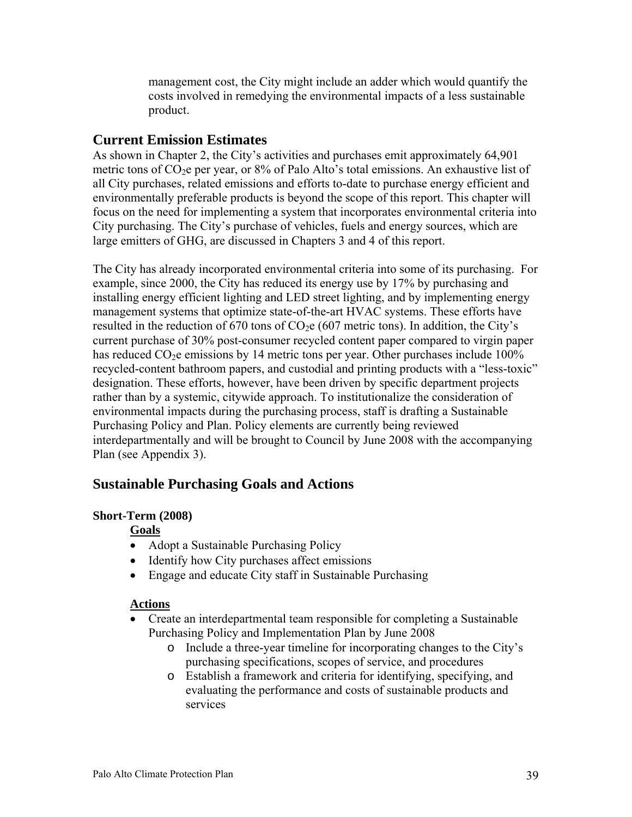management cost, the City might include an adder which would quantify the costs involved in remedying the environmental impacts of a less sustainable product.

# **Current Emission Estimates**

As shown in Chapter 2, the City's activities and purchases emit approximately 64,901 metric tons of  $CO<sub>2</sub>e$  per year, or 8% of Palo Alto's total emissions. An exhaustive list of all City purchases, related emissions and efforts to-date to purchase energy efficient and environmentally preferable products is beyond the scope of this report. This chapter will focus on the need for implementing a system that incorporates environmental criteria into City purchasing. The City's purchase of vehicles, fuels and energy sources, which are large emitters of GHG, are discussed in Chapters 3 and 4 of this report.

The City has already incorporated environmental criteria into some of its purchasing. For example, since 2000, the City has reduced its energy use by 17% by purchasing and installing energy efficient lighting and LED street lighting, and by implementing energy management systems that optimize state-of-the-art HVAC systems. These efforts have resulted in the reduction of 670 tons of  $CO<sub>2</sub>e$  (607 metric tons). In addition, the City's current purchase of 30% post-consumer recycled content paper compared to virgin paper has reduced  $CO<sub>2</sub>e$  emissions by 14 metric tons per year. Other purchases include 100% recycled-content bathroom papers, and custodial and printing products with a "less-toxic" designation. These efforts, however, have been driven by specific department projects rather than by a systemic, citywide approach. To institutionalize the consideration of environmental impacts during the purchasing process, staff is drafting a Sustainable Purchasing Policy and Plan. Policy elements are currently being reviewed interdepartmentally and will be brought to Council by June 2008 with the accompanying Plan (see Appendix 3).

# **Sustainable Purchasing Goals and Actions**

#### **Short-Term (2008)**

#### **Goals**

- Adopt a Sustainable Purchasing Policy
- Identify how City purchases affect emissions
- Engage and educate City staff in Sustainable Purchasing

#### **Actions**

- Create an interdepartmental team responsible for completing a Sustainable Purchasing Policy and Implementation Plan by June 2008
	- o Include a three-year timeline for incorporating changes to the City's purchasing specifications, scopes of service, and procedures
	- o Establish a framework and criteria for identifying, specifying, and evaluating the performance and costs of sustainable products and services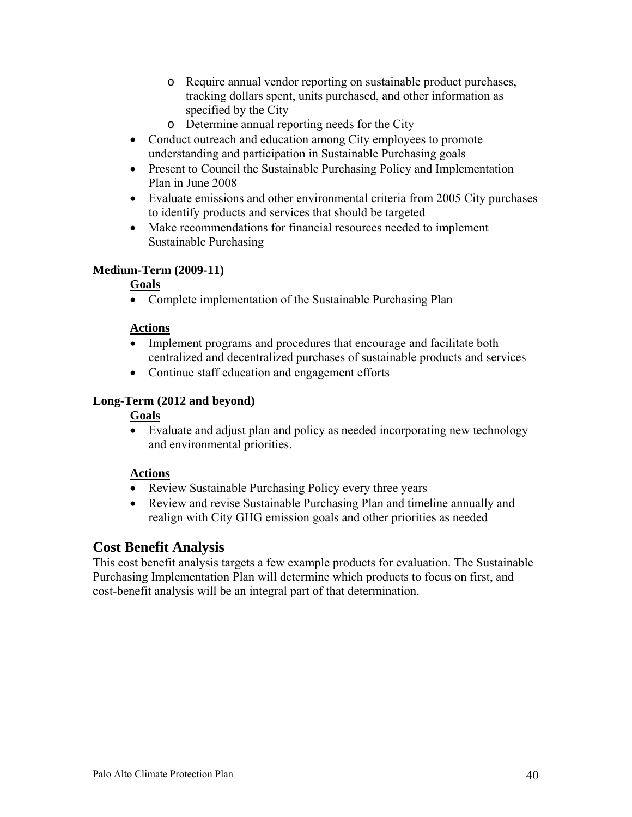- o Require annual vendor reporting on sustainable product purchases, tracking dollars spent, units purchased, and other information as specified by the City
- o Determine annual reporting needs for the City
- Conduct outreach and education among City employees to promote understanding and participation in Sustainable Purchasing goals
- Present to Council the Sustainable Purchasing Policy and Implementation Plan in June 2008
- Evaluate emissions and other environmental criteria from 2005 City purchases to identify products and services that should be targeted
- Make recommendations for financial resources needed to implement Sustainable Purchasing

#### **Medium-Term (2009-11)**

#### **Goals**

• Complete implementation of the Sustainable Purchasing Plan

#### **Actions**

- Implement programs and procedures that encourage and facilitate both centralized and decentralized purchases of sustainable products and services
- Continue staff education and engagement efforts

#### **Long-Term (2012 and beyond)**

#### **Goals**

• Evaluate and adjust plan and policy as needed incorporating new technology and environmental priorities.

#### **Actions**

- Review Sustainable Purchasing Policy every three years
- Review and revise Sustainable Purchasing Plan and timeline annually and realign with City GHG emission goals and other priorities as needed

# **Cost Benefit Analysis**

This cost benefit analysis targets a few example products for evaluation. The Sustainable Purchasing Implementation Plan will determine which products to focus on first, and cost-benefit analysis will be an integral part of that determination.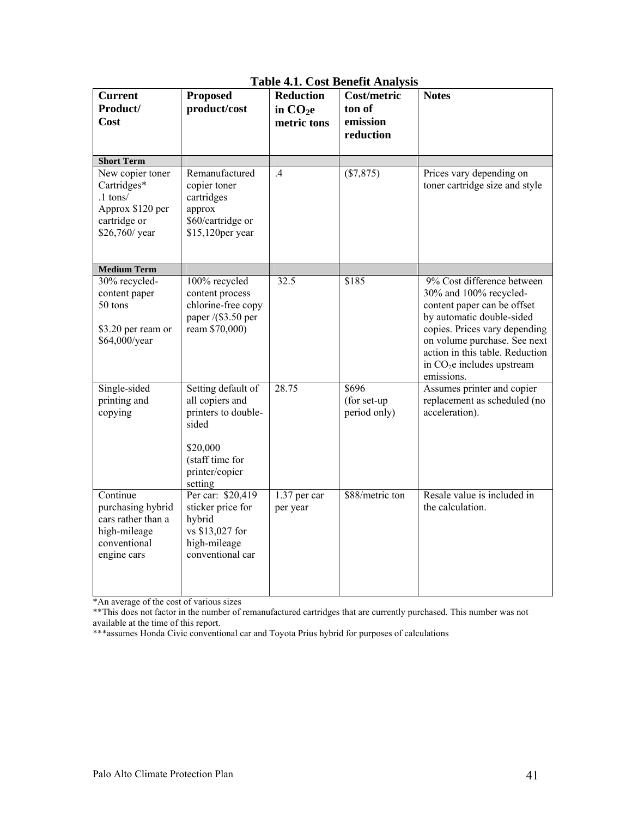| <b>Current</b><br>Product/<br>Cost                                                                 | <b>Proposed</b><br>product/cost                                                                                                   | <b>Reduction</b><br>in CO <sub>2e</sub><br>metric tons | Cost/metric<br>ton of<br>emission<br>reduction | <b>Notes</b>                                                                                                                                                                                                                                                      |
|----------------------------------------------------------------------------------------------------|-----------------------------------------------------------------------------------------------------------------------------------|--------------------------------------------------------|------------------------------------------------|-------------------------------------------------------------------------------------------------------------------------------------------------------------------------------------------------------------------------------------------------------------------|
| <b>Short Term</b><br>New copier toner                                                              | Remanufactured                                                                                                                    | .4                                                     | (\$7,875)                                      | Prices vary depending on                                                                                                                                                                                                                                          |
| Cartridges*<br>$.1$ tons/<br>Approx \$120 per<br>cartridge or<br>\$26,760/ year                    | copier toner<br>cartridges<br>approx<br>\$60/cartridge or<br>\$15,120per year                                                     |                                                        |                                                | toner cartridge size and style                                                                                                                                                                                                                                    |
| <b>Medium Term</b>                                                                                 |                                                                                                                                   |                                                        |                                                |                                                                                                                                                                                                                                                                   |
| 30% recycled-<br>content paper<br>50 tons<br>\$3.20 per ream or<br>\$64,000/year                   | 100% recycled<br>content process<br>chlorine-free copy<br>paper /(\$3.50 per<br>ream \$70,000)                                    | 32.5                                                   | \$185                                          | 9% Cost difference between<br>30% and 100% recycled-<br>content paper can be offset<br>by automatic double-sided<br>copies. Prices vary depending<br>on volume purchase. See next<br>action in this table. Reduction<br>in $CO2e$ includes upstream<br>emissions. |
| Single-sided<br>printing and<br>copying                                                            | Setting default of<br>all copiers and<br>printers to double-<br>sided<br>\$20,000<br>(staff time for<br>printer/copier<br>setting | 28.75                                                  | \$696<br>(for set-up<br>period only)           | Assumes printer and copier<br>replacement as scheduled (no<br>acceleration).                                                                                                                                                                                      |
| Continue<br>purchasing hybrid<br>cars rather than a<br>high-mileage<br>conventional<br>engine cars | Per car: \$20,419<br>sticker price for<br>hybrid<br>vs \$13,027 for<br>high-mileage<br>conventional car                           | 1.37 per car<br>per year                               | \$88/metric ton                                | Resale value is included in<br>the calculation.                                                                                                                                                                                                                   |

#### **Table 4.1. Cost Benefit Analysis**

\*An average of the cost of various sizes

\*\*This does not factor in the number of remanufactured cartridges that are currently purchased. This number was not available at the time of this report.

\*\*\*assumes Honda Civic conventional car and Toyota Prius hybrid for purposes of calculations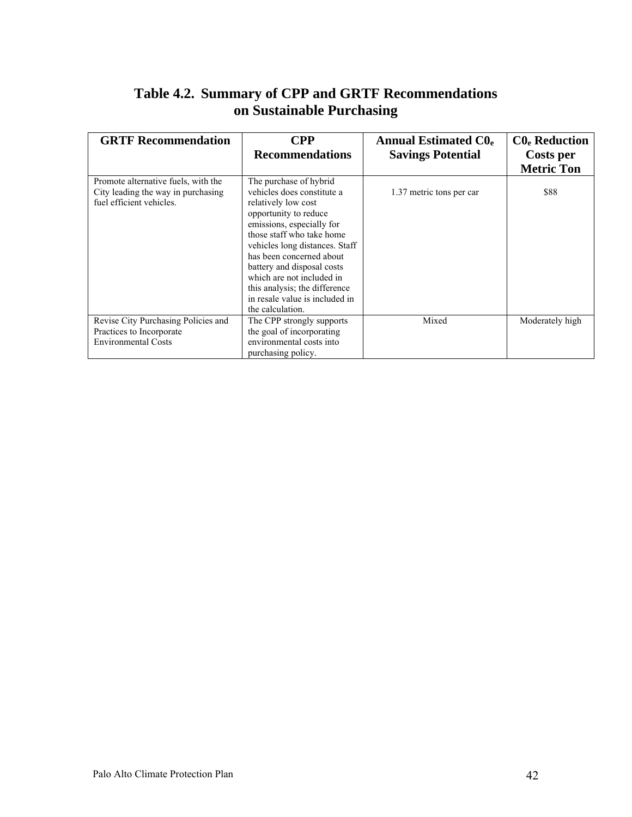# **Table 4.2.****Summary of CPP and GRTF Recommendations on Sustainable Purchasing**

| <b>GRTF Recommendation</b>                             | CPP                                                             | <b>Annual Estimated CO.</b> | $C0e$ Reduction   |
|--------------------------------------------------------|-----------------------------------------------------------------|-----------------------------|-------------------|
|                                                        | <b>Recommendations</b>                                          | <b>Savings Potential</b>    | Costs per         |
|                                                        |                                                                 |                             | <b>Metric Ton</b> |
| Promote alternative fuels, with the                    | The purchase of hybrid                                          |                             |                   |
| City leading the way in purchasing                     | vehicles does constitute a                                      | 1.37 metric tons per car    | \$88              |
| fuel efficient vehicles.                               | relatively low cost                                             |                             |                   |
|                                                        | opportunity to reduce                                           |                             |                   |
|                                                        | emissions, especially for                                       |                             |                   |
|                                                        | those staff who take home                                       |                             |                   |
|                                                        | vehicles long distances. Staff                                  |                             |                   |
|                                                        | has been concerned about                                        |                             |                   |
|                                                        | battery and disposal costs<br>which are not included in         |                             |                   |
|                                                        |                                                                 |                             |                   |
|                                                        | this analysis; the difference<br>in resale value is included in |                             |                   |
|                                                        | the calculation.                                                |                             |                   |
|                                                        |                                                                 | Mixed                       |                   |
| Revise City Purchasing Policies and                    | The CPP strongly supports                                       |                             | Moderately high   |
| Practices to Incorporate<br><b>Environmental Costs</b> | the goal of incorporating<br>environmental costs into           |                             |                   |
|                                                        |                                                                 |                             |                   |
|                                                        | purchasing policy.                                              |                             |                   |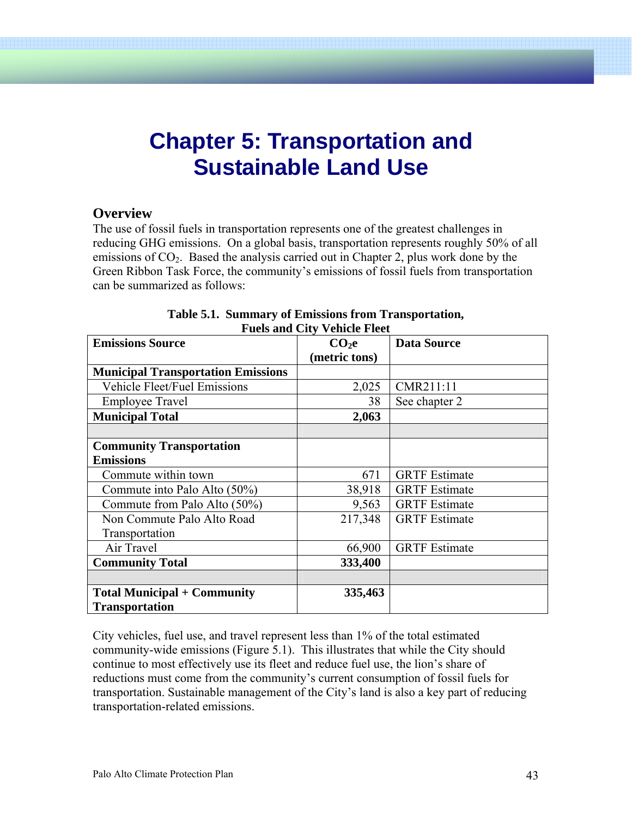# **Chapter 5: Transportation and Sustainable Land Use**

### **Overview**

The use of fossil fuels in transportation represents one of the greatest challenges in reducing GHG emissions. On a global basis, transportation represents roughly 50% of all emissions of  $CO<sub>2</sub>$ . Based the analysis carried out in Chapter 2, plus work done by the Green Ribbon Task Force, the community's emissions of fossil fuels from transportation can be summarized as follows:

| <b>Emissions Source</b>                   | CO <sub>2</sub> e | <b>Data Source</b>   |
|-------------------------------------------|-------------------|----------------------|
|                                           | (metric tons)     |                      |
| <b>Municipal Transportation Emissions</b> |                   |                      |
| <b>Vehicle Fleet/Fuel Emissions</b>       | 2,025             | CMR211:11            |
| <b>Employee Travel</b>                    | 38                | See chapter 2        |
| <b>Municipal Total</b>                    | 2,063             |                      |
|                                           |                   |                      |
| <b>Community Transportation</b>           |                   |                      |
| <b>Emissions</b>                          |                   |                      |
| Commute within town                       | 671               | <b>GRTF</b> Estimate |
| Commute into Palo Alto (50%)              | 38,918            | <b>GRTF</b> Estimate |
| Commute from Palo Alto (50%)              | 9,563             | <b>GRTF</b> Estimate |
| Non Commute Palo Alto Road                | 217,348           | <b>GRTF</b> Estimate |
| Transportation                            |                   |                      |
| Air Travel                                | 66,900            | <b>GRTF</b> Estimate |
| <b>Community Total</b>                    | 333,400           |                      |
|                                           |                   |                      |
| <b>Total Municipal + Community</b>        | 335,463           |                      |
| <b>Transportation</b>                     |                   |                      |

#### **Table 5.1. Summary of Emissions from Transportation, Fuels and City Vehicle Fleet**

City vehicles, fuel use, and travel represent less than 1% of the total estimated community-wide emissions (Figure 5.1). This illustrates that while the City should continue to most effectively use its fleet and reduce fuel use, the lion's share of reductions must come from the community's current consumption of fossil fuels for transportation. Sustainable management of the City's land is also a key part of reducing transportation-related emissions.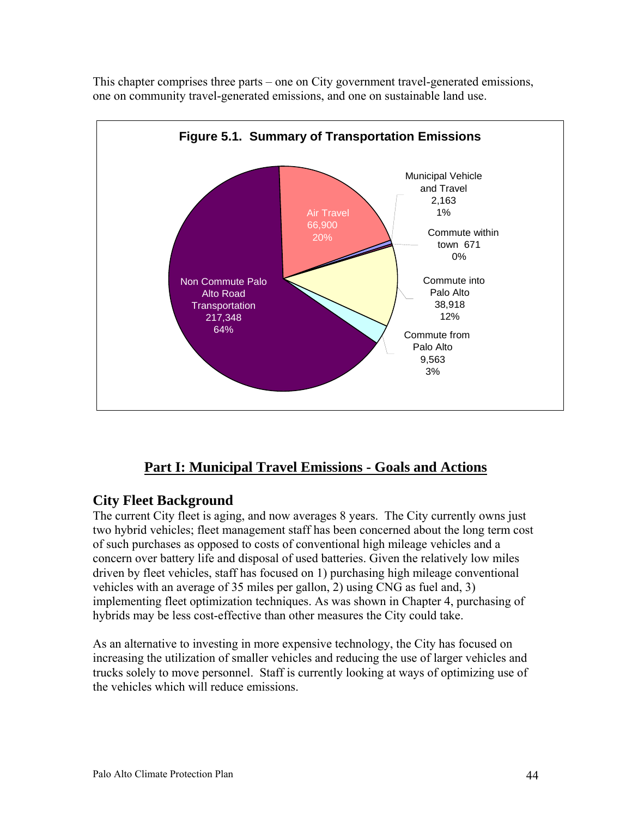

This chapter comprises three parts – one on City government travel-generated emissions, one on community travel-generated emissions, and one on sustainable land use.

# **Part I: Municipal Travel Emissions - Goals and Actions**

# **City Fleet Background**

The current City fleet is aging, and now averages 8 years. The City currently owns just two hybrid vehicles; fleet management staff has been concerned about the long term cost of such purchases as opposed to costs of conventional high mileage vehicles and a concern over battery life and disposal of used batteries. Given the relatively low miles driven by fleet vehicles, staff has focused on 1) purchasing high mileage conventional vehicles with an average of 35 miles per gallon, 2) using CNG as fuel and, 3) implementing fleet optimization techniques. As was shown in Chapter 4, purchasing of hybrids may be less cost-effective than other measures the City could take.

As an alternative to investing in more expensive technology, the City has focused on increasing the utilization of smaller vehicles and reducing the use of larger vehicles and trucks solely to move personnel. Staff is currently looking at ways of optimizing use of the vehicles which will reduce emissions.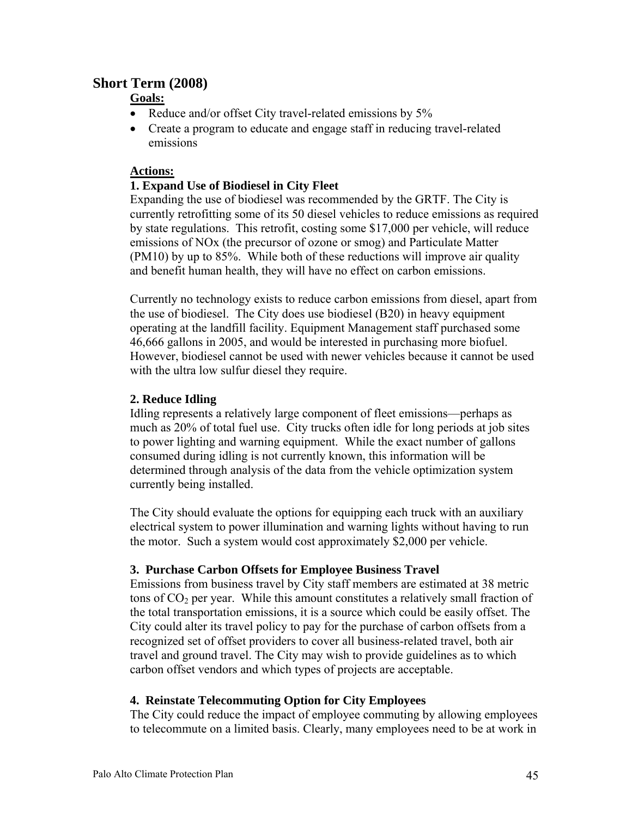# **Short Term (2008)**

# **Goals:**

- Reduce and/or offset City travel-related emissions by 5%
- Create a program to educate and engage staff in reducing travel-related emissions

#### **Actions:**

#### **1. Expand Use of Biodiesel in City Fleet**

Expanding the use of biodiesel was recommended by the GRTF. The City is currently retrofitting some of its 50 diesel vehicles to reduce emissions as required by state regulations. This retrofit, costing some \$17,000 per vehicle, will reduce emissions of NOx (the precursor of ozone or smog) and Particulate Matter (PM10) by up to 85%. While both of these reductions will improve air quality and benefit human health, they will have no effect on carbon emissions.

Currently no technology exists to reduce carbon emissions from diesel, apart from the use of biodiesel. The City does use biodiesel (B20) in heavy equipment operating at the landfill facility. Equipment Management staff purchased some 46,666 gallons in 2005, and would be interested in purchasing more biofuel. However, biodiesel cannot be used with newer vehicles because it cannot be used with the ultra low sulfur diesel they require.

### **2. Reduce Idling**

Idling represents a relatively large component of fleet emissions—perhaps as much as 20% of total fuel use. City trucks often idle for long periods at job sites to power lighting and warning equipment. While the exact number of gallons consumed during idling is not currently known, this information will be determined through analysis of the data from the vehicle optimization system currently being installed.

The City should evaluate the options for equipping each truck with an auxiliary electrical system to power illumination and warning lights without having to run the motor. Such a system would cost approximately \$2,000 per vehicle.

#### **3. Purchase Carbon Offsets for Employee Business Travel**

Emissions from business travel by City staff members are estimated at 38 metric tons of  $CO<sub>2</sub>$  per year. While this amount constitutes a relatively small fraction of the total transportation emissions, it is a source which could be easily offset. The City could alter its travel policy to pay for the purchase of carbon offsets from a recognized set of offset providers to cover all business-related travel, both air travel and ground travel. The City may wish to provide guidelines as to which carbon offset vendors and which types of projects are acceptable.

#### **4. Reinstate Telecommuting Option for City Employees**

The City could reduce the impact of employee commuting by allowing employees to telecommute on a limited basis. Clearly, many employees need to be at work in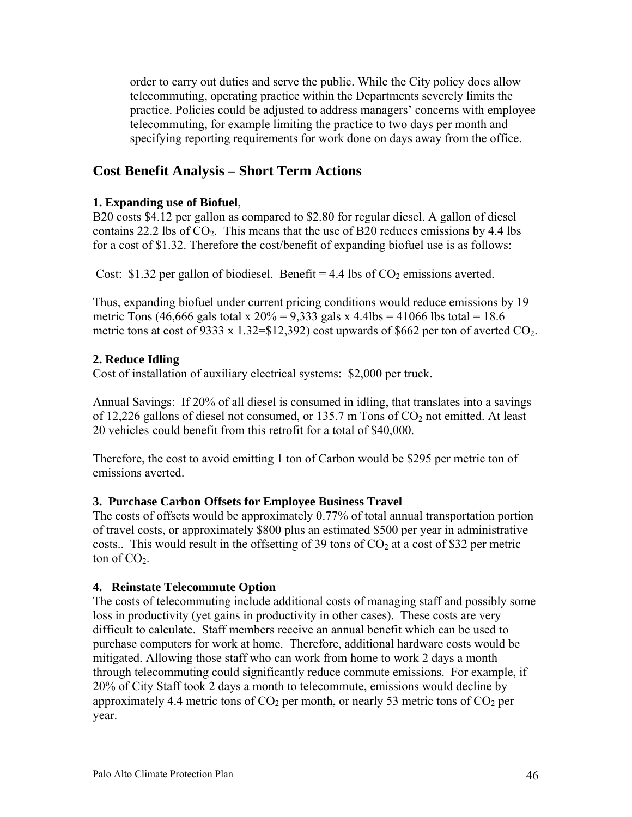order to carry out duties and serve the public. While the City policy does allow telecommuting, operating practice within the Departments severely limits the practice. Policies could be adjusted to address managers' concerns with employee telecommuting, for example limiting the practice to two days per month and specifying reporting requirements for work done on days away from the office.

# **Cost Benefit Analysis – Short Term Actions**

### **1. Expanding use of Biofuel**,

B20 costs \$4.12 per gallon as compared to \$2.80 for regular diesel. A gallon of diesel contains 22.2 lbs of  $CO<sub>2</sub>$ . This means that the use of B20 reduces emissions by 4.4 lbs for a cost of \$1.32. Therefore the cost/benefit of expanding biofuel use is as follows:

Cost: \$1.32 per gallon of biodiesel. Benefit = 4.4 lbs of  $CO<sub>2</sub>$  emissions averted.

Thus, expanding biofuel under current pricing conditions would reduce emissions by 19 metric Tons (46,666 gals total x  $20\% = 9,333$  gals x 4.4lbs = 41066 lbs total = 18.6 metric tons at cost of 9333 x 1.32=\$12,392) cost upwards of \$662 per ton of averted  $CO_2$ .

### **2. Reduce Idling**

Cost of installation of auxiliary electrical systems: \$2,000 per truck.

Annual Savings: If 20% of all diesel is consumed in idling, that translates into a savings of 12,226 gallons of diesel not consumed, or 135.7 m Tons of  $CO<sub>2</sub>$  not emitted. At least 20 vehicles could benefit from this retrofit for a total of \$40,000.

Therefore, the cost to avoid emitting 1 ton of Carbon would be \$295 per metric ton of emissions averted.

#### **3. Purchase Carbon Offsets for Employee Business Travel**

The costs of offsets would be approximately 0.77% of total annual transportation portion of travel costs, or approximately \$800 plus an estimated \$500 per year in administrative costs.. This would result in the offsetting of 39 tons of  $CO<sub>2</sub>$  at a cost of \$32 per metric ton of  $CO<sub>2</sub>$ .

#### **4. Reinstate Telecommute Option**

The costs of telecommuting include additional costs of managing staff and possibly some loss in productivity (yet gains in productivity in other cases). These costs are very difficult to calculate. Staff members receive an annual benefit which can be used to purchase computers for work at home. Therefore, additional hardware costs would be mitigated. Allowing those staff who can work from home to work 2 days a month through telecommuting could significantly reduce commute emissions. For example, if 20% of City Staff took 2 days a month to telecommute, emissions would decline by approximately 4.4 metric tons of  $CO<sub>2</sub>$  per month, or nearly 53 metric tons of  $CO<sub>2</sub>$  per year.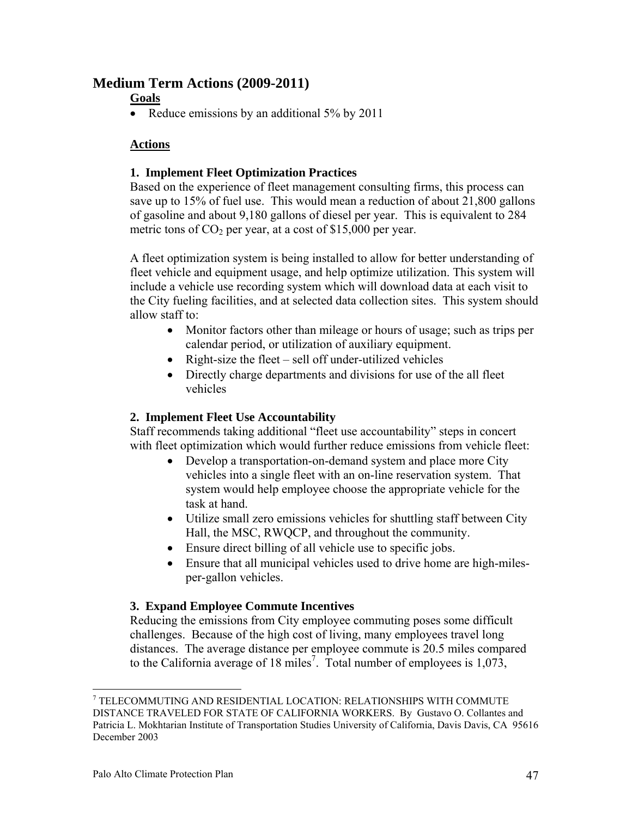# **Medium Term Actions (2009-2011)**

# **Goals**

• Reduce emissions by an additional 5% by 2011

# **Actions**

### **1. Implement Fleet Optimization Practices**

Based on the experience of fleet management consulting firms, this process can save up to 15% of fuel use. This would mean a reduction of about 21,800 gallons of gasoline and about 9,180 gallons of diesel per year. This is equivalent to 284 metric tons of  $CO<sub>2</sub>$  per year, at a cost of \$15,000 per year.

A fleet optimization system is being installed to allow for better understanding of fleet vehicle and equipment usage, and help optimize utilization. This system will include a vehicle use recording system which will download data at each visit to the City fueling facilities, and at selected data collection sites. This system should allow staff to:

- Monitor factors other than mileage or hours of usage; such as trips per calendar period, or utilization of auxiliary equipment.
- Right-size the fleet sell off under-utilized vehicles
- Directly charge departments and divisions for use of the all fleet vehicles

# **2. Implement Fleet Use Accountability**

Staff recommends taking additional "fleet use accountability" steps in concert with fleet optimization which would further reduce emissions from vehicle fleet:

- Develop a transportation-on-demand system and place more City vehicles into a single fleet with an on-line reservation system. That system would help employee choose the appropriate vehicle for the task at hand.
- Utilize small zero emissions vehicles for shuttling staff between City Hall, the MSC, RWQCP, and throughout the community.
- Ensure direct billing of all vehicle use to specific jobs.
- Ensure that all municipal vehicles used to drive home are high-milesper-gallon vehicles.

#### **3. Expand Employee Commute Incentives**

Reducing the emissions from City employee commuting poses some difficult challenges. Because of the high cost of living, many employees travel long distances. The average distance per employee commute is 20.5 miles compared to the California average of 18 miles<sup>7</sup>. Total number of employees is  $1,073$ ,

 $\overline{a}$ 

<sup>7</sup> TELECOMMUTING AND RESIDENTIAL LOCATION: RELATIONSHIPS WITH COMMUTE DISTANCE TRAVELED FOR STATE OF CALIFORNIA WORKERS. By Gustavo O. Collantes and Patricia L. Mokhtarian Institute of Transportation Studies University of California, Davis Davis, CA 95616 December 2003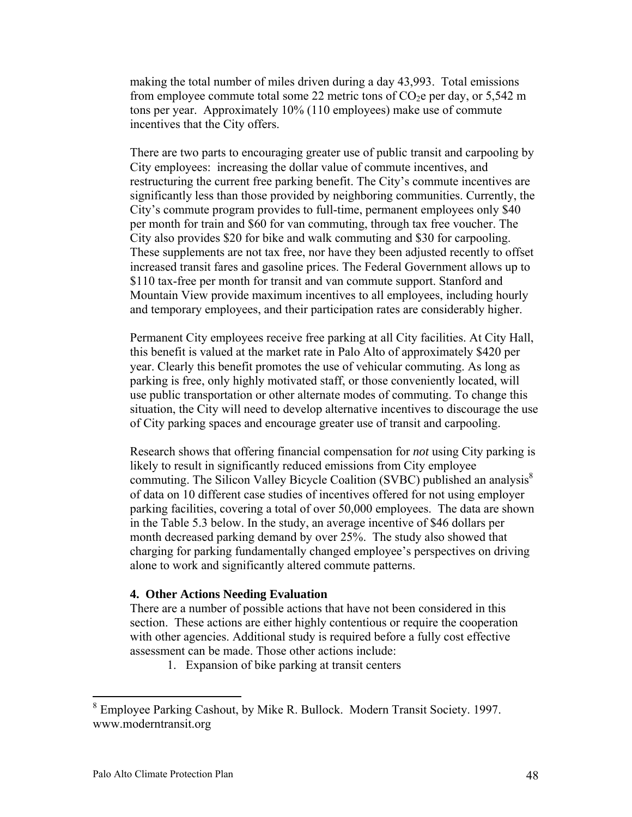making the total number of miles driven during a day 43,993. Total emissions from employee commute total some 22 metric tons of  $CO<sub>2</sub>e$  per day, or 5,542 m tons per year. Approximately 10% (110 employees) make use of commute incentives that the City offers.

There are two parts to encouraging greater use of public transit and carpooling by City employees: increasing the dollar value of commute incentives, and restructuring the current free parking benefit. The City's commute incentives are significantly less than those provided by neighboring communities. Currently, the City's commute program provides to full-time, permanent employees only \$40 per month for train and \$60 for van commuting, through tax free voucher. The City also provides \$20 for bike and walk commuting and \$30 for carpooling. These supplements are not tax free, nor have they been adjusted recently to offset increased transit fares and gasoline prices. The Federal Government allows up to \$110 tax-free per month for transit and van commute support. Stanford and Mountain View provide maximum incentives to all employees, including hourly and temporary employees, and their participation rates are considerably higher.

Permanent City employees receive free parking at all City facilities. At City Hall, this benefit is valued at the market rate in Palo Alto of approximately \$420 per year. Clearly this benefit promotes the use of vehicular commuting. As long as parking is free, only highly motivated staff, or those conveniently located, will use public transportation or other alternate modes of commuting. To change this situation, the City will need to develop alternative incentives to discourage the use of City parking spaces and encourage greater use of transit and carpooling.

Research shows that offering financial compensation for *not* using City parking is likely to result in significantly reduced emissions from City employee commuting. The Silicon Valley Bicycle Coalition (SVBC) published an analysis $\delta$ of data on 10 different case studies of incentives offered for not using employer parking facilities, covering a total of over 50,000 employees. The data are shown in the Table 5.3 below. In the study, an average incentive of \$46 dollars per month decreased parking demand by over 25%. The study also showed that charging for parking fundamentally changed employee's perspectives on driving alone to work and significantly altered commute patterns.

#### **4. Other Actions Needing Evaluation**

There are a number of possible actions that have not been considered in this section. These actions are either highly contentious or require the cooperation with other agencies. Additional study is required before a fully cost effective assessment can be made. Those other actions include:

1. Expansion of bike parking at transit centers

1

<sup>8</sup> Employee Parking Cashout, by Mike R. Bullock. Modern Transit Society. 1997. www.moderntransit.org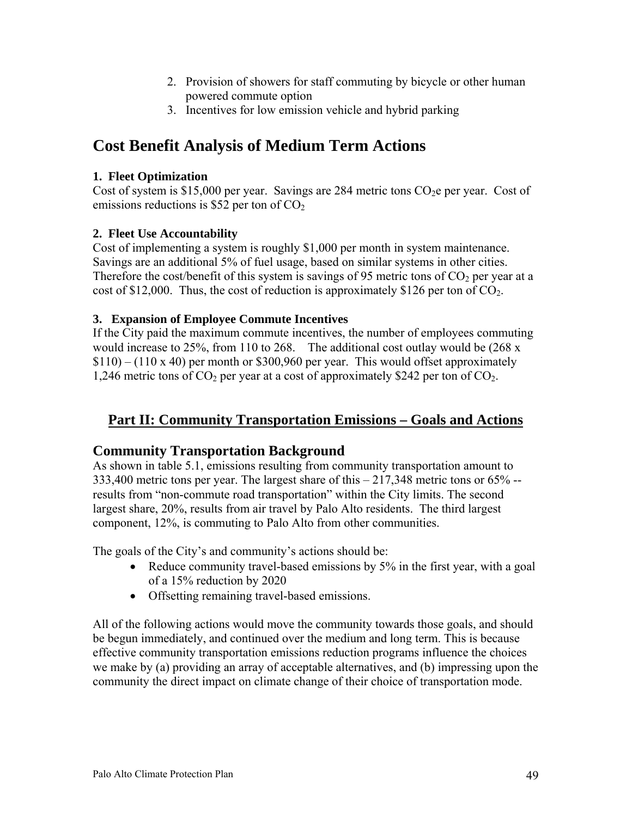- 2. Provision of showers for staff commuting by bicycle or other human powered commute option
- 3. Incentives for low emission vehicle and hybrid parking

# **Cost Benefit Analysis of Medium Term Actions**

# **1. Fleet Optimization**

Cost of system is \$15,000 per year. Savings are 284 metric tons  $CO<sub>2</sub>e$  per year. Cost of emissions reductions is \$52 per ton of  $CO<sub>2</sub>$ 

# **2. Fleet Use Accountability**

Cost of implementing a system is roughly \$1,000 per month in system maintenance. Savings are an additional 5% of fuel usage, based on similar systems in other cities. Therefore the cost/benefit of this system is savings of 95 metric tons of  $CO<sub>2</sub>$  per year at a cost of \$12,000. Thus, the cost of reduction is approximately \$126 per ton of  $CO<sub>2</sub>$ .

# **3. Expansion of Employee Commute Incentives**

If the City paid the maximum commute incentives, the number of employees commuting would increase to 25%, from 110 to 268. The additional cost outlay would be (268 x  $$110$  – (110 x 40) per month or \$300,960 per year. This would offset approximately 1,246 metric tons of  $CO<sub>2</sub>$  per year at a cost of approximately \$242 per ton of  $CO<sub>2</sub>$ .

# **Part II: Community Transportation Emissions – Goals and Actions**

# **Community Transportation Background**

As shown in table 5.1, emissions resulting from community transportation amount to 333,400 metric tons per year. The largest share of this – 217,348 metric tons or 65% - results from "non-commute road transportation" within the City limits. The second largest share, 20%, results from air travel by Palo Alto residents. The third largest component, 12%, is commuting to Palo Alto from other communities.

The goals of the City's and community's actions should be:

- Reduce community travel-based emissions by 5% in the first year, with a goal of a 15% reduction by 2020
- Offsetting remaining travel-based emissions.

All of the following actions would move the community towards those goals, and should be begun immediately, and continued over the medium and long term. This is because effective community transportation emissions reduction programs influence the choices we make by (a) providing an array of acceptable alternatives, and (b) impressing upon the community the direct impact on climate change of their choice of transportation mode.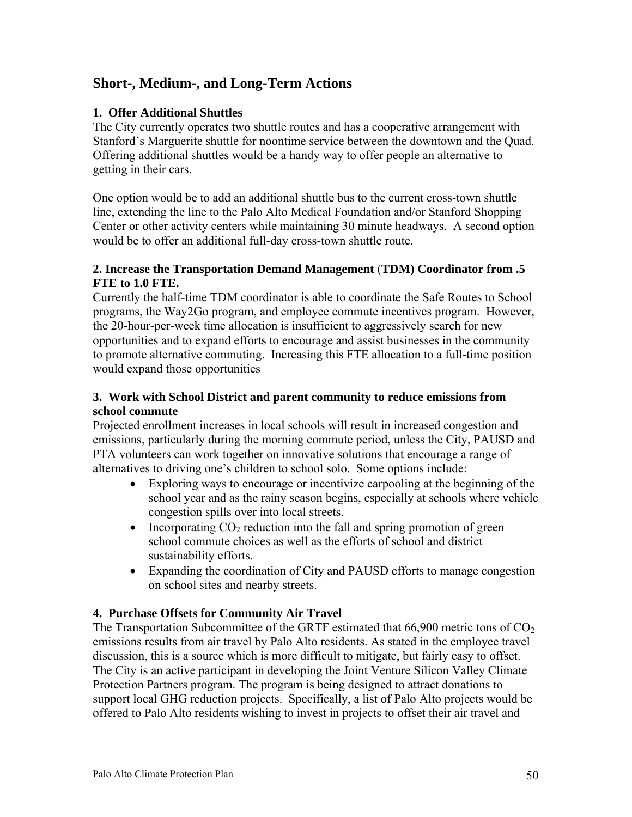# **Short-, Medium-, and Long-Term Actions**

#### **1. Offer Additional Shuttles**

The City currently operates two shuttle routes and has a cooperative arrangement with Stanford's Marguerite shuttle for noontime service between the downtown and the Quad. Offering additional shuttles would be a handy way to offer people an alternative to getting in their cars.

One option would be to add an additional shuttle bus to the current cross-town shuttle line, extending the line to the Palo Alto Medical Foundation and/or Stanford Shopping Center or other activity centers while maintaining 30 minute headways. A second option would be to offer an additional full-day cross-town shuttle route.

#### **2. Increase the Transportation Demand Management** (**TDM) Coordinator from .5 FTE to 1.0 FTE.**

Currently the half-time TDM coordinator is able to coordinate the Safe Routes to School programs, the Way2Go program, and employee commute incentives program. However, the 20-hour-per-week time allocation is insufficient to aggressively search for new opportunities and to expand efforts to encourage and assist businesses in the community to promote alternative commuting. Increasing this FTE allocation to a full-time position would expand those opportunities

#### **3. Work with School District and parent community to reduce emissions from school commute**

Projected enrollment increases in local schools will result in increased congestion and emissions, particularly during the morning commute period, unless the City, PAUSD and PTA volunteers can work together on innovative solutions that encourage a range of alternatives to driving one's children to school solo. Some options include:

- Exploring ways to encourage or incentivize carpooling at the beginning of the school year and as the rainy season begins, especially at schools where vehicle congestion spills over into local streets.
- Incorporating  $CO_2$  reduction into the fall and spring promotion of green school commute choices as well as the efforts of school and district sustainability efforts.
- Expanding the coordination of City and PAUSD efforts to manage congestion on school sites and nearby streets.

#### **4. Purchase Offsets for Community Air Travel**

The Transportation Subcommittee of the GRTF estimated that  $66,900$  metric tons of  $CO<sub>2</sub>$ emissions results from air travel by Palo Alto residents. As stated in the employee travel discussion, this is a source which is more difficult to mitigate, but fairly easy to offset. The City is an active participant in developing the Joint Venture Silicon Valley Climate Protection Partners program. The program is being designed to attract donations to support local GHG reduction projects. Specifically, a list of Palo Alto projects would be offered to Palo Alto residents wishing to invest in projects to offset their air travel and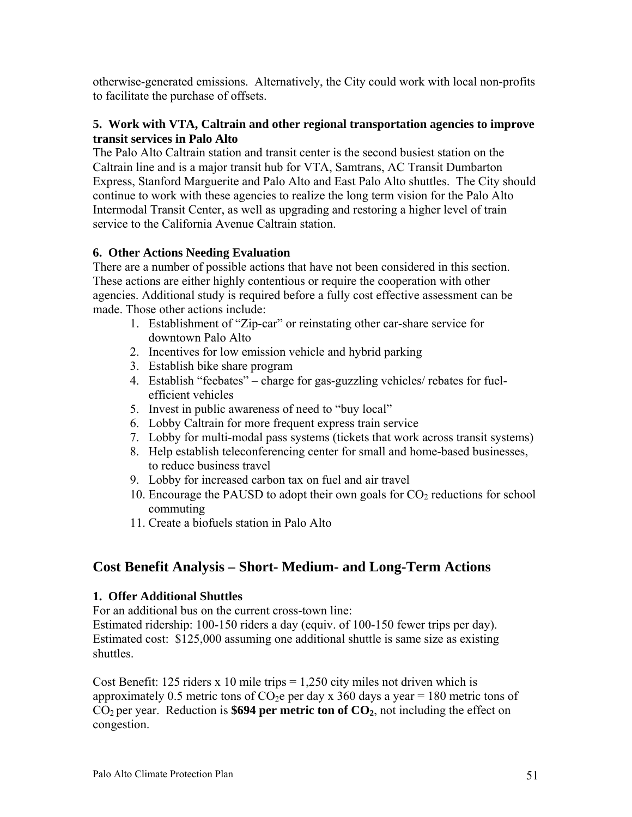otherwise-generated emissions. Alternatively, the City could work with local non-profits to facilitate the purchase of offsets.

#### **5. Work with VTA, Caltrain and other regional transportation agencies to improve transit services in Palo Alto**

The Palo Alto Caltrain station and transit center is the second busiest station on the Caltrain line and is a major transit hub for VTA, Samtrans, AC Transit Dumbarton Express, Stanford Marguerite and Palo Alto and East Palo Alto shuttles. The City should continue to work with these agencies to realize the long term vision for the Palo Alto Intermodal Transit Center, as well as upgrading and restoring a higher level of train service to the California Avenue Caltrain station.

### **6. Other Actions Needing Evaluation**

There are a number of possible actions that have not been considered in this section. These actions are either highly contentious or require the cooperation with other agencies. Additional study is required before a fully cost effective assessment can be made. Those other actions include:

- 1. Establishment of "Zip-car" or reinstating other car-share service for downtown Palo Alto
- 2. Incentives for low emission vehicle and hybrid parking
- 3. Establish bike share program
- 4. Establish "feebates" charge for gas-guzzling vehicles/ rebates for fuelefficient vehicles
- 5. Invest in public awareness of need to "buy local"
- 6. Lobby Caltrain for more frequent express train service
- 7. Lobby for multi-modal pass systems (tickets that work across transit systems)
- 8. Help establish teleconferencing center for small and home-based businesses, to reduce business travel
- 9. Lobby for increased carbon tax on fuel and air travel
- 10. Encourage the PAUSD to adopt their own goals for  $CO<sub>2</sub>$  reductions for school commuting
- 11. Create a biofuels station in Palo Alto

# **Cost Benefit Analysis – Short- Medium- and Long-Term Actions**

#### **1. Offer Additional Shuttles**

For an additional bus on the current cross-town line:

Estimated ridership: 100-150 riders a day (equiv. of 100-150 fewer trips per day). Estimated cost: \$125,000 assuming one additional shuttle is same size as existing shuttles.

Cost Benefit: 125 riders x 10 mile trips  $= 1,250$  city miles not driven which is approximately 0.5 metric tons of  $CO<sub>2</sub>e$  per day x 360 days a year = 180 metric tons of  $CO<sub>2</sub>$  per year. Reduction is **\$694 per metric ton of**  $CO<sub>2</sub>$ , not including the effect on congestion.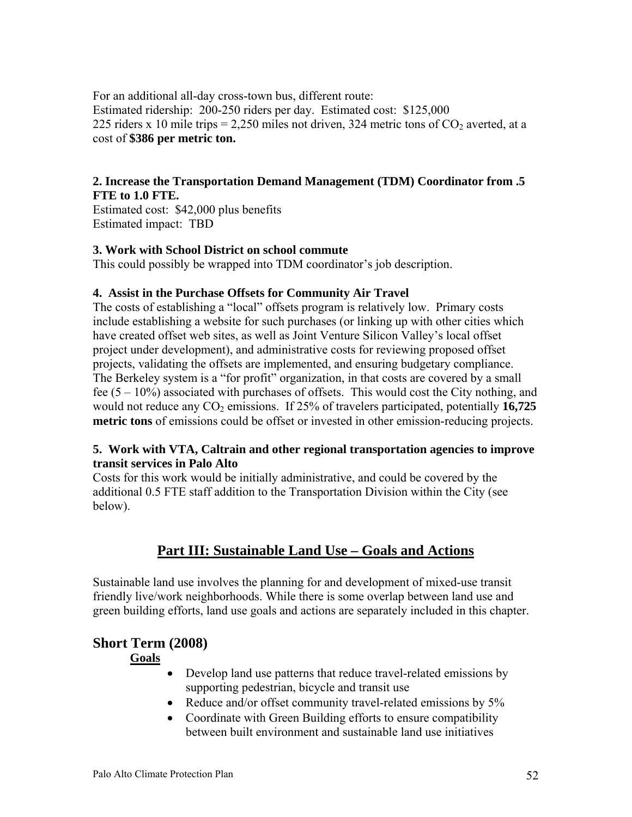For an additional all-day cross-town bus, different route: Estimated ridership: 200-250 riders per day. Estimated cost: \$125,000 225 riders x 10 mile trips = 2,250 miles not driven, 324 metric tons of  $CO_2$  averted, at a cost of **\$386 per metric ton.**

#### **2. Increase the Transportation Demand Management (TDM) Coordinator from .5 FTE to 1.0 FTE.**

Estimated cost: \$42,000 plus benefits Estimated impact: TBD

#### **3. Work with School District on school commute**

This could possibly be wrapped into TDM coordinator's job description.

#### **4. Assist in the Purchase Offsets for Community Air Travel**

The costs of establishing a "local" offsets program is relatively low. Primary costs include establishing a website for such purchases (or linking up with other cities which have created offset web sites, as well as Joint Venture Silicon Valley's local offset project under development), and administrative costs for reviewing proposed offset projects, validating the offsets are implemented, and ensuring budgetary compliance. The Berkeley system is a "for profit" organization, in that costs are covered by a small fee  $(5 - 10\%)$  associated with purchases of offsets. This would cost the City nothing, and would not reduce any CO<sub>2</sub> emissions. If 25% of travelers participated, potentially 16,725 **metric tons** of emissions could be offset or invested in other emission-reducing projects.

#### **5. Work with VTA, Caltrain and other regional transportation agencies to improve transit services in Palo Alto**

Costs for this work would be initially administrative, and could be covered by the additional 0.5 FTE staff addition to the Transportation Division within the City (see below).

# **Part III: Sustainable Land Use – Goals and Actions**

Sustainable land use involves the planning for and development of mixed-use transit friendly live/work neighborhoods. While there is some overlap between land use and green building efforts, land use goals and actions are separately included in this chapter.

# **Short Term (2008)**

 **Goals**

- Develop land use patterns that reduce travel-related emissions by supporting pedestrian, bicycle and transit use
- Reduce and/or offset community travel-related emissions by 5%
- Coordinate with Green Building efforts to ensure compatibility between built environment and sustainable land use initiatives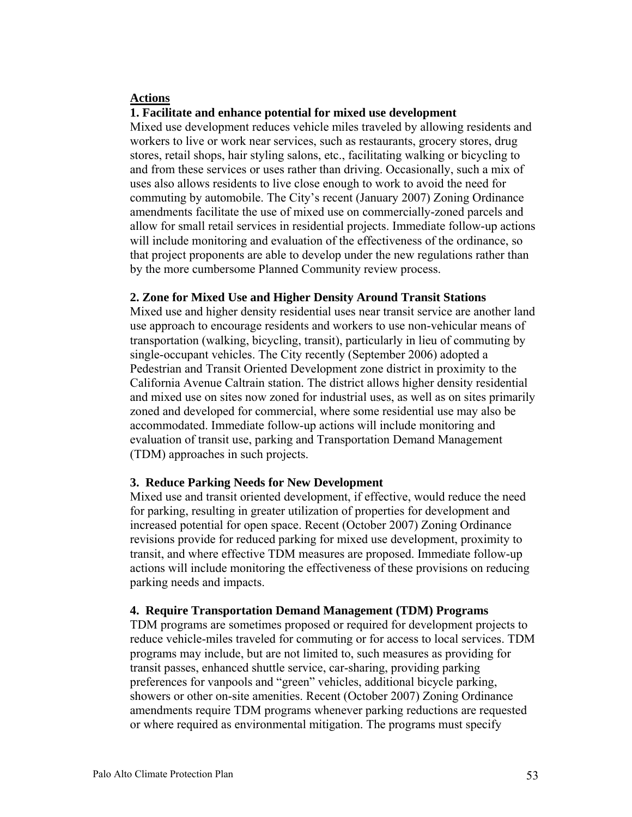#### **Actions**

#### **1. Facilitate and enhance potential for mixed use development**

Mixed use development reduces vehicle miles traveled by allowing residents and workers to live or work near services, such as restaurants, grocery stores, drug stores, retail shops, hair styling salons, etc., facilitating walking or bicycling to and from these services or uses rather than driving. Occasionally, such a mix of uses also allows residents to live close enough to work to avoid the need for commuting by automobile. The City's recent (January 2007) Zoning Ordinance amendments facilitate the use of mixed use on commercially-zoned parcels and allow for small retail services in residential projects. Immediate follow-up actions will include monitoring and evaluation of the effectiveness of the ordinance, so that project proponents are able to develop under the new regulations rather than by the more cumbersome Planned Community review process.

#### **2. Zone for Mixed Use and Higher Density Around Transit Stations**

Mixed use and higher density residential uses near transit service are another land use approach to encourage residents and workers to use non-vehicular means of transportation (walking, bicycling, transit), particularly in lieu of commuting by single-occupant vehicles. The City recently (September 2006) adopted a Pedestrian and Transit Oriented Development zone district in proximity to the California Avenue Caltrain station. The district allows higher density residential and mixed use on sites now zoned for industrial uses, as well as on sites primarily zoned and developed for commercial, where some residential use may also be accommodated. Immediate follow-up actions will include monitoring and evaluation of transit use, parking and Transportation Demand Management (TDM) approaches in such projects.

#### **3. Reduce Parking Needs for New Development**

Mixed use and transit oriented development, if effective, would reduce the need for parking, resulting in greater utilization of properties for development and increased potential for open space. Recent (October 2007) Zoning Ordinance revisions provide for reduced parking for mixed use development, proximity to transit, and where effective TDM measures are proposed. Immediate follow-up actions will include monitoring the effectiveness of these provisions on reducing parking needs and impacts.

#### **4. Require Transportation Demand Management (TDM) Programs**

TDM programs are sometimes proposed or required for development projects to reduce vehicle-miles traveled for commuting or for access to local services. TDM programs may include, but are not limited to, such measures as providing for transit passes, enhanced shuttle service, car-sharing, providing parking preferences for vanpools and "green" vehicles, additional bicycle parking, showers or other on-site amenities. Recent (October 2007) Zoning Ordinance amendments require TDM programs whenever parking reductions are requested or where required as environmental mitigation. The programs must specify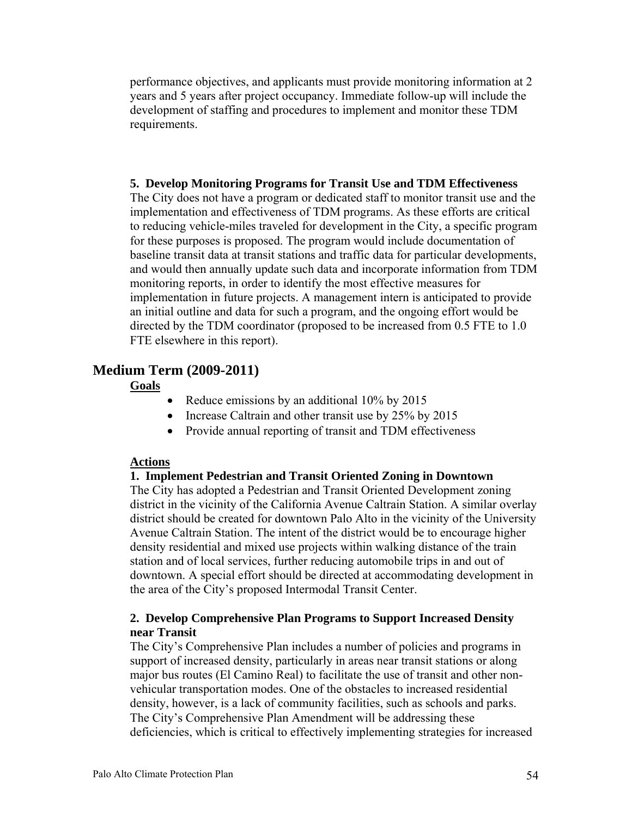performance objectives, and applicants must provide monitoring information at 2 years and 5 years after project occupancy. Immediate follow-up will include the development of staffing and procedures to implement and monitor these TDM requirements.

#### **5. Develop Monitoring Programs for Transit Use and TDM Effectiveness**

The City does not have a program or dedicated staff to monitor transit use and the implementation and effectiveness of TDM programs. As these efforts are critical to reducing vehicle-miles traveled for development in the City, a specific program for these purposes is proposed. The program would include documentation of baseline transit data at transit stations and traffic data for particular developments, and would then annually update such data and incorporate information from TDM monitoring reports, in order to identify the most effective measures for implementation in future projects. A management intern is anticipated to provide an initial outline and data for such a program, and the ongoing effort would be directed by the TDM coordinator (proposed to be increased from 0.5 FTE to 1.0 FTE elsewhere in this report).

#### **Medium Term (2009-2011)**

#### **Goals**

- Reduce emissions by an additional 10% by 2015
- Increase Caltrain and other transit use by 25% by 2015
- Provide annual reporting of transit and TDM effectiveness

#### **Actions**

#### **1. Implement Pedestrian and Transit Oriented Zoning in Downtown**

The City has adopted a Pedestrian and Transit Oriented Development zoning district in the vicinity of the California Avenue Caltrain Station. A similar overlay district should be created for downtown Palo Alto in the vicinity of the University Avenue Caltrain Station. The intent of the district would be to encourage higher density residential and mixed use projects within walking distance of the train station and of local services, further reducing automobile trips in and out of downtown. A special effort should be directed at accommodating development in the area of the City's proposed Intermodal Transit Center.

#### **2. Develop Comprehensive Plan Programs to Support Increased Density near Transit**

The City's Comprehensive Plan includes a number of policies and programs in support of increased density, particularly in areas near transit stations or along major bus routes (El Camino Real) to facilitate the use of transit and other nonvehicular transportation modes. One of the obstacles to increased residential density, however, is a lack of community facilities, such as schools and parks. The City's Comprehensive Plan Amendment will be addressing these deficiencies, which is critical to effectively implementing strategies for increased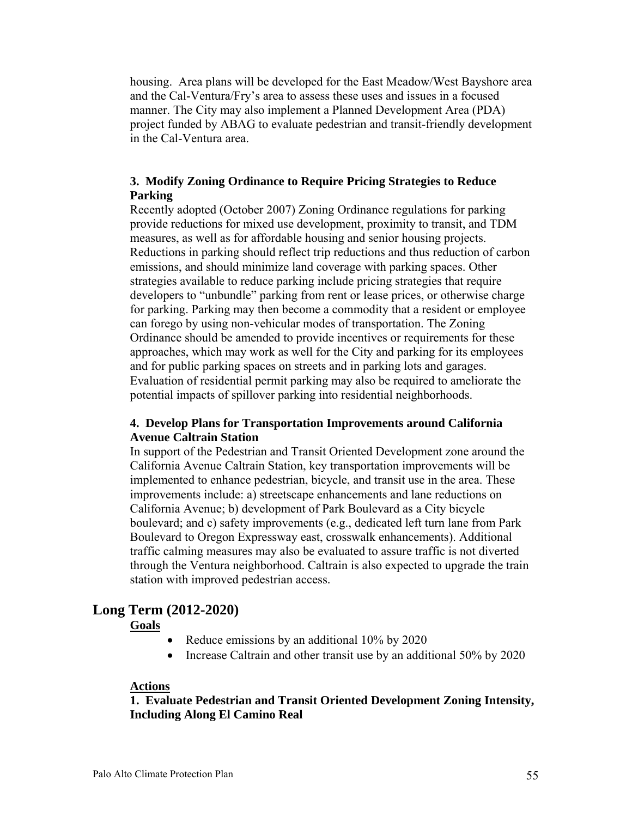housing. Area plans will be developed for the East Meadow/West Bayshore area and the Cal-Ventura/Fry's area to assess these uses and issues in a focused manner. The City may also implement a Planned Development Area (PDA) project funded by ABAG to evaluate pedestrian and transit-friendly development in the Cal-Ventura area.

#### **3. Modify Zoning Ordinance to Require Pricing Strategies to Reduce Parking**

Recently adopted (October 2007) Zoning Ordinance regulations for parking provide reductions for mixed use development, proximity to transit, and TDM measures, as well as for affordable housing and senior housing projects. Reductions in parking should reflect trip reductions and thus reduction of carbon emissions, and should minimize land coverage with parking spaces. Other strategies available to reduce parking include pricing strategies that require developers to "unbundle" parking from rent or lease prices, or otherwise charge for parking. Parking may then become a commodity that a resident or employee can forego by using non-vehicular modes of transportation. The Zoning Ordinance should be amended to provide incentives or requirements for these approaches, which may work as well for the City and parking for its employees and for public parking spaces on streets and in parking lots and garages. Evaluation of residential permit parking may also be required to ameliorate the potential impacts of spillover parking into residential neighborhoods.

#### **4. Develop Plans for Transportation Improvements around California Avenue Caltrain Station**

In support of the Pedestrian and Transit Oriented Development zone around the California Avenue Caltrain Station, key transportation improvements will be implemented to enhance pedestrian, bicycle, and transit use in the area. These improvements include: a) streetscape enhancements and lane reductions on California Avenue; b) development of Park Boulevard as a City bicycle boulevard; and c) safety improvements (e.g., dedicated left turn lane from Park Boulevard to Oregon Expressway east, crosswalk enhancements). Additional traffic calming measures may also be evaluated to assure traffic is not diverted through the Ventura neighborhood. Caltrain is also expected to upgrade the train station with improved pedestrian access.

# **Long Term (2012-2020)**

#### **Goals**

- Reduce emissions by an additional 10% by 2020
- Increase Caltrain and other transit use by an additional 50% by 2020

#### **Actions**

#### **1. Evaluate Pedestrian and Transit Oriented Development Zoning Intensity, Including Along El Camino Real**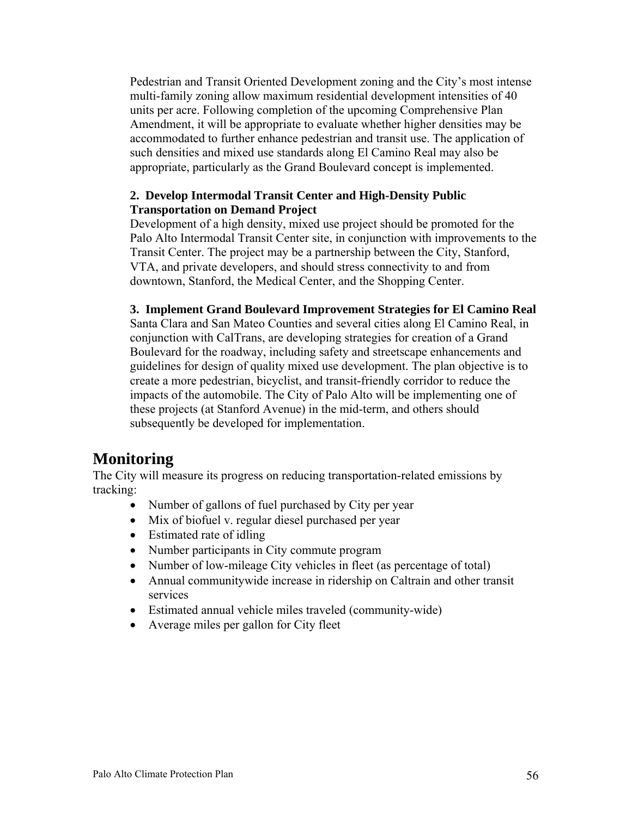Pedestrian and Transit Oriented Development zoning and the City's most intense multi-family zoning allow maximum residential development intensities of 40 units per acre. Following completion of the upcoming Comprehensive Plan Amendment, it will be appropriate to evaluate whether higher densities may be accommodated to further enhance pedestrian and transit use. The application of such densities and mixed use standards along El Camino Real may also be appropriate, particularly as the Grand Boulevard concept is implemented.

#### **2. Develop Intermodal Transit Center and High-Density Public Transportation on Demand Project**

Development of a high density, mixed use project should be promoted for the Palo Alto Intermodal Transit Center site, in conjunction with improvements to the Transit Center. The project may be a partnership between the City, Stanford, VTA, and private developers, and should stress connectivity to and from downtown, Stanford, the Medical Center, and the Shopping Center.

#### **3. Implement Grand Boulevard Improvement Strategies for El Camino Real**

Santa Clara and San Mateo Counties and several cities along El Camino Real, in conjunction with CalTrans, are developing strategies for creation of a Grand Boulevard for the roadway, including safety and streetscape enhancements and guidelines for design of quality mixed use development. The plan objective is to create a more pedestrian, bicyclist, and transit-friendly corridor to reduce the impacts of the automobile. The City of Palo Alto will be implementing one of these projects (at Stanford Avenue) in the mid-term, and others should subsequently be developed for implementation.

# **Monitoring**

The City will measure its progress on reducing transportation-related emissions by tracking:

- Number of gallons of fuel purchased by City per year
- Mix of biofuel v. regular diesel purchased per year
- Estimated rate of idling
- Number participants in City commute program
- Number of low-mileage City vehicles in fleet (as percentage of total)
- Annual communitywide increase in ridership on Caltrain and other transit services
- Estimated annual vehicle miles traveled (community-wide)
- Average miles per gallon for City fleet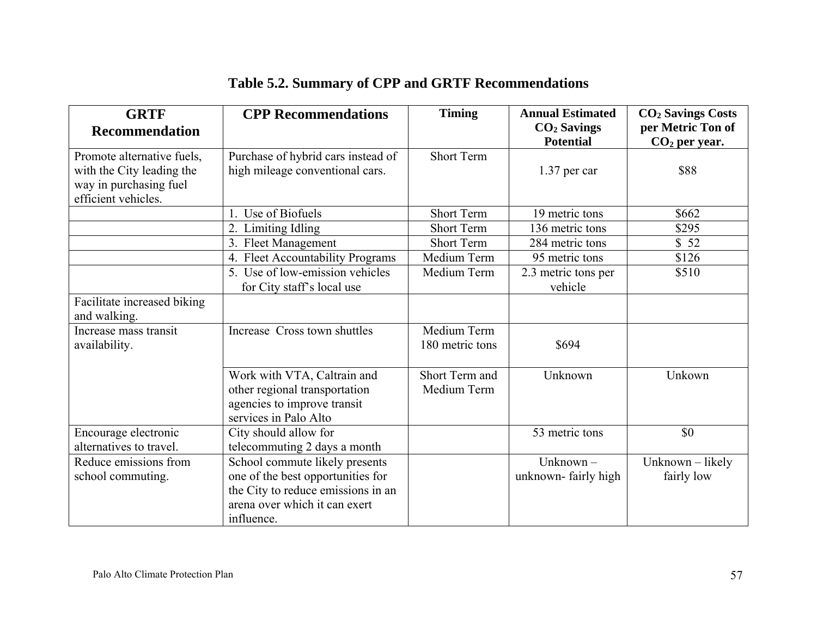| <b>GRTF</b><br><b>Recommendation</b>                                                                     | <b>CPP Recommendations</b>                                                                                             | <b>Timing</b>                  | <b>Annual Estimated</b><br>$CO2$ Savings<br><b>Potential</b> | <b>CO<sub>2</sub> Savings Costs</b><br>per Metric Ton of<br>$CO2$ per year. |
|----------------------------------------------------------------------------------------------------------|------------------------------------------------------------------------------------------------------------------------|--------------------------------|--------------------------------------------------------------|-----------------------------------------------------------------------------|
| Promote alternative fuels,<br>with the City leading the<br>way in purchasing fuel<br>efficient vehicles. | Purchase of hybrid cars instead of<br>high mileage conventional cars.                                                  | Short Term                     | $1.37$ per car                                               | \$88                                                                        |
|                                                                                                          | 1. Use of Biofuels                                                                                                     | Short Term                     | 19 metric tons                                               | \$662                                                                       |
|                                                                                                          | 2. Limiting Idling                                                                                                     | <b>Short Term</b>              | 136 metric tons                                              | \$295                                                                       |
|                                                                                                          | 3. Fleet Management                                                                                                    | <b>Short Term</b>              | 284 metric tons                                              | \$52                                                                        |
|                                                                                                          | 4. Fleet Accountability Programs                                                                                       | Medium Term                    | 95 metric tons                                               | \$126                                                                       |
|                                                                                                          | 5. Use of low-emission vehicles<br>for City staff's local use                                                          | Medium Term                    | 2.3 metric tons per<br>vehicle                               | \$510                                                                       |
| Facilitate increased biking<br>and walking.                                                              |                                                                                                                        |                                |                                                              |                                                                             |
| Increase mass transit<br>availability.                                                                   | Increase Cross town shuttles                                                                                           | Medium Term<br>180 metric tons | \$694                                                        |                                                                             |
|                                                                                                          | Work with VTA, Caltrain and<br>other regional transportation<br>agencies to improve transit<br>services in Palo Alto   | Short Term and<br>Medium Term  | Unknown                                                      | Unkown                                                                      |
| Encourage electronic                                                                                     | City should allow for                                                                                                  |                                | 53 metric tons                                               | \$0                                                                         |
| alternatives to travel.                                                                                  | telecommuting 2 days a month                                                                                           |                                |                                                              |                                                                             |
| Reduce emissions from                                                                                    | School commute likely presents                                                                                         |                                | Unknown $-$                                                  | Unknown - likely                                                            |
| school commuting.                                                                                        | one of the best opportunities for<br>the City to reduce emissions in an<br>arena over which it can exert<br>influence. |                                | unknown-fairly high                                          | fairly low                                                                  |

# **Table 5.2. Summary of CPP and GRTF Recommendations**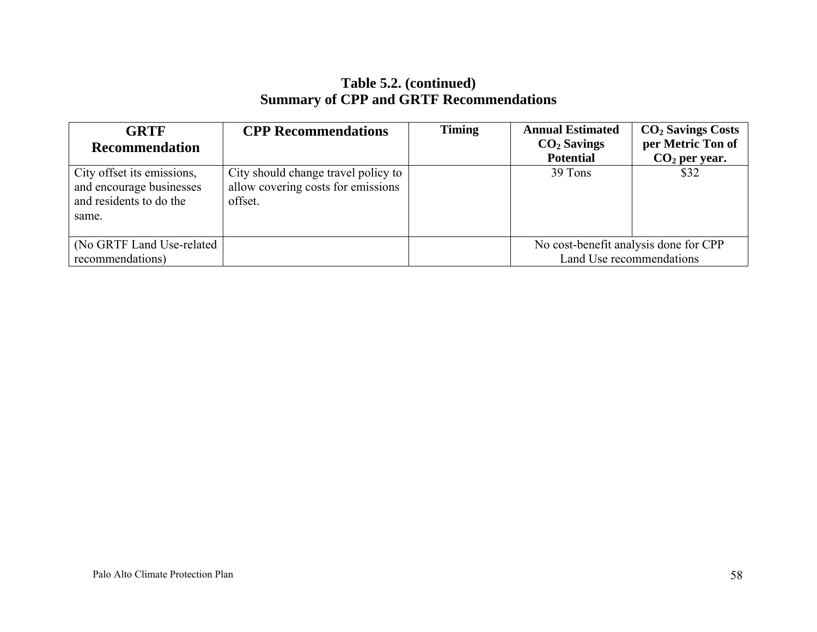# **Table 5.2. (continued) Summary of CPP and GRTF Recommendations**

| <b>GRTF</b><br>Recommendation                                                              | <b>CPP</b> Recommendations                                                           | <b>Timing</b> | <b>Annual Estimated</b><br>$CO2$ Savings<br><b>Potential</b>      | $CO2$ Savings Costs<br>per Metric Ton of<br>$CO2$ per year. |
|--------------------------------------------------------------------------------------------|--------------------------------------------------------------------------------------|---------------|-------------------------------------------------------------------|-------------------------------------------------------------|
| City offset its emissions,<br>and encourage businesses<br>and residents to do the<br>same. | City should change travel policy to<br>allow covering costs for emissions<br>offset. |               | 39 Tons                                                           | \$32                                                        |
| (No GRTF Land Use-related)<br>recommendations)                                             |                                                                                      |               | No cost-benefit analysis done for CPP<br>Land Use recommendations |                                                             |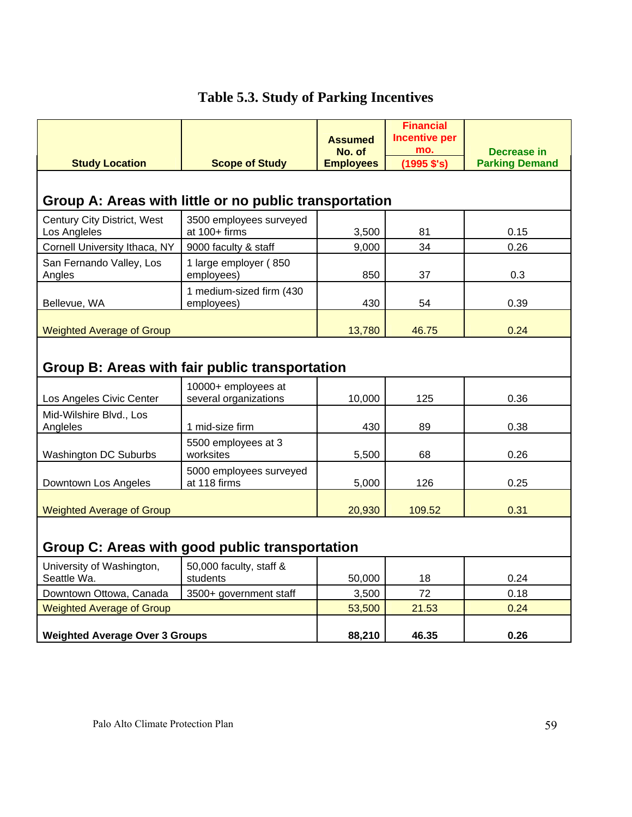| <b>Study Location</b>                                  | <b>Scope of Study</b>                        | <b>Assumed</b><br>No. of<br><b>Employees</b> | <b>Financial</b><br><b>Incentive per</b><br>mo.<br>$(1995$ $$'s)$ | Decrease in<br><b>Parking Demand</b> |
|--------------------------------------------------------|----------------------------------------------|----------------------------------------------|-------------------------------------------------------------------|--------------------------------------|
|                                                        |                                              |                                              |                                                                   |                                      |
| Group A: Areas with little or no public transportation |                                              |                                              |                                                                   |                                      |
| Century City District, West<br>Los Angleles            | 3500 employees surveyed<br>at $100+$ firms   | 3,500                                        | 81                                                                | 0.15                                 |
| Cornell University Ithaca, NY                          | 9000 faculty & staff                         | 9,000                                        | 34                                                                | 0.26                                 |
| San Fernando Valley, Los<br>Angles                     | 1 large employer (850<br>employees)          | 850                                          | 37                                                                | 0.3                                  |
| Bellevue, WA                                           | 1 medium-sized firm (430<br>employees)       | 430                                          | 54                                                                | 0.39                                 |
| <b>Weighted Average of Group</b>                       |                                              | 13,780                                       | 46.75                                                             | 0.24                                 |
| Group B: Areas with fair public transportation         |                                              |                                              |                                                                   |                                      |
| Los Angeles Civic Center                               | 10000+ employees at<br>several organizations | 10,000                                       | 125                                                               | 0.36                                 |
| Mid-Wilshire Blvd., Los<br>Angleles                    | 1 mid-size firm                              | 430                                          | 89                                                                | 0.38                                 |
| <b>Washington DC Suburbs</b>                           | 5500 employees at 3<br>worksites             | 5,500                                        | 68                                                                | 0.26                                 |
| Downtown Los Angeles                                   | 5000 employees surveyed<br>at 118 firms      | 5,000                                        | 126                                                               | 0.25                                 |
| <b>Weighted Average of Group</b>                       |                                              | 20,930                                       | 109.52                                                            | 0.31                                 |

# **Table 5.3. Study of Parking Incentives**

# **Group C: Areas with good public transportation**

| University of Washington,<br>Seattle Wa. | 50,000 faculty, staff &<br>students | 50,000 | 18    | 0.24 |
|------------------------------------------|-------------------------------------|--------|-------|------|
| Downtown Ottowa, Canada                  | 3500+ government staff              | 3,500  | 72    | 0.18 |
| <b>Weighted Average of Group</b>         |                                     | 53,500 | 21.53 | 0.24 |
| <b>Weighted Average Over 3 Groups</b>    |                                     | 88.210 | 46.35 | 0.26 |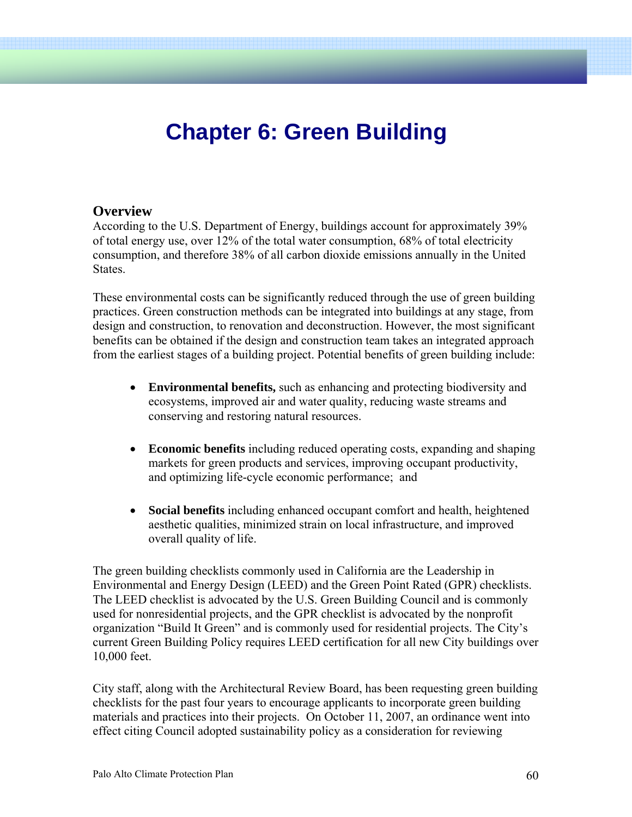# **Chapter 6: Green Building**

### **Overview**

According to the U.S. Department of Energy, buildings account for approximately 39% of total energy use, over 12% of the total water consumption, 68% of total electricity consumption, and therefore 38% of all carbon dioxide emissions annually in the United **States**.

These environmental costs can be significantly reduced through the use of green building practices. Green construction methods can be integrated into buildings at any stage, from design and construction, to renovation and deconstruction. However, the most significant benefits can be obtained if the design and construction team takes an integrated approach from the earliest stages of a building project. Potential benefits of green building include:

- **Environmental benefits,** such as enhancing and protecting biodiversity and ecosystems, improved air and water quality, reducing waste streams and conserving and restoring natural resources.
- **Economic benefits** including reduced operating costs, expanding and shaping markets for green products and services, improving occupant productivity, and optimizing life-cycle economic performance; and
- **Social benefits** including enhanced occupant comfort and health, heightened aesthetic qualities, minimized strain on local infrastructure, and improved overall quality of life.

The green building checklists commonly used in California are the Leadership in Environmental and Energy Design (LEED) and the Green Point Rated (GPR) checklists. The LEED checklist is advocated by the U.S. Green Building Council and is commonly used for nonresidential projects, and the GPR checklist is advocated by the nonprofit organization "Build It Green" and is commonly used for residential projects. The City's current Green Building Policy requires LEED certification for all new City buildings over 10,000 feet.

City staff, along with the Architectural Review Board, has been requesting green building checklists for the past four years to encourage applicants to incorporate green building materials and practices into their projects. On October 11, 2007, an ordinance went into effect citing Council adopted sustainability policy as a consideration for reviewing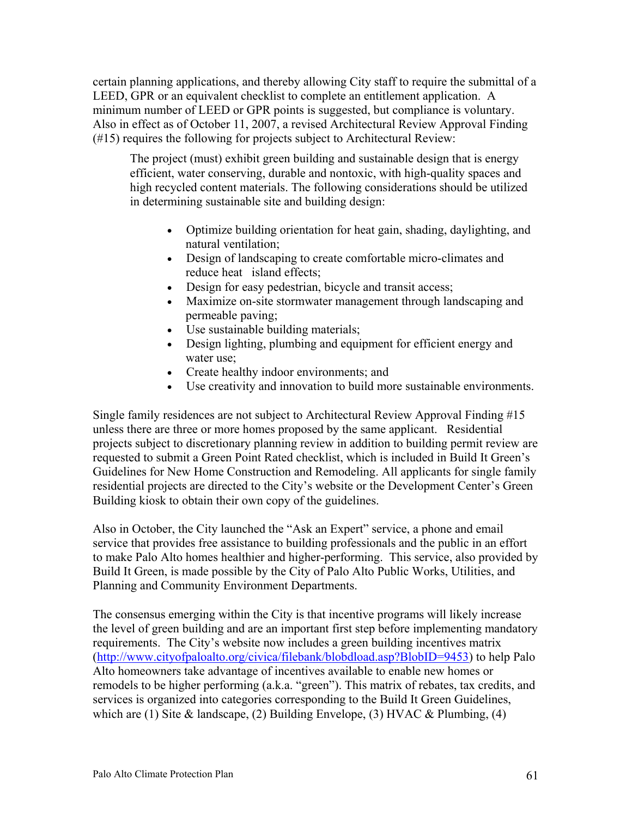certain planning applications, and thereby allowing City staff to require the submittal of a LEED, GPR or an equivalent checklist to complete an entitlement application. A minimum number of LEED or GPR points is suggested, but compliance is voluntary. Also in effect as of October 11, 2007, a revised Architectural Review Approval Finding (#15) requires the following for projects subject to Architectural Review:

The project (must) exhibit green building and sustainable design that is energy efficient, water conserving, durable and nontoxic, with high-quality spaces and high recycled content materials. The following considerations should be utilized in determining sustainable site and building design:

- Optimize building orientation for heat gain, shading, daylighting, and natural ventilation;
- Design of landscaping to create comfortable micro-climates and reduce heat island effects;
- Design for easy pedestrian, bicycle and transit access;
- Maximize on-site stormwater management through landscaping and permeable paving;
- Use sustainable building materials;
- Design lighting, plumbing and equipment for efficient energy and water use;
- Create healthy indoor environments; and
- Use creativity and innovation to build more sustainable environments.

Single family residences are not subject to Architectural Review Approval Finding #15 unless there are three or more homes proposed by the same applicant. Residential projects subject to discretionary planning review in addition to building permit review are requested to submit a Green Point Rated checklist, which is included in Build It Green's Guidelines for New Home Construction and Remodeling. All applicants for single family residential projects are directed to the City's website or the Development Center's Green Building kiosk to obtain their own copy of the guidelines.

Also in October, the City launched the "Ask an Expert" service, a phone and email service that provides free assistance to building professionals and the public in an effort to make Palo Alto homes healthier and higher-performing. This service, also provided by Build It Green, is made possible by the City of Palo Alto Public Works, Utilities, and Planning and Community Environment Departments.

The consensus emerging within the City is that incentive programs will likely increase the level of green building and are an important first step before implementing mandatory requirements. The City's website now includes a green building incentives matrix (http://www.cityofpaloalto.org/civica/filebank/blobdload.asp?BlobID=9453) to help Palo Alto homeowners take advantage of incentives available to enable new homes or remodels to be higher performing (a.k.a. "green"). This matrix of rebates, tax credits, and services is organized into categories corresponding to the Build It Green Guidelines, which are (1) Site & landscape, (2) Building Envelope, (3) HVAC & Plumbing, (4)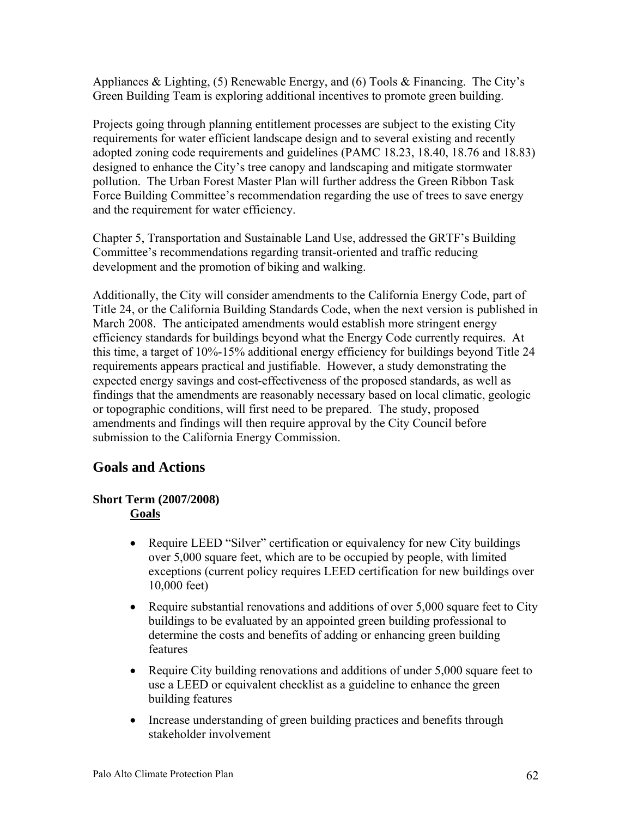Appliances & Lighting, (5) Renewable Energy, and (6) Tools & Financing. The City's Green Building Team is exploring additional incentives to promote green building.

Projects going through planning entitlement processes are subject to the existing City requirements for water efficient landscape design and to several existing and recently adopted zoning code requirements and guidelines (PAMC 18.23, 18.40, 18.76 and 18.83) designed to enhance the City's tree canopy and landscaping and mitigate stormwater pollution. The Urban Forest Master Plan will further address the Green Ribbon Task Force Building Committee's recommendation regarding the use of trees to save energy and the requirement for water efficiency.

Chapter 5, Transportation and Sustainable Land Use, addressed the GRTF's Building Committee's recommendations regarding transit-oriented and traffic reducing development and the promotion of biking and walking.

Additionally, the City will consider amendments to the California Energy Code, part of Title 24, or the California Building Standards Code, when the next version is published in March 2008. The anticipated amendments would establish more stringent energy efficiency standards for buildings beyond what the Energy Code currently requires. At this time, a target of 10%-15% additional energy efficiency for buildings beyond Title 24 requirements appears practical and justifiable. However, a study demonstrating the expected energy savings and cost-effectiveness of the proposed standards, as well as findings that the amendments are reasonably necessary based on local climatic, geologic or topographic conditions, will first need to be prepared. The study, proposed amendments and findings will then require approval by the City Council before submission to the California Energy Commission.

# **Goals and Actions**

#### **Short Term (2007/2008) Goals**

- Require LEED "Silver" certification or equivalency for new City buildings over 5,000 square feet, which are to be occupied by people, with limited exceptions (current policy requires LEED certification for new buildings over 10,000 feet)
- Require substantial renovations and additions of over 5,000 square feet to City buildings to be evaluated by an appointed green building professional to determine the costs and benefits of adding or enhancing green building features
- Require City building renovations and additions of under 5,000 square feet to use a LEED or equivalent checklist as a guideline to enhance the green building features
- Increase understanding of green building practices and benefits through stakeholder involvement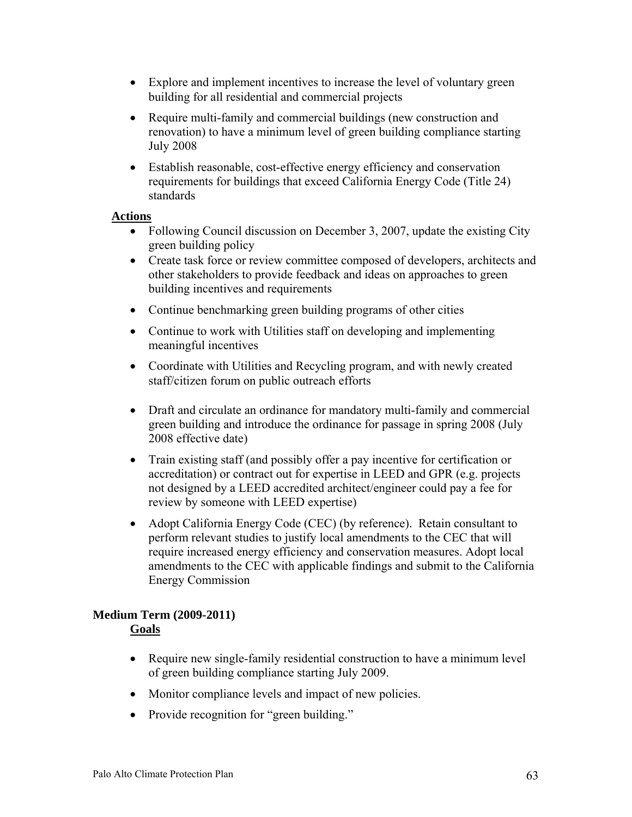- Explore and implement incentives to increase the level of voluntary green building for all residential and commercial projects
- Require multi-family and commercial buildings (new construction and renovation) to have a minimum level of green building compliance starting July 2008
- Establish reasonable, cost-effective energy efficiency and conservation requirements for buildings that exceed California Energy Code (Title 24) standards

#### **Actions**

- Following Council discussion on December 3, 2007, update the existing City green building policy
- Create task force or review committee composed of developers, architects and other stakeholders to provide feedback and ideas on approaches to green building incentives and requirements
- Continue benchmarking green building programs of other cities
- Continue to work with Utilities staff on developing and implementing meaningful incentives
- Coordinate with Utilities and Recycling program, and with newly created staff/citizen forum on public outreach efforts
- Draft and circulate an ordinance for mandatory multi-family and commercial green building and introduce the ordinance for passage in spring 2008 (July 2008 effective date)
- Train existing staff (and possibly offer a pay incentive for certification or accreditation) or contract out for expertise in LEED and GPR (e.g. projects not designed by a LEED accredited architect/engineer could pay a fee for review by someone with LEED expertise)
- Adopt California Energy Code (CEC) (by reference). Retain consultant to perform relevant studies to justify local amendments to the CEC that will require increased energy efficiency and conservation measures. Adopt local amendments to the CEC with applicable findings and submit to the California Energy Commission

#### **Medium Term (2009-2011) Goals**

- Require new single-family residential construction to have a minimum level of green building compliance starting July 2009.
- Monitor compliance levels and impact of new policies.
- Provide recognition for "green building."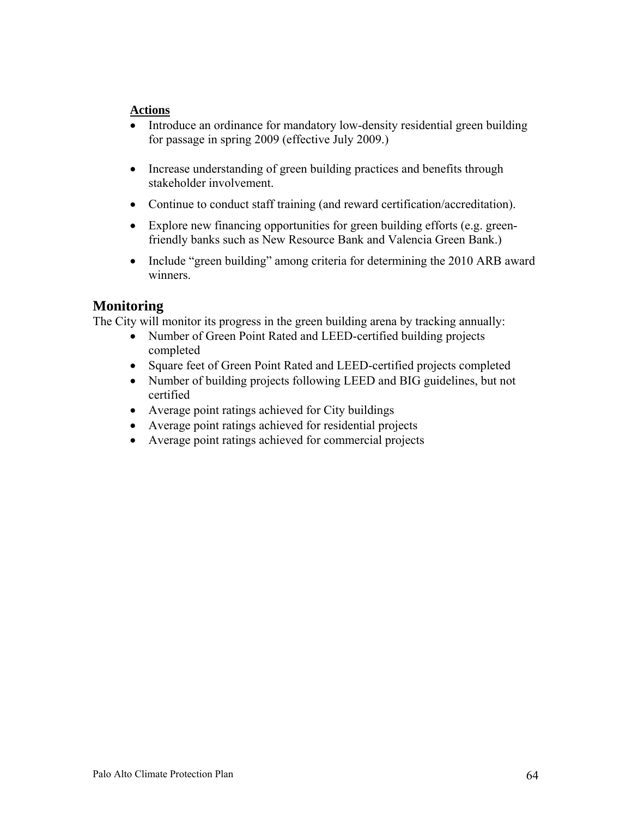#### **Actions**

- Introduce an ordinance for mandatory low-density residential green building for passage in spring 2009 (effective July 2009.)
- Increase understanding of green building practices and benefits through stakeholder involvement.
- Continue to conduct staff training (and reward certification/accreditation).
- Explore new financing opportunities for green building efforts (e.g. greenfriendly banks such as New Resource Bank and Valencia Green Bank.)
- Include "green building" among criteria for determining the 2010 ARB award winners.

# **Monitoring**

The City will monitor its progress in the green building arena by tracking annually:

- Number of Green Point Rated and LEED-certified building projects completed
- Square feet of Green Point Rated and LEED-certified projects completed
- Number of building projects following LEED and BIG guidelines, but not certified
- Average point ratings achieved for City buildings
- Average point ratings achieved for residential projects
- Average point ratings achieved for commercial projects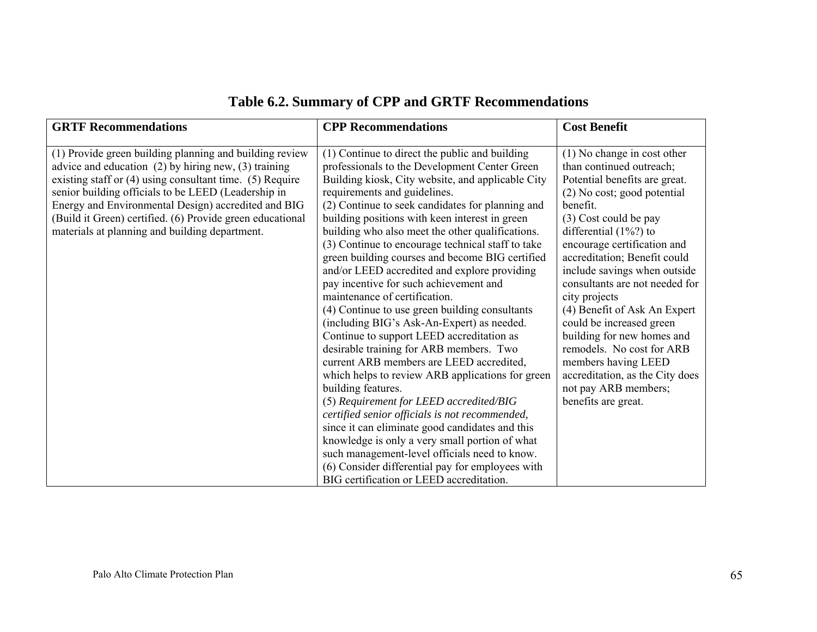# **Table 6.2. Summary of CPP and GRTF Recommendations**

| <b>GRTF Recommendations</b>                                                                                                                                                                                                                                                                                                                                                                                      | <b>CPP Recommendations</b>                                                                                                                                                                                                                                                                                                                                                                                                                                                                                                                                                                                                                                                                                                                                                                                                                                                                                                                                                                                                                                                                                                                                                                                                                         | <b>Cost Benefit</b>                                                                                                                                                                                                                                                                                                                                                                                                                                                                                                                                                         |
|------------------------------------------------------------------------------------------------------------------------------------------------------------------------------------------------------------------------------------------------------------------------------------------------------------------------------------------------------------------------------------------------------------------|----------------------------------------------------------------------------------------------------------------------------------------------------------------------------------------------------------------------------------------------------------------------------------------------------------------------------------------------------------------------------------------------------------------------------------------------------------------------------------------------------------------------------------------------------------------------------------------------------------------------------------------------------------------------------------------------------------------------------------------------------------------------------------------------------------------------------------------------------------------------------------------------------------------------------------------------------------------------------------------------------------------------------------------------------------------------------------------------------------------------------------------------------------------------------------------------------------------------------------------------------|-----------------------------------------------------------------------------------------------------------------------------------------------------------------------------------------------------------------------------------------------------------------------------------------------------------------------------------------------------------------------------------------------------------------------------------------------------------------------------------------------------------------------------------------------------------------------------|
| (1) Provide green building planning and building review<br>advice and education $(2)$ by hiring new, $(3)$ training<br>existing staff or $(4)$ using consultant time. $(5)$ Require<br>senior building officials to be LEED (Leadership in<br>Energy and Environmental Design) accredited and BIG<br>(Build it Green) certified. (6) Provide green educational<br>materials at planning and building department. | (1) Continue to direct the public and building<br>professionals to the Development Center Green<br>Building kiosk, City website, and applicable City<br>requirements and guidelines.<br>(2) Continue to seek candidates for planning and<br>building positions with keen interest in green<br>building who also meet the other qualifications.<br>(3) Continue to encourage technical staff to take<br>green building courses and become BIG certified<br>and/or LEED accredited and explore providing<br>pay incentive for such achievement and<br>maintenance of certification.<br>(4) Continue to use green building consultants<br>(including BIG's Ask-An-Expert) as needed.<br>Continue to support LEED accreditation as<br>desirable training for ARB members. Two<br>current ARB members are LEED accredited,<br>which helps to review ARB applications for green<br>building features.<br>(5) Requirement for LEED accredited/BIG<br>certified senior officials is not recommended,<br>since it can eliminate good candidates and this<br>knowledge is only a very small portion of what<br>such management-level officials need to know.<br>(6) Consider differential pay for employees with<br>BIG certification or LEED accreditation. | $(1)$ No change in cost other<br>than continued outreach;<br>Potential benefits are great.<br>(2) No cost; good potential<br>benefit.<br>(3) Cost could be pay<br>differential $(1\%)$ to<br>encourage certification and<br>accreditation; Benefit could<br>include savings when outside<br>consultants are not needed for<br>city projects<br>(4) Benefit of Ask An Expert<br>could be increased green<br>building for new homes and<br>remodels. No cost for ARB<br>members having LEED<br>accreditation, as the City does<br>not pay ARB members;<br>benefits are great. |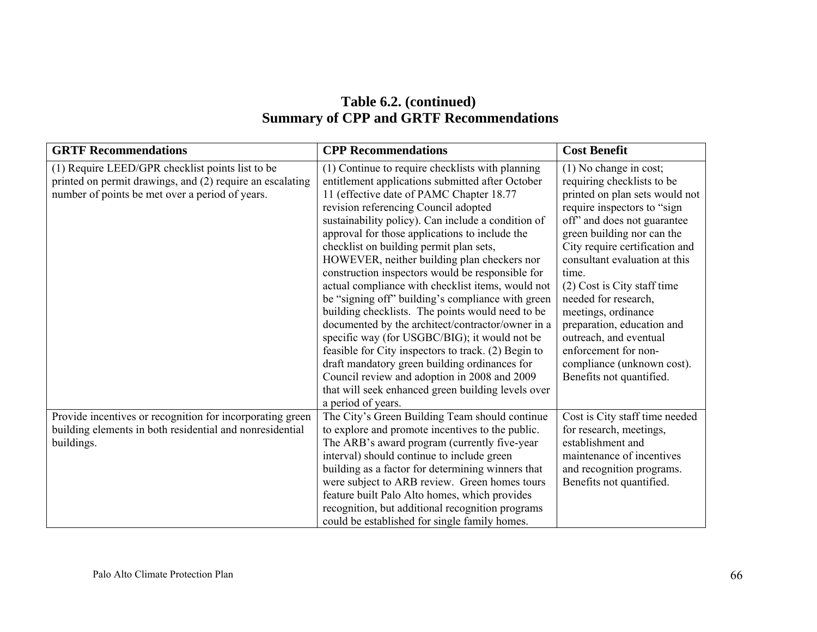# **Table 6.2. (continued) Summary of CPP and GRTF Recommendations**

| <b>GRTF Recommendations</b>                                                                                                                                      | <b>CPP Recommendations</b>                                                                                                                                                                                                                                                                                                                                                                                                                                                                                                                                                                                                                                        | <b>Cost Benefit</b>                                                                                                                                                                                                                                                                                                                                                          |
|------------------------------------------------------------------------------------------------------------------------------------------------------------------|-------------------------------------------------------------------------------------------------------------------------------------------------------------------------------------------------------------------------------------------------------------------------------------------------------------------------------------------------------------------------------------------------------------------------------------------------------------------------------------------------------------------------------------------------------------------------------------------------------------------------------------------------------------------|------------------------------------------------------------------------------------------------------------------------------------------------------------------------------------------------------------------------------------------------------------------------------------------------------------------------------------------------------------------------------|
| (1) Require LEED/GPR checklist points list to be<br>printed on permit drawings, and (2) require an escalating<br>number of points be met over a period of years. | (1) Continue to require checklists with planning<br>entitlement applications submitted after October<br>11 (effective date of PAMC Chapter 18.77<br>revision referencing Council adopted<br>sustainability policy). Can include a condition of<br>approval for those applications to include the<br>checklist on building permit plan sets,<br>HOWEVER, neither building plan checkers nor<br>construction inspectors would be responsible for<br>actual compliance with checklist items, would not<br>be "signing off" building's compliance with green<br>building checklists. The points would need to be<br>documented by the architect/contractor/owner in a | $(1)$ No change in cost;<br>requiring checklists to be<br>printed on plan sets would not<br>require inspectors to "sign<br>off" and does not guarantee<br>green building nor can the<br>City require certification and<br>consultant evaluation at this<br>time.<br>(2) Cost is City staff time<br>needed for research,<br>meetings, ordinance<br>preparation, education and |
|                                                                                                                                                                  | specific way (for USGBC/BIG); it would not be<br>feasible for City inspectors to track. (2) Begin to<br>draft mandatory green building ordinances for<br>Council review and adoption in 2008 and 2009                                                                                                                                                                                                                                                                                                                                                                                                                                                             | outreach, and eventual<br>enforcement for non-<br>compliance (unknown cost).<br>Benefits not quantified.                                                                                                                                                                                                                                                                     |
|                                                                                                                                                                  | that will seek enhanced green building levels over<br>a period of years.                                                                                                                                                                                                                                                                                                                                                                                                                                                                                                                                                                                          |                                                                                                                                                                                                                                                                                                                                                                              |
| Provide incentives or recognition for incorporating green<br>building elements in both residential and nonresidential<br>buildings.                              | The City's Green Building Team should continue<br>to explore and promote incentives to the public.<br>The ARB's award program (currently five-year<br>interval) should continue to include green<br>building as a factor for determining winners that<br>were subject to ARB review. Green homes tours<br>feature built Palo Alto homes, which provides<br>recognition, but additional recognition programs<br>could be established for single family homes.                                                                                                                                                                                                      | Cost is City staff time needed<br>for research, meetings,<br>establishment and<br>maintenance of incentives<br>and recognition programs.<br>Benefits not quantified.                                                                                                                                                                                                         |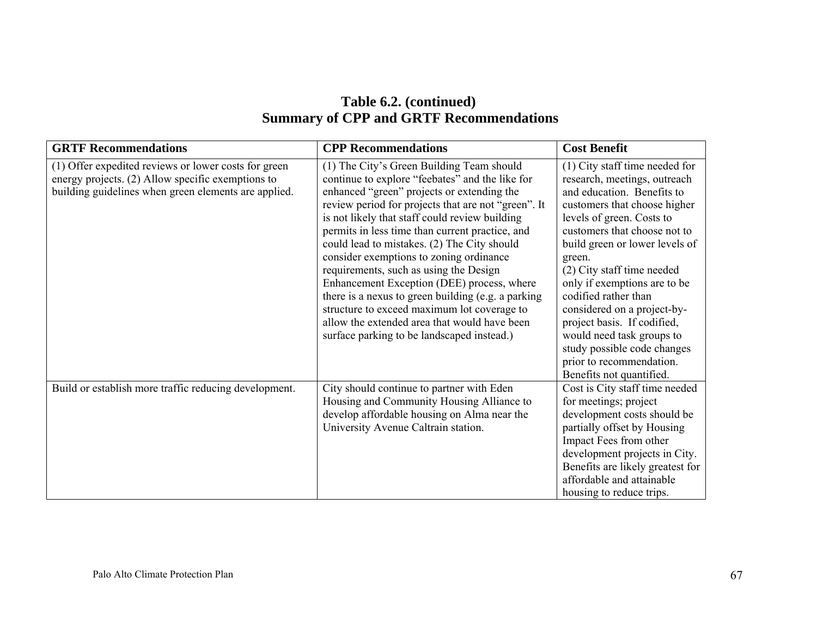# **Table 6.2. (continued) Summary of CPP and GRTF Recommendations**

| <b>GRTF Recommendations</b>                                                                                                                                       | <b>CPP Recommendations</b>                                                                                                                                                                                                                                                                                                                                                                                                                                                                                                                                                                                                                                                                  | <b>Cost Benefit</b>                                                                                                                                                                                                                                                                                                                                                                                                                                                                                             |
|-------------------------------------------------------------------------------------------------------------------------------------------------------------------|---------------------------------------------------------------------------------------------------------------------------------------------------------------------------------------------------------------------------------------------------------------------------------------------------------------------------------------------------------------------------------------------------------------------------------------------------------------------------------------------------------------------------------------------------------------------------------------------------------------------------------------------------------------------------------------------|-----------------------------------------------------------------------------------------------------------------------------------------------------------------------------------------------------------------------------------------------------------------------------------------------------------------------------------------------------------------------------------------------------------------------------------------------------------------------------------------------------------------|
| (1) Offer expedited reviews or lower costs for green<br>energy projects. (2) Allow specific exemptions to<br>building guidelines when green elements are applied. | (1) The City's Green Building Team should<br>continue to explore "feebates" and the like for<br>enhanced "green" projects or extending the<br>review period for projects that are not "green". It<br>is not likely that staff could review building<br>permits in less time than current practice, and<br>could lead to mistakes. (2) The City should<br>consider exemptions to zoning ordinance<br>requirements, such as using the Design<br>Enhancement Exception (DEE) process, where<br>there is a nexus to green building (e.g. a parking<br>structure to exceed maximum lot coverage to<br>allow the extended area that would have been<br>surface parking to be landscaped instead.) | $(1)$ City staff time needed for<br>research, meetings, outreach<br>and education. Benefits to<br>customers that choose higher<br>levels of green. Costs to<br>customers that choose not to<br>build green or lower levels of<br>green.<br>(2) City staff time needed<br>only if exemptions are to be<br>codified rather than<br>considered on a project-by-<br>project basis. If codified,<br>would need task groups to<br>study possible code changes<br>prior to recommendation.<br>Benefits not quantified. |
| Build or establish more traffic reducing development.                                                                                                             | City should continue to partner with Eden<br>Housing and Community Housing Alliance to<br>develop affordable housing on Alma near the<br>University Avenue Caltrain station.                                                                                                                                                                                                                                                                                                                                                                                                                                                                                                                | Cost is City staff time needed<br>for meetings; project<br>development costs should be<br>partially offset by Housing<br>Impact Fees from other<br>development projects in City.<br>Benefits are likely greatest for<br>affordable and attainable<br>housing to reduce trips.                                                                                                                                                                                                                                   |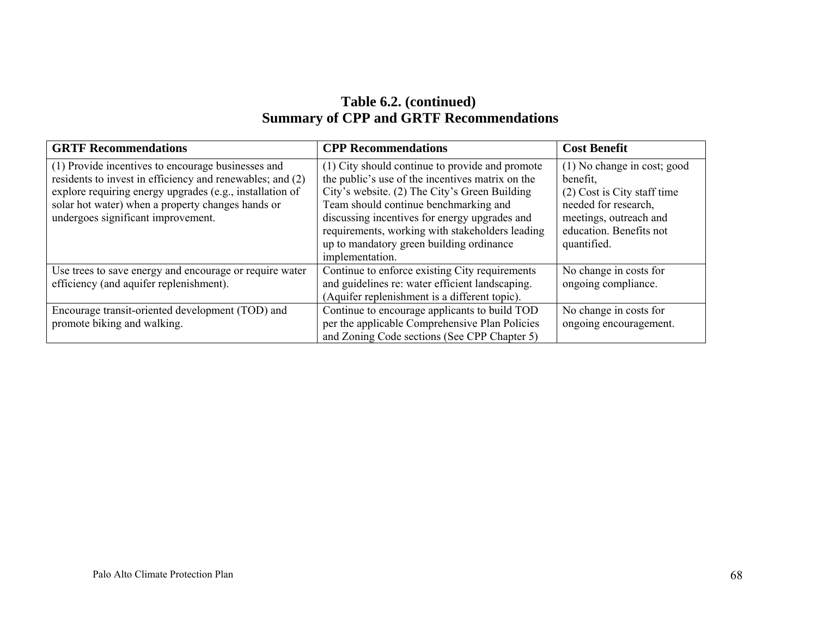# **Table 6.2. (continued) Summary of CPP and GRTF Recommendations**

| <b>GRTF Recommendations</b>                                                                                                                                                                                                                                            | <b>CPP</b> Recommendations                                                                                                                                                                                                                                                                                                                                       | <b>Cost Benefit</b>                                                                                                                                                |
|------------------------------------------------------------------------------------------------------------------------------------------------------------------------------------------------------------------------------------------------------------------------|------------------------------------------------------------------------------------------------------------------------------------------------------------------------------------------------------------------------------------------------------------------------------------------------------------------------------------------------------------------|--------------------------------------------------------------------------------------------------------------------------------------------------------------------|
| (1) Provide incentives to encourage businesses and<br>residents to invest in efficiency and renewables; and (2)<br>explore requiring energy upgrades (e.g., installation of<br>solar hot water) when a property changes hands or<br>undergoes significant improvement. | (1) City should continue to provide and promote<br>the public's use of the incentives matrix on the<br>City's website. (2) The City's Green Building<br>Team should continue benchmarking and<br>discussing incentives for energy upgrades and<br>requirements, working with stakeholders leading<br>up to mandatory green building ordinance<br>implementation. | (1) No change in cost; good<br>benefit,<br>(2) Cost is City staff time<br>needed for research,<br>meetings, outreach and<br>education. Benefits not<br>quantified. |
| Use trees to save energy and encourage or require water<br>efficiency (and aquifer replenishment).<br>Encourage transit-oriented development (TOD) and                                                                                                                 | Continue to enforce existing City requirements<br>and guidelines re: water efficient landscaping.<br>(Aquifer replenishment is a different topic).<br>Continue to encourage applicants to build TOD                                                                                                                                                              | No change in costs for<br>ongoing compliance.<br>No change in costs for                                                                                            |
| promote biking and walking.                                                                                                                                                                                                                                            | per the applicable Comprehensive Plan Policies<br>and Zoning Code sections (See CPP Chapter 5)                                                                                                                                                                                                                                                                   | ongoing encouragement.                                                                                                                                             |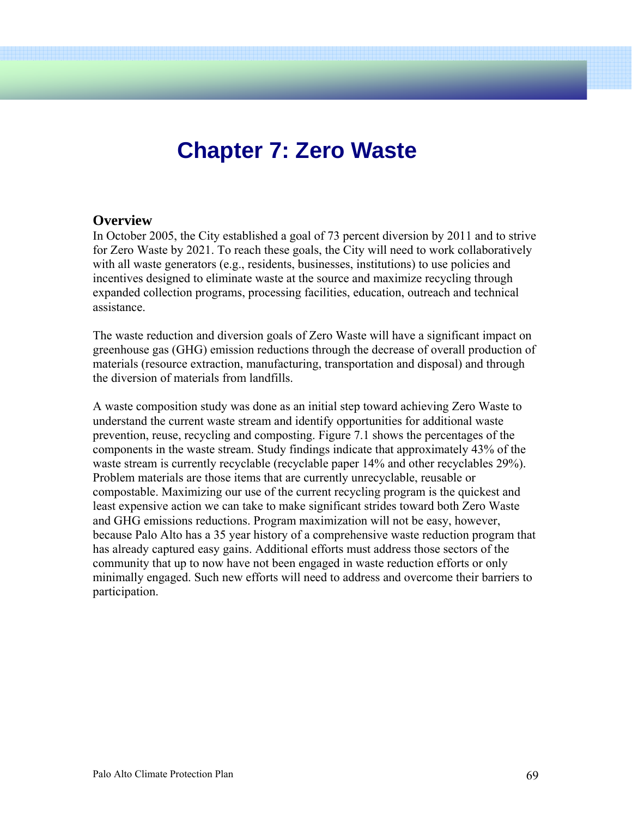# **Chapter 7: Zero Waste**

#### **Overview**

In October 2005, the City established a goal of 73 percent diversion by 2011 and to strive for Zero Waste by 2021. To reach these goals, the City will need to work collaboratively with all waste generators (e.g., residents, businesses, institutions) to use policies and incentives designed to eliminate waste at the source and maximize recycling through expanded collection programs, processing facilities, education, outreach and technical assistance.

The waste reduction and diversion goals of Zero Waste will have a significant impact on greenhouse gas (GHG) emission reductions through the decrease of overall production of materials (resource extraction, manufacturing, transportation and disposal) and through the diversion of materials from landfills.

A waste composition study was done as an initial step toward achieving Zero Waste to understand the current waste stream and identify opportunities for additional waste prevention, reuse, recycling and composting. Figure 7.1 shows the percentages of the components in the waste stream. Study findings indicate that approximately 43% of the waste stream is currently recyclable (recyclable paper 14% and other recyclables 29%). Problem materials are those items that are currently unrecyclable, reusable or compostable. Maximizing our use of the current recycling program is the quickest and least expensive action we can take to make significant strides toward both Zero Waste and GHG emissions reductions. Program maximization will not be easy, however, because Palo Alto has a 35 year history of a comprehensive waste reduction program that has already captured easy gains. Additional efforts must address those sectors of the community that up to now have not been engaged in waste reduction efforts or only minimally engaged. Such new efforts will need to address and overcome their barriers to participation.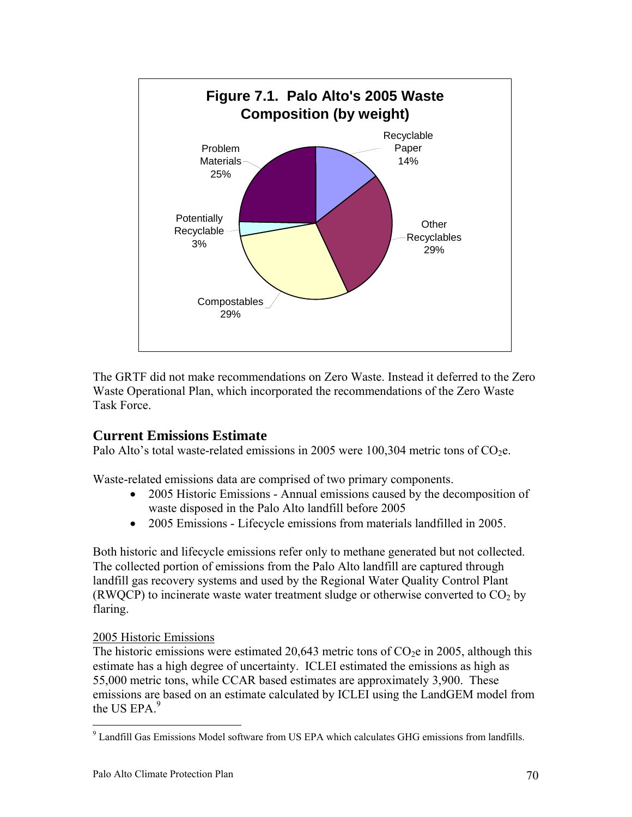

The GRTF did not make recommendations on Zero Waste. Instead it deferred to the Zero Waste Operational Plan, which incorporated the recommendations of the Zero Waste Task Force.

# **Current Emissions Estimate**

Palo Alto's total waste-related emissions in 2005 were 100,304 metric tons of  $CO<sub>2</sub>e$ .

Waste-related emissions data are comprised of two primary components.

- 2005 Historic Emissions Annual emissions caused by the decomposition of waste disposed in the Palo Alto landfill before 2005
- 2005 Emissions Lifecycle emissions from materials landfilled in 2005.

Both historic and lifecycle emissions refer only to methane generated but not collected. The collected portion of emissions from the Palo Alto landfill are captured through landfill gas recovery systems and used by the Regional Water Quality Control Plant (RWQCP) to incinerate waste water treatment sludge or otherwise converted to  $CO<sub>2</sub>$  by flaring.

# 2005 Historic Emissions

 $\overline{a}$ 

The historic emissions were estimated 20,643 metric tons of  $CO<sub>2</sub>e$  in 2005, although this estimate has a high degree of uncertainty. ICLEI estimated the emissions as high as 55,000 metric tons, while CCAR based estimates are approximately 3,900. These emissions are based on an estimate calculated by ICLEI using the LandGEM model from the US EPA $<sup>9</sup>$ </sup>

<sup>&</sup>lt;sup>9</sup> Landfill Gas Emissions Model software from US EPA which calculates GHG emissions from landfills.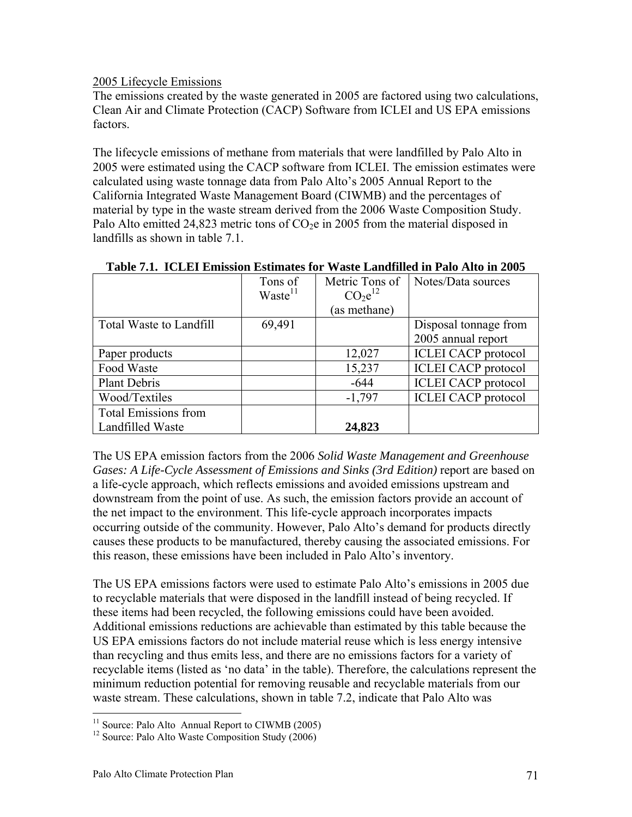2005 Lifecycle Emissions

The emissions created by the waste generated in 2005 are factored using two calculations, Clean Air and Climate Protection (CACP) Software from ICLEI and US EPA emissions factors.

The lifecycle emissions of methane from materials that were landfilled by Palo Alto in 2005 were estimated using the CACP software from ICLEI. The emission estimates were calculated using waste tonnage data from Palo Alto's 2005 Annual Report to the California Integrated Waste Management Board (CIWMB) and the percentages of material by type in the waste stream derived from the 2006 Waste Composition Study. Palo Alto emitted 24,823 metric tons of  $CO<sub>2</sub>e$  in 2005 from the material disposed in landfills as shown in table 7.1.

|                             | Tons of             | Metric Tons of                  | Notes/Data sources         |
|-----------------------------|---------------------|---------------------------------|----------------------------|
|                             | Waste <sup>11</sup> | CO <sub>2</sub> e <sup>12</sup> |                            |
|                             |                     | (as methane)                    |                            |
| Total Waste to Landfill     | 69,491              |                                 | Disposal tonnage from      |
|                             |                     |                                 | 2005 annual report         |
| Paper products              |                     | 12,027                          | <b>ICLEI CACP</b> protocol |
| Food Waste                  |                     | 15,237                          | <b>ICLEI CACP</b> protocol |
| <b>Plant Debris</b>         |                     | $-644$                          | <b>ICLEI CACP</b> protocol |
| Wood/Textiles               |                     | $-1,797$                        | <b>ICLEI CACP</b> protocol |
| <b>Total Emissions from</b> |                     |                                 |                            |
| Landfilled Waste            |                     | 24,823                          |                            |

|  |  | Table 7.1. ICLEI Emission Estimates for Waste Landfilled in Palo Alto in 2005 |
|--|--|-------------------------------------------------------------------------------|
|  |  |                                                                               |

The US EPA emission factors from the 2006 *Solid Waste Management and Greenhouse Gases: A Life-Cycle Assessment of Emissions and Sinks (3rd Edition)* report are based on a life-cycle approach, which reflects emissions and avoided emissions upstream and downstream from the point of use. As such, the emission factors provide an account of the net impact to the environment. This life-cycle approach incorporates impacts occurring outside of the community. However, Palo Alto's demand for products directly causes these products to be manufactured, thereby causing the associated emissions. For this reason, these emissions have been included in Palo Alto's inventory.

The US EPA emissions factors were used to estimate Palo Alto's emissions in 2005 due to recyclable materials that were disposed in the landfill instead of being recycled. If these items had been recycled, the following emissions could have been avoided. Additional emissions reductions are achievable than estimated by this table because the US EPA emissions factors do not include material reuse which is less energy intensive than recycling and thus emits less, and there are no emissions factors for a variety of recyclable items (listed as 'no data' in the table). Therefore, the calculations represent the minimum reduction potential for removing reusable and recyclable materials from our waste stream. These calculations, shown in table 7.2, indicate that Palo Alto was

 $\overline{a}$ 

 $11$  Source: Palo Alto Annual Report to CIWMB (2005)

<sup>&</sup>lt;sup>12</sup> Source: Palo Alto Waste Composition Study (2006)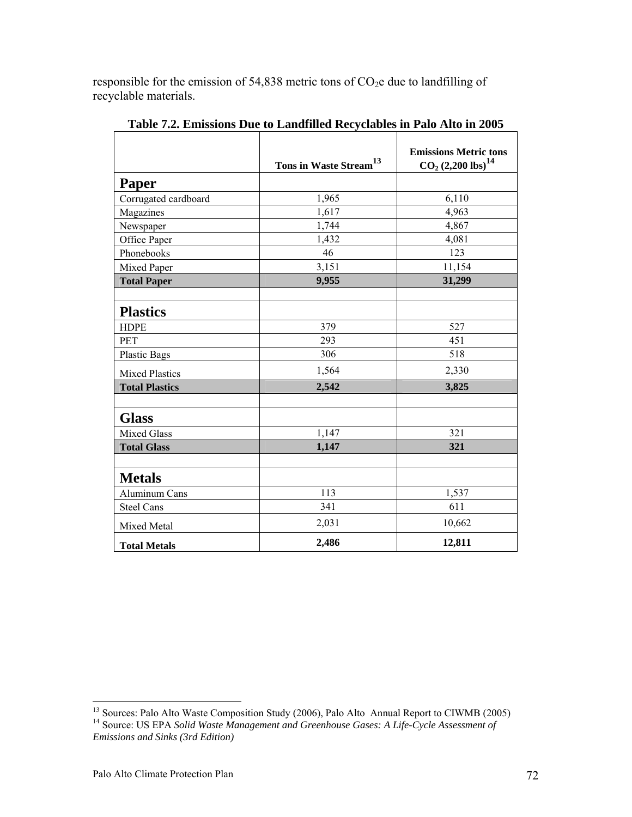responsible for the emission of 54,838 metric tons of  $CO<sub>2</sub>e$  due to landfilling of recyclable materials.

|                       | Tons in Waste Stream <sup>13</sup> | <b>Emissions Metric tons</b><br>$\overline{\text{CO}_2 (2,200 \text{ lbs})}^{14}$ |
|-----------------------|------------------------------------|-----------------------------------------------------------------------------------|
| Paper                 |                                    |                                                                                   |
| Corrugated cardboard  | 1,965                              | 6,110                                                                             |
| Magazines             | 1,617                              | 4,963                                                                             |
| Newspaper             | 1,744                              | 4,867                                                                             |
| Office Paper          | 1,432                              | 4,081                                                                             |
| Phonebooks            | 46                                 | 123                                                                               |
| Mixed Paper           | 3,151                              | 11,154                                                                            |
| <b>Total Paper</b>    | 9,955                              | 31,299                                                                            |
| <b>Plastics</b>       |                                    |                                                                                   |
| <b>HDPE</b>           | 379                                | 527                                                                               |
| <b>PET</b>            | 293                                | 451                                                                               |
| <b>Plastic Bags</b>   | 306                                | 518                                                                               |
| <b>Mixed Plastics</b> | 1,564                              | 2,330                                                                             |
| <b>Total Plastics</b> | 2,542                              | 3,825                                                                             |
| <b>Glass</b>          |                                    |                                                                                   |
| <b>Mixed Glass</b>    | 1,147                              | 321                                                                               |
| <b>Total Glass</b>    | 1,147                              | 321                                                                               |
| <b>Metals</b>         |                                    |                                                                                   |
| Aluminum Cans         | 113                                | 1,537                                                                             |
| <b>Steel Cans</b>     | 341                                | 611                                                                               |
| Mixed Metal           | 2,031                              | 10,662                                                                            |
| <b>Total Metals</b>   | 2,486                              | 12,811                                                                            |

**Table 7.2. Emissions Due to Landfilled Recyclables in Palo Alto in 2005**

 $\overline{a}$ <sup>13</sup> Sources: Palo Alto Waste Composition Study (2006), Palo Alto Annual Report to CIWMB (2005)

<sup>&</sup>lt;sup>14</sup> Source: US EPA Solid Waste Management and Greenhouse Gases: A Life-Cycle Assessment of *Emissions and Sinks (3rd Edition)*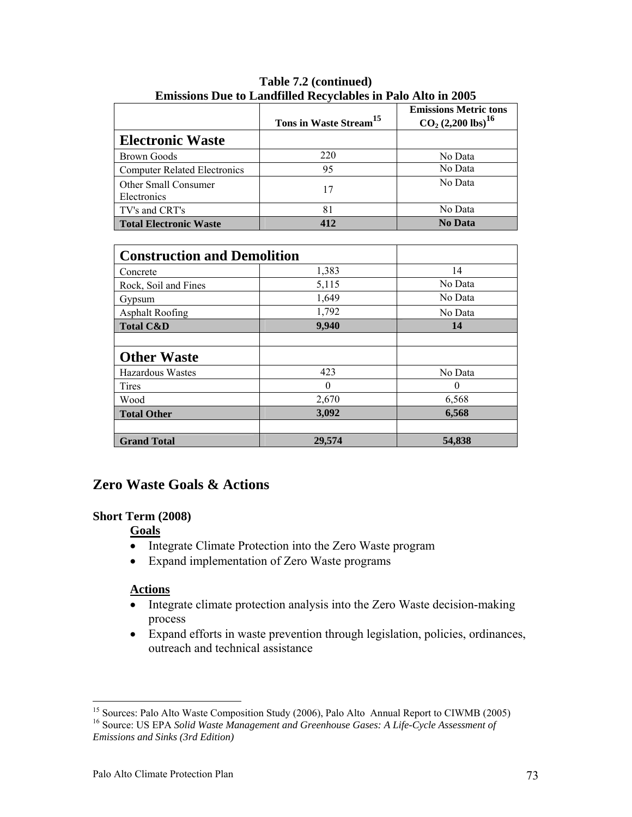|                                     | Tons in Waste Stream <sup>15</sup> | <b>Emissions Metric tons</b><br>$CO2 (2,200)$ lbs) <sup>16</sup> |
|-------------------------------------|------------------------------------|------------------------------------------------------------------|
| <b>Electronic Waste</b>             |                                    |                                                                  |
| <b>Brown Goods</b>                  | 220                                | No Data                                                          |
| <b>Computer Related Electronics</b> | 95                                 | No Data                                                          |
| Other Small Consumer<br>Electronics | 17                                 | No Data                                                          |
| TV's and CRT's                      | 81                                 | No Data                                                          |
| <b>Total Electronic Waste</b>       | 412                                | <b>No Data</b>                                                   |

**Table 7.2 (continued) Emissions Due to Landfilled Recyclables in Palo Alto in 2005**

| <b>Construction and Demolition</b> |          |          |
|------------------------------------|----------|----------|
| Concrete                           | 1,383    | 14       |
| Rock, Soil and Fines               | 5,115    | No Data  |
| Gypsum                             | 1,649    | No Data  |
| <b>Asphalt Roofing</b>             | 1,792    | No Data  |
| <b>Total C&amp;D</b>               | 9,940    | 14       |
|                                    |          |          |
| <b>Other Waste</b>                 |          |          |
| Hazardous Wastes                   | 423      | No Data  |
| Tires                              | $\theta$ | $\theta$ |
| Wood                               | 2,670    | 6,568    |
| <b>Total Other</b>                 | 3,092    | 6,568    |
|                                    |          |          |
| <b>Grand Total</b>                 | 29,574   | 54,838   |

#### **Zero Waste Goals & Actions**

#### **Short Term (2008)**

#### **Goals**

- Integrate Climate Protection into the Zero Waste program
- Expand implementation of Zero Waste programs

#### **Actions**

- Integrate climate protection analysis into the Zero Waste decision-making process
- Expand efforts in waste prevention through legislation, policies, ordinances, outreach and technical assistance

<sup>1</sup> <sup>15</sup> Sources: Palo Alto Waste Composition Study (2006), Palo Alto Annual Report to CIWMB (2005)

<sup>&</sup>lt;sup>16</sup> Source: US EPA Solid Waste Management and Greenhouse Gases: A Life-Cycle Assessment of *Emissions and Sinks (3rd Edition)*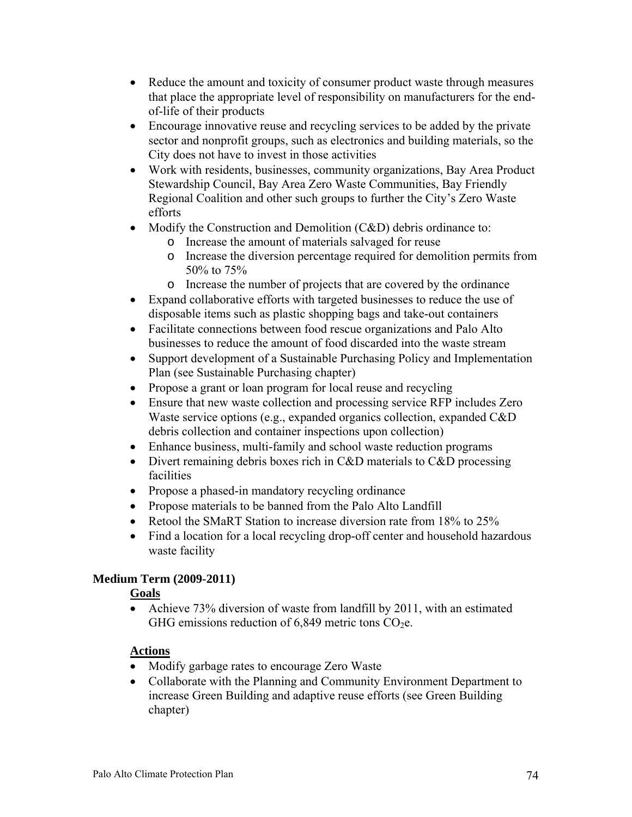- Reduce the amount and toxicity of consumer product waste through measures that place the appropriate level of responsibility on manufacturers for the endof-life of their products
- Encourage innovative reuse and recycling services to be added by the private sector and nonprofit groups, such as electronics and building materials, so the City does not have to invest in those activities
- Work with residents, businesses, community organizations, Bay Area Product Stewardship Council, Bay Area Zero Waste Communities, Bay Friendly Regional Coalition and other such groups to further the City's Zero Waste efforts
- Modify the Construction and Demolition (C&D) debris ordinance to:
	- o Increase the amount of materials salvaged for reuse
	- o Increase the diversion percentage required for demolition permits from 50% to 75%
	- o Increase the number of projects that are covered by the ordinance
- Expand collaborative efforts with targeted businesses to reduce the use of disposable items such as plastic shopping bags and take-out containers
- Facilitate connections between food rescue organizations and Palo Alto businesses to reduce the amount of food discarded into the waste stream
- Support development of a Sustainable Purchasing Policy and Implementation Plan (see Sustainable Purchasing chapter)
- Propose a grant or loan program for local reuse and recycling
- Ensure that new waste collection and processing service RFP includes Zero Waste service options (e.g., expanded organics collection, expanded C&D debris collection and container inspections upon collection)
- Enhance business, multi-family and school waste reduction programs
- Divert remaining debris boxes rich in C&D materials to C&D processing facilities
- Propose a phased-in mandatory recycling ordinance
- Propose materials to be banned from the Palo Alto Landfill
- Retool the SMaRT Station to increase diversion rate from 18% to 25%
- Find a location for a local recycling drop-off center and household hazardous waste facility

#### **Medium Term (2009-2011)**

#### **Goals**

• Achieve 73% diversion of waste from landfill by 2011, with an estimated GHG emissions reduction of  $6,849$  metric tons CO<sub>2</sub>e.

#### **Actions**

- Modify garbage rates to encourage Zero Waste
- Collaborate with the Planning and Community Environment Department to increase Green Building and adaptive reuse efforts (see Green Building chapter)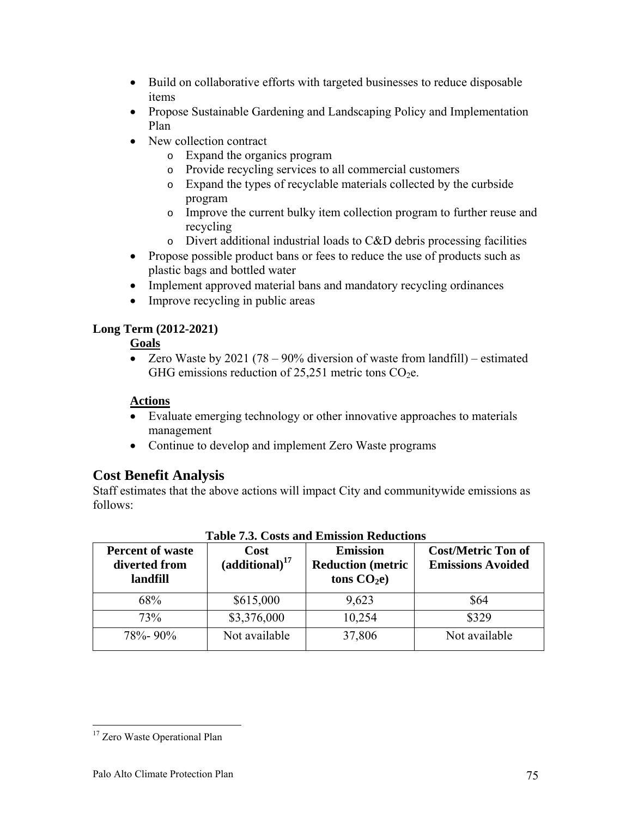- Build on collaborative efforts with targeted businesses to reduce disposable items
- Propose Sustainable Gardening and Landscaping Policy and Implementation Plan
- New collection contract
	- o Expand the organics program
	- o Provide recycling services to all commercial customers
	- o Expand the types of recyclable materials collected by the curbside program
	- o Improve the current bulky item collection program to further reuse and recycling
	- o Divert additional industrial loads to C&D debris processing facilities
- Propose possible product bans or fees to reduce the use of products such as plastic bags and bottled water
- Implement approved material bans and mandatory recycling ordinances
- Improve recycling in public areas

#### **Long Term (2012-2021)**

#### **Goals**

• Zero Waste by 2021 (78 – 90% diversion of waste from landfill) – estimated GHG emissions reduction of  $25,251$  metric tons CO<sub>2</sub>e.

#### **Actions**

- Evaluate emerging technology or other innovative approaches to materials management
- Continue to develop and implement Zero Waste programs

#### **Cost Benefit Analysis**

Staff estimates that the above actions will impact City and communitywide emissions as follows:

| <b>Percent of waste</b><br>diverted from<br>landfill | Cost<br>$(additional)^{17}$ | <b>Emission</b><br><b>Reduction</b> (metric<br>tons $CO2e$ ) | <b>Cost/Metric Ton of</b><br><b>Emissions Avoided</b> |
|------------------------------------------------------|-----------------------------|--------------------------------------------------------------|-------------------------------------------------------|
| 68%                                                  | \$615,000                   | 9,623                                                        | \$64                                                  |
| 73%                                                  | \$3,376,000                 | 10,254                                                       | \$329                                                 |
| $78\% - 90\%$                                        | Not available               | 37,806                                                       | Not available                                         |

#### **Table 7.3. Costs and Emission Reductions**

 $\overline{a}$ 

<sup>&</sup>lt;sup>17</sup> Zero Waste Operational Plan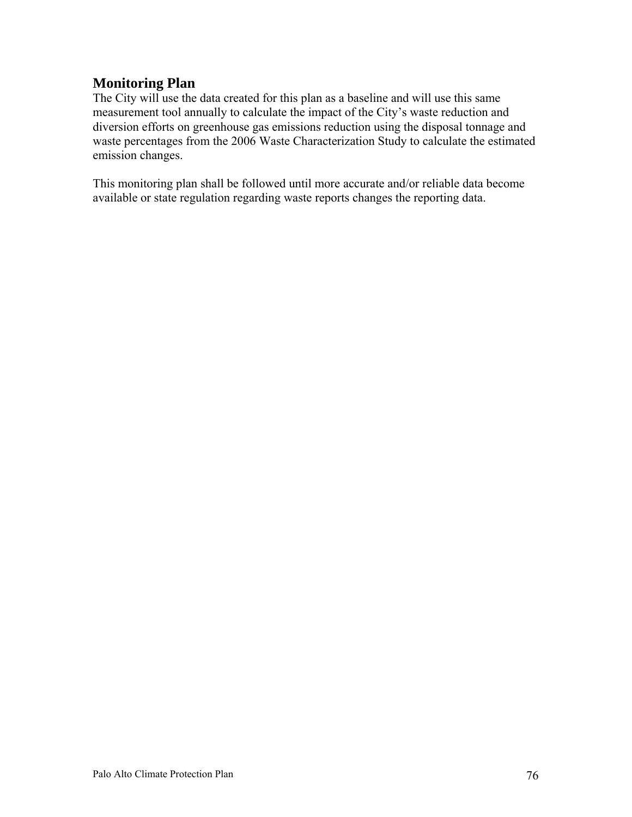#### **Monitoring Plan**

The City will use the data created for this plan as a baseline and will use this same measurement tool annually to calculate the impact of the City's waste reduction and diversion efforts on greenhouse gas emissions reduction using the disposal tonnage and waste percentages from the 2006 Waste Characterization Study to calculate the estimated emission changes.

This monitoring plan shall be followed until more accurate and/or reliable data become available or state regulation regarding waste reports changes the reporting data.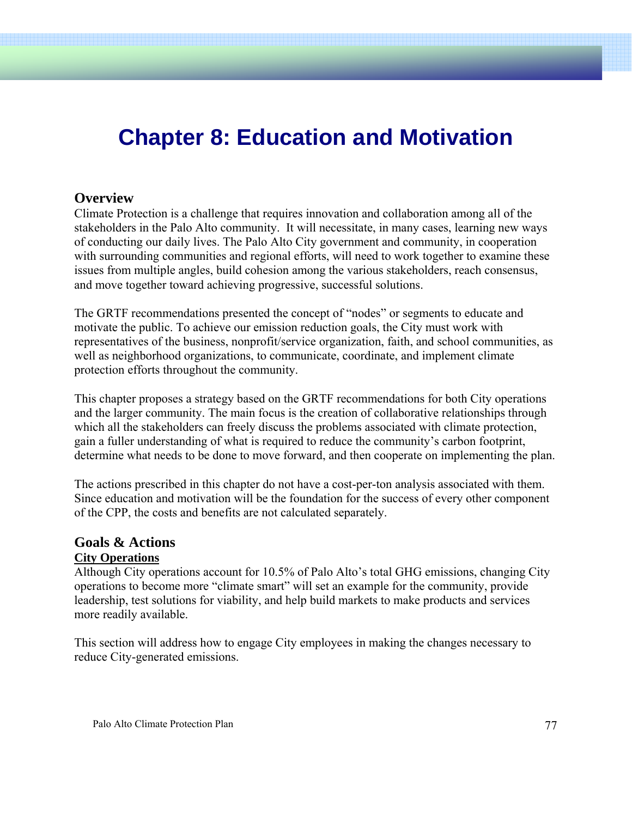## **Chapter 8: Education and Motivation**

#### **Overview**

Climate Protection is a challenge that requires innovation and collaboration among all of the stakeholders in the Palo Alto community. It will necessitate, in many cases, learning new ways of conducting our daily lives. The Palo Alto City government and community, in cooperation with surrounding communities and regional efforts, will need to work together to examine these issues from multiple angles, build cohesion among the various stakeholders, reach consensus, and move together toward achieving progressive, successful solutions.

The GRTF recommendations presented the concept of "nodes" or segments to educate and motivate the public. To achieve our emission reduction goals, the City must work with representatives of the business, nonprofit/service organization, faith, and school communities, as well as neighborhood organizations, to communicate, coordinate, and implement climate protection efforts throughout the community.

This chapter proposes a strategy based on the GRTF recommendations for both City operations and the larger community. The main focus is the creation of collaborative relationships through which all the stakeholders can freely discuss the problems associated with climate protection, gain a fuller understanding of what is required to reduce the community's carbon footprint, determine what needs to be done to move forward, and then cooperate on implementing the plan.

The actions prescribed in this chapter do not have a cost-per-ton analysis associated with them. Since education and motivation will be the foundation for the success of every other component of the CPP, the costs and benefits are not calculated separately.

#### **Goals & Actions City Operations**

Although City operations account for 10.5% of Palo Alto's total GHG emissions, changing City operations to become more "climate smart" will set an example for the community, provide leadership, test solutions for viability, and help build markets to make products and services more readily available.

This section will address how to engage City employees in making the changes necessary to reduce City-generated emissions.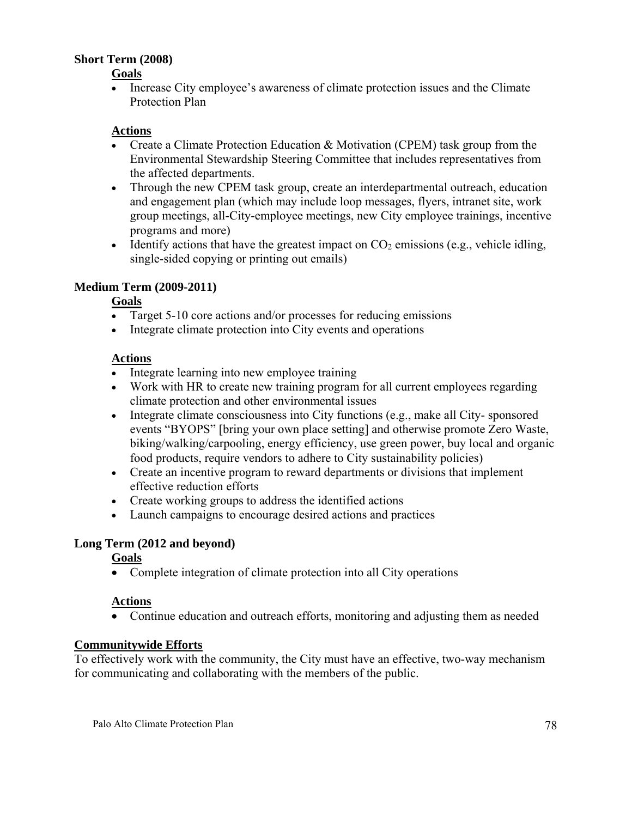#### **Short Term (2008)**

#### **Goals**

• Increase City employee's awareness of climate protection issues and the Climate Protection Plan

#### **Actions**

- Create a Climate Protection Education & Motivation (CPEM) task group from the Environmental Stewardship Steering Committee that includes representatives from the affected departments.
- Through the new CPEM task group, create an interdepartmental outreach, education and engagement plan (which may include loop messages, flyers, intranet site, work group meetings, all-City-employee meetings, new City employee trainings, incentive programs and more)
- Identify actions that have the greatest impact on  $CO<sub>2</sub>$  emissions (e.g., vehicle idling, single-sided copying or printing out emails)

#### **Medium Term (2009-2011)**

#### **Goals**

- Target 5-10 core actions and/or processes for reducing emissions
- Integrate climate protection into City events and operations

#### **Actions**

- Integrate learning into new employee training
- Work with HR to create new training program for all current employees regarding climate protection and other environmental issues
- Integrate climate consciousness into City functions (e.g., make all City-sponsored events "BYOPS" [bring your own place setting] and otherwise promote Zero Waste, biking/walking/carpooling, energy efficiency, use green power, buy local and organic food products, require vendors to adhere to City sustainability policies)
- Create an incentive program to reward departments or divisions that implement effective reduction efforts
- Create working groups to address the identified actions
- Launch campaigns to encourage desired actions and practices

#### **Long Term (2012 and beyond)**

#### **Goals**

• Complete integration of climate protection into all City operations

#### **Actions**

• Continue education and outreach efforts, monitoring and adjusting them as needed

#### **Communitywide Efforts**

To effectively work with the community, the City must have an effective, two-way mechanism for communicating and collaborating with the members of the public.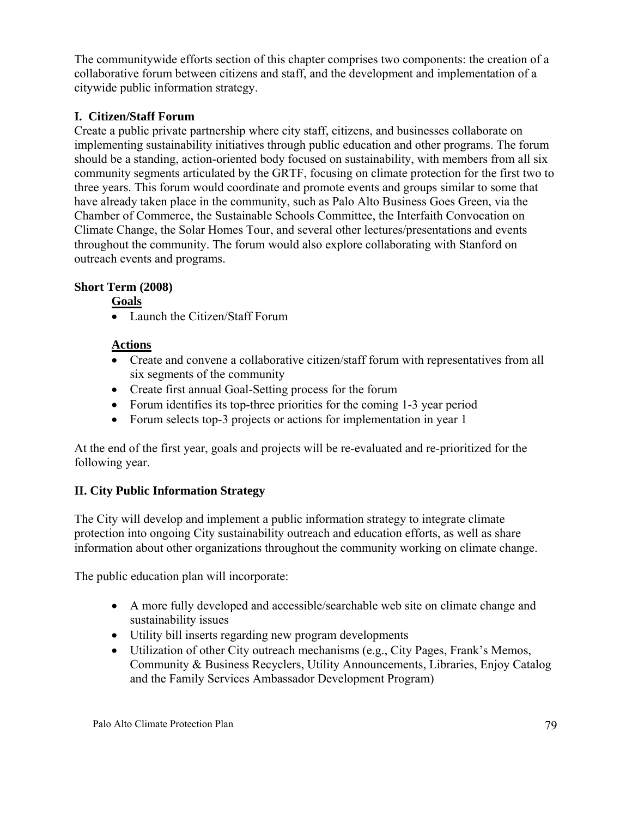The communitywide efforts section of this chapter comprises two components: the creation of a collaborative forum between citizens and staff, and the development and implementation of a citywide public information strategy.

#### **I. Citizen/Staff Forum**

Create a public private partnership where city staff, citizens, and businesses collaborate on implementing sustainability initiatives through public education and other programs. The forum should be a standing, action-oriented body focused on sustainability, with members from all six community segments articulated by the GRTF, focusing on climate protection for the first two to three years. This forum would coordinate and promote events and groups similar to some that have already taken place in the community, such as Palo Alto Business Goes Green, via the Chamber of Commerce, the Sustainable Schools Committee, the Interfaith Convocation on Climate Change, the Solar Homes Tour, and several other lectures/presentations and events throughout the community. The forum would also explore collaborating with Stanford on outreach events and programs.

#### **Short Term (2008)**

#### **Goals**

• Launch the Citizen/Staff Forum

#### **Actions**

- Create and convene a collaborative citizen/staff forum with representatives from all six segments of the community
- Create first annual Goal-Setting process for the forum
- Forum identifies its top-three priorities for the coming 1-3 year period
- Forum selects top-3 projects or actions for implementation in year 1

At the end of the first year, goals and projects will be re-evaluated and re-prioritized for the following year.

#### **II. City Public Information Strategy**

The City will develop and implement a public information strategy to integrate climate protection into ongoing City sustainability outreach and education efforts, as well as share information about other organizations throughout the community working on climate change.

The public education plan will incorporate:

- A more fully developed and accessible/searchable web site on climate change and sustainability issues
- Utility bill inserts regarding new program developments
- Utilization of other City outreach mechanisms (e.g., City Pages, Frank's Memos, Community & Business Recyclers, Utility Announcements, Libraries, Enjoy Catalog and the Family Services Ambassador Development Program)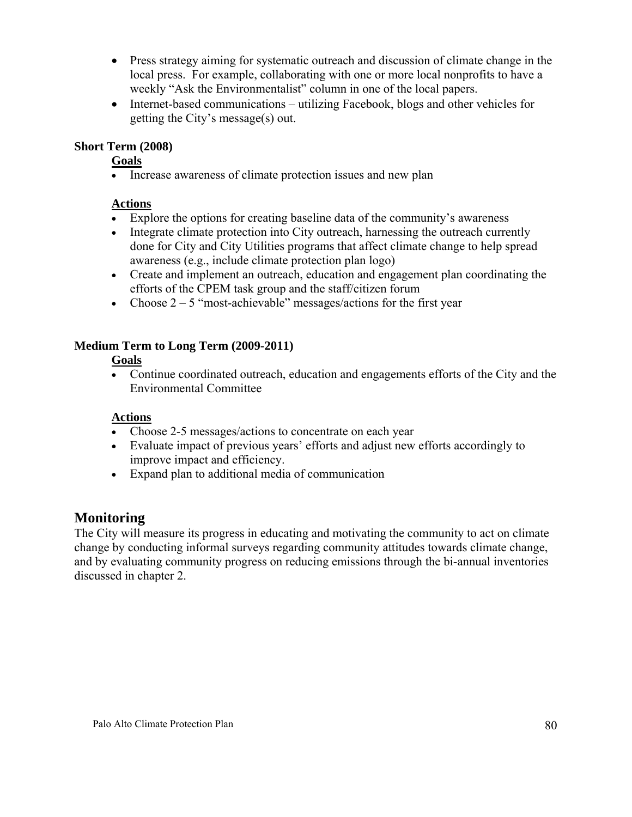- Press strategy aiming for systematic outreach and discussion of climate change in the local press. For example, collaborating with one or more local nonprofits to have a weekly "Ask the Environmentalist" column in one of the local papers.
- Internet-based communications utilizing Facebook, blogs and other vehicles for getting the City's message(s) out.

#### **Short Term (2008)**

**Goals**

• Increase awareness of climate protection issues and new plan

#### **Actions**

- Explore the options for creating baseline data of the community's awareness
- Integrate climate protection into City outreach, harnessing the outreach currently done for City and City Utilities programs that affect climate change to help spread awareness (e.g., include climate protection plan logo)
- Create and implement an outreach, education and engagement plan coordinating the efforts of the CPEM task group and the staff/citizen forum
- Choose  $2 5$  "most-achievable" messages/actions for the first year

#### **Medium Term to Long Term (2009-2011)**

#### **Goals**

• Continue coordinated outreach, education and engagements efforts of the City and the Environmental Committee

#### **Actions**

- Choose 2-5 messages/actions to concentrate on each year
- Evaluate impact of previous years' efforts and adjust new efforts accordingly to improve impact and efficiency.
- Expand plan to additional media of communication

#### **Monitoring**

The City will measure its progress in educating and motivating the community to act on climate change by conducting informal surveys regarding community attitudes towards climate change, and by evaluating community progress on reducing emissions through the bi-annual inventories discussed in chapter 2.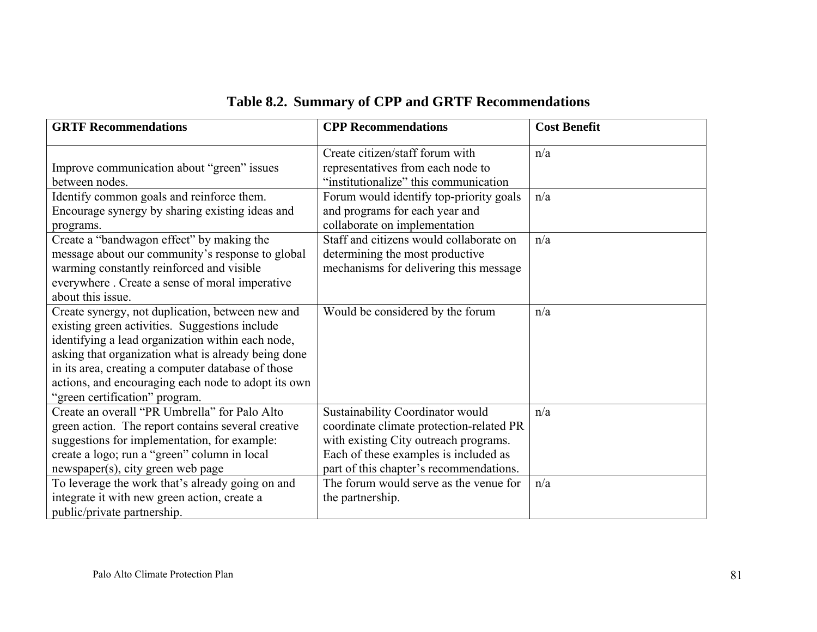|  |  |  |  | Table 8.2. Summary of CPP and GRTF Recommendations |
|--|--|--|--|----------------------------------------------------|
|--|--|--|--|----------------------------------------------------|

| <b>GRTF Recommendations</b>                                                                                                                                                                                                                                                                                                                                   | <b>CPP</b> Recommendations                                                                                                                                                                                | <b>Cost Benefit</b> |
|---------------------------------------------------------------------------------------------------------------------------------------------------------------------------------------------------------------------------------------------------------------------------------------------------------------------------------------------------------------|-----------------------------------------------------------------------------------------------------------------------------------------------------------------------------------------------------------|---------------------|
| Improve communication about "green" issues<br>between nodes.                                                                                                                                                                                                                                                                                                  | Create citizen/staff forum with<br>representatives from each node to<br>"institutionalize" this communication                                                                                             | n/a                 |
| Identify common goals and reinforce them.<br>Encourage synergy by sharing existing ideas and<br>programs.                                                                                                                                                                                                                                                     | Forum would identify top-priority goals<br>and programs for each year and<br>collaborate on implementation                                                                                                | n/a                 |
| Create a "bandwagon effect" by making the<br>message about our community's response to global<br>warming constantly reinforced and visible<br>everywhere . Create a sense of moral imperative<br>about this issue.                                                                                                                                            | Staff and citizens would collaborate on<br>determining the most productive<br>mechanisms for delivering this message                                                                                      | n/a                 |
| Create synergy, not duplication, between new and<br>existing green activities. Suggestions include<br>identifying a lead organization within each node,<br>asking that organization what is already being done<br>in its area, creating a computer database of those<br>actions, and encouraging each node to adopt its own<br>"green certification" program. | Would be considered by the forum                                                                                                                                                                          | n/a                 |
| Create an overall "PR Umbrella" for Palo Alto<br>green action. The report contains several creative<br>suggestions for implementation, for example:<br>create a logo; run a "green" column in local<br>newspaper(s), city green web page                                                                                                                      | Sustainability Coordinator would<br>coordinate climate protection-related PR<br>with existing City outreach programs.<br>Each of these examples is included as<br>part of this chapter's recommendations. | n/a                 |
| To leverage the work that's already going on and<br>integrate it with new green action, create a<br>public/private partnership.                                                                                                                                                                                                                               | The forum would serve as the venue for<br>the partnership.                                                                                                                                                | n/a                 |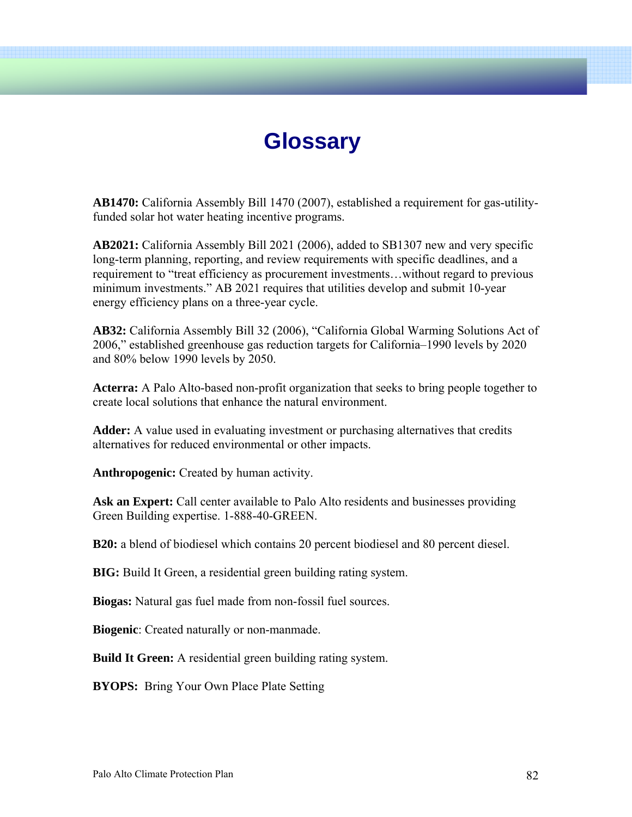### **Glossary**

**AB1470:** California Assembly Bill 1470 (2007), established a requirement for gas-utilityfunded solar hot water heating incentive programs.

**AB2021:** California Assembly Bill 2021 (2006), added to SB1307 new and very specific long-term planning, reporting, and review requirements with specific deadlines, and a requirement to "treat efficiency as procurement investments…without regard to previous minimum investments." AB 2021 requires that utilities develop and submit 10-year energy efficiency plans on a three-year cycle.

**AB32:** California Assembly Bill 32 (2006), "California Global Warming Solutions Act of 2006," established greenhouse gas reduction targets for California–1990 levels by 2020 and 80% below 1990 levels by 2050.

**Acterra:** A Palo Alto-based non-profit organization that seeks to bring people together to create local solutions that enhance the natural environment.

**Adder:** A value used in evaluating investment or purchasing alternatives that credits alternatives for reduced environmental or other impacts.

**Anthropogenic:** Created by human activity.

Ask an Expert: Call center available to Palo Alto residents and businesses providing Green Building expertise. 1-888-40-GREEN.

**B20:** a blend of biodiesel which contains 20 percent biodiesel and 80 percent diesel.

**BIG:** Build It Green, a residential green building rating system.

**Biogas:** Natural gas fuel made from non-fossil fuel sources.

**Biogenic**: Created naturally or non-manmade.

**Build It Green:** A residential green building rating system.

**BYOPS:** Bring Your Own Place Plate Setting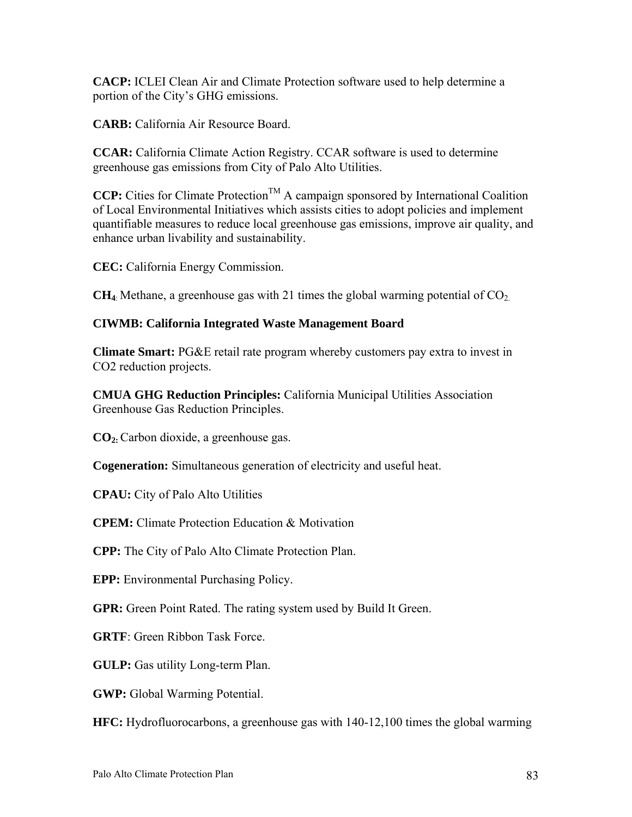**CACP:** ICLEI Clean Air and Climate Protection software used to help determine a portion of the City's GHG emissions.

**CARB:** California Air Resource Board.

**CCAR:** California Climate Action Registry. CCAR software is used to determine greenhouse gas emissions from City of Palo Alto Utilities.

**CCP:** Cities for Climate Protection<sup>TM</sup> A campaign sponsored by International Coalition of Local Environmental Initiatives which assists cities to adopt policies and implement quantifiable measures to reduce local greenhouse gas emissions, improve air quality, and enhance urban livability and sustainability.

**CEC:** California Energy Commission.

**CH<sub>4</sub>**: Methane, a greenhouse gas with 21 times the global warming potential of  $CO<sub>2</sub>$ .

#### **CIWMB: California Integrated Waste Management Board**

**Climate Smart:** PG&E retail rate program whereby customers pay extra to invest in CO2 reduction projects.

**CMUA GHG Reduction Principles:** California Municipal Utilities Association Greenhouse Gas Reduction Principles.

**CO2:**Carbon dioxide, a greenhouse gas.

**Cogeneration:** Simultaneous generation of electricity and useful heat.

**CPAU:** City of Palo Alto Utilities

**CPEM:** Climate Protection Education & Motivation

**CPP:** The City of Palo Alto Climate Protection Plan.

**EPP:** Environmental Purchasing Policy.

**GPR:** Green Point Rated. The rating system used by Build It Green.

**GRTF**: Green Ribbon Task Force.

**GULP:** Gas utility Long-term Plan.

**GWP:** Global Warming Potential.

**HFC:** Hydrofluorocarbons, a greenhouse gas with 140-12,100 times the global warming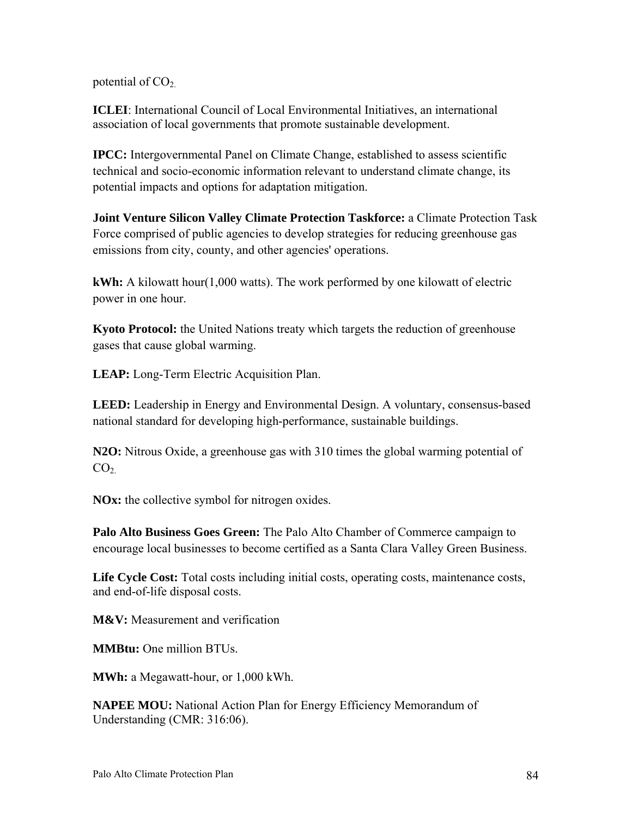potential of  $CO<sub>2</sub>$ .

**ICLEI**: International Council of Local Environmental Initiatives, an international association of local governments that promote sustainable development.

**IPCC:** Intergovernmental Panel on Climate Change, established to assess scientific technical and socio-economic information relevant to understand climate change, its potential impacts and options for adaptation mitigation.

**Joint Venture Silicon Valley Climate Protection Taskforce:** a Climate Protection Task Force comprised of public agencies to develop strategies for reducing greenhouse gas emissions from city, county, and other agencies' operations.

**kWh:** A kilowatt hour(1,000 watts). The work performed by one kilowatt of electric power in one hour.

**Kyoto Protocol:** the United Nations treaty which targets the reduction of greenhouse gases that cause global warming.

**LEAP:** Long-Term Electric Acquisition Plan.

**LEED:** Leadership in Energy and Environmental Design. A voluntary, consensus-based national standard for developing high-performance, sustainable buildings.

**N2O:** Nitrous Oxide, a greenhouse gas with 310 times the global warming potential of  $CO<sub>2</sub>$ 

**NOx:** the collective symbol for nitrogen oxides.

**Palo Alto Business Goes Green:** The Palo Alto Chamber of Commerce campaign to encourage local businesses to become certified as a Santa Clara Valley Green Business.

**Life Cycle Cost:** Total costs including initial costs, operating costs, maintenance costs, and end-of-life disposal costs.

**M&V:** Measurement and verification

**MMBtu:** One million BTUs.

**MWh:** a Megawatt-hour, or 1,000 kWh.

**NAPEE MOU:** National Action Plan for Energy Efficiency Memorandum of Understanding (CMR: 316:06).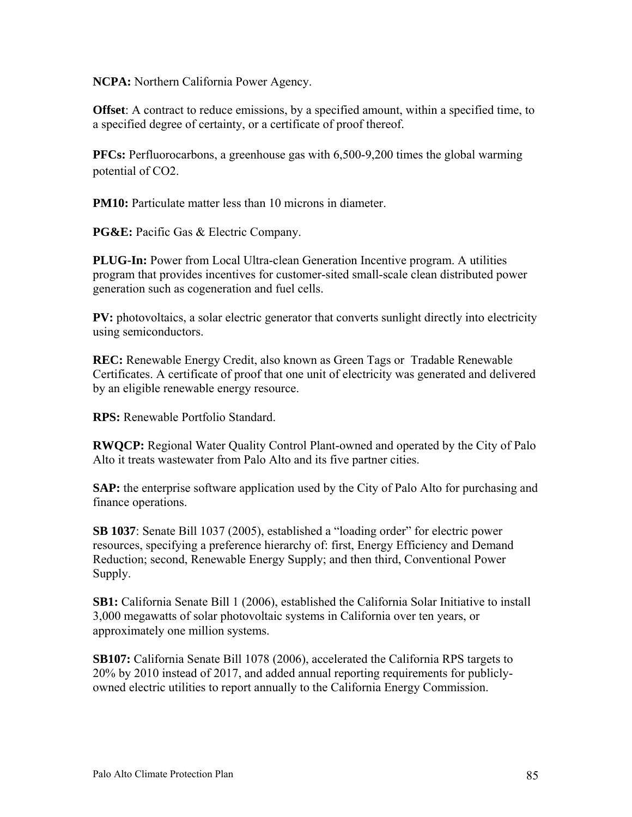**NCPA:** Northern California Power Agency.

**Offset**: A contract to reduce emissions, by a specified amount, within a specified time, to a specified degree of certainty, or a certificate of proof thereof.

**PFCs:** Perfluorocarbons, a greenhouse gas with 6,500-9,200 times the global warming potential of CO2.

**PM10:** Particulate matter less than 10 microns in diameter.

**PG&E:** Pacific Gas & Electric Company.

**PLUG-In:** Power from Local Ultra-clean Generation Incentive program. A utilities program that provides incentives for customer-sited small-scale clean distributed power generation such as cogeneration and fuel cells.

**PV:** photovoltaics, a solar electric generator that converts sunlight directly into electricity using semiconductors.

**REC:** Renewable Energy Credit, also known as Green Tags or Tradable Renewable Certificates. A certificate of proof that one unit of electricity was generated and delivered by an eligible renewable energy resource.

**RPS:** Renewable Portfolio Standard.

**RWQCP:** Regional Water Quality Control Plant-owned and operated by the City of Palo Alto it treats wastewater from Palo Alto and its five partner cities.

**SAP:** the enterprise software application used by the City of Palo Alto for purchasing and finance operations.

**SB 1037**: Senate Bill 1037 (2005), established a "loading order" for electric power resources, specifying a preference hierarchy of: first, Energy Efficiency and Demand Reduction; second, Renewable Energy Supply; and then third, Conventional Power Supply.

**SB1:** California Senate Bill 1 (2006), established the California Solar Initiative to install 3,000 megawatts of solar photovoltaic systems in California over ten years, or approximately one million systems.

**SB107:** California Senate Bill 1078 (2006), accelerated the California RPS targets to 20% by 2010 instead of 2017, and added annual reporting requirements for publiclyowned electric utilities to report annually to the California Energy Commission.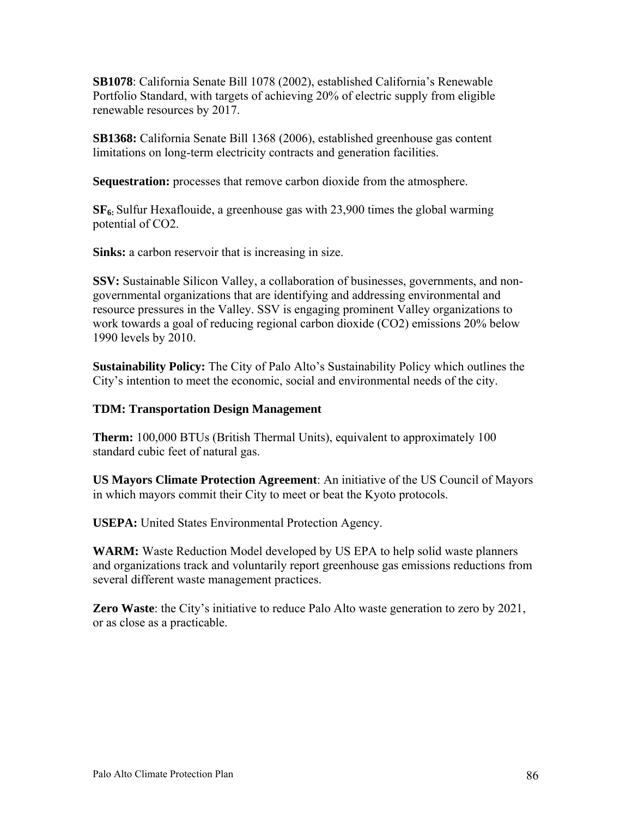**SB1078**: California Senate Bill 1078 (2002), established California's Renewable Portfolio Standard, with targets of achieving 20% of electric supply from eligible renewable resources by 2017.

**SB1368:** California Senate Bill 1368 (2006), established greenhouse gas content limitations on long-term electricity contracts and generation facilities.

**Sequestration:** processes that remove carbon dioxide from the atmosphere.

**SF6:** Sulfur Hexaflouide, a greenhouse gas with 23,900 times the global warming potential of CO2.

**Sinks:** a carbon reservoir that is increasing in size.

**SSV:** Sustainable Silicon Valley, a collaboration of businesses, governments, and nongovernmental organizations that are identifying and addressing environmental and resource pressures in the Valley. SSV is engaging prominent Valley organizations to work towards a goal of reducing regional carbon dioxide (CO2) emissions 20% below 1990 levels by 2010.

**Sustainability Policy:** The City of Palo Alto's Sustainability Policy which outlines the City's intention to meet the economic, social and environmental needs of the city.

#### **TDM: Transportation Design Management**

**Therm:** 100,000 BTUs (British Thermal Units), equivalent to approximately 100 standard cubic feet of natural gas.

**US Mayors Climate Protection Agreement**: An initiative of the US Council of Mayors in which mayors commit their City to meet or beat the Kyoto protocols.

**USEPA:** United States Environmental Protection Agency.

**WARM:** Waste Reduction Model developed by US EPA to help solid waste planners and organizations track and voluntarily report greenhouse gas emissions reductions from several different waste management practices.

**Zero Waste**: the City's initiative to reduce Palo Alto waste generation to zero by 2021, or as close as a practicable.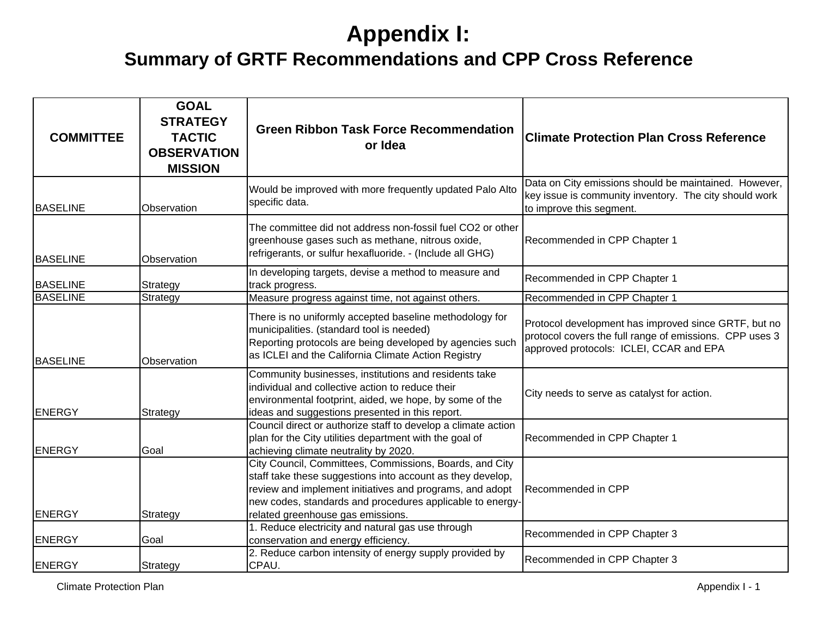| <b>COMMITTEE</b> | <b>GOAL</b><br><b>STRATEGY</b><br><b>TACTIC</b><br><b>OBSERVATION</b><br><b>MISSION</b> | <b>Green Ribbon Task Force Recommendation</b><br>or Idea                                                                                                                                                                                                                            | <b>Climate Protection Plan Cross Reference</b>                                                                                                             |
|------------------|-----------------------------------------------------------------------------------------|-------------------------------------------------------------------------------------------------------------------------------------------------------------------------------------------------------------------------------------------------------------------------------------|------------------------------------------------------------------------------------------------------------------------------------------------------------|
| <b>BASELINE</b>  | Observation                                                                             | Would be improved with more frequently updated Palo Alto<br>specific data.                                                                                                                                                                                                          | Data on City emissions should be maintained. However,<br>key issue is community inventory. The city should work<br>to improve this segment.                |
| <b>BASELINE</b>  | Observation                                                                             | The committee did not address non-fossil fuel CO2 or other<br>greenhouse gases such as methane, nitrous oxide,<br>refrigerants, or sulfur hexafluoride. - (Include all GHG)                                                                                                         | Recommended in CPP Chapter 1                                                                                                                               |
| <b>BASELINE</b>  | Strategy                                                                                | In developing targets, devise a method to measure and<br>track progress.                                                                                                                                                                                                            | Recommended in CPP Chapter 1                                                                                                                               |
| <b>BASELINE</b>  | Strategy                                                                                | Measure progress against time, not against others.                                                                                                                                                                                                                                  | Recommended in CPP Chapter 1                                                                                                                               |
| <b>BASELINE</b>  | Observation                                                                             | There is no uniformly accepted baseline methodology for<br>municipalities. (standard tool is needed)<br>Reporting protocols are being developed by agencies such<br>as ICLEI and the California Climate Action Registry                                                             | Protocol development has improved since GRTF, but no<br>protocol covers the full range of emissions. CPP uses 3<br>approved protocols: ICLEI, CCAR and EPA |
| <b>ENERGY</b>    | Strategy                                                                                | Community businesses, institutions and residents take<br>individual and collective action to reduce their<br>environmental footprint, aided, we hope, by some of the<br>ideas and suggestions presented in this report.                                                             | City needs to serve as catalyst for action.                                                                                                                |
| <b>ENERGY</b>    | Goal                                                                                    | Council direct or authorize staff to develop a climate action<br>plan for the City utilities department with the goal of<br>achieving climate neutrality by 2020.                                                                                                                   | Recommended in CPP Chapter 1                                                                                                                               |
| <b>ENERGY</b>    | Strategy                                                                                | City Council, Committees, Commissions, Boards, and City<br>staff take these suggestions into account as they develop,<br>review and implement initiatives and programs, and adopt<br>new codes, standards and procedures applicable to energy-<br>related greenhouse gas emissions. | Recommended in CPP                                                                                                                                         |
| <b>ENERGY</b>    | Goal                                                                                    | 1. Reduce electricity and natural gas use through<br>conservation and energy efficiency.                                                                                                                                                                                            | Recommended in CPP Chapter 3                                                                                                                               |
| <b>ENERGY</b>    | Strategy                                                                                | 2. Reduce carbon intensity of energy supply provided by<br>CPAU.                                                                                                                                                                                                                    | Recommended in CPP Chapter 3                                                                                                                               |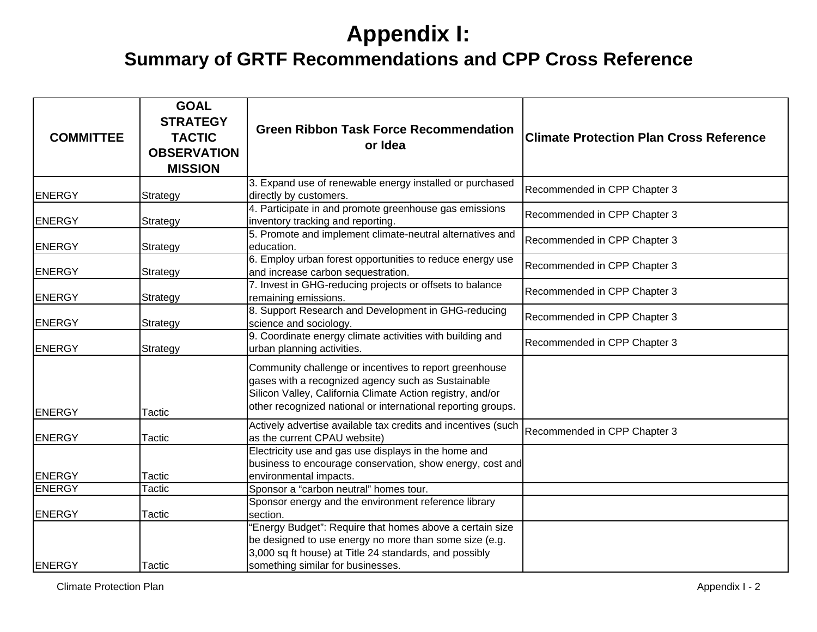| <b>COMMITTEE</b> | <b>GOAL</b><br><b>STRATEGY</b><br><b>TACTIC</b><br><b>OBSERVATION</b><br><b>MISSION</b> | <b>Green Ribbon Task Force Recommendation</b><br>or Idea                                                                                                                                                                                   | <b>Climate Protection Plan Cross Reference</b> |
|------------------|-----------------------------------------------------------------------------------------|--------------------------------------------------------------------------------------------------------------------------------------------------------------------------------------------------------------------------------------------|------------------------------------------------|
| <b>ENERGY</b>    | Strategy                                                                                | 3. Expand use of renewable energy installed or purchased<br>directly by customers.                                                                                                                                                         | Recommended in CPP Chapter 3                   |
| <b>ENERGY</b>    | Strategy                                                                                | 4. Participate in and promote greenhouse gas emissions<br>inventory tracking and reporting.                                                                                                                                                | Recommended in CPP Chapter 3                   |
| <b>ENERGY</b>    | Strategy                                                                                | 5. Promote and implement climate-neutral alternatives and<br>education.                                                                                                                                                                    | Recommended in CPP Chapter 3                   |
| <b>ENERGY</b>    | Strategy                                                                                | 6. Employ urban forest opportunities to reduce energy use<br>and increase carbon sequestration.                                                                                                                                            | Recommended in CPP Chapter 3                   |
| <b>ENERGY</b>    | Strategy                                                                                | 7. Invest in GHG-reducing projects or offsets to balance<br>remaining emissions.                                                                                                                                                           | Recommended in CPP Chapter 3                   |
| <b>ENERGY</b>    | Strategy                                                                                | 8. Support Research and Development in GHG-reducing<br>science and sociology.                                                                                                                                                              | Recommended in CPP Chapter 3                   |
| <b>ENERGY</b>    | Strategy                                                                                | 9. Coordinate energy climate activities with building and<br>urban planning activities.                                                                                                                                                    | Recommended in CPP Chapter 3                   |
| <b>ENERGY</b>    | Tactic                                                                                  | Community challenge or incentives to report greenhouse<br>gases with a recognized agency such as Sustainable<br>Silicon Valley, California Climate Action registry, and/or<br>other recognized national or international reporting groups. |                                                |
| <b>ENERGY</b>    | Tactic                                                                                  | Actively advertise available tax credits and incentives (such<br>as the current CPAU website)                                                                                                                                              | Recommended in CPP Chapter 3                   |
| <b>ENERGY</b>    | Tactic                                                                                  | Electricity use and gas use displays in the home and<br>business to encourage conservation, show energy, cost and<br>environmental impacts.                                                                                                |                                                |
| <b>ENERGY</b>    | Tactic                                                                                  | Sponsor a "carbon neutral" homes tour.                                                                                                                                                                                                     |                                                |
| <b>ENERGY</b>    | Tactic                                                                                  | Sponsor energy and the environment reference library<br>section.                                                                                                                                                                           |                                                |
| <b>ENERGY</b>    | Tactic                                                                                  | "Energy Budget": Require that homes above a certain size<br>be designed to use energy no more than some size (e.g.<br>3,000 sq ft house) at Title 24 standards, and possibly<br>something similar for businesses.                          |                                                |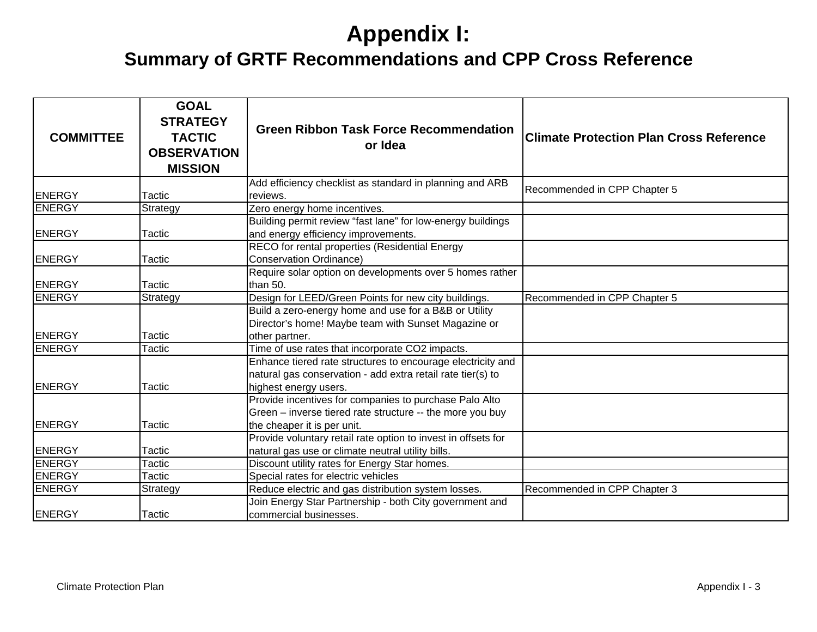| <b>COMMITTEE</b> | <b>GOAL</b><br><b>STRATEGY</b><br><b>TACTIC</b><br><b>OBSERVATION</b><br><b>MISSION</b> | <b>Green Ribbon Task Force Recommendation</b><br>or Idea                                                                                            | <b>Climate Protection Plan Cross Reference</b> |
|------------------|-----------------------------------------------------------------------------------------|-----------------------------------------------------------------------------------------------------------------------------------------------------|------------------------------------------------|
| <b>ENERGY</b>    | Tactic                                                                                  | Add efficiency checklist as standard in planning and ARB<br>reviews.                                                                                | Recommended in CPP Chapter 5                   |
| <b>ENERGY</b>    | Strategy                                                                                | Zero energy home incentives.                                                                                                                        |                                                |
| <b>ENERGY</b>    | Tactic                                                                                  | Building permit review "fast lane" for low-energy buildings<br>and energy efficiency improvements.                                                  |                                                |
| <b>ENERGY</b>    | Tactic                                                                                  | RECO for rental properties (Residential Energy<br><b>Conservation Ordinance)</b>                                                                    |                                                |
| <b>ENERGY</b>    | Tactic                                                                                  | Require solar option on developments over 5 homes rather<br>than 50.                                                                                |                                                |
| <b>ENERGY</b>    | Strategy                                                                                | Design for LEED/Green Points for new city buildings.                                                                                                | Recommended in CPP Chapter 5                   |
| <b>ENERGY</b>    | Tactic                                                                                  | Build a zero-energy home and use for a B&B or Utility<br>Director's home! Maybe team with Sunset Magazine or<br>other partner.                      |                                                |
| <b>ENERGY</b>    | Tactic                                                                                  | Time of use rates that incorporate CO2 impacts.                                                                                                     |                                                |
| <b>IENERGY</b>   | Tactic                                                                                  | Enhance tiered rate structures to encourage electricity and<br>natural gas conservation - add extra retail rate tier(s) to<br>highest energy users. |                                                |
| <b>ENERGY</b>    | Tactic                                                                                  | Provide incentives for companies to purchase Palo Alto<br>Green - inverse tiered rate structure -- the more you buy<br>the cheaper it is per unit.  |                                                |
| <b>ENERGY</b>    | Tactic                                                                                  | Provide voluntary retail rate option to invest in offsets for<br>natural gas use or climate neutral utility bills.                                  |                                                |
| <b>ENERGY</b>    | Tactic                                                                                  | Discount utility rates for Energy Star homes.                                                                                                       |                                                |
| <b>ENERGY</b>    | Tactic                                                                                  | Special rates for electric vehicles                                                                                                                 |                                                |
| <b>ENERGY</b>    | Strategy                                                                                | Reduce electric and gas distribution system losses.                                                                                                 | Recommended in CPP Chapter 3                   |
| <b>ENERGY</b>    | Tactic                                                                                  | Join Energy Star Partnership - both City government and<br>commercial businesses.                                                                   |                                                |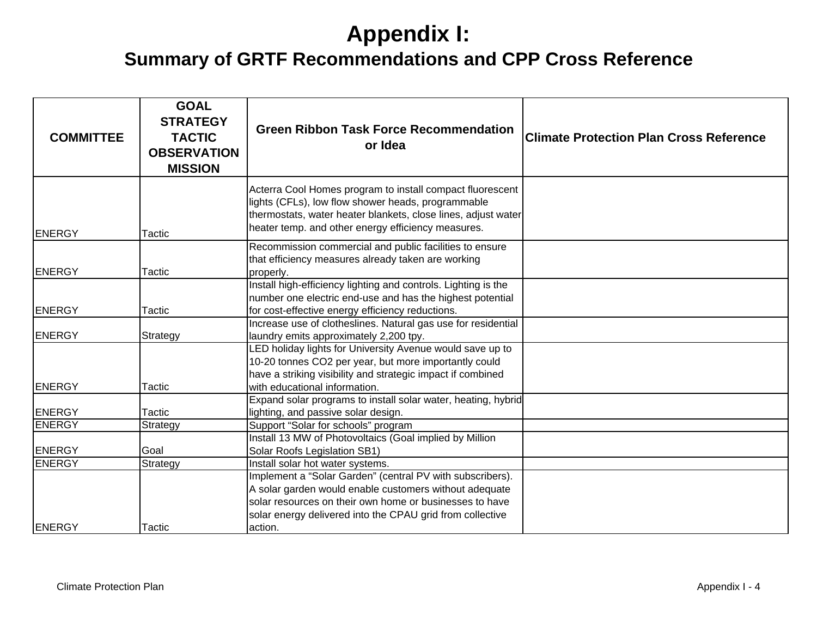| <b>COMMITTEE</b> | <b>GOAL</b><br><b>STRATEGY</b><br><b>TACTIC</b><br><b>OBSERVATION</b><br><b>MISSION</b> | <b>Green Ribbon Task Force Recommendation</b><br>or Idea                                                                                                                                                                                    | <b>Climate Protection Plan Cross Reference</b> |
|------------------|-----------------------------------------------------------------------------------------|---------------------------------------------------------------------------------------------------------------------------------------------------------------------------------------------------------------------------------------------|------------------------------------------------|
| <b>ENERGY</b>    | Tactic                                                                                  | Acterra Cool Homes program to install compact fluorescent<br>lights (CFLs), low flow shower heads, programmable<br>thermostats, water heater blankets, close lines, adjust water<br>heater temp. and other energy efficiency measures.      |                                                |
| <b>ENERGY</b>    | <b>Tactic</b>                                                                           | Recommission commercial and public facilities to ensure<br>that efficiency measures already taken are working<br>properly.                                                                                                                  |                                                |
| <b>ENERGY</b>    | Tactic                                                                                  | Install high-efficiency lighting and controls. Lighting is the<br>number one electric end-use and has the highest potential<br>for cost-effective energy efficiency reductions.                                                             |                                                |
| <b>ENERGY</b>    | Strategy                                                                                | Increase use of clotheslines. Natural gas use for residential<br>laundry emits approximately 2,200 tpy.<br>LED holiday lights for University Avenue would save up to                                                                        |                                                |
| ENERGY           | Tactic                                                                                  | 10-20 tonnes CO2 per year, but more importantly could<br>have a striking visibility and strategic impact if combined<br>with educational information.                                                                                       |                                                |
| <b>ENERGY</b>    | Tactic                                                                                  | Expand solar programs to install solar water, heating, hybrid<br>lighting, and passive solar design.                                                                                                                                        |                                                |
| <b>ENERGY</b>    | <b>Strategy</b>                                                                         | Support "Solar for schools" program                                                                                                                                                                                                         |                                                |
| ENERGY           | Goal                                                                                    | Install 13 MW of Photovoltaics (Goal implied by Million<br>Solar Roofs Legislation SB1)                                                                                                                                                     |                                                |
| <b>ENERGY</b>    | Strategy                                                                                | Install solar hot water systems.                                                                                                                                                                                                            |                                                |
|                  |                                                                                         | Implement a "Solar Garden" (central PV with subscribers).<br>A solar garden would enable customers without adequate<br>solar resources on their own home or businesses to have<br>solar energy delivered into the CPAU grid from collective |                                                |
| ENERGY           | Tactic                                                                                  | action.                                                                                                                                                                                                                                     |                                                |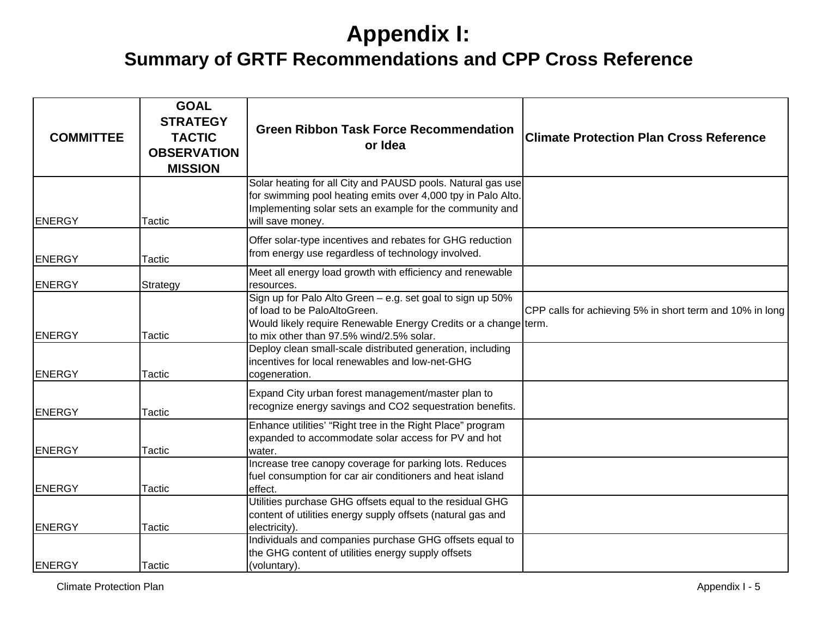| <b>COMMITTEE</b> | <b>GOAL</b><br><b>STRATEGY</b><br><b>TACTIC</b><br><b>OBSERVATION</b><br><b>MISSION</b> | <b>Green Ribbon Task Force Recommendation</b><br>or Idea                                                                                                                                                    | <b>Climate Protection Plan Cross Reference</b>           |
|------------------|-----------------------------------------------------------------------------------------|-------------------------------------------------------------------------------------------------------------------------------------------------------------------------------------------------------------|----------------------------------------------------------|
| <b>ENERGY</b>    | Tactic                                                                                  | Solar heating for all City and PAUSD pools. Natural gas use<br>for swimming pool heating emits over 4,000 tpy in Palo Alto.<br>Implementing solar sets an example for the community and<br>will save money. |                                                          |
| <b>ENERGY</b>    | Tactic                                                                                  | Offer solar-type incentives and rebates for GHG reduction<br>from energy use regardless of technology involved.                                                                                             |                                                          |
| <b>ENERGY</b>    | Strategy                                                                                | Meet all energy load growth with efficiency and renewable<br>resources.                                                                                                                                     |                                                          |
| <b>ENERGY</b>    | Tactic                                                                                  | Sign up for Palo Alto Green - e.g. set goal to sign up 50%<br>of load to be PaloAltoGreen.<br>Would likely require Renewable Energy Credits or a change term.<br>to mix other than 97.5% wind/2.5% solar.   | CPP calls for achieving 5% in short term and 10% in long |
| <b>ENERGY</b>    | Tactic                                                                                  | Deploy clean small-scale distributed generation, including<br>incentives for local renewables and low-net-GHG<br>cogeneration.                                                                              |                                                          |
| <b>ENERGY</b>    | Tactic                                                                                  | Expand City urban forest management/master plan to<br>recognize energy savings and CO2 sequestration benefits.                                                                                              |                                                          |
| <b>ENERGY</b>    | Tactic                                                                                  | Enhance utilities' "Right tree in the Right Place" program<br>expanded to accommodate solar access for PV and hot<br>water.                                                                                 |                                                          |
| <b>ENERGY</b>    | Tactic                                                                                  | Increase tree canopy coverage for parking lots. Reduces<br>fuel consumption for car air conditioners and heat island<br>effect.                                                                             |                                                          |
| <b>ENERGY</b>    | Tactic                                                                                  | Utilities purchase GHG offsets equal to the residual GHG<br>content of utilities energy supply offsets (natural gas and<br>electricity).                                                                    |                                                          |
| ENERGY           | Tactic                                                                                  | Individuals and companies purchase GHG offsets equal to<br>the GHG content of utilities energy supply offsets<br>(voluntary).                                                                               |                                                          |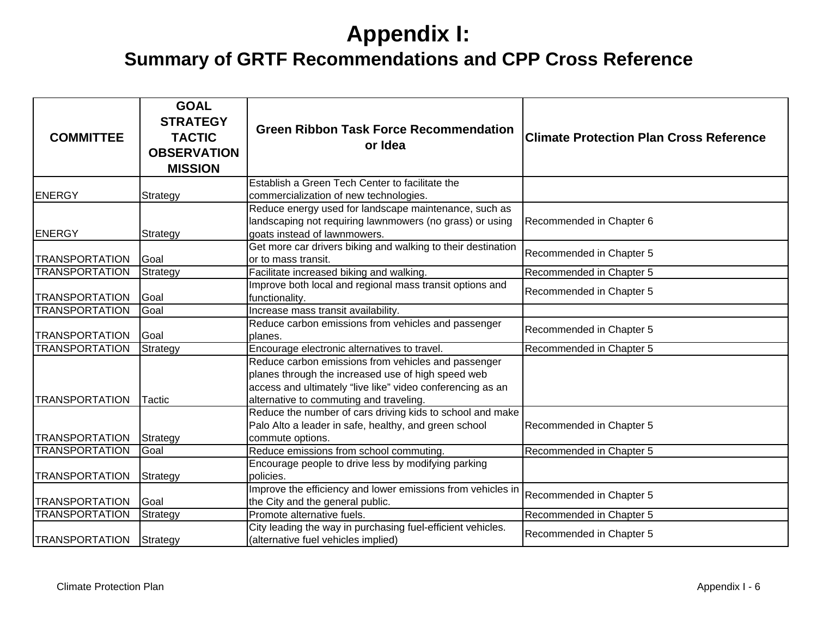| <b>COMMITTEE</b>      | <b>GOAL</b><br><b>STRATEGY</b><br><b>TACTIC</b><br><b>OBSERVATION</b><br><b>MISSION</b> | <b>Green Ribbon Task Force Recommendation</b><br>or Idea                                                                                                                                                           | <b>Climate Protection Plan Cross Reference</b> |
|-----------------------|-----------------------------------------------------------------------------------------|--------------------------------------------------------------------------------------------------------------------------------------------------------------------------------------------------------------------|------------------------------------------------|
| <b>ENERGY</b>         |                                                                                         | Establish a Green Tech Center to facilitate the                                                                                                                                                                    |                                                |
|                       | Strategy                                                                                | commercialization of new technologies.<br>Reduce energy used for landscape maintenance, such as                                                                                                                    |                                                |
| <b>ENERGY</b>         | Strategy                                                                                | landscaping not requiring lawnmowers (no grass) or using<br>goats instead of lawnmowers.                                                                                                                           | Recommended in Chapter 6                       |
| <b>TRANSPORTATION</b> | Goal                                                                                    | Get more car drivers biking and walking to their destination<br>or to mass transit.                                                                                                                                | Recommended in Chapter 5                       |
| <b>TRANSPORTATION</b> | Strategy                                                                                | Facilitate increased biking and walking.                                                                                                                                                                           | Recommended in Chapter 5                       |
| <b>TRANSPORTATION</b> | Goal                                                                                    | Improve both local and regional mass transit options and<br>functionality.                                                                                                                                         | Recommended in Chapter 5                       |
| <b>TRANSPORTATION</b> | Goal                                                                                    | Increase mass transit availability.                                                                                                                                                                                |                                                |
| <b>TRANSPORTATION</b> | Goal                                                                                    | Reduce carbon emissions from vehicles and passenger<br>planes.                                                                                                                                                     | Recommended in Chapter 5                       |
| <b>TRANSPORTATION</b> | Strategy                                                                                | Encourage electronic alternatives to travel.                                                                                                                                                                       | Recommended in Chapter 5                       |
| <b>TRANSPORTATION</b> | Tactic                                                                                  | Reduce carbon emissions from vehicles and passenger<br>planes through the increased use of high speed web<br>access and ultimately "live like" video conferencing as an<br>alternative to commuting and traveling. |                                                |
| <b>TRANSPORTATION</b> | Strategy                                                                                | Reduce the number of cars driving kids to school and make<br>Palo Alto a leader in safe, healthy, and green school<br>commute options.                                                                             | Recommended in Chapter 5                       |
| <b>TRANSPORTATION</b> | Goal                                                                                    | Reduce emissions from school commuting.                                                                                                                                                                            | Recommended in Chapter 5                       |
| <b>TRANSPORTATION</b> | Strategy                                                                                | Encourage people to drive less by modifying parking<br>policies.                                                                                                                                                   |                                                |
| <b>TRANSPORTATION</b> | Goal                                                                                    | Improve the efficiency and lower emissions from vehicles in<br>the City and the general public.                                                                                                                    | Recommended in Chapter 5                       |
| <b>TRANSPORTATION</b> | Strategy                                                                                | Promote alternative fuels.                                                                                                                                                                                         | Recommended in Chapter 5                       |
| <b>TRANSPORTATION</b> | Strategy                                                                                | City leading the way in purchasing fuel-efficient vehicles.<br>(alternative fuel vehicles implied)                                                                                                                 | Recommended in Chapter 5                       |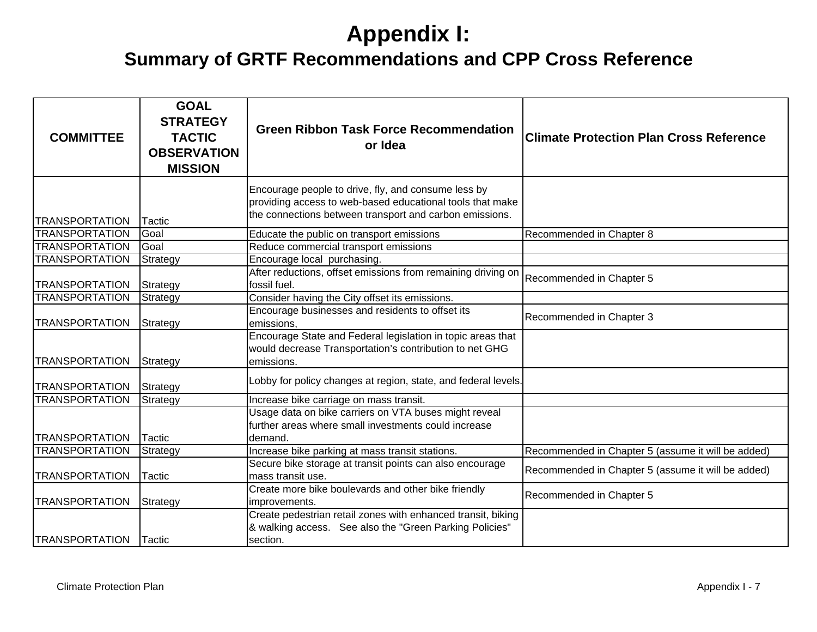| <b>COMMITTEE</b>      | <b>GOAL</b><br><b>STRATEGY</b><br><b>TACTIC</b><br><b>OBSERVATION</b><br><b>MISSION</b> | <b>Green Ribbon Task Force Recommendation</b><br>or Idea                                                                                                                    | <b>Climate Protection Plan Cross Reference</b>     |
|-----------------------|-----------------------------------------------------------------------------------------|-----------------------------------------------------------------------------------------------------------------------------------------------------------------------------|----------------------------------------------------|
|                       |                                                                                         | Encourage people to drive, fly, and consume less by<br>providing access to web-based educational tools that make<br>the connections between transport and carbon emissions. |                                                    |
| <b>TRANSPORTATION</b> | Tactic                                                                                  |                                                                                                                                                                             |                                                    |
| <b>TRANSPORTATION</b> | Goal                                                                                    | Educate the public on transport emissions                                                                                                                                   | Recommended in Chapter 8                           |
| <b>TRANSPORTATION</b> | Goal                                                                                    | Reduce commercial transport emissions                                                                                                                                       |                                                    |
| <b>TRANSPORTATION</b> | Strategy                                                                                | Encourage local purchasing.                                                                                                                                                 |                                                    |
| <b>TRANSPORTATION</b> | Strategy                                                                                | After reductions, offset emissions from remaining driving on<br>fossil fuel.                                                                                                | Recommended in Chapter 5                           |
| <b>TRANSPORTATION</b> | Strategy                                                                                | Consider having the City offset its emissions.                                                                                                                              |                                                    |
| <b>TRANSPORTATION</b> | Strategy                                                                                | Encourage businesses and residents to offset its<br>emissions.                                                                                                              | Recommended in Chapter 3                           |
| <b>TRANSPORTATION</b> | Strategy                                                                                | Encourage State and Federal legislation in topic areas that<br>would decrease Transportation's contribution to net GHG<br>emissions.                                        |                                                    |
| <b>TRANSPORTATION</b> | Strategy                                                                                | Lobby for policy changes at region, state, and federal levels.                                                                                                              |                                                    |
| <b>TRANSPORTATION</b> | Strategy                                                                                | Increase bike carriage on mass transit.                                                                                                                                     |                                                    |
| <b>TRANSPORTATION</b> | Tactic                                                                                  | Usage data on bike carriers on VTA buses might reveal<br>further areas where small investments could increase<br>demand.                                                    |                                                    |
| <b>TRANSPORTATION</b> | Strategy                                                                                | Increase bike parking at mass transit stations.                                                                                                                             | Recommended in Chapter 5 (assume it will be added) |
|                       |                                                                                         | Secure bike storage at transit points can also encourage                                                                                                                    |                                                    |
| <b>TRANSPORTATION</b> | Tactic                                                                                  | mass transit use.                                                                                                                                                           | Recommended in Chapter 5 (assume it will be added) |
| <b>TRANSPORTATION</b> | Strategy                                                                                | Create more bike boulevards and other bike friendly<br>improvements.                                                                                                        | Recommended in Chapter 5                           |
|                       |                                                                                         | Create pedestrian retail zones with enhanced transit, biking                                                                                                                |                                                    |
| <b>TRANSPORTATION</b> | <b>Tactic</b>                                                                           | & walking access. See also the "Green Parking Policies"<br>section.                                                                                                         |                                                    |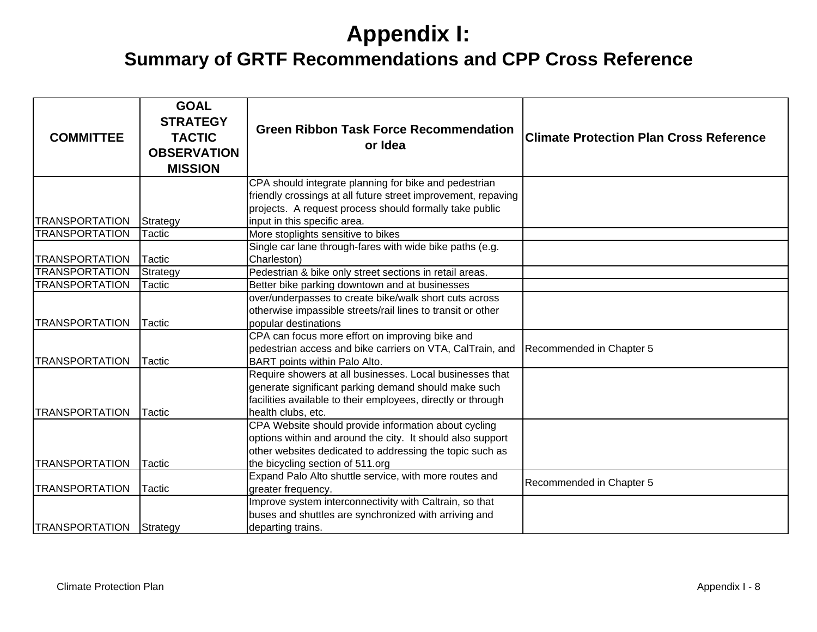| <b>COMMITTEE</b>      | <b>GOAL</b><br><b>STRATEGY</b><br><b>TACTIC</b><br><b>OBSERVATION</b><br><b>MISSION</b> | <b>Green Ribbon Task Force Recommendation</b><br>or Idea                                | <b>Climate Protection Plan Cross Reference</b> |
|-----------------------|-----------------------------------------------------------------------------------------|-----------------------------------------------------------------------------------------|------------------------------------------------|
|                       |                                                                                         | CPA should integrate planning for bike and pedestrian                                   |                                                |
|                       |                                                                                         | friendly crossings at all future street improvement, repaving                           |                                                |
| <b>TRANSPORTATION</b> |                                                                                         | projects. A request process should formally take public<br>input in this specific area. |                                                |
| <b>TRANSPORTATION</b> | Strategy<br>Tactic                                                                      | More stoplights sensitive to bikes                                                      |                                                |
|                       |                                                                                         | Single car lane through-fares with wide bike paths (e.g.                                |                                                |
| <b>TRANSPORTATION</b> | Tactic                                                                                  | Charleston)                                                                             |                                                |
| <b>TRANSPORTATION</b> | Strategy                                                                                | Pedestrian & bike only street sections in retail areas.                                 |                                                |
| <b>TRANSPORTATION</b> | Tactic                                                                                  | Better bike parking downtown and at businesses                                          |                                                |
|                       |                                                                                         | over/underpasses to create bike/walk short cuts across                                  |                                                |
|                       |                                                                                         | otherwise impassible streets/rail lines to transit or other                             |                                                |
| <b>TRANSPORTATION</b> | <b>Tactic</b>                                                                           | popular destinations                                                                    |                                                |
|                       |                                                                                         | CPA can focus more effort on improving bike and                                         |                                                |
|                       |                                                                                         | pedestrian access and bike carriers on VTA, CalTrain, and                               | Recommended in Chapter 5                       |
| <b>TRANSPORTATION</b> | Tactic                                                                                  | BART points within Palo Alto.                                                           |                                                |
|                       |                                                                                         | Require showers at all businesses. Local businesses that                                |                                                |
|                       |                                                                                         | generate significant parking demand should make such                                    |                                                |
|                       |                                                                                         | facilities available to their employees, directly or through                            |                                                |
| <b>TRANSPORTATION</b> | Tactic                                                                                  | health clubs, etc.                                                                      |                                                |
|                       |                                                                                         | CPA Website should provide information about cycling                                    |                                                |
|                       |                                                                                         | options within and around the city. It should also support                              |                                                |
|                       |                                                                                         | other websites dedicated to addressing the topic such as                                |                                                |
| <b>TRANSPORTATION</b> | Tactic                                                                                  | the bicycling section of 511.org                                                        |                                                |
|                       |                                                                                         | Expand Palo Alto shuttle service, with more routes and                                  | Recommended in Chapter 5                       |
| <b>TRANSPORTATION</b> | Tactic                                                                                  | greater frequency.                                                                      |                                                |
|                       |                                                                                         | Improve system interconnectivity with Caltrain, so that                                 |                                                |
|                       |                                                                                         | buses and shuttles are synchronized with arriving and                                   |                                                |
| <b>TRANSPORTATION</b> | Strategy                                                                                | departing trains.                                                                       |                                                |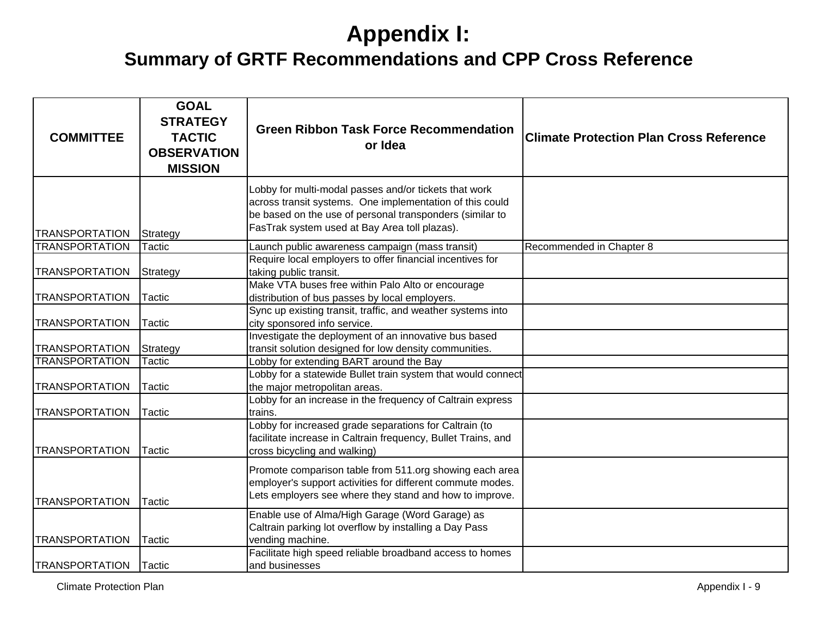| <b>COMMITTEE</b>      | <b>GOAL</b><br><b>STRATEGY</b><br><b>TACTIC</b><br><b>OBSERVATION</b><br><b>MISSION</b> | <b>Green Ribbon Task Force Recommendation</b><br>or Idea                                                                                                                                                                       | <b>Climate Protection Plan Cross Reference</b> |
|-----------------------|-----------------------------------------------------------------------------------------|--------------------------------------------------------------------------------------------------------------------------------------------------------------------------------------------------------------------------------|------------------------------------------------|
| <b>TRANSPORTATION</b> | Strategy                                                                                | Lobby for multi-modal passes and/or tickets that work<br>across transit systems. One implementation of this could<br>be based on the use of personal transponders (similar to<br>FasTrak system used at Bay Area toll plazas). |                                                |
| <b>TRANSPORTATION</b> | Tactic                                                                                  | Launch public awareness campaign (mass transit)                                                                                                                                                                                | Recommended in Chapter 8                       |
| <b>TRANSPORTATION</b> | Strategy                                                                                | Require local employers to offer financial incentives for<br>taking public transit.                                                                                                                                            |                                                |
| <b>TRANSPORTATION</b> | Tactic                                                                                  | Make VTA buses free within Palo Alto or encourage<br>distribution of bus passes by local employers.                                                                                                                            |                                                |
| <b>TRANSPORTATION</b> | Tactic                                                                                  | Sync up existing transit, traffic, and weather systems into<br>city sponsored info service.                                                                                                                                    |                                                |
| <b>TRANSPORTATION</b> | Strategy                                                                                | Investigate the deployment of an innovative bus based<br>transit solution designed for low density communities.                                                                                                                |                                                |
| <b>TRANSPORTATION</b> | Tactic                                                                                  | Lobby for extending BART around the Bay                                                                                                                                                                                        |                                                |
| <b>TRANSPORTATION</b> | Tactic                                                                                  | Lobby for a statewide Bullet train system that would connect<br>the major metropolitan areas.                                                                                                                                  |                                                |
| <b>TRANSPORTATION</b> | Tactic                                                                                  | Lobby for an increase in the frequency of Caltrain express<br>trains.                                                                                                                                                          |                                                |
| <b>TRANSPORTATION</b> | Tactic                                                                                  | Lobby for increased grade separations for Caltrain (to<br>facilitate increase in Caltrain frequency, Bullet Trains, and<br>cross bicycling and walking)                                                                        |                                                |
| <b>TRANSPORTATION</b> | <b>Tactic</b>                                                                           | Promote comparison table from 511.org showing each area<br>employer's support activities for different commute modes.<br>Lets employers see where they stand and how to improve.                                               |                                                |
| <b>TRANSPORTATION</b> | Tactic                                                                                  | Enable use of Alma/High Garage (Word Garage) as<br>Caltrain parking lot overflow by installing a Day Pass<br>vending machine.                                                                                                  |                                                |
| <b>TRANSPORTATION</b> | Tactic                                                                                  | Facilitate high speed reliable broadband access to homes<br>and businesses                                                                                                                                                     |                                                |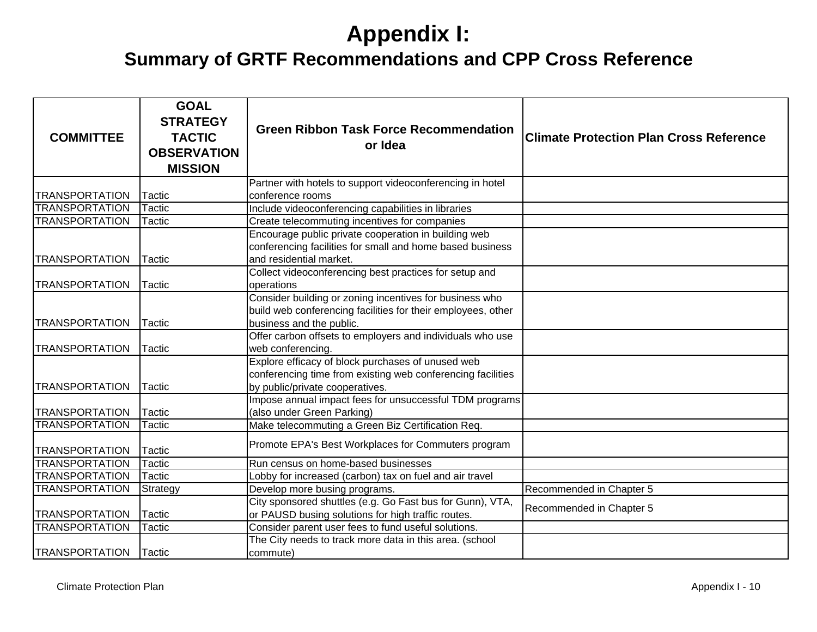| <b>COMMITTEE</b>      | <b>GOAL</b><br><b>STRATEGY</b><br><b>TACTIC</b><br><b>OBSERVATION</b><br><b>MISSION</b> | <b>Green Ribbon Task Force Recommendation</b><br>or Idea                                                                                            | <b>Climate Protection Plan Cross Reference</b> |
|-----------------------|-----------------------------------------------------------------------------------------|-----------------------------------------------------------------------------------------------------------------------------------------------------|------------------------------------------------|
|                       |                                                                                         | Partner with hotels to support videoconferencing in hotel                                                                                           |                                                |
| <b>TRANSPORTATION</b> | Tactic                                                                                  | conference rooms                                                                                                                                    |                                                |
| <b>TRANSPORTATION</b> | <b>Tactic</b>                                                                           | Include videoconferencing capabilities in libraries                                                                                                 |                                                |
| <b>TRANSPORTATION</b> | Tactic                                                                                  | Create telecommuting incentives for companies                                                                                                       |                                                |
| <b>TRANSPORTATION</b> | Tactic                                                                                  | Encourage public private cooperation in building web<br>conferencing facilities for small and home based business<br>and residential market.        |                                                |
| <b>TRANSPORTATION</b> | Tactic                                                                                  | Collect videoconferencing best practices for setup and<br>operations                                                                                |                                                |
| <b>TRANSPORTATION</b> | Tactic                                                                                  | Consider building or zoning incentives for business who<br>build web conferencing facilities for their employees, other<br>business and the public. |                                                |
| <b>TRANSPORTATION</b> | Tactic                                                                                  | Offer carbon offsets to employers and individuals who use<br>web conferencing.                                                                      |                                                |
| <b>TRANSPORTATION</b> | Tactic                                                                                  | Explore efficacy of block purchases of unused web<br>conferencing time from existing web conferencing facilities<br>by public/private cooperatives. |                                                |
| <b>TRANSPORTATION</b> | <b>Tactic</b>                                                                           | Impose annual impact fees for unsuccessful TDM programs<br>(also under Green Parking)                                                               |                                                |
| <b>TRANSPORTATION</b> | <b>Tactic</b>                                                                           | Make telecommuting a Green Biz Certification Req.                                                                                                   |                                                |
| <b>TRANSPORTATION</b> | Tactic                                                                                  | Promote EPA's Best Workplaces for Commuters program                                                                                                 |                                                |
| <b>TRANSPORTATION</b> | <b>Tactic</b>                                                                           | Run census on home-based businesses                                                                                                                 |                                                |
| <b>TRANSPORTATION</b> | <b>Tactic</b>                                                                           | Lobby for increased (carbon) tax on fuel and air travel                                                                                             |                                                |
| <b>TRANSPORTATION</b> | Strategy                                                                                | Develop more busing programs.                                                                                                                       | Recommended in Chapter 5                       |
| <b>TRANSPORTATION</b> | <b>Tactic</b>                                                                           | City sponsored shuttles (e.g. Go Fast bus for Gunn), VTA,<br>or PAUSD busing solutions for high traffic routes.                                     | Recommended in Chapter 5                       |
| <b>TRANSPORTATION</b> | Tactic                                                                                  | Consider parent user fees to fund useful solutions.                                                                                                 |                                                |
| <b>TRANSPORTATION</b> | Tactic                                                                                  | The City needs to track more data in this area. (school<br>commute)                                                                                 |                                                |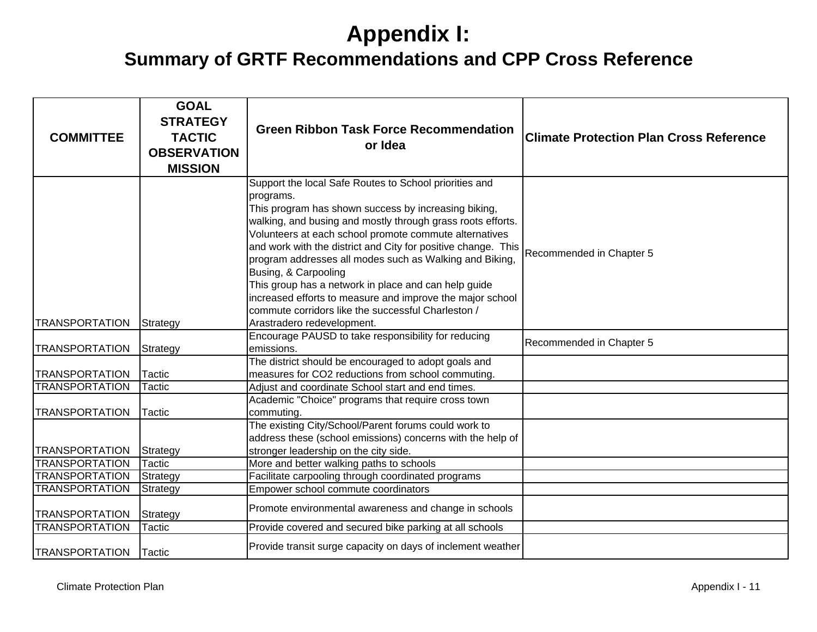| <b>COMMITTEE</b>      | <b>GOAL</b><br><b>STRATEGY</b><br><b>TACTIC</b><br><b>OBSERVATION</b><br><b>MISSION</b> | <b>Green Ribbon Task Force Recommendation</b><br>or Idea                                                                                                                                                                                                                                                                                                                                                                                                                                                                                                                                                          | <b>Climate Protection Plan Cross Reference</b> |
|-----------------------|-----------------------------------------------------------------------------------------|-------------------------------------------------------------------------------------------------------------------------------------------------------------------------------------------------------------------------------------------------------------------------------------------------------------------------------------------------------------------------------------------------------------------------------------------------------------------------------------------------------------------------------------------------------------------------------------------------------------------|------------------------------------------------|
| <b>TRANSPORTATION</b> | Strategy                                                                                | Support the local Safe Routes to School priorities and<br>programs.<br>This program has shown success by increasing biking,<br>walking, and busing and mostly through grass roots efforts.<br>Volunteers at each school promote commute alternatives<br>and work with the district and City for positive change. This<br>program addresses all modes such as Walking and Biking,<br>Busing, & Carpooling<br>This group has a network in place and can help guide<br>increased efforts to measure and improve the major school<br>commute corridors like the successful Charleston /<br>Arastradero redevelopment. | Recommended in Chapter 5                       |
| <b>TRANSPORTATION</b> | Strategy                                                                                | Encourage PAUSD to take responsibility for reducing<br>emissions.                                                                                                                                                                                                                                                                                                                                                                                                                                                                                                                                                 | Recommended in Chapter 5                       |
| <b>TRANSPORTATION</b> | Tactic                                                                                  | The district should be encouraged to adopt goals and<br>measures for CO2 reductions from school commuting.                                                                                                                                                                                                                                                                                                                                                                                                                                                                                                        |                                                |
| <b>TRANSPORTATION</b> | Tactic                                                                                  | Adjust and coordinate School start and end times.                                                                                                                                                                                                                                                                                                                                                                                                                                                                                                                                                                 |                                                |
| <b>TRANSPORTATION</b> | Tactic                                                                                  | Academic "Choice" programs that require cross town<br>commuting.                                                                                                                                                                                                                                                                                                                                                                                                                                                                                                                                                  |                                                |
| <b>TRANSPORTATION</b> | Strategy                                                                                | The existing City/School/Parent forums could work to<br>address these (school emissions) concerns with the help of<br>stronger leadership on the city side.                                                                                                                                                                                                                                                                                                                                                                                                                                                       |                                                |
| <b>TRANSPORTATION</b> | Tactic                                                                                  | More and better walking paths to schools                                                                                                                                                                                                                                                                                                                                                                                                                                                                                                                                                                          |                                                |
| <b>TRANSPORTATION</b> | Strategy                                                                                | Facilitate carpooling through coordinated programs                                                                                                                                                                                                                                                                                                                                                                                                                                                                                                                                                                |                                                |
| <b>TRANSPORTATION</b> | Strategy                                                                                | Empower school commute coordinators                                                                                                                                                                                                                                                                                                                                                                                                                                                                                                                                                                               |                                                |
| <b>TRANSPORTATION</b> | Strategy                                                                                | Promote environmental awareness and change in schools                                                                                                                                                                                                                                                                                                                                                                                                                                                                                                                                                             |                                                |
| <b>TRANSPORTATION</b> | Tactic                                                                                  | Provide covered and secured bike parking at all schools                                                                                                                                                                                                                                                                                                                                                                                                                                                                                                                                                           |                                                |
| <b>TRANSPORTATION</b> | Tactic                                                                                  | Provide transit surge capacity on days of inclement weather                                                                                                                                                                                                                                                                                                                                                                                                                                                                                                                                                       |                                                |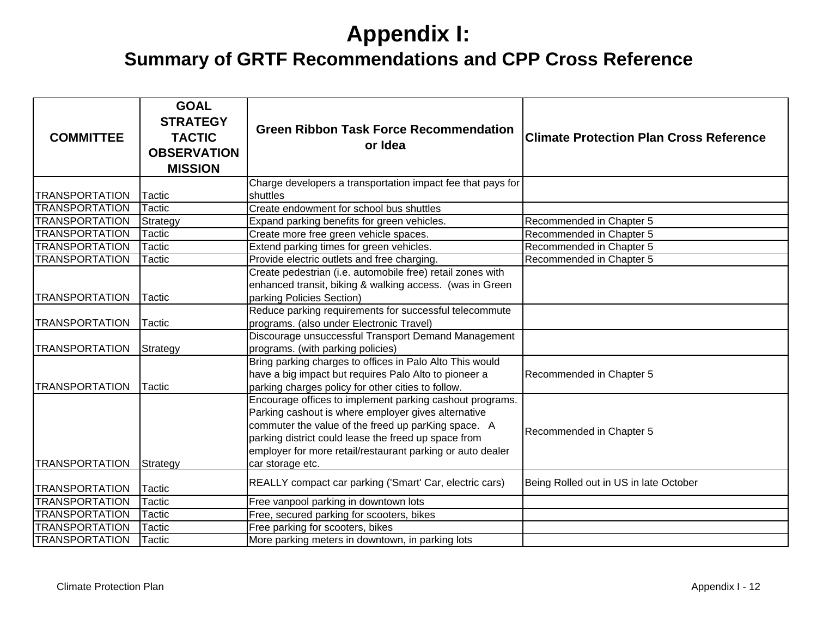| <b>COMMITTEE</b>      | <b>GOAL</b><br><b>STRATEGY</b><br><b>TACTIC</b><br><b>OBSERVATION</b><br><b>MISSION</b> | <b>Green Ribbon Task Force Recommendation</b><br>or Idea                                                                                                                                                                                                                                                         | <b>Climate Protection Plan Cross Reference</b> |
|-----------------------|-----------------------------------------------------------------------------------------|------------------------------------------------------------------------------------------------------------------------------------------------------------------------------------------------------------------------------------------------------------------------------------------------------------------|------------------------------------------------|
|                       |                                                                                         | Charge developers a transportation impact fee that pays for                                                                                                                                                                                                                                                      |                                                |
| <b>TRANSPORTATION</b> | Tactic                                                                                  | shuttles                                                                                                                                                                                                                                                                                                         |                                                |
| <b>TRANSPORTATION</b> | <b>Tactic</b>                                                                           | Create endowment for school bus shuttles                                                                                                                                                                                                                                                                         |                                                |
| <b>TRANSPORTATION</b> | Strategy                                                                                | Expand parking benefits for green vehicles.                                                                                                                                                                                                                                                                      | Recommended in Chapter 5                       |
| <b>TRANSPORTATION</b> | Tactic                                                                                  | Create more free green vehicle spaces.                                                                                                                                                                                                                                                                           | Recommended in Chapter 5                       |
| <b>TRANSPORTATION</b> | Tactic                                                                                  | Extend parking times for green vehicles.                                                                                                                                                                                                                                                                         | Recommended in Chapter 5                       |
| <b>TRANSPORTATION</b> | Tactic                                                                                  | Provide electric outlets and free charging.                                                                                                                                                                                                                                                                      | Recommended in Chapter 5                       |
| <b>TRANSPORTATION</b> | Tactic                                                                                  | Create pedestrian (i.e. automobile free) retail zones with<br>enhanced transit, biking & walking access. (was in Green<br>parking Policies Section)                                                                                                                                                              |                                                |
|                       |                                                                                         | Reduce parking requirements for successful telecommute                                                                                                                                                                                                                                                           |                                                |
| <b>TRANSPORTATION</b> | Tactic                                                                                  | programs. (also under Electronic Travel)                                                                                                                                                                                                                                                                         |                                                |
| <b>TRANSPORTATION</b> | Strategy                                                                                | Discourage unsuccessful Transport Demand Management<br>programs. (with parking policies)                                                                                                                                                                                                                         |                                                |
| <b>TRANSPORTATION</b> | Tactic                                                                                  | Bring parking charges to offices in Palo Alto This would<br>have a big impact but requires Palo Alto to pioneer a<br>parking charges policy for other cities to follow.                                                                                                                                          | Recommended in Chapter 5                       |
| <b>TRANSPORTATION</b> | Strategy                                                                                | Encourage offices to implement parking cashout programs.<br>Parking cashout is where employer gives alternative<br>commuter the value of the freed up parKing space. A<br>parking district could lease the freed up space from<br>employer for more retail/restaurant parking or auto dealer<br>car storage etc. | Recommended in Chapter 5                       |
| <b>TRANSPORTATION</b> | Tactic                                                                                  | REALLY compact car parking ('Smart' Car, electric cars)                                                                                                                                                                                                                                                          | Being Rolled out in US in late October         |
| <b>TRANSPORTATION</b> | Tactic                                                                                  | Free vanpool parking in downtown lots                                                                                                                                                                                                                                                                            |                                                |
| <b>TRANSPORTATION</b> | Tactic                                                                                  | Free, secured parking for scooters, bikes                                                                                                                                                                                                                                                                        |                                                |
| <b>TRANSPORTATION</b> | Tactic                                                                                  | Free parking for scooters, bikes                                                                                                                                                                                                                                                                                 |                                                |
| <b>TRANSPORTATION</b> | Tactic                                                                                  | More parking meters in downtown, in parking lots                                                                                                                                                                                                                                                                 |                                                |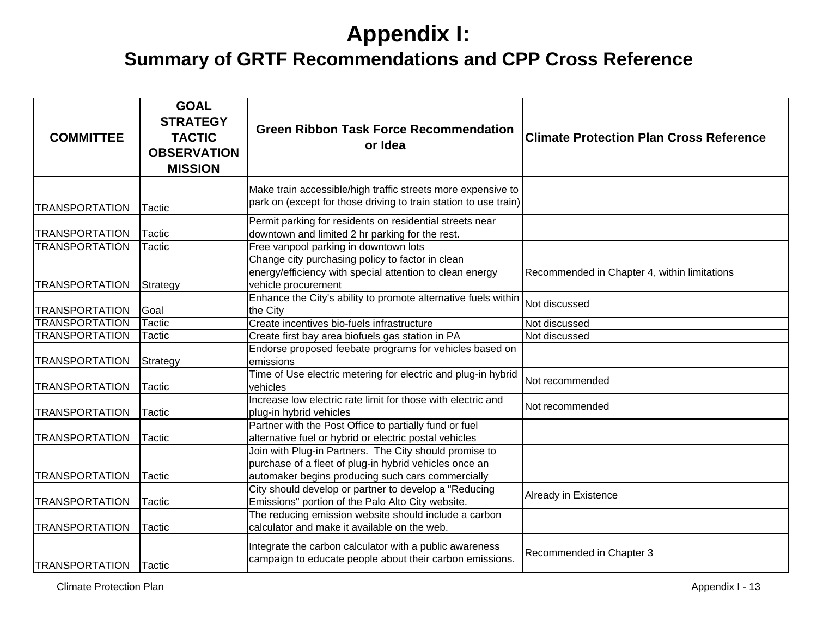| <b>COMMITTEE</b>                               | <b>GOAL</b><br><b>STRATEGY</b><br><b>TACTIC</b><br><b>OBSERVATION</b><br><b>MISSION</b> | <b>Green Ribbon Task Force Recommendation</b><br>or Idea                                                                                                                     | <b>Climate Protection Plan Cross Reference</b> |
|------------------------------------------------|-----------------------------------------------------------------------------------------|------------------------------------------------------------------------------------------------------------------------------------------------------------------------------|------------------------------------------------|
| <b>TRANSPORTATION</b>                          | Tactic                                                                                  | Make train accessible/high traffic streets more expensive to<br>park on (except for those driving to train station to use train)                                             |                                                |
| <b>TRANSPORTATION</b>                          | Tactic                                                                                  | Permit parking for residents on residential streets near<br>downtown and limited 2 hr parking for the rest.                                                                  |                                                |
| <b>TRANSPORTATION</b><br><b>TRANSPORTATION</b> | Tactic<br>Strategy                                                                      | Free vanpool parking in downtown lots<br>Change city purchasing policy to factor in clean<br>energy/efficiency with special attention to clean energy<br>vehicle procurement | Recommended in Chapter 4, within limitations   |
| <b>TRANSPORTATION</b>                          | Goal                                                                                    | Enhance the City's ability to promote alternative fuels within<br>the City                                                                                                   | Not discussed                                  |
| <b>TRANSPORTATION</b>                          | Tactic                                                                                  | Create incentives bio-fuels infrastructure                                                                                                                                   | Not discussed                                  |
| <b>TRANSPORTATION</b>                          | Tactic                                                                                  | Create first bay area biofuels gas station in PA<br>Endorse proposed feebate programs for vehicles based on                                                                  | Not discussed                                  |
| <b>TRANSPORTATION</b>                          | Strategy                                                                                | emissions                                                                                                                                                                    |                                                |
| <b>TRANSPORTATION</b>                          | Tactic                                                                                  | Time of Use electric metering for electric and plug-in hybrid<br>vehicles                                                                                                    | Not recommended                                |
| <b>TRANSPORTATION</b>                          | Tactic                                                                                  | Increase low electric rate limit for those with electric and<br>plug-in hybrid vehicles                                                                                      | Not recommended                                |
| <b>TRANSPORTATION</b>                          | <b>Tactic</b>                                                                           | Partner with the Post Office to partially fund or fuel<br>alternative fuel or hybrid or electric postal vehicles                                                             |                                                |
| <b>TRANSPORTATION</b>                          | Tactic                                                                                  | Join with Plug-in Partners. The City should promise to<br>purchase of a fleet of plug-in hybrid vehicles once an<br>automaker begins producing such cars commercially        |                                                |
| <b>TRANSPORTATION</b>                          | Tactic                                                                                  | City should develop or partner to develop a "Reducing<br>Emissions" portion of the Palo Alto City website.                                                                   | Already in Existence                           |
| <b>TRANSPORTATION</b>                          | Tactic                                                                                  | The reducing emission website should include a carbon<br>calculator and make it available on the web.                                                                        |                                                |
| <b>TRANSPORTATION</b>                          | <b>Tactic</b>                                                                           | Integrate the carbon calculator with a public awareness<br>campaign to educate people about their carbon emissions.                                                          | Recommended in Chapter 3                       |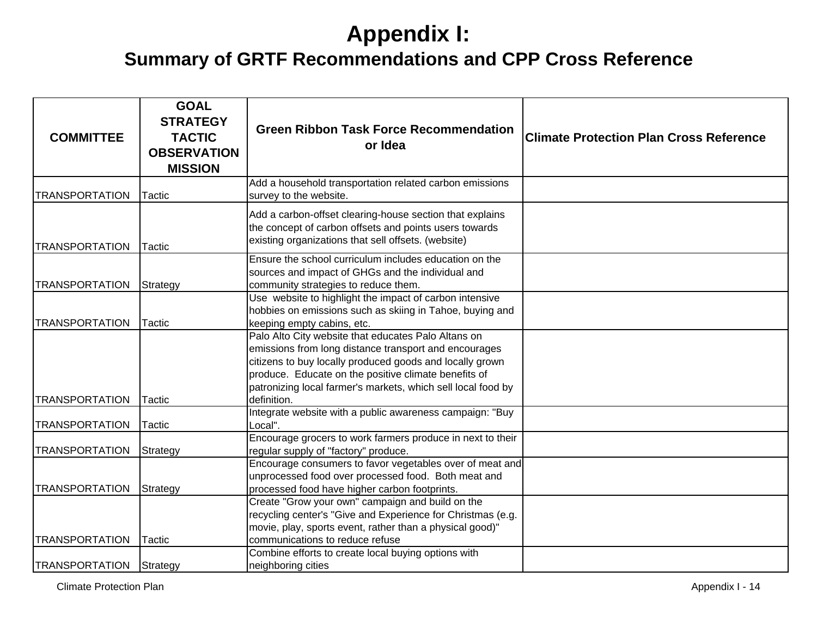| <b>COMMITTEE</b>      | <b>GOAL</b><br><b>STRATEGY</b><br><b>TACTIC</b><br><b>OBSERVATION</b><br><b>MISSION</b> | <b>Green Ribbon Task Force Recommendation</b><br>or Idea                                                                                                                                                                                                                                                        | <b>Climate Protection Plan Cross Reference</b> |
|-----------------------|-----------------------------------------------------------------------------------------|-----------------------------------------------------------------------------------------------------------------------------------------------------------------------------------------------------------------------------------------------------------------------------------------------------------------|------------------------------------------------|
| <b>TRANSPORTATION</b> | Tactic                                                                                  | Add a household transportation related carbon emissions<br>survey to the website.                                                                                                                                                                                                                               |                                                |
| <b>TRANSPORTATION</b> | <b>Tactic</b>                                                                           | Add a carbon-offset clearing-house section that explains<br>the concept of carbon offsets and points users towards<br>existing organizations that sell offsets. (website)                                                                                                                                       |                                                |
| <b>TRANSPORTATION</b> | Strategy                                                                                | Ensure the school curriculum includes education on the<br>sources and impact of GHGs and the individual and<br>community strategies to reduce them.                                                                                                                                                             |                                                |
| <b>TRANSPORTATION</b> | Tactic                                                                                  | Use website to highlight the impact of carbon intensive<br>hobbies on emissions such as skiing in Tahoe, buying and<br>keeping empty cabins, etc.                                                                                                                                                               |                                                |
| <b>TRANSPORTATION</b> | <b>Tactic</b>                                                                           | Palo Alto City website that educates Palo Altans on<br>emissions from long distance transport and encourages<br>citizens to buy locally produced goods and locally grown<br>produce. Educate on the positive climate benefits of<br>patronizing local farmer's markets, which sell local food by<br>definition. |                                                |
| <b>TRANSPORTATION</b> | <b>Tactic</b>                                                                           | Integrate website with a public awareness campaign: "Buy<br>Local".                                                                                                                                                                                                                                             |                                                |
| <b>TRANSPORTATION</b> | Strategy                                                                                | Encourage grocers to work farmers produce in next to their<br>regular supply of "factory" produce.<br>Encourage consumers to favor vegetables over of meat and                                                                                                                                                  |                                                |
| <b>TRANSPORTATION</b> | Strategy                                                                                | unprocessed food over processed food. Both meat and<br>processed food have higher carbon footprints.<br>Create "Grow your own" campaign and build on the<br>recycling center's "Give and Experience for Christmas (e.g.<br>movie, play, sports event, rather than a physical good)"                             |                                                |
| <b>TRANSPORTATION</b> | <b>Tactic</b>                                                                           | communications to reduce refuse<br>Combine efforts to create local buying options with                                                                                                                                                                                                                          |                                                |
| <b>TRANSPORTATION</b> | Strategy                                                                                | neighboring cities                                                                                                                                                                                                                                                                                              |                                                |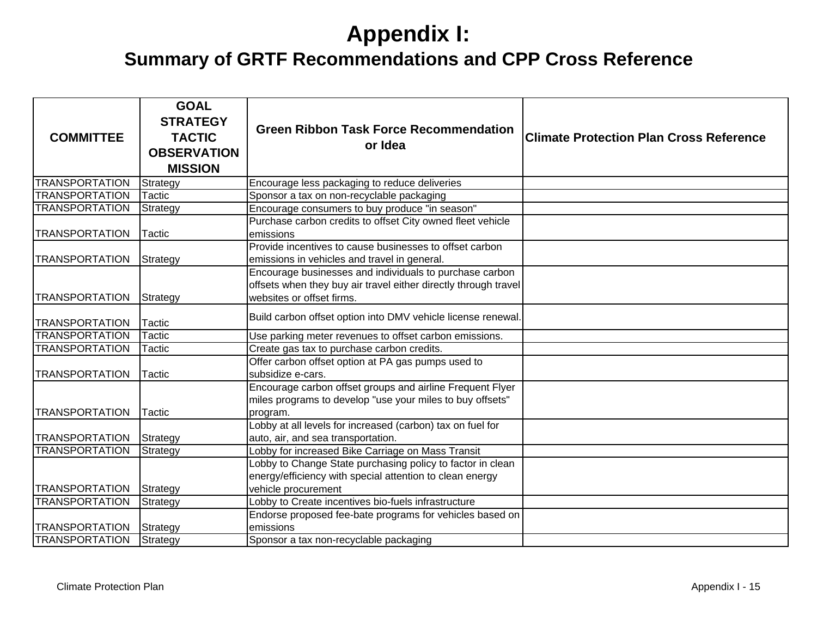| <b>COMMITTEE</b>      | <b>GOAL</b><br><b>STRATEGY</b><br><b>TACTIC</b><br><b>OBSERVATION</b><br><b>MISSION</b> | <b>Green Ribbon Task Force Recommendation</b><br>or Idea                                                                                                | <b>Climate Protection Plan Cross Reference</b> |
|-----------------------|-----------------------------------------------------------------------------------------|---------------------------------------------------------------------------------------------------------------------------------------------------------|------------------------------------------------|
| <b>TRANSPORTATION</b> | Strategy                                                                                | Encourage less packaging to reduce deliveries                                                                                                           |                                                |
| <b>TRANSPORTATION</b> | Tactic                                                                                  | Sponsor a tax on non-recyclable packaging                                                                                                               |                                                |
| <b>TRANSPORTATION</b> | Strategy                                                                                | Encourage consumers to buy produce "in season"                                                                                                          |                                                |
| <b>TRANSPORTATION</b> | Tactic                                                                                  | Purchase carbon credits to offset City owned fleet vehicle<br>emissions                                                                                 |                                                |
| <b>TRANSPORTATION</b> | Strategy                                                                                | Provide incentives to cause businesses to offset carbon<br>emissions in vehicles and travel in general.                                                 |                                                |
| <b>TRANSPORTATION</b> | Strategy                                                                                | Encourage businesses and individuals to purchase carbon<br>offsets when they buy air travel either directly through travel<br>websites or offset firms. |                                                |
| <b>TRANSPORTATION</b> | <b>Tactic</b>                                                                           | Build carbon offset option into DMV vehicle license renewal.                                                                                            |                                                |
| <b>TRANSPORTATION</b> | <b>Tactic</b>                                                                           | Use parking meter revenues to offset carbon emissions.                                                                                                  |                                                |
| <b>TRANSPORTATION</b> | Tactic                                                                                  | Create gas tax to purchase carbon credits.                                                                                                              |                                                |
| <b>TRANSPORTATION</b> | Tactic                                                                                  | Offer carbon offset option at PA gas pumps used to<br>subsidize e-cars.                                                                                 |                                                |
| <b>TRANSPORTATION</b> | Tactic                                                                                  | Encourage carbon offset groups and airline Frequent Flyer<br>miles programs to develop "use your miles to buy offsets"<br>program.                      |                                                |
| <b>TRANSPORTATION</b> | Strategy                                                                                | Lobby at all levels for increased (carbon) tax on fuel for<br>auto, air, and sea transportation.                                                        |                                                |
| <b>TRANSPORTATION</b> | Strategy                                                                                | Lobby for increased Bike Carriage on Mass Transit                                                                                                       |                                                |
| <b>TRANSPORTATION</b> | Strategy                                                                                | Lobby to Change State purchasing policy to factor in clean<br>energy/efficiency with special attention to clean energy<br>vehicle procurement           |                                                |
| <b>TRANSPORTATION</b> | Strategy                                                                                | Lobby to Create incentives bio-fuels infrastructure                                                                                                     |                                                |
| <b>TRANSPORTATION</b> | Strategy                                                                                | Endorse proposed fee-bate programs for vehicles based on<br>emissions                                                                                   |                                                |
| <b>TRANSPORTATION</b> | Strategy                                                                                | Sponsor a tax non-recyclable packaging                                                                                                                  |                                                |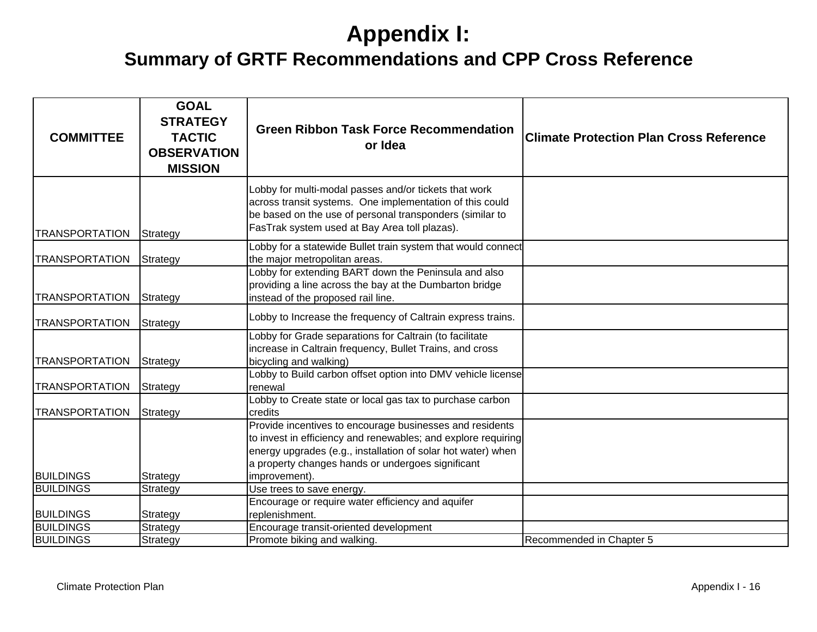| <b>COMMITTEE</b>                               | <b>GOAL</b><br><b>STRATEGY</b><br><b>TACTIC</b><br><b>OBSERVATION</b><br><b>MISSION</b> | <b>Green Ribbon Task Force Recommendation</b><br>or Idea                                                                                                                                                                                                                                                               | <b>Climate Protection Plan Cross Reference</b> |
|------------------------------------------------|-----------------------------------------------------------------------------------------|------------------------------------------------------------------------------------------------------------------------------------------------------------------------------------------------------------------------------------------------------------------------------------------------------------------------|------------------------------------------------|
| <b>TRANSPORTATION</b>                          | Strategy                                                                                | Lobby for multi-modal passes and/or tickets that work<br>across transit systems. One implementation of this could<br>be based on the use of personal transponders (similar to<br>FasTrak system used at Bay Area toll plazas).                                                                                         |                                                |
| <b>TRANSPORTATION</b>                          | Strategy                                                                                | Lobby for a statewide Bullet train system that would connect<br>the major metropolitan areas.<br>Lobby for extending BART down the Peninsula and also<br>providing a line across the bay at the Dumbarton bridge                                                                                                       |                                                |
| TRANSPORTATION                                 | Strategy                                                                                | instead of the proposed rail line.                                                                                                                                                                                                                                                                                     |                                                |
| <b>TRANSPORTATION</b><br><b>TRANSPORTATION</b> | Strategy<br>Strategy                                                                    | Lobby to Increase the frequency of Caltrain express trains.<br>Lobby for Grade separations for Caltrain (to facilitate<br>increase in Caltrain frequency, Bullet Trains, and cross<br>bicycling and walking)                                                                                                           |                                                |
| <b>TRANSPORTATION</b>                          | Strategy                                                                                | Lobby to Build carbon offset option into DMV vehicle license<br>renewal                                                                                                                                                                                                                                                |                                                |
| <b>TRANSPORTATION</b>                          | Strategy                                                                                | Lobby to Create state or local gas tax to purchase carbon<br>credits<br>Provide incentives to encourage businesses and residents<br>to invest in efficiency and renewables; and explore requiring<br>energy upgrades (e.g., installation of solar hot water) when<br>a property changes hands or undergoes significant |                                                |
| <b>BUILDINGS</b>                               | Strategy                                                                                | improvement).                                                                                                                                                                                                                                                                                                          |                                                |
| <b>BUILDINGS</b>                               | Strategy                                                                                | Use trees to save energy.                                                                                                                                                                                                                                                                                              |                                                |
| <b>BUILDINGS</b>                               | Strategy                                                                                | Encourage or require water efficiency and aquifer<br>replenishment.                                                                                                                                                                                                                                                    |                                                |
| <b>BUILDINGS</b>                               | Strategy                                                                                | Encourage transit-oriented development                                                                                                                                                                                                                                                                                 |                                                |
| <b>BUILDINGS</b>                               | Strategy                                                                                | Promote biking and walking.                                                                                                                                                                                                                                                                                            | Recommended in Chapter 5                       |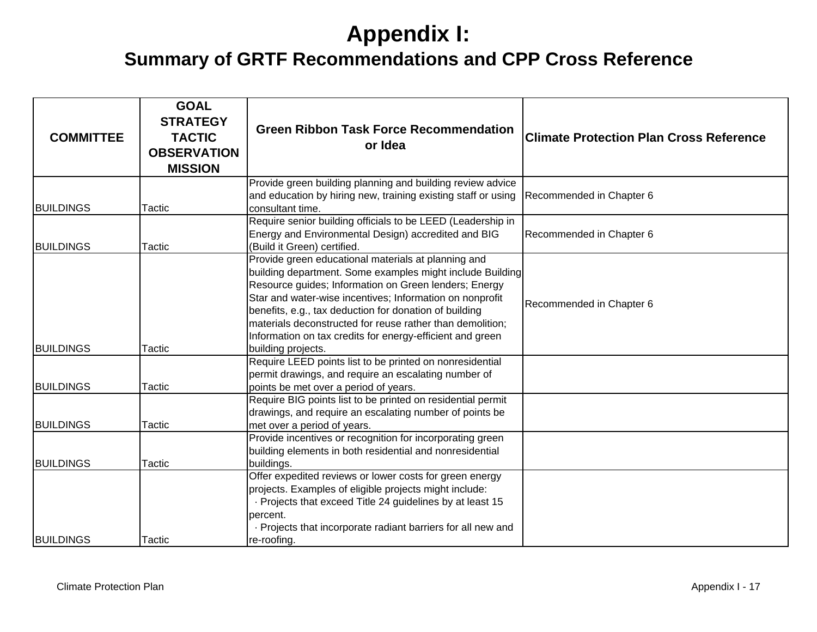| <b>COMMITTEE</b>                     | <b>GOAL</b><br><b>STRATEGY</b><br><b>TACTIC</b><br><b>OBSERVATION</b><br><b>MISSION</b> | <b>Green Ribbon Task Force Recommendation</b><br>or Idea                                                                                                                                                                                                                                                                                                                                                                                        | <b>Climate Protection Plan Cross Reference</b> |
|--------------------------------------|-----------------------------------------------------------------------------------------|-------------------------------------------------------------------------------------------------------------------------------------------------------------------------------------------------------------------------------------------------------------------------------------------------------------------------------------------------------------------------------------------------------------------------------------------------|------------------------------------------------|
|                                      |                                                                                         | Provide green building planning and building review advice<br>and education by hiring new, training existing staff or using                                                                                                                                                                                                                                                                                                                     | Recommended in Chapter 6                       |
| <b>BUILDINGS</b><br><b>BUILDINGS</b> | <b>Tactic</b><br><b>Tactic</b>                                                          | consultant time.<br>Require senior building officials to be LEED (Leadership in<br>Energy and Environmental Design) accredited and BIG<br>(Build it Green) certified.                                                                                                                                                                                                                                                                           | Recommended in Chapter 6                       |
| <b>BUILDINGS</b>                     | Tactic                                                                                  | Provide green educational materials at planning and<br>building department. Some examples might include Building<br>Resource guides; Information on Green lenders; Energy<br>Star and water-wise incentives; Information on nonprofit<br>benefits, e.g., tax deduction for donation of building<br>materials deconstructed for reuse rather than demolition;<br>Information on tax credits for energy-efficient and green<br>building projects. | Recommended in Chapter 6                       |
| <b>BUILDINGS</b>                     | Tactic                                                                                  | Require LEED points list to be printed on nonresidential<br>permit drawings, and require an escalating number of<br>points be met over a period of years.                                                                                                                                                                                                                                                                                       |                                                |
| <b>BUILDINGS</b>                     | Tactic                                                                                  | Require BIG points list to be printed on residential permit<br>drawings, and require an escalating number of points be<br>met over a period of years.                                                                                                                                                                                                                                                                                           |                                                |
| <b>BUILDINGS</b>                     | Tactic                                                                                  | Provide incentives or recognition for incorporating green<br>building elements in both residential and nonresidential<br>buildings.<br>Offer expedited reviews or lower costs for green energy                                                                                                                                                                                                                                                  |                                                |
| <b>BUILDINGS</b>                     | Tactic                                                                                  | projects. Examples of eligible projects might include:<br>· Projects that exceed Title 24 guidelines by at least 15<br>bercent.<br>. Projects that incorporate radiant barriers for all new and<br>re-roofing.                                                                                                                                                                                                                                  |                                                |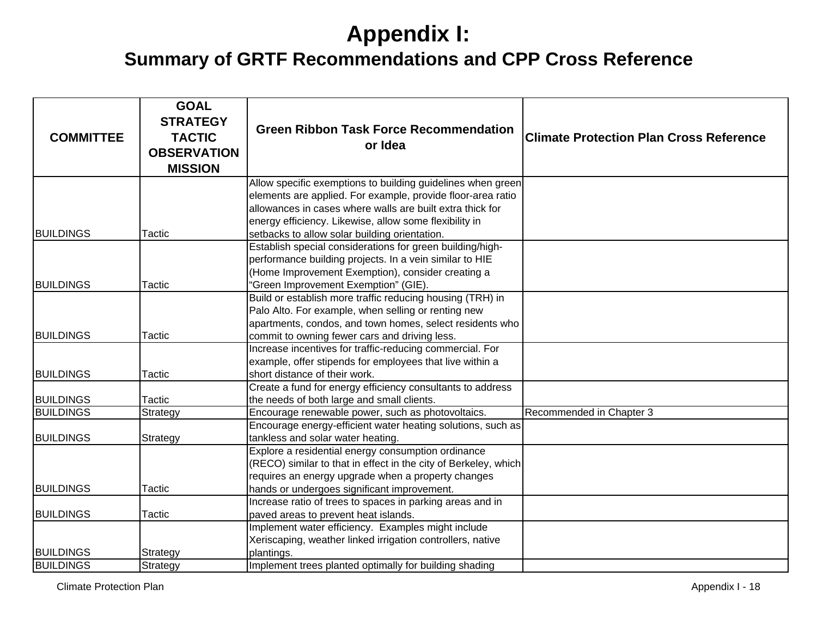| <b>COMMITTEE</b> | <b>GOAL</b><br><b>STRATEGY</b><br><b>TACTIC</b><br><b>OBSERVATION</b><br><b>MISSION</b> | <b>Green Ribbon Task Force Recommendation</b><br>or Idea                                                                 | <b>Climate Protection Plan Cross Reference</b> |
|------------------|-----------------------------------------------------------------------------------------|--------------------------------------------------------------------------------------------------------------------------|------------------------------------------------|
|                  |                                                                                         | Allow specific exemptions to building guidelines when green                                                              |                                                |
|                  |                                                                                         | elements are applied. For example, provide floor-area ratio<br>allowances in cases where walls are built extra thick for |                                                |
|                  |                                                                                         |                                                                                                                          |                                                |
| <b>BUILDINGS</b> | Tactic                                                                                  | energy efficiency. Likewise, allow some flexibility in                                                                   |                                                |
|                  |                                                                                         | setbacks to allow solar building orientation.<br>Establish special considerations for green building/high-               |                                                |
|                  |                                                                                         | performance building projects. In a vein similar to HIE                                                                  |                                                |
|                  |                                                                                         | (Home Improvement Exemption), consider creating a                                                                        |                                                |
| <b>BUILDINGS</b> | Tactic                                                                                  | 'Green Improvement Exemption" (GIE).                                                                                     |                                                |
|                  |                                                                                         | Build or establish more traffic reducing housing (TRH) in                                                                |                                                |
|                  |                                                                                         | Palo Alto. For example, when selling or renting new                                                                      |                                                |
|                  |                                                                                         | apartments, condos, and town homes, select residents who                                                                 |                                                |
| <b>BUILDINGS</b> | Tactic                                                                                  | commit to owning fewer cars and driving less.                                                                            |                                                |
|                  |                                                                                         | Increase incentives for traffic-reducing commercial. For                                                                 |                                                |
|                  |                                                                                         | example, offer stipends for employees that live within a                                                                 |                                                |
| <b>BUILDINGS</b> | Tactic                                                                                  | short distance of their work.                                                                                            |                                                |
|                  |                                                                                         | Create a fund for energy efficiency consultants to address                                                               |                                                |
| <b>BUILDINGS</b> | Tactic                                                                                  | the needs of both large and small clients.                                                                               |                                                |
| <b>BUILDINGS</b> | Strategy                                                                                | Encourage renewable power, such as photovoltaics.                                                                        | Recommended in Chapter 3                       |
|                  |                                                                                         | Encourage energy-efficient water heating solutions, such as                                                              |                                                |
| <b>BUILDINGS</b> | Strategy                                                                                | tankless and solar water heating.                                                                                        |                                                |
|                  |                                                                                         | Explore a residential energy consumption ordinance                                                                       |                                                |
|                  |                                                                                         | (RECO) similar to that in effect in the city of Berkeley, which                                                          |                                                |
|                  |                                                                                         | requires an energy upgrade when a property changes                                                                       |                                                |
| <b>BUILDINGS</b> | Tactic                                                                                  | hands or undergoes significant improvement.                                                                              |                                                |
|                  |                                                                                         | Increase ratio of trees to spaces in parking areas and in                                                                |                                                |
| <b>BUILDINGS</b> | Tactic                                                                                  | paved areas to prevent heat islands.                                                                                     |                                                |
|                  |                                                                                         | Implement water efficiency. Examples might include                                                                       |                                                |
|                  |                                                                                         | Xeriscaping, weather linked irrigation controllers, native                                                               |                                                |
| <b>BUILDINGS</b> | Strategy                                                                                | plantings.                                                                                                               |                                                |
| <b>BUILDINGS</b> | Strategy                                                                                | Implement trees planted optimally for building shading                                                                   |                                                |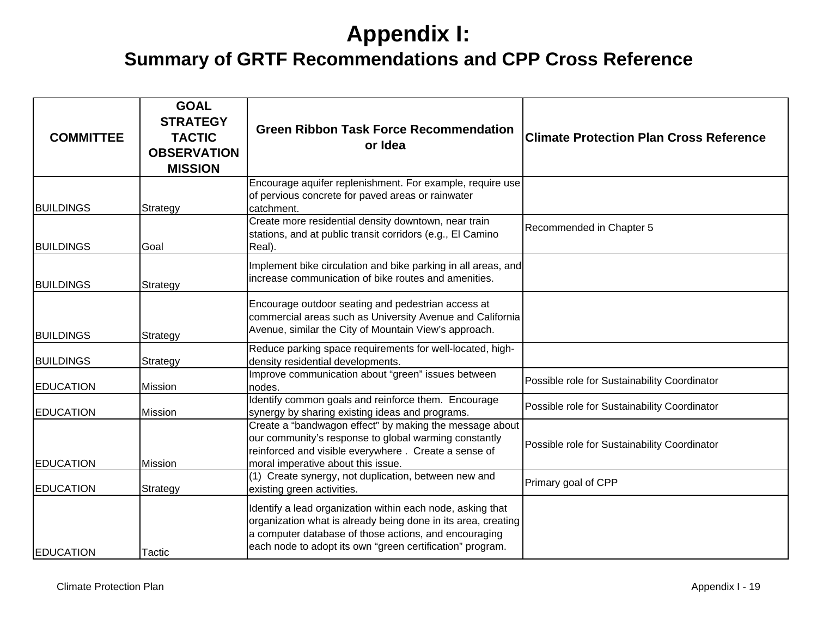| <b>COMMITTEE</b> | <b>GOAL</b><br><b>STRATEGY</b><br><b>TACTIC</b><br><b>OBSERVATION</b><br><b>MISSION</b> | <b>Green Ribbon Task Force Recommendation</b><br>or Idea                                                                                                                                                                                          | <b>Climate Protection Plan Cross Reference</b> |
|------------------|-----------------------------------------------------------------------------------------|---------------------------------------------------------------------------------------------------------------------------------------------------------------------------------------------------------------------------------------------------|------------------------------------------------|
| <b>BUILDINGS</b> | Strategy                                                                                | Encourage aquifer replenishment. For example, require use<br>of pervious concrete for paved areas or rainwater<br>catchment.                                                                                                                      |                                                |
| <b>BUILDINGS</b> | Goal                                                                                    | Create more residential density downtown, near train<br>stations, and at public transit corridors (e.g., El Camino<br>Real).                                                                                                                      | Recommended in Chapter 5                       |
| <b>BUILDINGS</b> | Strategy                                                                                | Implement bike circulation and bike parking in all areas, and<br>increase communication of bike routes and amenities.                                                                                                                             |                                                |
| <b>BUILDINGS</b> | Strategy                                                                                | Encourage outdoor seating and pedestrian access at<br>commercial areas such as University Avenue and California<br>Avenue, similar the City of Mountain View's approach.                                                                          |                                                |
| <b>BUILDINGS</b> | Strategy                                                                                | Reduce parking space requirements for well-located, high-<br>density residential developments.                                                                                                                                                    |                                                |
| <b>EDUCATION</b> | Mission                                                                                 | Improve communication about "green" issues between<br>nodes.                                                                                                                                                                                      | Possible role for Sustainability Coordinator   |
| <b>EDUCATION</b> | Mission                                                                                 | Identify common goals and reinforce them. Encourage<br>synergy by sharing existing ideas and programs.                                                                                                                                            | Possible role for Sustainability Coordinator   |
| <b>EDUCATION</b> | <b>Mission</b>                                                                          | Create a "bandwagon effect" by making the message about<br>our community's response to global warming constantly<br>reinforced and visible everywhere. Create a sense of<br>moral imperative about this issue.                                    | Possible role for Sustainability Coordinator   |
| <b>EDUCATION</b> | Strategy                                                                                | (1) Create synergy, not duplication, between new and<br>existing green activities.                                                                                                                                                                | Primary goal of CPP                            |
| <b>EDUCATION</b> | Tactic                                                                                  | Identify a lead organization within each node, asking that<br>organization what is already being done in its area, creating<br>a computer database of those actions, and encouraging<br>each node to adopt its own "green certification" program. |                                                |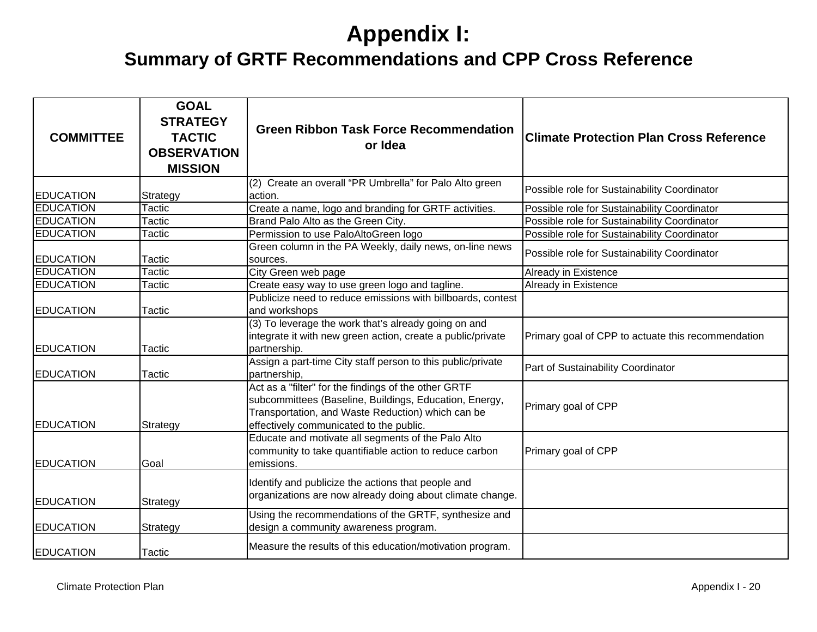| <b>COMMITTEE</b> | <b>GOAL</b><br><b>STRATEGY</b><br><b>TACTIC</b><br><b>OBSERVATION</b><br><b>MISSION</b> | <b>Green Ribbon Task Force Recommendation</b><br>or Idea                                                                                                                                                       | <b>Climate Protection Plan Cross Reference</b>     |
|------------------|-----------------------------------------------------------------------------------------|----------------------------------------------------------------------------------------------------------------------------------------------------------------------------------------------------------------|----------------------------------------------------|
| <b>EDUCATION</b> | Strategy                                                                                | (2) Create an overall "PR Umbrella" for Palo Alto green<br>action.                                                                                                                                             | Possible role for Sustainability Coordinator       |
| <b>EDUCATION</b> | Tactic                                                                                  | Create a name, logo and branding for GRTF activities.                                                                                                                                                          | Possible role for Sustainability Coordinator       |
| <b>EDUCATION</b> | Tactic                                                                                  | Brand Palo Alto as the Green City.                                                                                                                                                                             | Possible role for Sustainability Coordinator       |
| <b>EDUCATION</b> | Tactic                                                                                  | Permission to use PaloAltoGreen logo                                                                                                                                                                           | Possible role for Sustainability Coordinator       |
| <b>EDUCATION</b> | Tactic                                                                                  | Green column in the PA Weekly, daily news, on-line news<br>sources.                                                                                                                                            | Possible role for Sustainability Coordinator       |
| <b>EDUCATION</b> | Tactic                                                                                  | City Green web page                                                                                                                                                                                            | Already in Existence                               |
| <b>EDUCATION</b> | Tactic                                                                                  | Create easy way to use green logo and tagline.                                                                                                                                                                 | Already in Existence                               |
| <b>EDUCATION</b> | Tactic                                                                                  | Publicize need to reduce emissions with billboards, contest<br>and workshops                                                                                                                                   |                                                    |
| <b>EDUCATION</b> | Tactic                                                                                  | (3) To leverage the work that's already going on and<br>integrate it with new green action, create a public/private<br>partnership.                                                                            | Primary goal of CPP to actuate this recommendation |
| <b>EDUCATION</b> | Tactic                                                                                  | Assign a part-time City staff person to this public/private<br>partnership,                                                                                                                                    | Part of Sustainability Coordinator                 |
| <b>EDUCATION</b> | Strategy                                                                                | Act as a "filter" for the findings of the other GRTF<br>subcommittees (Baseline, Buildings, Education, Energy,<br>Transportation, and Waste Reduction) which can be<br>effectively communicated to the public. | Primary goal of CPP                                |
| <b>EDUCATION</b> | Goal                                                                                    | Educate and motivate all segments of the Palo Alto<br>community to take quantifiable action to reduce carbon<br>emissions.                                                                                     | Primary goal of CPP                                |
| <b>EDUCATION</b> | Strategy                                                                                | Identify and publicize the actions that people and<br>organizations are now already doing about climate change.                                                                                                |                                                    |
| <b>EDUCATION</b> | Strategy                                                                                | Using the recommendations of the GRTF, synthesize and<br>design a community awareness program.                                                                                                                 |                                                    |
| <b>EDUCATION</b> | Tactic                                                                                  | Measure the results of this education/motivation program.                                                                                                                                                      |                                                    |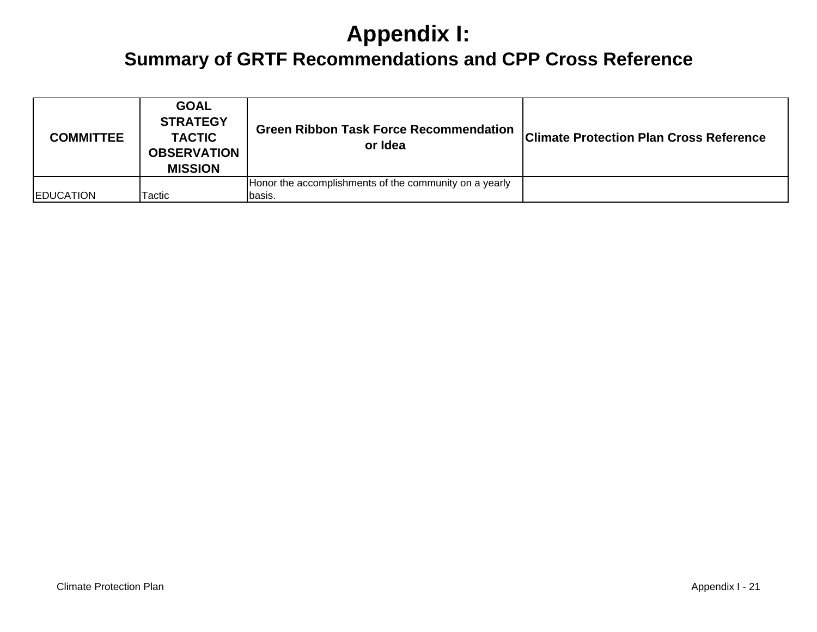| <b>COMMITTEE</b> | <b>GOAL</b><br><b>STRATEGY</b><br><b>TACTIC</b><br><b>OBSERVATION</b><br><b>MISSION</b> | <b>Green Ribbon Task Force Recommendation</b><br>or Idea | <b>Climate Protection Plan Cross Reference</b> |
|------------------|-----------------------------------------------------------------------------------------|----------------------------------------------------------|------------------------------------------------|
|                  |                                                                                         | Honor the accomplishments of the community on a yearly   |                                                |
| <b>EDUCATION</b> | Tactic                                                                                  | Ibasis.                                                  |                                                |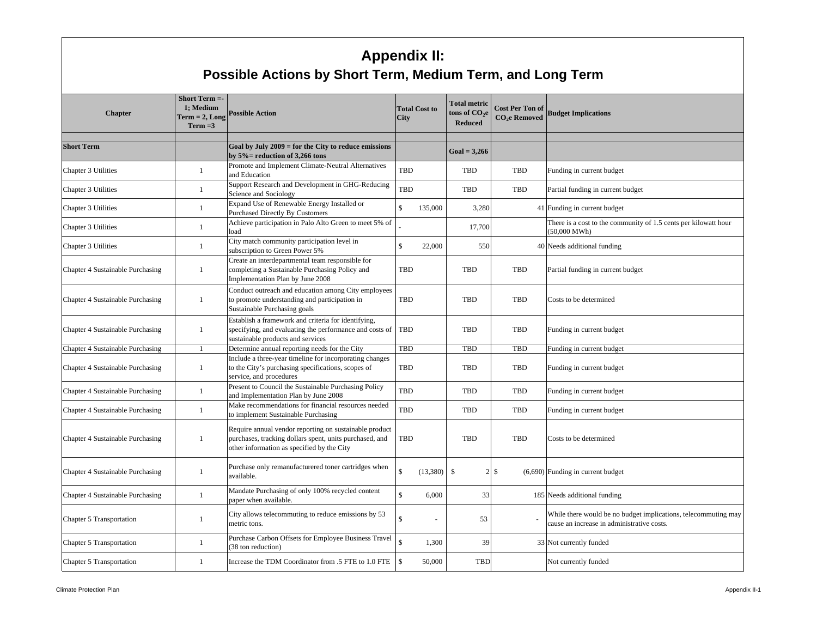#### **Appendix II: Possible Actions by Short Term, Medium Term, and Long Term**

| <b>Chapter</b>                          | Short Term $=$<br>1: Medium<br>$Term = 2, Long$<br>$Term = 3$ | <b>Possible Action</b>                                                                                                                                          | <b>City</b>        | <b>Total Cost to</b> | <b>Total metric</b><br>tons of CO <sub>2</sub> e<br><b>Reduced</b> | <b>Cost Per Ton of</b><br><b>CO<sub>2</sub>e</b> Removed | <b>Budget Implications</b>                                                                                   |
|-----------------------------------------|---------------------------------------------------------------|-----------------------------------------------------------------------------------------------------------------------------------------------------------------|--------------------|----------------------|--------------------------------------------------------------------|----------------------------------------------------------|--------------------------------------------------------------------------------------------------------------|
| <b>Short Term</b>                       |                                                               | Goal by July $2009 =$ for the City to reduce emissions<br>by $5\%$ = reduction of 3,266 tons                                                                    |                    |                      | $Goal = 3,266$                                                     |                                                          |                                                                                                              |
| Chapter 3 Utilities                     | -1                                                            | Promote and Implement Climate-Neutral Alternatives<br>and Education                                                                                             | <b>TBD</b>         |                      | TBD                                                                | <b>TBD</b>                                               | Funding in current budget                                                                                    |
| Chapter 3 Utilities                     | 1                                                             | Support Research and Development in GHG-Reducing<br>Science and Sociology                                                                                       | TBD                |                      | TBD                                                                | TBD                                                      | Partial funding in current budget                                                                            |
| Chapter 3 Utilities                     | 1                                                             | Expand Use of Renewable Energy Installed or<br><b>Purchased Directly By Customers</b>                                                                           | $\mathbb{S}$       | 135,000              | 3,280                                                              |                                                          | 41 Funding in current budget                                                                                 |
| Chapter 3 Utilities                     | 1                                                             | Achieve participation in Palo Alto Green to meet 5% of<br>load                                                                                                  |                    |                      | 17,700                                                             |                                                          | There is a cost to the community of 1.5 cents per kilowatt hour<br>$(50,000 \text{ MWh})$                    |
| Chapter 3 Utilities                     | 1                                                             | City match community participation level in<br>subscription to Green Power 5%                                                                                   | $\hat{\mathbf{S}}$ | 22,000               | 550                                                                |                                                          | 40 Needs additional funding                                                                                  |
| Chapter 4 Sustainable Purchasing        | 1                                                             | Create an interdepartmental team responsible for<br>completing a Sustainable Purchasing Policy and<br>Implementation Plan by June 2008                          | TBD                |                      | <b>TBD</b>                                                         | TBD                                                      | Partial funding in current budget                                                                            |
| Chapter 4 Sustainable Purchasing        | -1                                                            | Conduct outreach and education among City employees<br>to promote understanding and participation in<br>Sustainable Purchasing goals                            | TBD                |                      | TBD                                                                | <b>TBD</b>                                               | Costs to be determined                                                                                       |
| Chapter 4 Sustainable Purchasing        | $\mathbf{1}$                                                  | Establish a framework and criteria for identifying,<br>specifying, and evaluating the performance and costs of<br>sustainable products and services             | <b>TBD</b>         |                      | TBD                                                                | TBD                                                      | Funding in current budget                                                                                    |
| Chapter 4 Sustainable Purchasing        | 1                                                             | Determine annual reporting needs for the City                                                                                                                   | TBD                |                      | <b>TBD</b>                                                         | TBD                                                      | Funding in current budget                                                                                    |
| Chapter 4 Sustainable Purchasing        | $\mathbf{1}$                                                  | Include a three-year timeline for incorporating changes<br>to the City's purchasing specifications, scopes of<br>service, and procedures                        | TBD                |                      | TBD                                                                | TBD                                                      | Funding in current budget                                                                                    |
| Chapter 4 Sustainable Purchasing        | $\mathbf{1}$                                                  | Present to Council the Sustainable Purchasing Policy<br>and Implementation Plan by June 2008                                                                    | TBD                |                      | TBD                                                                | <b>TBD</b>                                               | Funding in current budget                                                                                    |
| <b>Chapter 4 Sustainable Purchasing</b> | -1                                                            | Make recommendations for financial resources needed<br>to implement Sustainable Purchasing                                                                      | TBD                |                      | TBD                                                                | <b>TBD</b>                                               | Funding in current budget                                                                                    |
| Chapter 4 Sustainable Purchasing        | -1                                                            | Require annual vendor reporting on sustainable product<br>purchases, tracking dollars spent, units purchased, and<br>other information as specified by the City | <b>TBD</b>         |                      | TBD                                                                | TBD                                                      | Costs to be determined                                                                                       |
| Chapter 4 Sustainable Purchasing        | 1                                                             | Purchase only remanufacturered toner cartridges when<br>available.                                                                                              | $\mathbf{\hat{s}}$ | (13,380)             | $\mathbf{s}$<br>$\overline{2}$                                     | ${\mathbb S}$                                            | $(6,690)$ Funding in current budget                                                                          |
| Chapter 4 Sustainable Purchasing        | $\mathbf{1}$                                                  | Mandate Purchasing of only 100% recycled content<br>paper when available.                                                                                       | $\mathbf{\hat{s}}$ | 6,000                | 33                                                                 |                                                          | 185 Needs additional funding                                                                                 |
| Chapter 5 Transportation                | -1                                                            | City allows telecommuting to reduce emissions by 53<br>metric tons.                                                                                             | $\mathbf{\hat{x}}$ |                      | 53                                                                 |                                                          | While there would be no budget implications, telecommuting may<br>cause an increase in administrative costs. |
| Chapter 5 Transportation                | 1                                                             | Purchase Carbon Offsets for Employee Business Travel<br>38 ton reduction)                                                                                       | $\hat{\mathbf{S}}$ | 1,300                | 39                                                                 |                                                          | 33 Not currently funded                                                                                      |
| Chapter 5 Transportation                | 1                                                             | Increase the TDM Coordinator from .5 FTE to 1.0 FTE                                                                                                             | <sup>\$</sup>      | 50,000               | <b>TBD</b>                                                         |                                                          | Not currently funded                                                                                         |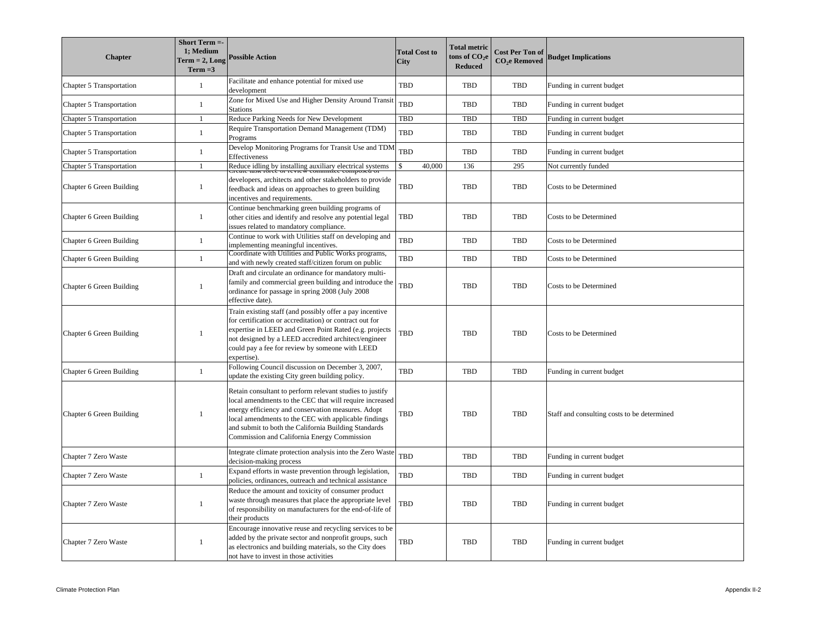| <b>Chapter</b>           | Short Term =-<br>1; Medium<br>$Term = 2, Long$<br>$Term = 3$ | <b>Possible Action</b>                                                                                                                                                                                                                                                                                                                   | <b>Total Cost to</b><br><b>City</b> | <b>Total metric</b><br>tons of $\mathrm{CO}_2\mathrm{e}$<br>Reduced | <b>Cost Per Ton of</b><br><b>CO<sub>2</sub>e</b> Removed | <b>Budget Implications</b>                  |
|--------------------------|--------------------------------------------------------------|------------------------------------------------------------------------------------------------------------------------------------------------------------------------------------------------------------------------------------------------------------------------------------------------------------------------------------------|-------------------------------------|---------------------------------------------------------------------|----------------------------------------------------------|---------------------------------------------|
| Chapter 5 Transportation | -1                                                           | Facilitate and enhance potential for mixed use<br>development                                                                                                                                                                                                                                                                            | TBD                                 | TBD                                                                 | TBD                                                      | Funding in current budget                   |
| Chapter 5 Transportation | $\mathbf{1}$                                                 | Zone for Mixed Use and Higher Density Around Transit<br><b>Stations</b>                                                                                                                                                                                                                                                                  | <b>TBD</b>                          | <b>TBD</b>                                                          | <b>TBD</b>                                               | Funding in current budget                   |
| Chapter 5 Transportation | 1                                                            | Reduce Parking Needs for New Development                                                                                                                                                                                                                                                                                                 | TBD                                 | TBD                                                                 | <b>TBD</b>                                               | Funding in current budget                   |
| Chapter 5 Transportation | $\mathbf{1}$                                                 | Require Transportation Demand Management (TDM)<br>Programs                                                                                                                                                                                                                                                                               | TBD                                 | <b>TBD</b>                                                          | <b>TBD</b>                                               | Funding in current budget                   |
| Chapter 5 Transportation | $\mathbf{1}$                                                 | Develop Monitoring Programs for Transit Use and TDN<br>Effectiveness                                                                                                                                                                                                                                                                     | TBD                                 | <b>TBD</b>                                                          | <b>TBD</b>                                               | Funding in current budget                   |
| Chapter 5 Transportation | 1                                                            | Reduce idling by installing auxiliary electrical systems                                                                                                                                                                                                                                                                                 | $\hat{\mathbf{S}}$<br>40,000        | 136                                                                 | 295                                                      | Not currently funded                        |
| Chapter 6 Green Building | $\mathbf{1}$                                                 | developers, architects and other stakeholders to provide<br>feedback and ideas on approaches to green building<br>incentives and requirements.                                                                                                                                                                                           | TBD                                 | <b>TBD</b>                                                          | <b>TBD</b>                                               | Costs to be Determined                      |
| Chapter 6 Green Building | $\mathbf{1}$                                                 | Continue benchmarking green building programs of<br>other cities and identify and resolve any potential legal<br>issues related to mandatory compliance.                                                                                                                                                                                 | TBD                                 | <b>TBD</b>                                                          | <b>TBD</b>                                               | Costs to be Determined                      |
| Chapter 6 Green Building | $\mathbf{1}$                                                 | Continue to work with Utilities staff on developing and<br>implementing meaningful incentives.                                                                                                                                                                                                                                           | TBD                                 | <b>TBD</b>                                                          | <b>TBD</b>                                               | Costs to be Determined                      |
| Chapter 6 Green Building | $\mathbf{1}$                                                 | Coordinate with Utilities and Public Works programs,<br>and with newly created staff/citizen forum on public                                                                                                                                                                                                                             | TBD                                 | <b>TBD</b>                                                          | <b>TBD</b>                                               | Costs to be Determined                      |
| Chapter 6 Green Building | 1                                                            | Draft and circulate an ordinance for mandatory multi-<br>family and commercial green building and introduce the<br>ordinance for passage in spring 2008 (July 2008)<br>effective date).                                                                                                                                                  | TBD                                 | TBD                                                                 | TBD                                                      | Costs to be Determined                      |
| Chapter 6 Green Building | $\mathbf{1}$                                                 | Train existing staff (and possibly offer a pay incentive<br>for certification or accreditation) or contract out for<br>expertise in LEED and Green Point Rated (e.g. projects<br>not designed by a LEED accredited architect/engineer<br>could pay a fee for review by someone with LEED<br>expertise).                                  | TBD                                 | <b>TBD</b>                                                          | <b>TBD</b>                                               | Costs to be Determined                      |
| Chapter 6 Green Building | $\mathbf{1}$                                                 | Following Council discussion on December 3, 2007,<br>update the existing City green building policy.                                                                                                                                                                                                                                     | <b>TBD</b>                          | <b>TBD</b>                                                          | <b>TBD</b>                                               | Funding in current budget                   |
| Chapter 6 Green Building | $\mathbf{1}$                                                 | Retain consultant to perform relevant studies to justify<br>local amendments to the CEC that will require increased<br>energy efficiency and conservation measures. Adopt<br>local amendments to the CEC with applicable findings<br>and submit to both the California Building Standards<br>Commission and California Energy Commission | TBD                                 | <b>TBD</b>                                                          | <b>TBD</b>                                               | Staff and consulting costs to be determined |
| Chapter 7 Zero Waste     |                                                              | Integrate climate protection analysis into the Zero Waste<br>decision-making process                                                                                                                                                                                                                                                     | TBD                                 | <b>TBD</b>                                                          | <b>TBD</b>                                               | Funding in current budget                   |
| Chapter 7 Zero Waste     | $\mathbf{1}$                                                 | Expand efforts in waste prevention through legislation,<br>policies, ordinances, outreach and technical assistance                                                                                                                                                                                                                       | TBD                                 | <b>TBD</b>                                                          | TBD                                                      | Funding in current budget                   |
| Chapter 7 Zero Waste     | 1                                                            | Reduce the amount and toxicity of consumer product<br>waste through measures that place the appropriate level<br>of responsibility on manufacturers for the end-of-life of<br>their products                                                                                                                                             | TBD                                 | <b>TBD</b>                                                          | <b>TBD</b>                                               | Funding in current budget                   |
| Chapter 7 Zero Waste     | $\mathbf{1}$                                                 | Encourage innovative reuse and recycling services to be<br>added by the private sector and nonprofit groups, such<br>as electronics and building materials, so the City does<br>not have to invest in those activities                                                                                                                   | TBD                                 | TBD                                                                 | TBD                                                      | Funding in current budget                   |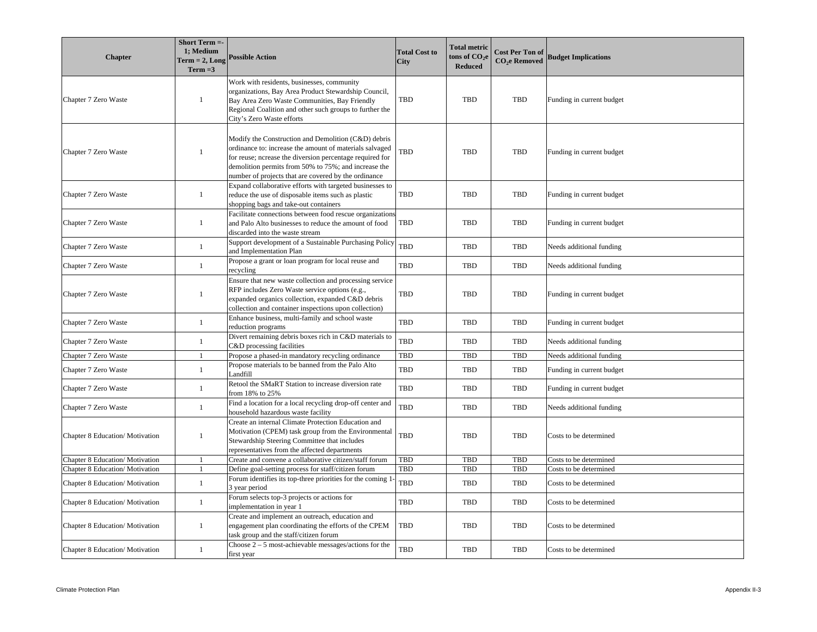| <b>Chapter</b>                         | Short Term =-<br>1; Medium<br>$Term = 2, Long$<br>$Term = 3$ | <b>Possible Action</b>                                                                                                                                                                                                                                                                     | <b>Total Cost to</b><br><b>City</b> | <b>Total metric</b><br>tons of $\mathrm{CO}_2\mathrm{e}$<br><b>Reduced</b> | <b>Cost Per Ton of</b><br><b>CO<sub>2</sub>e</b> Removed | <b>Budget Implications</b> |
|----------------------------------------|--------------------------------------------------------------|--------------------------------------------------------------------------------------------------------------------------------------------------------------------------------------------------------------------------------------------------------------------------------------------|-------------------------------------|----------------------------------------------------------------------------|----------------------------------------------------------|----------------------------|
| Chapter 7 Zero Waste                   | $\mathbf{1}$                                                 | Work with residents, businesses, community<br>organizations, Bay Area Product Stewardship Council,<br>Bay Area Zero Waste Communities, Bay Friendly<br>Regional Coalition and other such groups to further the<br>City's Zero Waste efforts                                                | TBD                                 | <b>TBD</b>                                                                 | <b>TBD</b>                                               | Funding in current budget  |
| Chapter 7 Zero Waste                   | $\overline{1}$                                               | Modify the Construction and Demolition (C&D) debris<br>ordinance to: increase the amount of materials salvaged<br>for reuse; ncrease the diversion percentage required for<br>demolition permits from 50% to 75%; and increase the<br>number of projects that are covered by the ordinance | TBD                                 | <b>TBD</b><br><b>TBD</b>                                                   |                                                          | Funding in current budget  |
| Chapter 7 Zero Waste                   | $\mathbf{1}$                                                 | Expand collaborative efforts with targeted businesses to<br>reduce the use of disposable items such as plastic<br>shopping bags and take-out containers                                                                                                                                    | <b>TBD</b>                          | <b>TBD</b>                                                                 | <b>TBD</b>                                               | Funding in current budget  |
| Chapter 7 Zero Waste                   | $\mathbf{1}$                                                 | Facilitate connections between food rescue organizations<br>and Palo Alto businesses to reduce the amount of food<br>discarded into the waste stream                                                                                                                                       | <b>TBD</b>                          | <b>TBD</b>                                                                 | <b>TBD</b>                                               | Funding in current budget  |
| Chapter 7 Zero Waste                   | -1                                                           | Support development of a Sustainable Purchasing Policy<br>and Implementation Plan                                                                                                                                                                                                          | TBD                                 | <b>TBD</b>                                                                 | TBD                                                      | Needs additional funding   |
| Chapter 7 Zero Waste                   | -1                                                           | Propose a grant or loan program for local reuse and<br>ecycling                                                                                                                                                                                                                            | TBD                                 | <b>TBD</b>                                                                 | <b>TBD</b>                                               | Needs additional funding   |
| Chapter 7 Zero Waste                   | $\mathbf{1}$                                                 | Ensure that new waste collection and processing service<br>RFP includes Zero Waste service options (e.g.,<br>expanded organics collection, expanded C&D debris<br>collection and container inspections upon collection)                                                                    | TBD                                 | <b>TBD</b>                                                                 | TBD                                                      | Funding in current budget  |
| Chapter 7 Zero Waste                   | -1                                                           | Enhance business, multi-family and school waste<br>reduction programs                                                                                                                                                                                                                      | TBD                                 | <b>TBD</b>                                                                 | <b>TBD</b>                                               | Funding in current budget  |
| Chapter 7 Zero Waste                   | -1                                                           | Divert remaining debris boxes rich in C&D materials to<br>$C&D$ processing facilities                                                                                                                                                                                                      | <b>TBD</b>                          | <b>TBD</b>                                                                 | <b>TBD</b>                                               | Needs additional funding   |
| Chapter 7 Zero Waste                   | $\overline{1}$                                               | Propose a phased-in mandatory recycling ordinance                                                                                                                                                                                                                                          | <b>TBD</b>                          | <b>TBD</b>                                                                 | <b>TBD</b>                                               | Needs additional funding   |
| Chapter 7 Zero Waste                   | $\mathbf{1}$                                                 | Propose materials to be banned from the Palo Alto<br>Landfill                                                                                                                                                                                                                              | TBD                                 | TBD                                                                        | TBD                                                      | Funding in current budget  |
| Chapter 7 Zero Waste                   | $\mathbf{1}$                                                 | Retool the SMaRT Station to increase diversion rate<br>from 18% to 25%                                                                                                                                                                                                                     | TBD                                 | <b>TBD</b>                                                                 | <b>TBD</b>                                               | Funding in current budget  |
| Chapter 7 Zero Waste                   | $\mathbf{1}$                                                 | Find a location for a local recycling drop-off center and<br>nousehold hazardous waste facility                                                                                                                                                                                            | TBD                                 | TBD                                                                        | TBD                                                      | Needs additional funding   |
| Chapter 8 Education/Motivation         | -1                                                           | Create an internal Climate Protection Education and<br>Motivation (CPEM) task group from the Environmental<br>Stewardship Steering Committee that includes<br>representatives from the affected departments                                                                                | TBD                                 | <b>TBD</b>                                                                 | TBD                                                      | Costs to be determined     |
| Chapter 8 Education/Motivation         |                                                              | Create and convene a collaborative citizen/staff forum                                                                                                                                                                                                                                     | <b>TBD</b>                          | <b>TBD</b>                                                                 | <b>TBD</b>                                               | Costs to be determined     |
| Chapter 8 Education/Motivation         |                                                              | Define goal-setting process for staff/citizen forum                                                                                                                                                                                                                                        | TBD                                 | <b>TBD</b>                                                                 | <b>TBD</b>                                               | Costs to be determined     |
| Chapter 8 Education/Motivation         | -1                                                           | Forum identifies its top-three priorities for the coming 1<br>3 year period                                                                                                                                                                                                                | TBD                                 | <b>TBD</b>                                                                 | TBD                                                      | Costs to be determined     |
| Chapter 8 Education/Motivation         | $\mathbf{1}$                                                 | Forum selects top-3 projects or actions for<br>mplementation in year 1                                                                                                                                                                                                                     | <b>TBD</b>                          | <b>TBD</b>                                                                 | <b>TBD</b>                                               | Costs to be determined     |
| <b>Chapter 8 Education/ Motivation</b> | -1                                                           | Create and implement an outreach, education and<br>engagement plan coordinating the efforts of the CPEM<br>ask group and the staff/citizen forum                                                                                                                                           | <b>TBD</b>                          | <b>TBD</b>                                                                 | <b>TBD</b>                                               | Costs to be determined     |
| Chapter 8 Education/Motivation         | $\mathbf{1}$                                                 | Choose $2 - 5$ most-achievable messages/actions for the<br>first year                                                                                                                                                                                                                      | <b>TBD</b>                          | <b>TBD</b>                                                                 | TBD                                                      | Costs to be determined     |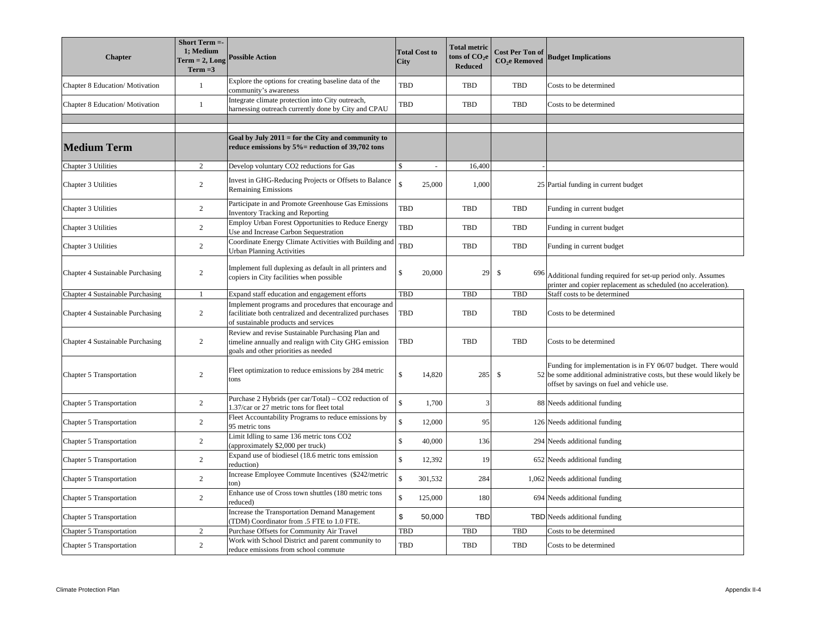| <b>Chapter</b>                   | Short Term =-<br>1; Medium<br>$Term = 2, Long$<br>$Term = 3$ | <b>Possible Action</b>                                                                                                                                   | <b>Total Cost to</b><br>City |         | <b>Total metric</b><br>tons of $\mathrm{CO}_2\mathrm{e}$<br><b>Reduced</b> | <b>Cost Per Ton of</b><br>CO <sub>2</sub> e Removed |     | <b>Budget Implications</b>                                                                                                                                                           |
|----------------------------------|--------------------------------------------------------------|----------------------------------------------------------------------------------------------------------------------------------------------------------|------------------------------|---------|----------------------------------------------------------------------------|-----------------------------------------------------|-----|--------------------------------------------------------------------------------------------------------------------------------------------------------------------------------------|
| Chapter 8 Education/Motivation   | $\mathbf{1}$                                                 | Explore the options for creating baseline data of the<br>community's awareness                                                                           | TBD                          |         | <b>TBD</b>                                                                 | TBD                                                 |     | Costs to be determined                                                                                                                                                               |
| Chapter 8 Education/Motivation   | $\mathbf{1}$                                                 | Integrate climate protection into City outreach,<br>harnessing outreach currently done by City and CPAU                                                  | <b>TBD</b>                   |         | <b>TBD</b>                                                                 | TBD                                                 |     | Costs to be determined                                                                                                                                                               |
|                                  |                                                              |                                                                                                                                                          |                              |         |                                                                            |                                                     |     |                                                                                                                                                                                      |
| Medium Term                      |                                                              | Goal by July $2011 =$ for the City and community to<br>reduce emissions by $5\%$ = reduction of 39,702 tons                                              |                              |         |                                                                            |                                                     |     |                                                                                                                                                                                      |
| Chapter 3 Utilities              | 2                                                            | Develop voluntary CO2 reductions for Gas                                                                                                                 | \$                           |         | 16,400                                                                     |                                                     |     |                                                                                                                                                                                      |
| Chapter 3 Utilities              | 2                                                            | Invest in GHG-Reducing Projects or Offsets to Balance<br><b>Remaining Emissions</b>                                                                      | $\mathbf{\hat{s}}$           | 25,000  | 1,000                                                                      |                                                     |     | 25 Partial funding in current budget                                                                                                                                                 |
| Chapter 3 Utilities              | 2                                                            | Participate in and Promote Greenhouse Gas Emissions<br><b>Inventory Tracking and Reporting</b>                                                           | <b>TBD</b>                   |         | <b>TBD</b>                                                                 | <b>TBD</b>                                          |     | Funding in current budget                                                                                                                                                            |
| Chapter 3 Utilities              | 2                                                            | <b>Employ Urban Forest Opportunities to Reduce Energy</b><br>Use and Increase Carbon Sequestration                                                       | <b>TBD</b>                   |         | TBD                                                                        | TBD                                                 |     | Funding in current budget                                                                                                                                                            |
| Chapter 3 Utilities              | 2                                                            | Coordinate Energy Climate Activities with Building and<br>Jrban Planning Activities                                                                      | TBD                          |         | <b>TBD</b>                                                                 | TBD                                                 |     | Funding in current budget                                                                                                                                                            |
| Chapter 4 Sustainable Purchasing | 2                                                            | Implement full duplexing as default in all printers and<br>copiers in City facilities when possible                                                      | $\mathbf{\hat{S}}$           | 20,000  | 29                                                                         | $\mathbb{S}$                                        | 696 | Additional funding required for set-up period only. Assumes<br>printer and copier replacement as scheduled (no acceleration).                                                        |
| Chapter 4 Sustainable Purchasing | $\mathbf{1}$                                                 | Expand staff education and engagement efforts                                                                                                            | <b>TBD</b>                   |         | TBD                                                                        | TBD                                                 |     | Staff costs to be determined                                                                                                                                                         |
| Chapter 4 Sustainable Purchasing | $\overline{2}$                                               | Implement programs and procedures that encourage and<br>facilitiate both centralized and decentralized purchases<br>of sustainable products and services | TBD                          |         | <b>TBD</b>                                                                 | TBD                                                 |     | Costs to be determined                                                                                                                                                               |
| Chapter 4 Sustainable Purchasing | $\overline{2}$                                               | Review and revise Sustainable Purchasing Plan and<br>timeline annually and realign with City GHG emission<br>coals and other priorities as needed        | TBD                          |         | <b>TBD</b>                                                                 | TBD                                                 |     | Costs to be determined                                                                                                                                                               |
| Chapter 5 Transportation         | 2                                                            | Fleet optimization to reduce emissions by 284 metric<br>ons                                                                                              | $\mathbf{\hat{S}}$           | 14,820  | 285                                                                        | \$                                                  |     | Funding for implementation is in FY 06/07 budget. There would<br>52 be some additional administrative costs, but these would likely be<br>offset by savings on fuel and vehicle use. |
| Chapter 5 Transportation         | 2                                                            | Purchase 2 Hybrids (per car/Total) – CO2 reduction of<br>.37/car or 27 metric tons for fleet total                                                       | $\hat{\mathbf{x}}$           | 1,700   | 3                                                                          |                                                     |     | 88 Needs additional funding                                                                                                                                                          |
| Chapter 5 Transportation         | 2                                                            | Fleet Accountability Programs to reduce emissions by<br>95 metric tons                                                                                   | $\mathbf{\hat{s}}$           | 12,000  | 95                                                                         |                                                     |     | 126 Needs additional funding                                                                                                                                                         |
| Chapter 5 Transportation         | $\overline{2}$                                               | Limit Idling to same 136 metric tons CO2<br>approximately \$2,000 per truck)                                                                             | $\mathbf{\hat{s}}$           | 40,000  | 136                                                                        |                                                     |     | 294 Needs additional funding                                                                                                                                                         |
| Chapter 5 Transportation         | 2                                                            | Expand use of biodiesel (18.6 metric tons emission<br>reduction)                                                                                         | $\mathbf{\hat{S}}$           | 12,392  | 19                                                                         |                                                     |     | 652 Needs additional funding                                                                                                                                                         |
| Chapter 5 Transportation         | 2                                                            | Increase Employee Commute Incentives (\$242/metric<br>on)                                                                                                | $\mathbf{s}$                 | 301,532 | 284                                                                        |                                                     |     | 1,062 Needs additional funding                                                                                                                                                       |
| Chapter 5 Transportation         | 2                                                            | Enhance use of Cross town shuttles (180 metric tons<br>reduced)                                                                                          | $\mathbb{S}$                 | 125,000 | 180                                                                        |                                                     |     | 694 Needs additional funding                                                                                                                                                         |
| Chapter 5 Transportation         |                                                              | Increase the Transportation Demand Management<br>TDM) Coordinator from .5 FTE to 1.0 FTE.                                                                | \$                           | 50,000  | <b>TBD</b>                                                                 |                                                     |     | TBD Needs additional funding                                                                                                                                                         |
| Chapter 5 Transportation         | 2                                                            | Purchase Offsets for Community Air Travel                                                                                                                | <b>TBD</b>                   |         | <b>TBD</b>                                                                 | <b>TBD</b>                                          |     | Costs to be determined                                                                                                                                                               |
| Chapter 5 Transportation         | 2                                                            | Work with School District and parent community to<br>reduce emissions from school commute                                                                | TBD                          |         | <b>TBD</b>                                                                 | TBD                                                 |     | Costs to be determined                                                                                                                                                               |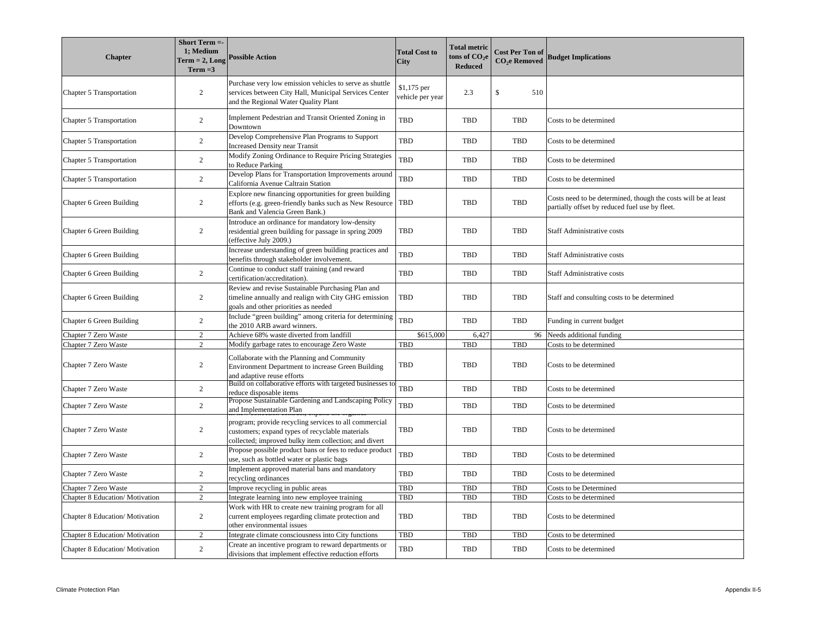| <b>Chapter</b>                  | Short Term =-<br>1; Medium<br>$Term = 2, Long$<br>$Term = 3$ | <b>Possible Action</b>                                                                                                                                            | <b>Total Cost to</b><br><b>City</b> | <b>Total metric</b><br>tons of $\mathrm{CO}_2\mathrm{e}$<br><b>Reduced</b> | <b>Cost Per Ton of</b><br><b>CO<sub>2</sub>e</b> Removed | <b>Budget Implications</b>                                                                                       |
|---------------------------------|--------------------------------------------------------------|-------------------------------------------------------------------------------------------------------------------------------------------------------------------|-------------------------------------|----------------------------------------------------------------------------|----------------------------------------------------------|------------------------------------------------------------------------------------------------------------------|
| Chapter 5 Transportation        | $\overline{2}$                                               | Purchase very low emission vehicles to serve as shuttle<br>services between City Hall, Municipal Services Center<br>and the Regional Water Quality Plant          | \$1,175 per<br>vehicle per year     | 2.3                                                                        | \$<br>510                                                |                                                                                                                  |
| Chapter 5 Transportation        | 2                                                            | Implement Pedestrian and Transit Oriented Zoning in<br>Downtown                                                                                                   | TBD                                 | <b>TBD</b>                                                                 | <b>TBD</b>                                               | Costs to be determined                                                                                           |
| Chapter 5 Transportation        | 2                                                            | Develop Comprehensive Plan Programs to Support<br><b>Increased Density near Transit</b>                                                                           | TBD                                 | <b>TBD</b>                                                                 | <b>TBD</b>                                               | Costs to be determined                                                                                           |
| Chapter 5 Transportation        | 2                                                            | Modify Zoning Ordinance to Require Pricing Strategies<br>o Reduce Parking                                                                                         | <b>TBD</b>                          | <b>TBD</b>                                                                 | TBD                                                      | Costs to be determined                                                                                           |
| Chapter 5 Transportation        | $\overline{2}$                                               | Develop Plans for Transportation Improvements around<br>California Avenue Caltrain Station                                                                        | TBD                                 | <b>TBD</b>                                                                 | TBD                                                      | Costs to be determined                                                                                           |
| Chapter 6 Green Building        | 2                                                            | Explore new financing opportunities for green building<br>efforts (e.g. green-friendly banks such as New Resource<br>Bank and Valencia Green Bank.)               | <b>TBD</b>                          | <b>TBD</b>                                                                 | <b>TBD</b>                                               | Costs need to be determined, though the costs will be at least<br>partially offset by reduced fuel use by fleet. |
| Chapter 6 Green Building        | 2                                                            | Introduce an ordinance for mandatory low-density<br>esidential green building for passage in spring 2009<br>effective July 2009.)                                 | TBD                                 | <b>TBD</b>                                                                 | <b>TBD</b>                                               | Staff Administrative costs                                                                                       |
| Chapter 6 Green Building        |                                                              | Increase understanding of green building practices and<br>benefits through stakeholder involvement.                                                               | <b>TBD</b>                          | <b>TBD</b>                                                                 | TBD                                                      | Staff Administrative costs                                                                                       |
| Chapter 6 Green Building        | 2                                                            | Continue to conduct staff training (and reward<br>certification/accreditation).                                                                                   | TBD                                 | <b>TBD</b>                                                                 | <b>TBD</b>                                               | <b>Staff Administrative costs</b>                                                                                |
| Chapter 6 Green Building        | 2                                                            | Review and revise Sustainable Purchasing Plan and<br>timeline annually and realign with City GHG emission<br>goals and other priorities as needed                 | <b>TBD</b>                          | <b>TBD</b>                                                                 | <b>TBD</b>                                               | Staff and consulting costs to be determined                                                                      |
| Chapter 6 Green Building        | $\overline{2}$                                               | include "green building" among criteria for determining<br>the 2010 ARB award winners.                                                                            | <b>TBD</b>                          | <b>TBD</b>                                                                 | TBD                                                      | Funding in current budget                                                                                        |
| Chapter 7 Zero Waste            | 2                                                            | Achieve 68% waste diverted from landfill                                                                                                                          | \$615,000                           | 6,427                                                                      | 96                                                       | Needs additional funding                                                                                         |
| Chapter 7 Zero Waste            | 2                                                            | Modify garbage rates to encourage Zero Waste                                                                                                                      | TBD                                 | <b>TBD</b>                                                                 | <b>TBD</b>                                               | Costs to be determined                                                                                           |
| Chapter 7 Zero Waste            | $\overline{2}$                                               | Collaborate with the Planning and Community<br>Environment Department to increase Green Building<br>and adaptive reuse efforts                                    | TBD                                 | <b>TBD</b>                                                                 | <b>TBD</b>                                               | Costs to be determined                                                                                           |
| Chapter 7 Zero Waste            | $\overline{2}$                                               | Build on collaborative efforts with targeted businesses to<br>educe disposable items                                                                              | <b>TBD</b>                          | <b>TBD</b>                                                                 | TBD                                                      | Costs to be determined                                                                                           |
| Chapter 7 Zero Waste            | 2                                                            | Propose Sustainable Gardening and Landscaping Policy<br>and Implementation Plan                                                                                   | <b>TBD</b>                          | <b>TBD</b>                                                                 | <b>TBD</b>                                               | Costs to be determined                                                                                           |
| Chapter 7 Zero Waste            | $\overline{2}$                                               | program; provide recycling services to all commercial<br>customers; expand types of recyclable materials<br>collected; improved bulky item collection; and divert | TBD                                 | <b>TBD</b>                                                                 | <b>TBD</b>                                               | Costs to be determined                                                                                           |
| Chapter 7 Zero Waste            | 2                                                            | Propose possible product bans or fees to reduce product<br>use, such as bottled water or plastic bags                                                             | <b>TBD</b>                          | <b>TBD</b>                                                                 | <b>TBD</b>                                               | Costs to be determined                                                                                           |
| Chapter 7 Zero Waste            | 2                                                            | Implement approved material bans and mandatory<br>recycling ordinances                                                                                            | TBD                                 | <b>TBD</b>                                                                 | <b>TBD</b>                                               | Costs to be determined                                                                                           |
| Chapter 7 Zero Waste            | 2                                                            | Improve recycling in public areas                                                                                                                                 | TBD                                 | <b>TBD</b>                                                                 | TBD                                                      | Costs to be Determined                                                                                           |
| Chapter 8 Education/Motivation  | 2                                                            | Integrate learning into new employee training                                                                                                                     | TBD                                 | <b>TBD</b>                                                                 | <b>TBD</b>                                               | Costs to be determined                                                                                           |
| Chapter 8 Education/Motivation  | $\overline{2}$                                               | Work with HR to create new training program for all<br>current employees regarding climate protection and<br>other environmental issues                           | TBD                                 | <b>TBD</b>                                                                 | <b>TBD</b>                                               | Costs to be determined                                                                                           |
| Chapter 8 Education/Motivation  | 2                                                            | Integrate climate consciousness into City functions                                                                                                               | TBD                                 | <b>TBD</b>                                                                 | <b>TBD</b>                                               | Costs to be determined                                                                                           |
| Chapter 8 Education/ Motivation | $\overline{2}$                                               | Create an incentive program to reward departments or<br>divisions that implement effective reduction efforts                                                      | TBD                                 | <b>TBD</b>                                                                 | <b>TBD</b>                                               | Costs to be determined                                                                                           |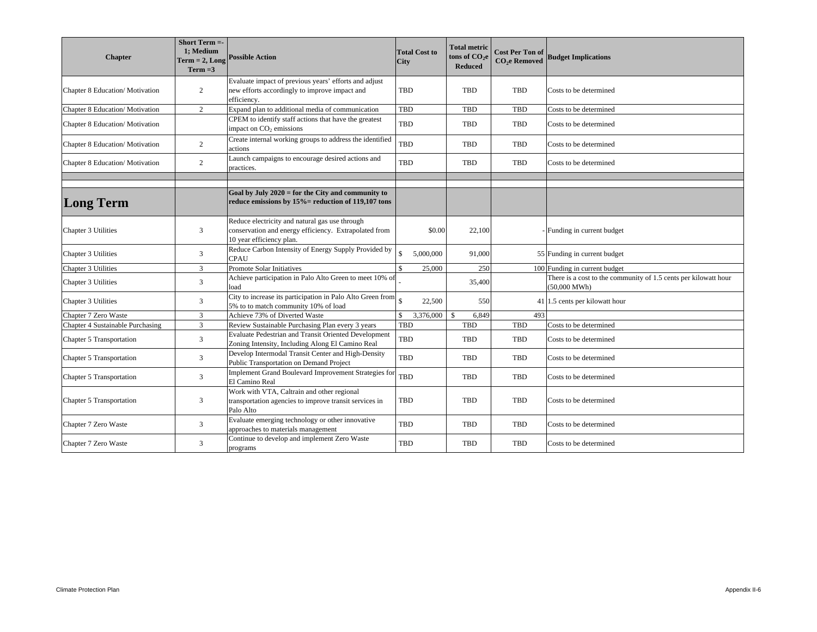| <b>Chapter</b>                   | Short Term =-<br>1: Medium<br>$Term = 2, Long$<br>$Term = 3$ | <b>Possible Action</b>                                                                                                              | <b>Total Cost to</b><br><b>City</b> | <b>Total metric</b><br>tons of $CO2e$<br><b>Reduced</b> | <b>Cost Per Ton of</b><br><b>CO<sub>2</sub>e</b> Removed | <b>Budget Implications</b>                                                                |
|----------------------------------|--------------------------------------------------------------|-------------------------------------------------------------------------------------------------------------------------------------|-------------------------------------|---------------------------------------------------------|----------------------------------------------------------|-------------------------------------------------------------------------------------------|
| Chapter 8 Education/Motivation   | $\overline{2}$                                               | Evaluate impact of previous years' efforts and adjust<br>new efforts accordingly to improve impact and<br>efficiency.               | TBD                                 | <b>TBD</b>                                              | TBD                                                      | Costs to be determined                                                                    |
| Chapter 8 Education/Motivation   | $\overline{2}$                                               | Expand plan to additional media of communication                                                                                    | <b>TBD</b>                          | TBD                                                     | TBD                                                      | Costs to be determined                                                                    |
| Chapter 8 Education/ Motivation  |                                                              | CPEM to identify staff actions that have the greatest<br>impact on $CO2$ emissions                                                  | TBD                                 | <b>TBD</b>                                              | TBD                                                      | Costs to be determined                                                                    |
| Chapter 8 Education/Motivation   | $\overline{2}$                                               | Create internal working groups to address the identified<br>actions                                                                 | TBD                                 | TBD                                                     | TBD                                                      | Costs to be determined                                                                    |
| Chapter 8 Education/Motivation   | $\overline{2}$                                               | Launch campaigns to encourage desired actions and<br>practices.                                                                     | TBD                                 | <b>TBD</b>                                              | TBD                                                      | Costs to be determined                                                                    |
|                                  |                                                              |                                                                                                                                     |                                     |                                                         |                                                          |                                                                                           |
| <b>Long Term</b>                 |                                                              | Goal by July $2020 =$ for the City and community to<br>reduce emissions by 15% = reduction of 119,107 tons                          |                                     |                                                         |                                                          |                                                                                           |
| Chapter 3 Utilities              | 3                                                            | Reduce electricity and natural gas use through<br>conservation and energy efficiency. Extrapolated from<br>10 year efficiency plan. | \$0.00                              | 22,100                                                  |                                                          | Funding in current budget                                                                 |
| Chapter 3 Utilities              | $\overline{3}$                                               | Reduce Carbon Intensity of Energy Supply Provided by<br><b>CPAU</b>                                                                 | $\mathbb{S}$<br>5,000,000           | 91,000                                                  |                                                          | 55 Funding in current budget                                                              |
| Chapter 3 Utilities              | $\overline{3}$                                               | Promote Solar Initiatives                                                                                                           | 25,000                              | 250                                                     |                                                          | 100 Funding in current budget                                                             |
| Chapter 3 Utilities              | 3                                                            | Achieve participation in Palo Alto Green to meet 10% of<br>load                                                                     |                                     | 35,400                                                  |                                                          | There is a cost to the community of 1.5 cents per kilowatt hour<br>$(50,000 \text{ MWh})$ |
| Chapter 3 Utilities              | 3                                                            | City to increase its participation in Palo Alto Green from<br>5% to to match community 10% of load                                  | $\hat{\mathbf{r}}$<br>22,500        | 550                                                     |                                                          | 41 1.5 cents per kilowatt hour                                                            |
| Chapter 7 Zero Waste             | 3                                                            | Achieve 73% of Diverted Waste                                                                                                       | s.<br>3,376,000                     | -S<br>6,849                                             | 493                                                      |                                                                                           |
| Chapter 4 Sustainable Purchasing | 3                                                            | Review Sustainable Purchasing Plan every 3 years                                                                                    | <b>TBD</b>                          | <b>TBD</b>                                              | <b>TBD</b>                                               | Costs to be determined                                                                    |
| Chapter 5 Transportation         | $\mathfrak{Z}$                                               | Evaluate Pedestrian and Transit Oriented Development<br>Zoning Intensity, Including Along El Camino Real                            | TBD                                 | <b>TBD</b>                                              | TBD                                                      | Costs to be determined                                                                    |
| Chapter 5 Transportation         | $\overline{3}$                                               | Develop Intermodal Transit Center and High-Density<br>Public Transportation on Demand Project                                       | TBD                                 | <b>TBD</b>                                              | TBD                                                      | Costs to be determined                                                                    |
| Chapter 5 Transportation         | $\overline{3}$                                               | Implement Grand Boulevard Improvement Strategies for<br>El Camino Real                                                              | <b>TBD</b>                          | <b>TBD</b>                                              | TBD                                                      | Costs to be determined                                                                    |
| Chapter 5 Transportation         | 3                                                            | Work with VTA, Caltrain and other regional<br>transportation agencies to improve transit services in<br>Palo Alto                   | TBD                                 | TBD                                                     | <b>TBD</b>                                               | Costs to be determined                                                                    |
| Chapter 7 Zero Waste             | 3                                                            | Evaluate emerging technology or other innovative<br>approaches to materials management                                              | TBD                                 | TBD                                                     | TBD                                                      | Costs to be determined                                                                    |
| Chapter 7 Zero Waste             | 3                                                            | Continue to develop and implement Zero Waste<br>programs                                                                            | TBD                                 | TBD                                                     | TBD                                                      | Costs to be determined                                                                    |